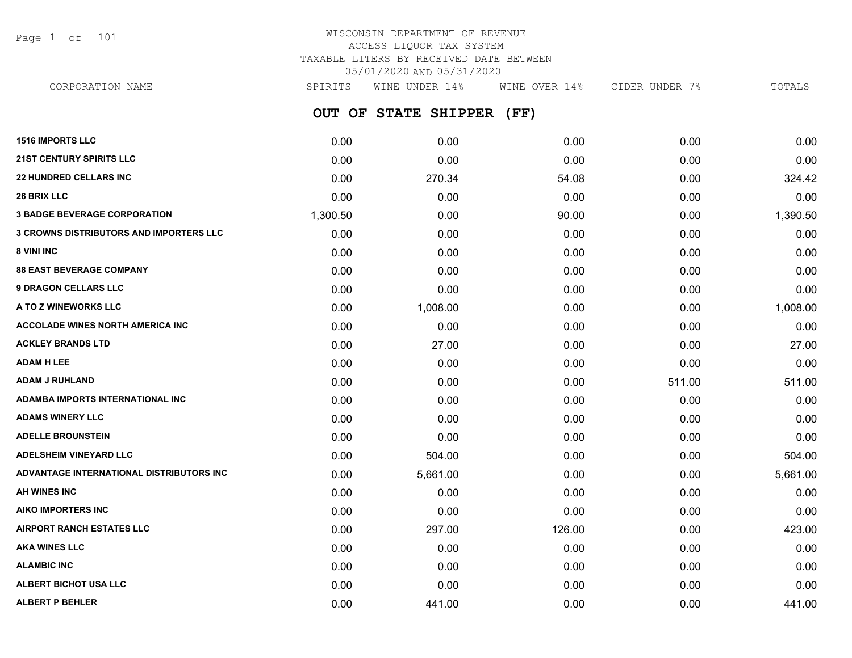Page 1 of 101

# WISCONSIN DEPARTMENT OF REVENUE ACCESS LIQUOR TAX SYSTEM TAXABLE LITERS BY RECEIVED DATE BETWEEN 05/01/2020 AND 05/31/2020

**OUT OF STATE SHIPPER (FF) 1516 IMPORTS LLC** 0.00 0.00 0.00 0.00 0.00 **21ST CENTURY SPIRITS LLC** 0.00 0.00 0.00 0.00 0.00 **22 HUNDRED CELLARS INC** 0.00 270.34 54.08 0.00 324.42 **26 BRIX LLC** 0.00 0.00 0.00 0.00 0.00 **3 BADGE BEVERAGE CORPORATION** 1,300.50 0.00 90.00 0.00 1,390.50 **3 CROWNS DISTRIBUTORS AND IMPORTERS LLC** 0.00 0.00 0.00 0.00 0.00 **8 VINI INC** 0.00 0.00 0.00 0.00 0.00 **88 EAST BEVERAGE COMPANY** 0.00 0.00 0.00 0.00 0.00 **9 DRAGON CELLARS LLC** 0.00 0.00 0.00 0.00 0.00 **A TO Z WINEWORKS LLC** 0.00 1,008.00 0.00 0.00 1,008.00 **ACCOLADE WINES NORTH AMERICA INC** 0.00 0.00 0.00 0.00 0.00 **ACKLEY BRANDS LTD** 0.00 27.00 0.00 0.00 27.00 **ADAM H LEE** 0.00 0.00 0.00 0.00 0.00 **ADAM J RUHLAND** 0.00 0.00 0.00 511.00 511.00 **ADAMBA IMPORTS INTERNATIONAL INC** 0.00 0.00 0.00 0.00 0.00 **ADAMS WINERY LLC** 0.00 0.00 0.00 0.00 0.00 **ADELLE BROUNSTEIN** 0.00 0.00 0.00 0.00 0.00 **ADELSHEIM VINEYARD LLC** 0.00 504.00 0.00 0.00 504.00 **ADVANTAGE INTERNATIONAL DISTRIBUTORS INC** 0.00 5,661.00 0.00 0.00 5,661.00 **AH WINES INC** 0.00 0.00 0.00 0.00 0.00 **AIKO IMPORTERS INC** 0.00 0.00 0.00 0.00 0.00 **AIRPORT RANCH ESTATES LLC** 0.00 297.00 126.00 0.00 423.00 CORPORATION NAME SPIRITS WINE UNDER 14% WINE OVER 14% CIDER UNDER 7% TOTALS

**AKA WINES LLC** 0.00 0.00 0.00 0.00 0.00 **ALAMBIC INC** 0.00 0.00 0.00 0.00 0.00 **ALBERT BICHOT USA LLC** 0.00 0.00 0.00 0.00 0.00 **ALBERT P BEHLER** 0.00 441.00 0.00 0.00 441.00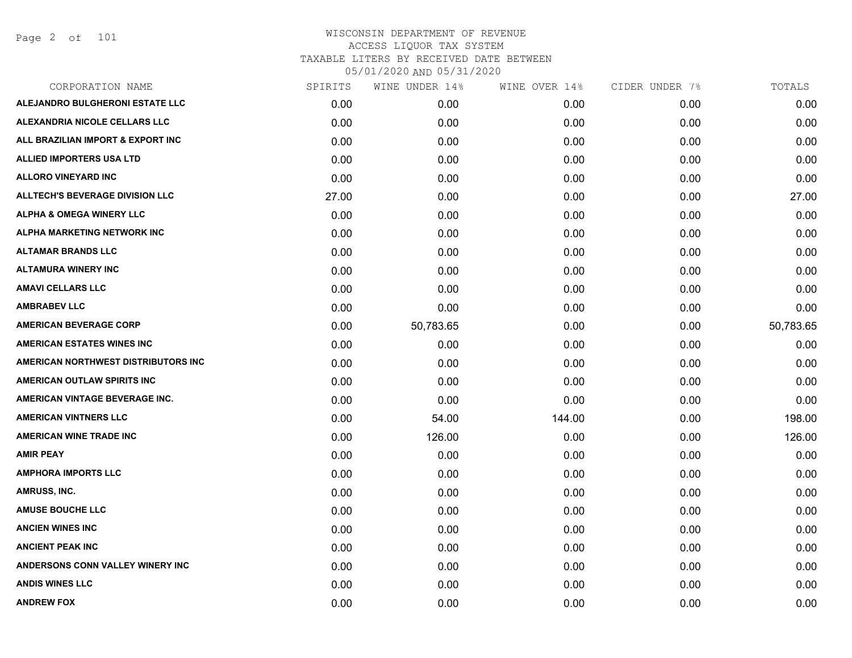Page 2 of 101

| SPIRITS | WINE UNDER 14% | WINE OVER 14% | CIDER UNDER 7% | TOTALS    |
|---------|----------------|---------------|----------------|-----------|
| 0.00    | 0.00           | 0.00          | 0.00           | 0.00      |
| 0.00    | 0.00           | 0.00          | 0.00           | 0.00      |
| 0.00    | 0.00           | 0.00          | 0.00           | 0.00      |
| 0.00    | 0.00           | 0.00          | 0.00           | 0.00      |
| 0.00    | 0.00           | 0.00          | 0.00           | 0.00      |
| 27.00   | 0.00           | 0.00          | 0.00           | 27.00     |
| 0.00    | 0.00           | 0.00          | 0.00           | 0.00      |
| 0.00    | 0.00           | 0.00          | 0.00           | 0.00      |
| 0.00    | 0.00           | 0.00          | 0.00           | 0.00      |
| 0.00    | 0.00           | 0.00          | 0.00           | 0.00      |
| 0.00    | 0.00           | 0.00          | 0.00           | 0.00      |
| 0.00    | 0.00           | 0.00          | 0.00           | 0.00      |
| 0.00    | 50,783.65      | 0.00          | 0.00           | 50,783.65 |
| 0.00    | 0.00           | 0.00          | 0.00           | 0.00      |
| 0.00    | 0.00           | 0.00          | 0.00           | 0.00      |
| 0.00    | 0.00           | 0.00          | 0.00           | 0.00      |
| 0.00    | 0.00           | 0.00          | 0.00           | 0.00      |
| 0.00    | 54.00          | 144.00        | 0.00           | 198.00    |
| 0.00    | 126.00         | 0.00          | 0.00           | 126.00    |
| 0.00    | 0.00           | 0.00          | 0.00           | 0.00      |
| 0.00    | 0.00           | 0.00          | 0.00           | 0.00      |
| 0.00    | 0.00           | 0.00          | 0.00           | 0.00      |
| 0.00    | 0.00           | 0.00          | 0.00           | 0.00      |
| 0.00    | 0.00           | 0.00          | 0.00           | 0.00      |
| 0.00    | 0.00           | 0.00          | 0.00           | 0.00      |
| 0.00    | 0.00           | 0.00          | 0.00           | 0.00      |
| 0.00    | 0.00           | 0.00          | 0.00           | 0.00      |
| 0.00    | 0.00           | 0.00          | 0.00           | 0.00      |
|         |                |               |                |           |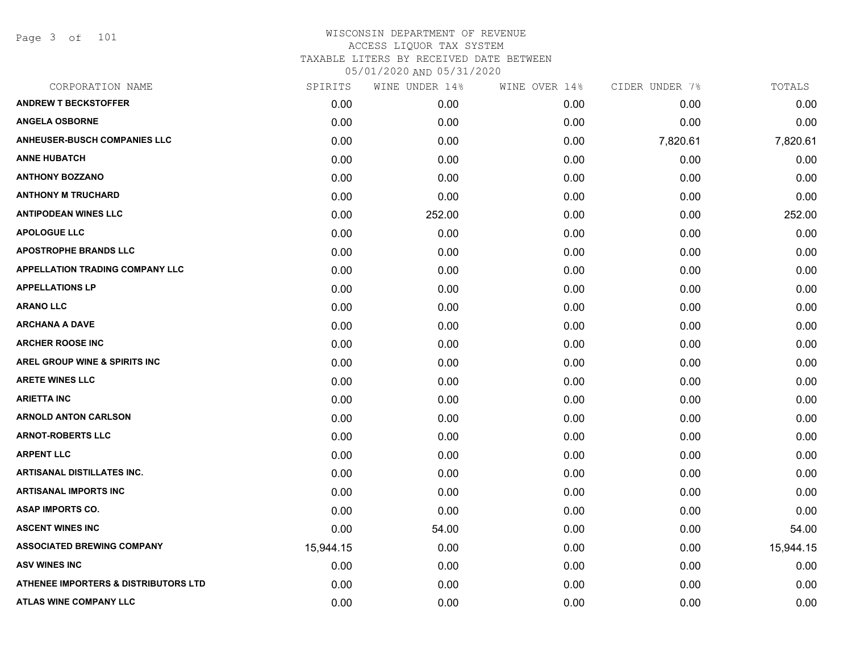Page 3 of 101

| SPIRITS   | WINE UNDER 14% | WINE OVER 14% |          | TOTALS         |
|-----------|----------------|---------------|----------|----------------|
| 0.00      | 0.00           | 0.00          | 0.00     | 0.00           |
| 0.00      | 0.00           | 0.00          | 0.00     | 0.00           |
| 0.00      | 0.00           | 0.00          | 7,820.61 | 7,820.61       |
| 0.00      | 0.00           | 0.00          | 0.00     | 0.00           |
| 0.00      | 0.00           | 0.00          | 0.00     | 0.00           |
| 0.00      | 0.00           | 0.00          | 0.00     | 0.00           |
| 0.00      | 252.00         | 0.00          | 0.00     | 252.00         |
| 0.00      | 0.00           | 0.00          | 0.00     | 0.00           |
| 0.00      | 0.00           | 0.00          | 0.00     | 0.00           |
| 0.00      | 0.00           | 0.00          | 0.00     | 0.00           |
| 0.00      | 0.00           | 0.00          | 0.00     | 0.00           |
| 0.00      | 0.00           | 0.00          | 0.00     | 0.00           |
| 0.00      | 0.00           | 0.00          | 0.00     | 0.00           |
| 0.00      | 0.00           | 0.00          | 0.00     | 0.00           |
| 0.00      | 0.00           | 0.00          | 0.00     | 0.00           |
| 0.00      | 0.00           | 0.00          | 0.00     | 0.00           |
| 0.00      | 0.00           | 0.00          | 0.00     | 0.00           |
| 0.00      | 0.00           | 0.00          | 0.00     | 0.00           |
| 0.00      | 0.00           | 0.00          | 0.00     | 0.00           |
| 0.00      | 0.00           | 0.00          | 0.00     | 0.00           |
| 0.00      | 0.00           | 0.00          | 0.00     | 0.00           |
| 0.00      | 0.00           | 0.00          | 0.00     | 0.00           |
| 0.00      | 0.00           | 0.00          | 0.00     | 0.00           |
| 0.00      | 54.00          | 0.00          | 0.00     | 54.00          |
| 15,944.15 | 0.00           | 0.00          | 0.00     | 15,944.15      |
| 0.00      | 0.00           | 0.00          | 0.00     | 0.00           |
| 0.00      | 0.00           | 0.00          | 0.00     | 0.00           |
| 0.00      | 0.00           | 0.00          | 0.00     | 0.00           |
|           |                |               |          | CIDER UNDER 7% |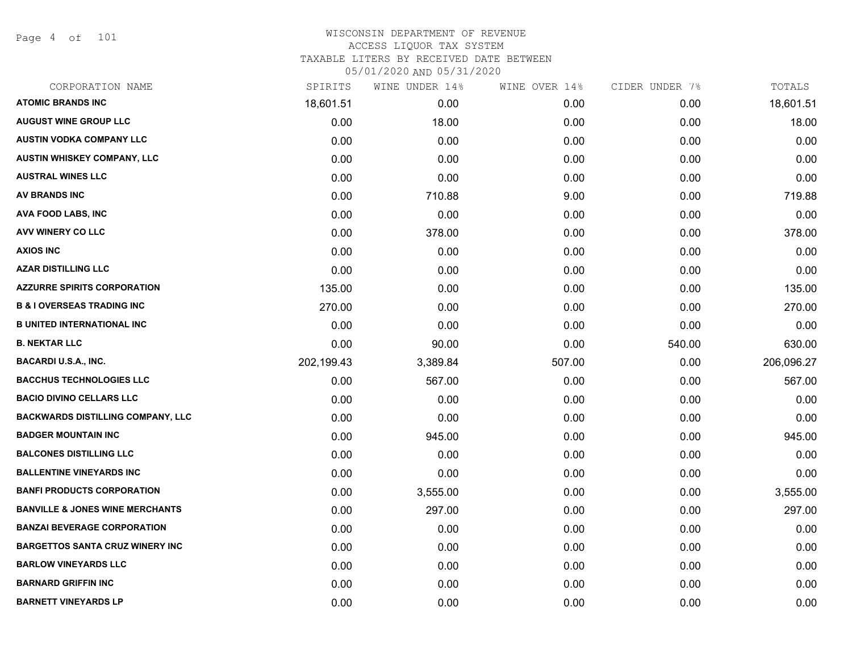Page 4 of 101

| CORPORATION NAME                           | SPIRITS    | WINE UNDER 14% | WINE OVER 14% | CIDER UNDER 7% | TOTALS     |
|--------------------------------------------|------------|----------------|---------------|----------------|------------|
| <b>ATOMIC BRANDS INC</b>                   | 18,601.51  | 0.00           | 0.00          | 0.00           | 18,601.51  |
| <b>AUGUST WINE GROUP LLC</b>               | 0.00       | 18.00          | 0.00          | 0.00           | 18.00      |
| AUSTIN VODKA COMPANY LLC                   | 0.00       | 0.00           | 0.00          | 0.00           | 0.00       |
| AUSTIN WHISKEY COMPANY, LLC                | 0.00       | 0.00           | 0.00          | 0.00           | 0.00       |
| <b>AUSTRAL WINES LLC</b>                   | 0.00       | 0.00           | 0.00          | 0.00           | 0.00       |
| AV BRANDS INC                              | 0.00       | 710.88         | 9.00          | 0.00           | 719.88     |
| <b>AVA FOOD LABS, INC</b>                  | 0.00       | 0.00           | 0.00          | 0.00           | 0.00       |
| AVV WINERY CO LLC                          | 0.00       | 378.00         | 0.00          | 0.00           | 378.00     |
| <b>AXIOS INC</b>                           | 0.00       | 0.00           | 0.00          | 0.00           | 0.00       |
| <b>AZAR DISTILLING LLC</b>                 | 0.00       | 0.00           | 0.00          | 0.00           | 0.00       |
| <b>AZZURRE SPIRITS CORPORATION</b>         | 135.00     | 0.00           | 0.00          | 0.00           | 135.00     |
| <b>B &amp; I OVERSEAS TRADING INC</b>      | 270.00     | 0.00           | 0.00          | 0.00           | 270.00     |
| <b>B UNITED INTERNATIONAL INC</b>          | 0.00       | 0.00           | 0.00          | 0.00           | 0.00       |
| <b>B. NEKTAR LLC</b>                       | 0.00       | 90.00          | 0.00          | 540.00         | 630.00     |
| <b>BACARDI U.S.A., INC.</b>                | 202,199.43 | 3,389.84       | 507.00        | 0.00           | 206,096.27 |
| <b>BACCHUS TECHNOLOGIES LLC</b>            | 0.00       | 567.00         | 0.00          | 0.00           | 567.00     |
| <b>BACIO DIVINO CELLARS LLC</b>            | 0.00       | 0.00           | 0.00          | 0.00           | 0.00       |
| <b>BACKWARDS DISTILLING COMPANY, LLC</b>   | 0.00       | 0.00           | 0.00          | 0.00           | 0.00       |
| <b>BADGER MOUNTAIN INC</b>                 | 0.00       | 945.00         | 0.00          | 0.00           | 945.00     |
| <b>BALCONES DISTILLING LLC</b>             | 0.00       | 0.00           | 0.00          | 0.00           | 0.00       |
| <b>BALLENTINE VINEYARDS INC</b>            | 0.00       | 0.00           | 0.00          | 0.00           | 0.00       |
| <b>BANFI PRODUCTS CORPORATION</b>          | 0.00       | 3,555.00       | 0.00          | 0.00           | 3,555.00   |
| <b>BANVILLE &amp; JONES WINE MERCHANTS</b> | 0.00       | 297.00         | 0.00          | 0.00           | 297.00     |
| <b>BANZAI BEVERAGE CORPORATION</b>         | 0.00       | 0.00           | 0.00          | 0.00           | 0.00       |
| <b>BARGETTOS SANTA CRUZ WINERY INC</b>     | 0.00       | 0.00           | 0.00          | 0.00           | 0.00       |
| <b>BARLOW VINEYARDS LLC</b>                | 0.00       | 0.00           | 0.00          | 0.00           | 0.00       |
| <b>BARNARD GRIFFIN INC</b>                 | 0.00       | 0.00           | 0.00          | 0.00           | 0.00       |
| <b>BARNETT VINEYARDS LP</b>                | 0.00       | 0.00           | 0.00          | 0.00           | 0.00       |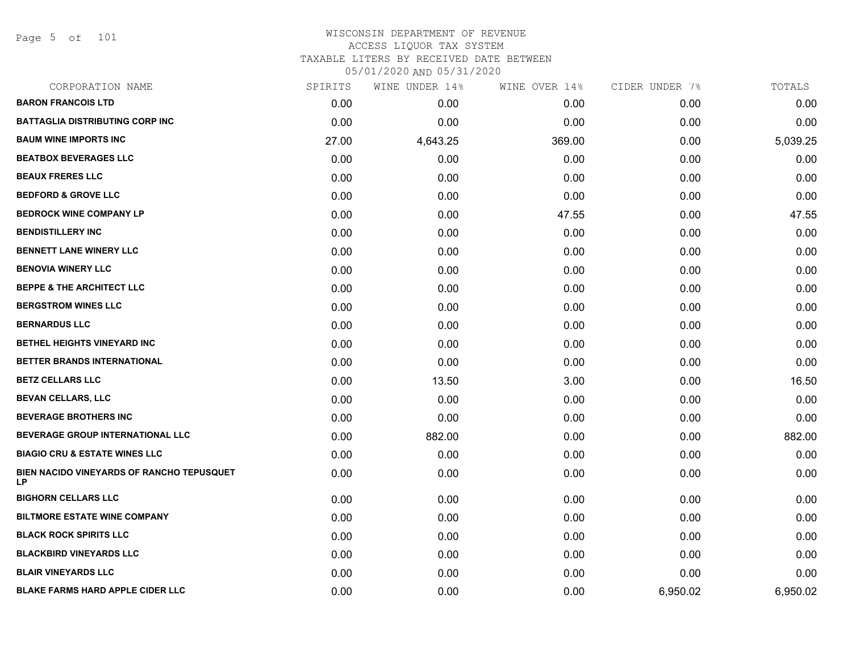Page 5 of 101

| CORPORATION NAME                                       | SPIRITS | WINE UNDER 14% | WINE OVER 14% | CIDER UNDER 7% | TOTALS   |
|--------------------------------------------------------|---------|----------------|---------------|----------------|----------|
| <b>BARON FRANCOIS LTD</b>                              | 0.00    | 0.00           | 0.00          | 0.00           | 0.00     |
| <b>BATTAGLIA DISTRIBUTING CORP INC</b>                 | 0.00    | 0.00           | 0.00          | 0.00           | 0.00     |
| <b>BAUM WINE IMPORTS INC</b>                           | 27.00   | 4,643.25       | 369.00        | 0.00           | 5,039.25 |
| <b>BEATBOX BEVERAGES LLC</b>                           | 0.00    | 0.00           | 0.00          | 0.00           | 0.00     |
| <b>BEAUX FRERES LLC</b>                                | 0.00    | 0.00           | 0.00          | 0.00           | 0.00     |
| <b>BEDFORD &amp; GROVE LLC</b>                         | 0.00    | 0.00           | 0.00          | 0.00           | 0.00     |
| <b>BEDROCK WINE COMPANY LP</b>                         | 0.00    | 0.00           | 47.55         | 0.00           | 47.55    |
| <b>BENDISTILLERY INC</b>                               | 0.00    | 0.00           | 0.00          | 0.00           | 0.00     |
| <b>BENNETT LANE WINERY LLC</b>                         | 0.00    | 0.00           | 0.00          | 0.00           | 0.00     |
| <b>BENOVIA WINERY LLC</b>                              | 0.00    | 0.00           | 0.00          | 0.00           | 0.00     |
| <b>BEPPE &amp; THE ARCHITECT LLC</b>                   | 0.00    | 0.00           | 0.00          | 0.00           | 0.00     |
| <b>BERGSTROM WINES LLC</b>                             | 0.00    | 0.00           | 0.00          | 0.00           | 0.00     |
| <b>BERNARDUS LLC</b>                                   | 0.00    | 0.00           | 0.00          | 0.00           | 0.00     |
| BETHEL HEIGHTS VINEYARD INC                            | 0.00    | 0.00           | 0.00          | 0.00           | 0.00     |
| BETTER BRANDS INTERNATIONAL                            | 0.00    | 0.00           | 0.00          | 0.00           | 0.00     |
| <b>BETZ CELLARS LLC</b>                                | 0.00    | 13.50          | 3.00          | 0.00           | 16.50    |
| <b>BEVAN CELLARS, LLC</b>                              | 0.00    | 0.00           | 0.00          | 0.00           | 0.00     |
| <b>BEVERAGE BROTHERS INC</b>                           | 0.00    | 0.00           | 0.00          | 0.00           | 0.00     |
| <b>BEVERAGE GROUP INTERNATIONAL LLC</b>                | 0.00    | 882.00         | 0.00          | 0.00           | 882.00   |
| <b>BIAGIO CRU &amp; ESTATE WINES LLC</b>               | 0.00    | 0.00           | 0.00          | 0.00           | 0.00     |
| <b>BIEN NACIDO VINEYARDS OF RANCHO TEPUSQUET</b><br>LP | 0.00    | 0.00           | 0.00          | 0.00           | 0.00     |
| <b>BIGHORN CELLARS LLC</b>                             | 0.00    | 0.00           | 0.00          | 0.00           | 0.00     |
| <b>BILTMORE ESTATE WINE COMPANY</b>                    | 0.00    | 0.00           | 0.00          | 0.00           | 0.00     |
| <b>BLACK ROCK SPIRITS LLC</b>                          | 0.00    | 0.00           | 0.00          | 0.00           | 0.00     |
| <b>BLACKBIRD VINEYARDS LLC</b>                         | 0.00    | 0.00           | 0.00          | 0.00           | 0.00     |
| <b>BLAIR VINEYARDS LLC</b>                             | 0.00    | 0.00           | 0.00          | 0.00           | 0.00     |
| <b>BLAKE FARMS HARD APPLE CIDER LLC</b>                | 0.00    | 0.00           | 0.00          | 6,950.02       | 6,950.02 |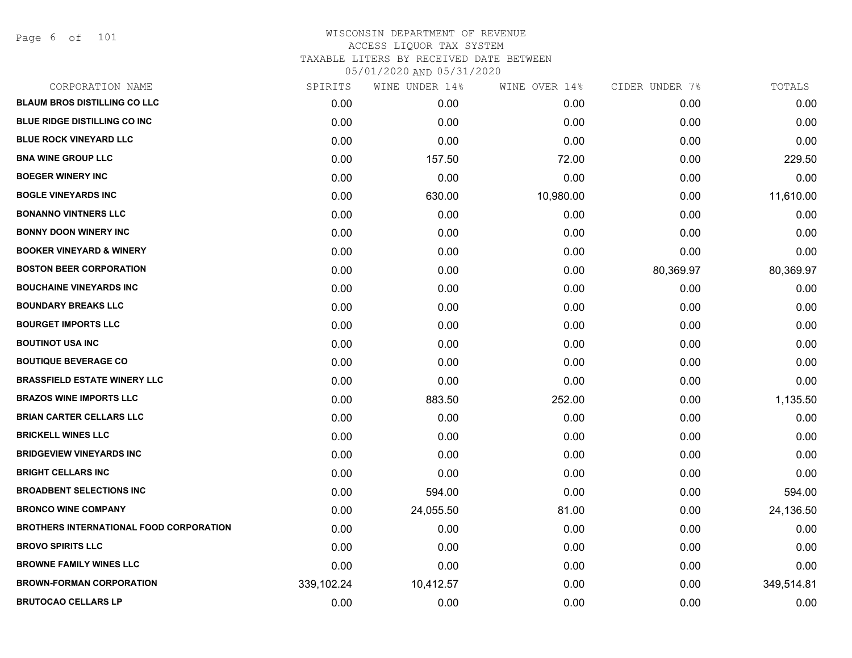Page 6 of 101

| SPIRITS    | WINE UNDER 14% | WINE OVER 14% | CIDER UNDER 7% | TOTALS     |
|------------|----------------|---------------|----------------|------------|
| 0.00       | 0.00           | 0.00          | 0.00           | 0.00       |
| 0.00       | 0.00           | 0.00          | 0.00           | 0.00       |
| 0.00       | 0.00           | 0.00          | 0.00           | 0.00       |
| 0.00       | 157.50         | 72.00         | 0.00           | 229.50     |
| 0.00       | 0.00           | 0.00          | 0.00           | 0.00       |
| 0.00       | 630.00         | 10,980.00     | 0.00           | 11,610.00  |
| 0.00       | 0.00           | 0.00          | 0.00           | 0.00       |
| 0.00       | 0.00           | 0.00          | 0.00           | 0.00       |
| 0.00       | 0.00           | 0.00          | 0.00           | 0.00       |
| 0.00       | 0.00           | 0.00          | 80,369.97      | 80,369.97  |
| 0.00       | 0.00           | 0.00          | 0.00           | 0.00       |
| 0.00       | 0.00           | 0.00          | 0.00           | 0.00       |
| 0.00       | 0.00           | 0.00          | 0.00           | 0.00       |
| 0.00       | 0.00           | 0.00          | 0.00           | 0.00       |
| 0.00       | 0.00           | 0.00          | 0.00           | 0.00       |
| 0.00       | 0.00           | 0.00          | 0.00           | 0.00       |
| 0.00       | 883.50         | 252.00        | 0.00           | 1,135.50   |
| 0.00       | 0.00           | 0.00          | 0.00           | 0.00       |
| 0.00       | 0.00           | 0.00          | 0.00           | 0.00       |
| 0.00       | 0.00           | 0.00          | 0.00           | 0.00       |
| 0.00       | 0.00           | 0.00          | 0.00           | 0.00       |
| 0.00       | 594.00         | 0.00          | 0.00           | 594.00     |
| 0.00       | 24,055.50      | 81.00         | 0.00           | 24,136.50  |
| 0.00       | 0.00           | 0.00          | 0.00           | 0.00       |
| 0.00       | 0.00           | 0.00          | 0.00           | 0.00       |
| 0.00       | 0.00           | 0.00          | 0.00           | 0.00       |
| 339,102.24 | 10,412.57      | 0.00          | 0.00           | 349,514.81 |
| 0.00       | 0.00           | 0.00          | 0.00           | 0.00       |
|            |                |               |                |            |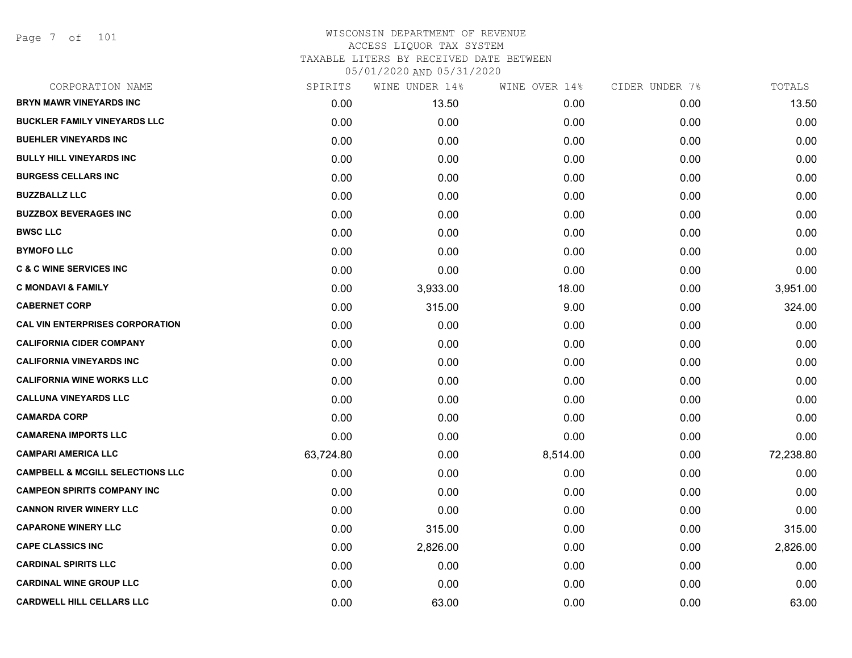Page 7 of 101

| CORPORATION NAME                            | SPIRITS   | WINE UNDER 14% | WINE OVER 14% | CIDER UNDER 7% | TOTALS    |
|---------------------------------------------|-----------|----------------|---------------|----------------|-----------|
| <b>BRYN MAWR VINEYARDS INC</b>              | 0.00      | 13.50          | 0.00          | 0.00           | 13.50     |
| <b>BUCKLER FAMILY VINEYARDS LLC</b>         | 0.00      | 0.00           | 0.00          | 0.00           | 0.00      |
| <b>BUEHLER VINEYARDS INC</b>                | 0.00      | 0.00           | 0.00          | 0.00           | 0.00      |
| <b>BULLY HILL VINEYARDS INC</b>             | 0.00      | 0.00           | 0.00          | 0.00           | 0.00      |
| <b>BURGESS CELLARS INC</b>                  | 0.00      | 0.00           | 0.00          | 0.00           | 0.00      |
| <b>BUZZBALLZ LLC</b>                        | 0.00      | 0.00           | 0.00          | 0.00           | 0.00      |
| <b>BUZZBOX BEVERAGES INC</b>                | 0.00      | 0.00           | 0.00          | 0.00           | 0.00      |
| <b>BWSC LLC</b>                             | 0.00      | 0.00           | 0.00          | 0.00           | 0.00      |
| <b>BYMOFO LLC</b>                           | 0.00      | 0.00           | 0.00          | 0.00           | 0.00      |
| <b>C &amp; C WINE SERVICES INC</b>          | 0.00      | 0.00           | 0.00          | 0.00           | 0.00      |
| <b>C MONDAVI &amp; FAMILY</b>               | 0.00      | 3,933.00       | 18.00         | 0.00           | 3,951.00  |
| <b>CABERNET CORP</b>                        | 0.00      | 315.00         | 9.00          | 0.00           | 324.00    |
| <b>CAL VIN ENTERPRISES CORPORATION</b>      | 0.00      | 0.00           | 0.00          | 0.00           | 0.00      |
| <b>CALIFORNIA CIDER COMPANY</b>             | 0.00      | 0.00           | 0.00          | 0.00           | 0.00      |
| <b>CALIFORNIA VINEYARDS INC</b>             | 0.00      | 0.00           | 0.00          | 0.00           | 0.00      |
| <b>CALIFORNIA WINE WORKS LLC</b>            | 0.00      | 0.00           | 0.00          | 0.00           | 0.00      |
| <b>CALLUNA VINEYARDS LLC</b>                | 0.00      | 0.00           | 0.00          | 0.00           | 0.00      |
| <b>CAMARDA CORP</b>                         | 0.00      | 0.00           | 0.00          | 0.00           | 0.00      |
| <b>CAMARENA IMPORTS LLC</b>                 | 0.00      | 0.00           | 0.00          | 0.00           | 0.00      |
| <b>CAMPARI AMERICA LLC</b>                  | 63,724.80 | 0.00           | 8,514.00      | 0.00           | 72,238.80 |
| <b>CAMPBELL &amp; MCGILL SELECTIONS LLC</b> | 0.00      | 0.00           | 0.00          | 0.00           | 0.00      |
| <b>CAMPEON SPIRITS COMPANY INC</b>          | 0.00      | 0.00           | 0.00          | 0.00           | 0.00      |
| <b>CANNON RIVER WINERY LLC</b>              | 0.00      | 0.00           | 0.00          | 0.00           | 0.00      |
| <b>CAPARONE WINERY LLC</b>                  | 0.00      | 315.00         | 0.00          | 0.00           | 315.00    |
| <b>CAPE CLASSICS INC</b>                    | 0.00      | 2,826.00       | 0.00          | 0.00           | 2,826.00  |
| <b>CARDINAL SPIRITS LLC</b>                 | 0.00      | 0.00           | 0.00          | 0.00           | 0.00      |
| <b>CARDINAL WINE GROUP LLC</b>              | 0.00      | 0.00           | 0.00          | 0.00           | 0.00      |
| <b>CARDWELL HILL CELLARS LLC</b>            | 0.00      | 63.00          | 0.00          | 0.00           | 63.00     |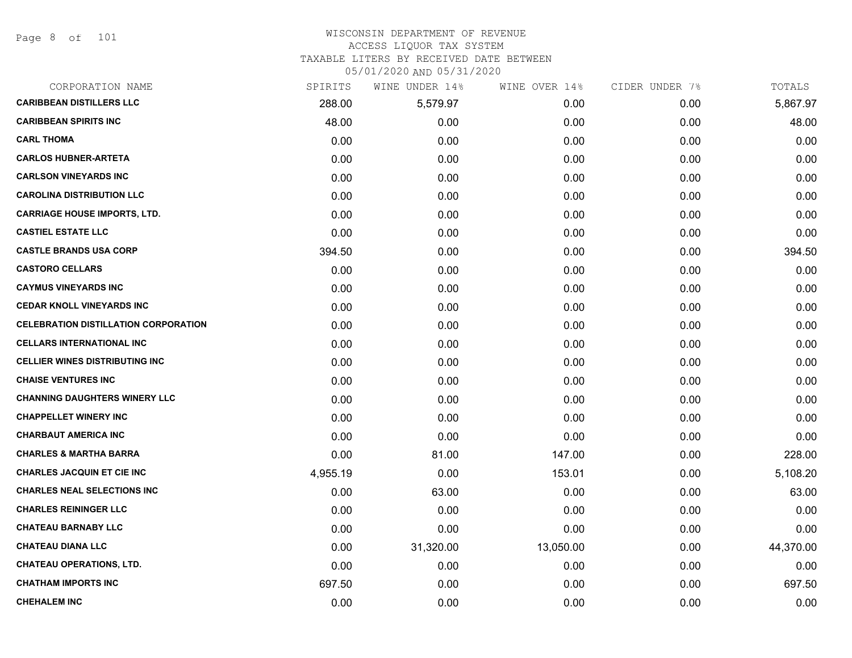# WISCONSIN DEPARTMENT OF REVENUE ACCESS LIQUOR TAX SYSTEM

TAXABLE LITERS BY RECEIVED DATE BETWEEN

| CORPORATION NAME                            | SPIRITS  | WINE UNDER 14% | WINE OVER 14% | CIDER UNDER 7% | TOTALS    |
|---------------------------------------------|----------|----------------|---------------|----------------|-----------|
| <b>CARIBBEAN DISTILLERS LLC</b>             | 288.00   | 5,579.97       | 0.00          | 0.00           | 5,867.97  |
| <b>CARIBBEAN SPIRITS INC</b>                | 48.00    | 0.00           | 0.00          | 0.00           | 48.00     |
| <b>CARL THOMA</b>                           | 0.00     | 0.00           | 0.00          | 0.00           | 0.00      |
| <b>CARLOS HUBNER-ARTETA</b>                 | 0.00     | 0.00           | 0.00          | 0.00           | 0.00      |
| <b>CARLSON VINEYARDS INC</b>                | 0.00     | 0.00           | 0.00          | 0.00           | 0.00      |
| <b>CAROLINA DISTRIBUTION LLC</b>            | 0.00     | 0.00           | 0.00          | 0.00           | 0.00      |
| <b>CARRIAGE HOUSE IMPORTS, LTD.</b>         | 0.00     | 0.00           | 0.00          | 0.00           | 0.00      |
| <b>CASTIEL ESTATE LLC</b>                   | 0.00     | 0.00           | 0.00          | 0.00           | 0.00      |
| <b>CASTLE BRANDS USA CORP</b>               | 394.50   | 0.00           | 0.00          | 0.00           | 394.50    |
| <b>CASTORO CELLARS</b>                      | 0.00     | 0.00           | 0.00          | 0.00           | 0.00      |
| <b>CAYMUS VINEYARDS INC</b>                 | 0.00     | 0.00           | 0.00          | 0.00           | 0.00      |
| <b>CEDAR KNOLL VINEYARDS INC</b>            | 0.00     | 0.00           | 0.00          | 0.00           | 0.00      |
| <b>CELEBRATION DISTILLATION CORPORATION</b> | 0.00     | 0.00           | 0.00          | 0.00           | 0.00      |
| <b>CELLARS INTERNATIONAL INC</b>            | 0.00     | 0.00           | 0.00          | 0.00           | 0.00      |
| <b>CELLIER WINES DISTRIBUTING INC</b>       | 0.00     | 0.00           | 0.00          | 0.00           | 0.00      |
| <b>CHAISE VENTURES INC</b>                  | 0.00     | 0.00           | 0.00          | 0.00           | 0.00      |
| <b>CHANNING DAUGHTERS WINERY LLC</b>        | 0.00     | 0.00           | 0.00          | 0.00           | 0.00      |
| <b>CHAPPELLET WINERY INC</b>                | 0.00     | 0.00           | 0.00          | 0.00           | 0.00      |
| <b>CHARBAUT AMERICA INC</b>                 | 0.00     | 0.00           | 0.00          | 0.00           | 0.00      |
| <b>CHARLES &amp; MARTHA BARRA</b>           | 0.00     | 81.00          | 147.00        | 0.00           | 228.00    |
| <b>CHARLES JACQUIN ET CIE INC</b>           | 4,955.19 | 0.00           | 153.01        | 0.00           | 5,108.20  |
| <b>CHARLES NEAL SELECTIONS INC</b>          | 0.00     | 63.00          | 0.00          | 0.00           | 63.00     |
| <b>CHARLES REININGER LLC</b>                | 0.00     | 0.00           | 0.00          | 0.00           | 0.00      |
| <b>CHATEAU BARNABY LLC</b>                  | 0.00     | 0.00           | 0.00          | 0.00           | 0.00      |
| <b>CHATEAU DIANA LLC</b>                    | 0.00     | 31,320.00      | 13,050.00     | 0.00           | 44,370.00 |
| <b>CHATEAU OPERATIONS, LTD.</b>             | 0.00     | 0.00           | 0.00          | 0.00           | 0.00      |
| <b>CHATHAM IMPORTS INC</b>                  | 697.50   | 0.00           | 0.00          | 0.00           | 697.50    |
| <b>CHEHALEM INC</b>                         | 0.00     | 0.00           | 0.00          | 0.00           | 0.00      |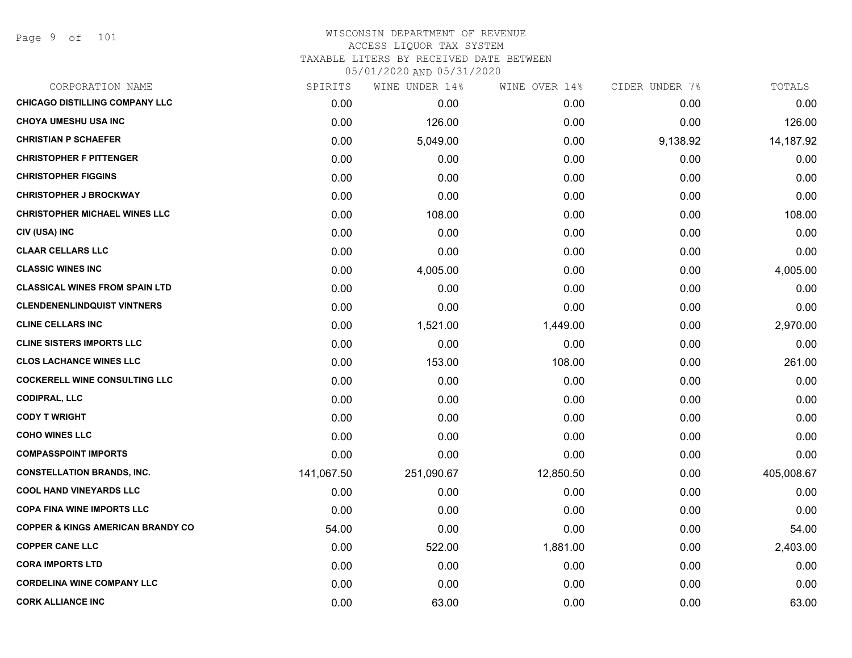Page 9 of 101

| SPIRITS    | WINE UNDER 14% | WINE OVER 14% | CIDER UNDER 7% | TOTALS     |
|------------|----------------|---------------|----------------|------------|
| 0.00       | 0.00           | 0.00          | 0.00           | 0.00       |
| 0.00       | 126.00         | 0.00          | 0.00           | 126.00     |
| 0.00       | 5,049.00       | 0.00          | 9,138.92       | 14,187.92  |
| 0.00       | 0.00           | 0.00          | 0.00           | 0.00       |
| 0.00       | 0.00           | 0.00          | 0.00           | 0.00       |
| 0.00       | 0.00           | 0.00          | 0.00           | 0.00       |
| 0.00       | 108.00         | 0.00          | 0.00           | 108.00     |
| 0.00       | 0.00           | 0.00          | 0.00           | 0.00       |
| 0.00       | 0.00           | 0.00          | 0.00           | 0.00       |
| 0.00       | 4,005.00       | 0.00          | 0.00           | 4,005.00   |
| 0.00       | 0.00           | 0.00          | 0.00           | 0.00       |
| 0.00       | 0.00           | 0.00          | 0.00           | 0.00       |
| 0.00       | 1,521.00       | 1,449.00      | 0.00           | 2,970.00   |
| 0.00       | 0.00           | 0.00          | 0.00           | 0.00       |
| 0.00       | 153.00         | 108.00        | 0.00           | 261.00     |
| 0.00       | 0.00           | 0.00          | 0.00           | 0.00       |
| 0.00       | 0.00           | 0.00          | 0.00           | 0.00       |
| 0.00       | 0.00           | 0.00          | 0.00           | 0.00       |
| 0.00       | 0.00           | 0.00          | 0.00           | 0.00       |
| 0.00       | 0.00           | 0.00          | 0.00           | 0.00       |
| 141,067.50 | 251,090.67     | 12,850.50     | 0.00           | 405,008.67 |
| 0.00       | 0.00           | 0.00          | 0.00           | 0.00       |
| 0.00       | 0.00           | 0.00          | 0.00           | 0.00       |
| 54.00      | 0.00           | 0.00          | 0.00           | 54.00      |
| 0.00       | 522.00         | 1,881.00      | 0.00           | 2,403.00   |
| 0.00       | 0.00           | 0.00          | 0.00           | 0.00       |
| 0.00       | 0.00           | 0.00          | 0.00           | 0.00       |
| 0.00       | 63.00          | 0.00          | 0.00           | 63.00      |
|            |                |               |                |            |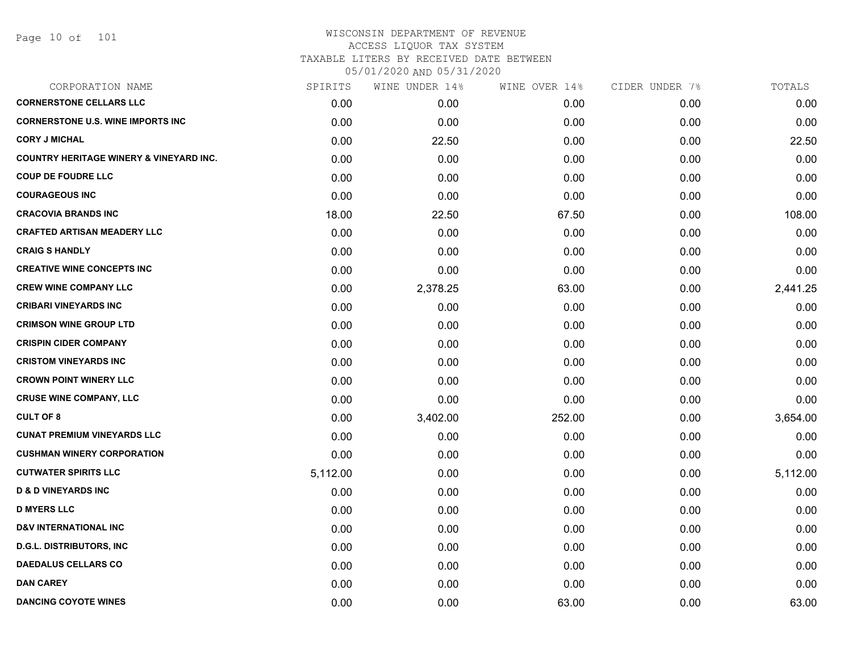| CORPORATION NAME                                   | SPIRITS  | WINE UNDER 14% | WINE OVER 14% | CIDER UNDER 7% | TOTALS   |
|----------------------------------------------------|----------|----------------|---------------|----------------|----------|
| <b>CORNERSTONE CELLARS LLC</b>                     | 0.00     | 0.00           | 0.00          | 0.00           | 0.00     |
| <b>CORNERSTONE U.S. WINE IMPORTS INC</b>           | 0.00     | 0.00           | 0.00          | 0.00           | 0.00     |
| <b>CORY J MICHAL</b>                               | 0.00     | 22.50          | 0.00          | 0.00           | 22.50    |
| <b>COUNTRY HERITAGE WINERY &amp; VINEYARD INC.</b> | 0.00     | 0.00           | 0.00          | 0.00           | 0.00     |
| <b>COUP DE FOUDRE LLC</b>                          | 0.00     | 0.00           | 0.00          | 0.00           | 0.00     |
| <b>COURAGEOUS INC</b>                              | 0.00     | 0.00           | 0.00          | 0.00           | 0.00     |
| <b>CRACOVIA BRANDS INC</b>                         | 18.00    | 22.50          | 67.50         | 0.00           | 108.00   |
| <b>CRAFTED ARTISAN MEADERY LLC</b>                 | 0.00     | 0.00           | 0.00          | 0.00           | 0.00     |
| <b>CRAIG S HANDLY</b>                              | 0.00     | 0.00           | 0.00          | 0.00           | 0.00     |
| <b>CREATIVE WINE CONCEPTS INC</b>                  | 0.00     | 0.00           | 0.00          | 0.00           | 0.00     |
| <b>CREW WINE COMPANY LLC</b>                       | 0.00     | 2,378.25       | 63.00         | 0.00           | 2,441.25 |
| <b>CRIBARI VINEYARDS INC</b>                       | 0.00     | 0.00           | 0.00          | 0.00           | 0.00     |
| <b>CRIMSON WINE GROUP LTD</b>                      | 0.00     | 0.00           | 0.00          | 0.00           | 0.00     |
| <b>CRISPIN CIDER COMPANY</b>                       | 0.00     | 0.00           | 0.00          | 0.00           | 0.00     |
| <b>CRISTOM VINEYARDS INC</b>                       | 0.00     | 0.00           | 0.00          | 0.00           | 0.00     |
| <b>CROWN POINT WINERY LLC</b>                      | 0.00     | 0.00           | 0.00          | 0.00           | 0.00     |
| <b>CRUSE WINE COMPANY, LLC</b>                     | 0.00     | 0.00           | 0.00          | 0.00           | 0.00     |
| <b>CULT OF 8</b>                                   | 0.00     | 3,402.00       | 252.00        | 0.00           | 3,654.00 |
| <b>CUNAT PREMIUM VINEYARDS LLC</b>                 | 0.00     | 0.00           | 0.00          | 0.00           | 0.00     |
| <b>CUSHMAN WINERY CORPORATION</b>                  | 0.00     | 0.00           | 0.00          | 0.00           | 0.00     |
| <b>CUTWATER SPIRITS LLC</b>                        | 5,112.00 | 0.00           | 0.00          | 0.00           | 5,112.00 |
| <b>D &amp; D VINEYARDS INC</b>                     | 0.00     | 0.00           | 0.00          | 0.00           | 0.00     |
| <b>D MYERS LLC</b>                                 | 0.00     | 0.00           | 0.00          | 0.00           | 0.00     |
| <b>D&amp;V INTERNATIONAL INC</b>                   | 0.00     | 0.00           | 0.00          | 0.00           | 0.00     |
| <b>D.G.L. DISTRIBUTORS, INC</b>                    | 0.00     | 0.00           | 0.00          | 0.00           | 0.00     |
| <b>DAEDALUS CELLARS CO</b>                         | 0.00     | 0.00           | 0.00          | 0.00           | 0.00     |
| <b>DAN CAREY</b>                                   | 0.00     | 0.00           | 0.00          | 0.00           | 0.00     |
| <b>DANCING COYOTE WINES</b>                        | 0.00     | 0.00           | 63.00         | 0.00           | 63.00    |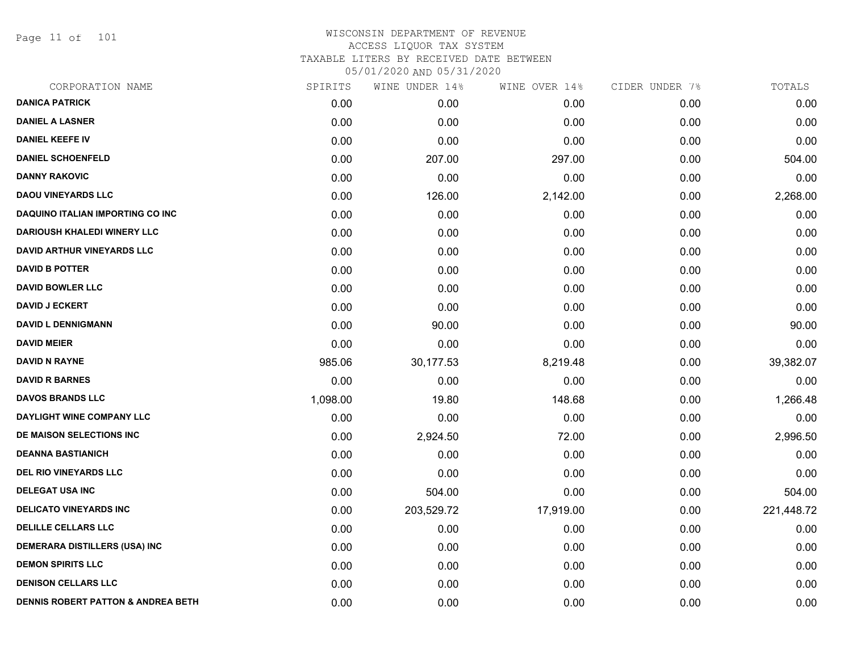Page 11 of 101

| CORPORATION NAME                              | SPIRITS  | WINE UNDER 14% | WINE OVER 14% | CIDER UNDER 7% | TOTALS     |
|-----------------------------------------------|----------|----------------|---------------|----------------|------------|
| <b>DANICA PATRICK</b>                         | 0.00     | 0.00           | 0.00          | 0.00           | 0.00       |
| <b>DANIEL A LASNER</b>                        | 0.00     | 0.00           | 0.00          | 0.00           | 0.00       |
| <b>DANIEL KEEFE IV</b>                        | 0.00     | 0.00           | 0.00          | 0.00           | 0.00       |
| <b>DANIEL SCHOENFELD</b>                      | 0.00     | 207.00         | 297.00        | 0.00           | 504.00     |
| <b>DANNY RAKOVIC</b>                          | 0.00     | 0.00           | 0.00          | 0.00           | 0.00       |
| <b>DAOU VINEYARDS LLC</b>                     | 0.00     | 126.00         | 2,142.00      | 0.00           | 2,268.00   |
| <b>DAQUINO ITALIAN IMPORTING CO INC</b>       | 0.00     | 0.00           | 0.00          | 0.00           | 0.00       |
| DARIOUSH KHALEDI WINERY LLC                   | 0.00     | 0.00           | 0.00          | 0.00           | 0.00       |
| <b>DAVID ARTHUR VINEYARDS LLC</b>             | 0.00     | 0.00           | 0.00          | 0.00           | 0.00       |
| <b>DAVID B POTTER</b>                         | 0.00     | 0.00           | 0.00          | 0.00           | 0.00       |
| <b>DAVID BOWLER LLC</b>                       | 0.00     | 0.00           | 0.00          | 0.00           | 0.00       |
| <b>DAVID J ECKERT</b>                         | 0.00     | 0.00           | 0.00          | 0.00           | 0.00       |
| <b>DAVID L DENNIGMANN</b>                     | 0.00     | 90.00          | 0.00          | 0.00           | 90.00      |
| <b>DAVID MEIER</b>                            | 0.00     | 0.00           | 0.00          | 0.00           | 0.00       |
| <b>DAVID N RAYNE</b>                          | 985.06   | 30,177.53      | 8,219.48      | 0.00           | 39,382.07  |
| <b>DAVID R BARNES</b>                         | 0.00     | 0.00           | 0.00          | 0.00           | 0.00       |
| <b>DAVOS BRANDS LLC</b>                       | 1,098.00 | 19.80          | 148.68        | 0.00           | 1,266.48   |
| DAYLIGHT WINE COMPANY LLC                     | 0.00     | 0.00           | 0.00          | 0.00           | 0.00       |
| DE MAISON SELECTIONS INC                      | 0.00     | 2,924.50       | 72.00         | 0.00           | 2,996.50   |
| <b>DEANNA BASTIANICH</b>                      | 0.00     | 0.00           | 0.00          | 0.00           | 0.00       |
| <b>DEL RIO VINEYARDS LLC</b>                  | 0.00     | 0.00           | 0.00          | 0.00           | 0.00       |
| <b>DELEGAT USA INC</b>                        | 0.00     | 504.00         | 0.00          | 0.00           | 504.00     |
| <b>DELICATO VINEYARDS INC</b>                 | 0.00     | 203,529.72     | 17,919.00     | 0.00           | 221,448.72 |
| <b>DELILLE CELLARS LLC</b>                    | 0.00     | 0.00           | 0.00          | 0.00           | 0.00       |
| DEMERARA DISTILLERS (USA) INC                 | 0.00     | 0.00           | 0.00          | 0.00           | 0.00       |
| <b>DEMON SPIRITS LLC</b>                      | 0.00     | 0.00           | 0.00          | 0.00           | 0.00       |
| <b>DENISON CELLARS LLC</b>                    | 0.00     | 0.00           | 0.00          | 0.00           | 0.00       |
| <b>DENNIS ROBERT PATTON &amp; ANDREA BETH</b> | 0.00     | 0.00           | 0.00          | 0.00           | 0.00       |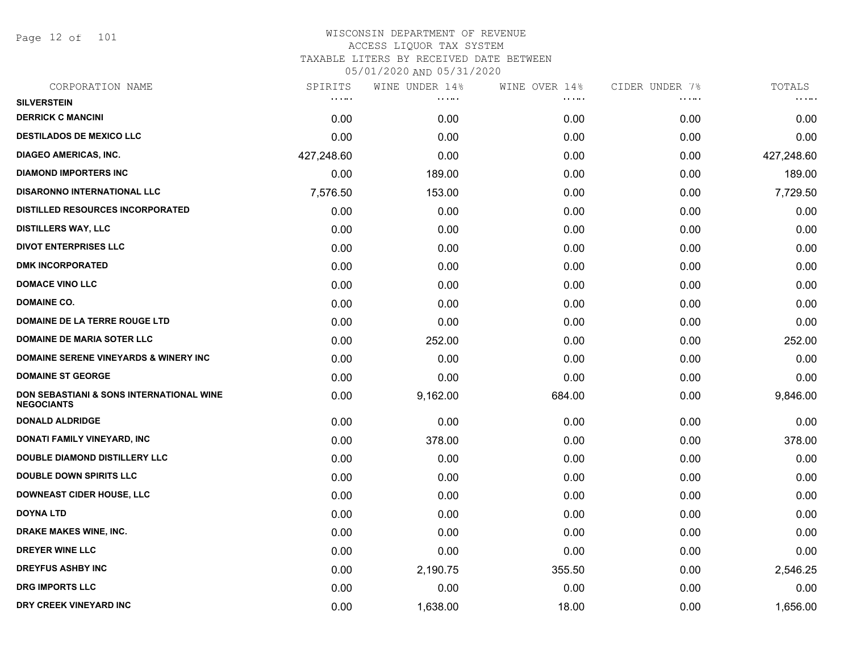Page 12 of 101

| CORPORATION NAME                                                         | SPIRITS      | WINE UNDER 14% | WINE OVER 14% | CIDER UNDER 7% | TOTALS       |
|--------------------------------------------------------------------------|--------------|----------------|---------------|----------------|--------------|
| <b>SILVERSTEIN</b>                                                       | <b>COLOR</b> | <b>.</b>       | <b>COLOR</b>  | .              | <b>COLOR</b> |
| <b>DERRICK C MANCINI</b>                                                 | 0.00         | 0.00           | 0.00          | 0.00           | 0.00         |
| <b>DESTILADOS DE MEXICO LLC</b>                                          | 0.00         | 0.00           | 0.00          | 0.00           | 0.00         |
| <b>DIAGEO AMERICAS, INC.</b>                                             | 427,248.60   | 0.00           | 0.00          | 0.00           | 427,248.60   |
| <b>DIAMOND IMPORTERS INC</b>                                             | 0.00         | 189.00         | 0.00          | 0.00           | 189.00       |
| <b>DISARONNO INTERNATIONAL LLC</b>                                       | 7,576.50     | 153.00         | 0.00          | 0.00           | 7,729.50     |
| <b>DISTILLED RESOURCES INCORPORATED</b>                                  | 0.00         | 0.00           | 0.00          | 0.00           | 0.00         |
| <b>DISTILLERS WAY, LLC</b>                                               | 0.00         | 0.00           | 0.00          | 0.00           | 0.00         |
| <b>DIVOT ENTERPRISES LLC</b>                                             | 0.00         | 0.00           | 0.00          | 0.00           | 0.00         |
| <b>DMK INCORPORATED</b>                                                  | 0.00         | 0.00           | 0.00          | 0.00           | 0.00         |
| <b>DOMACE VINO LLC</b>                                                   | 0.00         | 0.00           | 0.00          | 0.00           | 0.00         |
| <b>DOMAINE CO.</b>                                                       | 0.00         | 0.00           | 0.00          | 0.00           | 0.00         |
| DOMAINE DE LA TERRE ROUGE LTD                                            | 0.00         | 0.00           | 0.00          | 0.00           | 0.00         |
| <b>DOMAINE DE MARIA SOTER LLC</b>                                        | 0.00         | 252.00         | 0.00          | 0.00           | 252.00       |
| <b>DOMAINE SERENE VINEYARDS &amp; WINERY INC</b>                         | 0.00         | 0.00           | 0.00          | 0.00           | 0.00         |
| <b>DOMAINE ST GEORGE</b>                                                 | 0.00         | 0.00           | 0.00          | 0.00           | 0.00         |
| <b>DON SEBASTIANI &amp; SONS INTERNATIONAL WINE</b><br><b>NEGOCIANTS</b> | 0.00         | 9,162.00       | 684.00        | 0.00           | 9,846.00     |
| <b>DONALD ALDRIDGE</b>                                                   | 0.00         | 0.00           | 0.00          | 0.00           | 0.00         |
| <b>DONATI FAMILY VINEYARD, INC</b>                                       | 0.00         | 378.00         | 0.00          | 0.00           | 378.00       |
| <b>DOUBLE DIAMOND DISTILLERY LLC</b>                                     | 0.00         | 0.00           | 0.00          | 0.00           | 0.00         |
| <b>DOUBLE DOWN SPIRITS LLC</b>                                           | 0.00         | 0.00           | 0.00          | 0.00           | 0.00         |
| <b>DOWNEAST CIDER HOUSE, LLC</b>                                         | 0.00         | 0.00           | 0.00          | 0.00           | 0.00         |
| <b>DOYNA LTD</b>                                                         | 0.00         | 0.00           | 0.00          | 0.00           | 0.00         |
| DRAKE MAKES WINE, INC.                                                   | 0.00         | 0.00           | 0.00          | 0.00           | 0.00         |
| <b>DREYER WINE LLC</b>                                                   | 0.00         | 0.00           | 0.00          | 0.00           | 0.00         |
| <b>DREYFUS ASHBY INC</b>                                                 | 0.00         | 2,190.75       | 355.50        | 0.00           | 2,546.25     |
| <b>DRG IMPORTS LLC</b>                                                   | 0.00         | 0.00           | 0.00          | 0.00           | 0.00         |
| DRY CREEK VINEYARD INC                                                   | 0.00         | 1,638.00       | 18.00         | 0.00           | 1,656.00     |
|                                                                          |              |                |               |                |              |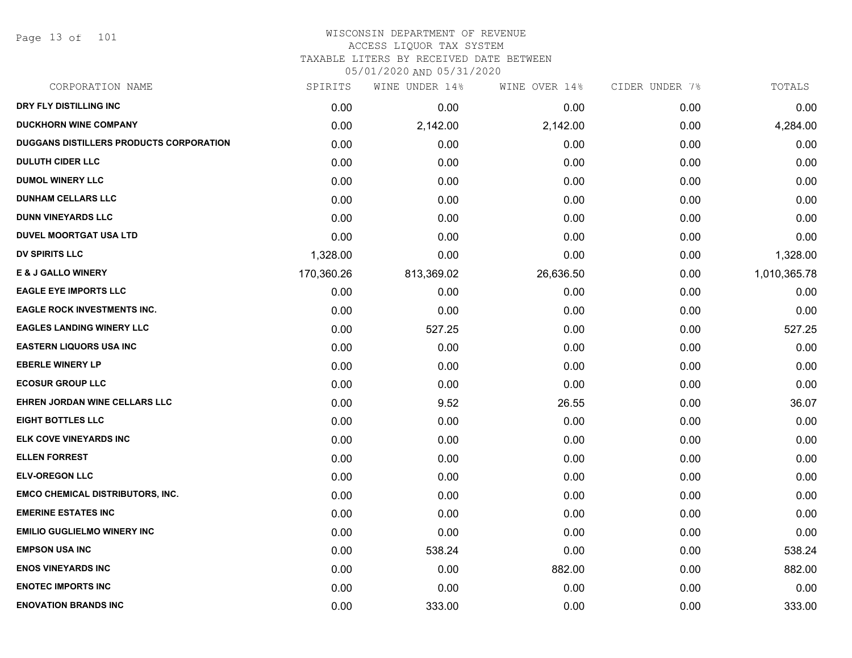Page 13 of 101

| CORPORATION NAME                        | SPIRITS    | WINE UNDER 14% | WINE OVER 14% | CIDER UNDER 7% | TOTALS       |
|-----------------------------------------|------------|----------------|---------------|----------------|--------------|
| DRY FLY DISTILLING INC                  | 0.00       | 0.00           | 0.00          | 0.00           | 0.00         |
| <b>DUCKHORN WINE COMPANY</b>            | 0.00       | 2,142.00       | 2,142.00      | 0.00           | 4,284.00     |
| DUGGANS DISTILLERS PRODUCTS CORPORATION | 0.00       | 0.00           | 0.00          | 0.00           | 0.00         |
| <b>DULUTH CIDER LLC</b>                 | 0.00       | 0.00           | 0.00          | 0.00           | 0.00         |
| <b>DUMOL WINERY LLC</b>                 | 0.00       | 0.00           | 0.00          | 0.00           | 0.00         |
| <b>DUNHAM CELLARS LLC</b>               | 0.00       | 0.00           | 0.00          | 0.00           | 0.00         |
| <b>DUNN VINEYARDS LLC</b>               | 0.00       | 0.00           | 0.00          | 0.00           | 0.00         |
| <b>DUVEL MOORTGAT USA LTD</b>           | 0.00       | 0.00           | 0.00          | 0.00           | 0.00         |
| <b>DV SPIRITS LLC</b>                   | 1,328.00   | 0.00           | 0.00          | 0.00           | 1,328.00     |
| <b>E &amp; J GALLO WINERY</b>           | 170,360.26 | 813,369.02     | 26,636.50     | 0.00           | 1,010,365.78 |
| <b>EAGLE EYE IMPORTS LLC</b>            | 0.00       | 0.00           | 0.00          | 0.00           | 0.00         |
| <b>EAGLE ROCK INVESTMENTS INC.</b>      | 0.00       | 0.00           | 0.00          | 0.00           | 0.00         |
| <b>EAGLES LANDING WINERY LLC</b>        | 0.00       | 527.25         | 0.00          | 0.00           | 527.25       |
| <b>EASTERN LIQUORS USA INC</b>          | 0.00       | 0.00           | 0.00          | 0.00           | 0.00         |
| <b>EBERLE WINERY LP</b>                 | 0.00       | 0.00           | 0.00          | 0.00           | 0.00         |
| <b>ECOSUR GROUP LLC</b>                 | 0.00       | 0.00           | 0.00          | 0.00           | 0.00         |
| <b>EHREN JORDAN WINE CELLARS LLC</b>    | 0.00       | 9.52           | 26.55         | 0.00           | 36.07        |
| <b>EIGHT BOTTLES LLC</b>                | 0.00       | 0.00           | 0.00          | 0.00           | 0.00         |
| ELK COVE VINEYARDS INC                  | 0.00       | 0.00           | 0.00          | 0.00           | 0.00         |
| <b>ELLEN FORREST</b>                    | 0.00       | 0.00           | 0.00          | 0.00           | 0.00         |
| <b>ELV-OREGON LLC</b>                   | 0.00       | 0.00           | 0.00          | 0.00           | 0.00         |
| EMCO CHEMICAL DISTRIBUTORS, INC.        | 0.00       | 0.00           | 0.00          | 0.00           | 0.00         |
| <b>EMERINE ESTATES INC</b>              | 0.00       | 0.00           | 0.00          | 0.00           | 0.00         |
| <b>EMILIO GUGLIELMO WINERY INC</b>      | 0.00       | 0.00           | 0.00          | 0.00           | 0.00         |
| <b>EMPSON USA INC</b>                   | 0.00       | 538.24         | 0.00          | 0.00           | 538.24       |
| <b>ENOS VINEYARDS INC</b>               | 0.00       | 0.00           | 882.00        | 0.00           | 882.00       |
| <b>ENOTEC IMPORTS INC</b>               | 0.00       | 0.00           | 0.00          | 0.00           | 0.00         |
| <b>ENOVATION BRANDS INC</b>             | 0.00       | 333.00         | 0.00          | 0.00           | 333.00       |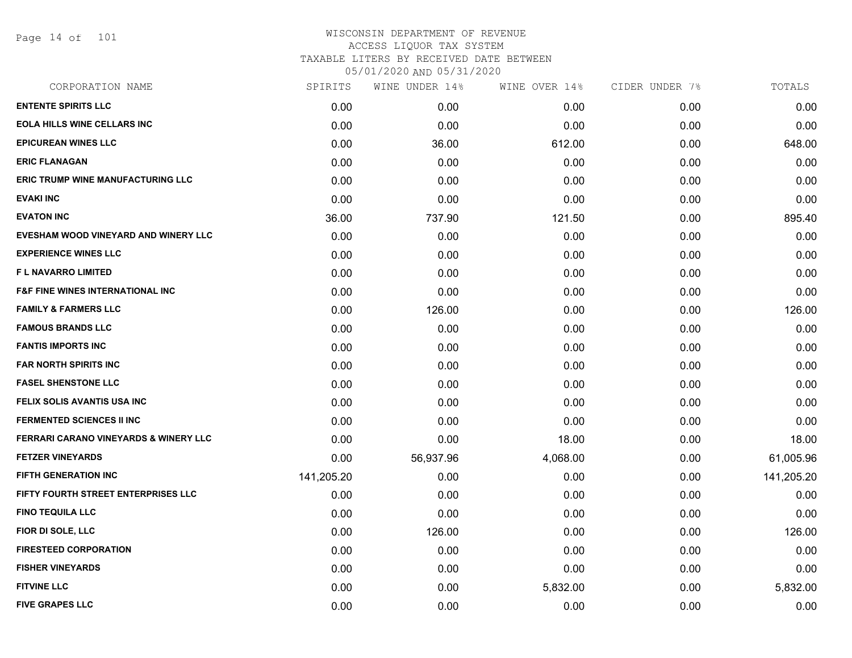Page 14 of 101

| CORPORATION NAME                                 | SPIRITS    | WINE UNDER 14% | WINE OVER 14% | CIDER UNDER 7% | TOTALS     |
|--------------------------------------------------|------------|----------------|---------------|----------------|------------|
| <b>ENTENTE SPIRITS LLC</b>                       | 0.00       | 0.00           | 0.00          | 0.00           | 0.00       |
| <b>EOLA HILLS WINE CELLARS INC</b>               | 0.00       | 0.00           | 0.00          | 0.00           | 0.00       |
| <b>EPICUREAN WINES LLC</b>                       | 0.00       | 36.00          | 612.00        | 0.00           | 648.00     |
| <b>ERIC FLANAGAN</b>                             | 0.00       | 0.00           | 0.00          | 0.00           | 0.00       |
| <b>ERIC TRUMP WINE MANUFACTURING LLC</b>         | 0.00       | 0.00           | 0.00          | 0.00           | 0.00       |
| <b>EVAKI INC</b>                                 | 0.00       | 0.00           | 0.00          | 0.00           | 0.00       |
| <b>EVATON INC</b>                                | 36.00      | 737.90         | 121.50        | 0.00           | 895.40     |
| EVESHAM WOOD VINEYARD AND WINERY LLC             | 0.00       | 0.00           | 0.00          | 0.00           | 0.00       |
| <b>EXPERIENCE WINES LLC</b>                      | 0.00       | 0.00           | 0.00          | 0.00           | 0.00       |
| F L NAVARRO LIMITED                              | 0.00       | 0.00           | 0.00          | 0.00           | 0.00       |
| <b>F&amp;F FINE WINES INTERNATIONAL INC</b>      | 0.00       | 0.00           | 0.00          | 0.00           | 0.00       |
| <b>FAMILY &amp; FARMERS LLC</b>                  | 0.00       | 126.00         | 0.00          | 0.00           | 126.00     |
| <b>FAMOUS BRANDS LLC</b>                         | 0.00       | 0.00           | 0.00          | 0.00           | 0.00       |
| <b>FANTIS IMPORTS INC</b>                        | 0.00       | 0.00           | 0.00          | 0.00           | 0.00       |
| <b>FAR NORTH SPIRITS INC</b>                     | 0.00       | 0.00           | 0.00          | 0.00           | 0.00       |
| <b>FASEL SHENSTONE LLC</b>                       | 0.00       | 0.00           | 0.00          | 0.00           | 0.00       |
| <b>FELIX SOLIS AVANTIS USA INC</b>               | 0.00       | 0.00           | 0.00          | 0.00           | 0.00       |
| <b>FERMENTED SCIENCES II INC</b>                 | 0.00       | 0.00           | 0.00          | 0.00           | 0.00       |
| <b>FERRARI CARANO VINEYARDS &amp; WINERY LLC</b> | 0.00       | 0.00           | 18.00         | 0.00           | 18.00      |
| <b>FETZER VINEYARDS</b>                          | 0.00       | 56,937.96      | 4,068.00      | 0.00           | 61,005.96  |
| <b>FIFTH GENERATION INC</b>                      | 141,205.20 | 0.00           | 0.00          | 0.00           | 141,205.20 |
| FIFTY FOURTH STREET ENTERPRISES LLC              | 0.00       | 0.00           | 0.00          | 0.00           | 0.00       |
| <b>FINO TEQUILA LLC</b>                          | 0.00       | 0.00           | 0.00          | 0.00           | 0.00       |
| FIOR DI SOLE, LLC                                | 0.00       | 126.00         | 0.00          | 0.00           | 126.00     |
| <b>FIRESTEED CORPORATION</b>                     | 0.00       | 0.00           | 0.00          | 0.00           | 0.00       |
| <b>FISHER VINEYARDS</b>                          | 0.00       | 0.00           | 0.00          | 0.00           | 0.00       |
| <b>FITVINE LLC</b>                               | 0.00       | 0.00           | 5,832.00      | 0.00           | 5,832.00   |
| <b>FIVE GRAPES LLC</b>                           | 0.00       | 0.00           | 0.00          | 0.00           | 0.00       |
|                                                  |            |                |               |                |            |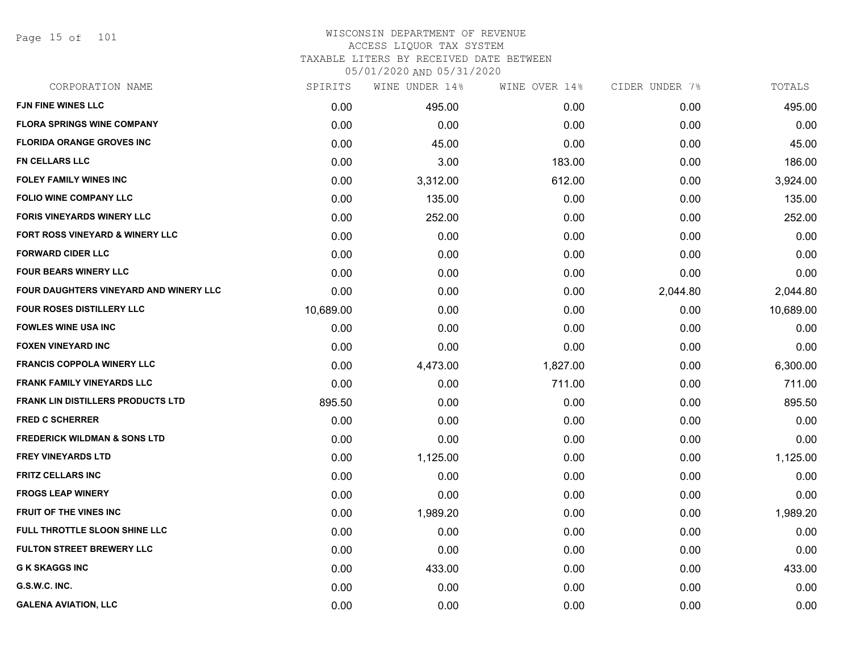Page 15 of 101

| CORPORATION NAME                         | SPIRITS   | WINE UNDER 14% | WINE OVER 14% | CIDER UNDER 7% | TOTALS    |
|------------------------------------------|-----------|----------------|---------------|----------------|-----------|
| <b>FJN FINE WINES LLC</b>                | 0.00      | 495.00         | 0.00          | 0.00           | 495.00    |
| <b>FLORA SPRINGS WINE COMPANY</b>        | 0.00      | 0.00           | 0.00          | 0.00           | 0.00      |
| <b>FLORIDA ORANGE GROVES INC</b>         | 0.00      | 45.00          | 0.00          | 0.00           | 45.00     |
| <b>FN CELLARS LLC</b>                    | 0.00      | 3.00           | 183.00        | 0.00           | 186.00    |
| <b>FOLEY FAMILY WINES INC</b>            | 0.00      | 3,312.00       | 612.00        | 0.00           | 3,924.00  |
| <b>FOLIO WINE COMPANY LLC</b>            | 0.00      | 135.00         | 0.00          | 0.00           | 135.00    |
| <b>FORIS VINEYARDS WINERY LLC</b>        | 0.00      | 252.00         | 0.00          | 0.00           | 252.00    |
| FORT ROSS VINEYARD & WINERY LLC          | 0.00      | 0.00           | 0.00          | 0.00           | 0.00      |
| <b>FORWARD CIDER LLC</b>                 | 0.00      | 0.00           | 0.00          | 0.00           | 0.00      |
| <b>FOUR BEARS WINERY LLC</b>             | 0.00      | 0.00           | 0.00          | 0.00           | 0.00      |
| FOUR DAUGHTERS VINEYARD AND WINERY LLC   | 0.00      | 0.00           | 0.00          | 2,044.80       | 2,044.80  |
| <b>FOUR ROSES DISTILLERY LLC</b>         | 10,689.00 | 0.00           | 0.00          | 0.00           | 10,689.00 |
| <b>FOWLES WINE USA INC</b>               | 0.00      | 0.00           | 0.00          | 0.00           | 0.00      |
| <b>FOXEN VINEYARD INC</b>                | 0.00      | 0.00           | 0.00          | 0.00           | 0.00      |
| <b>FRANCIS COPPOLA WINERY LLC</b>        | 0.00      | 4,473.00       | 1,827.00      | 0.00           | 6,300.00  |
| <b>FRANK FAMILY VINEYARDS LLC</b>        | 0.00      | 0.00           | 711.00        | 0.00           | 711.00    |
| <b>FRANK LIN DISTILLERS PRODUCTS LTD</b> | 895.50    | 0.00           | 0.00          | 0.00           | 895.50    |
| <b>FRED C SCHERRER</b>                   | 0.00      | 0.00           | 0.00          | 0.00           | 0.00      |
| <b>FREDERICK WILDMAN &amp; SONS LTD</b>  | 0.00      | 0.00           | 0.00          | 0.00           | 0.00      |
| <b>FREY VINEYARDS LTD</b>                | 0.00      | 1,125.00       | 0.00          | 0.00           | 1,125.00  |
| <b>FRITZ CELLARS INC</b>                 | 0.00      | 0.00           | 0.00          | 0.00           | 0.00      |
| <b>FROGS LEAP WINERY</b>                 | 0.00      | 0.00           | 0.00          | 0.00           | 0.00      |
| <b>FRUIT OF THE VINES INC</b>            | 0.00      | 1,989.20       | 0.00          | 0.00           | 1,989.20  |
| FULL THROTTLE SLOON SHINE LLC            | 0.00      | 0.00           | 0.00          | 0.00           | 0.00      |
| <b>FULTON STREET BREWERY LLC</b>         | 0.00      | 0.00           | 0.00          | 0.00           | 0.00      |
| <b>G K SKAGGS INC</b>                    | 0.00      | 433.00         | 0.00          | 0.00           | 433.00    |
| G.S.W.C. INC.                            | 0.00      | 0.00           | 0.00          | 0.00           | 0.00      |
| <b>GALENA AVIATION, LLC</b>              | 0.00      | 0.00           | 0.00          | 0.00           | 0.00      |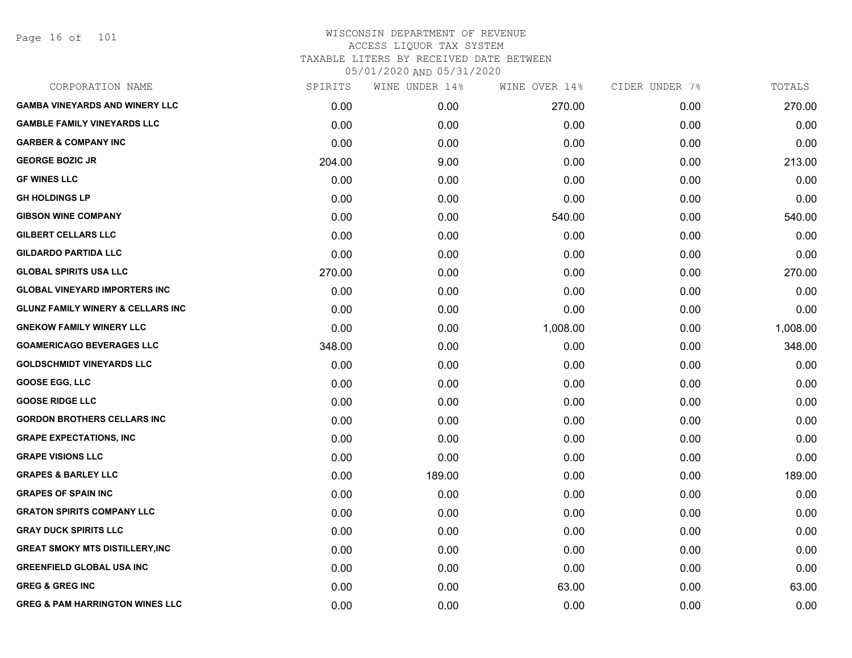Page 16 of 101

| CORPORATION NAME                             | SPIRITS | WINE UNDER 14% | WINE OVER 14% | CIDER UNDER 7% | TOTALS   |
|----------------------------------------------|---------|----------------|---------------|----------------|----------|
| <b>GAMBA VINEYARDS AND WINERY LLC</b>        | 0.00    | 0.00           | 270.00        | 0.00           | 270.00   |
| <b>GAMBLE FAMILY VINEYARDS LLC</b>           | 0.00    | 0.00           | 0.00          | 0.00           | 0.00     |
| <b>GARBER &amp; COMPANY INC</b>              | 0.00    | 0.00           | 0.00          | 0.00           | 0.00     |
| <b>GEORGE BOZIC JR</b>                       | 204.00  | 9.00           | 0.00          | 0.00           | 213.00   |
| <b>GF WINES LLC</b>                          | 0.00    | 0.00           | 0.00          | 0.00           | 0.00     |
| <b>GH HOLDINGS LP</b>                        | 0.00    | 0.00           | 0.00          | 0.00           | 0.00     |
| <b>GIBSON WINE COMPANY</b>                   | 0.00    | 0.00           | 540.00        | 0.00           | 540.00   |
| <b>GILBERT CELLARS LLC</b>                   | 0.00    | 0.00           | 0.00          | 0.00           | 0.00     |
| <b>GILDARDO PARTIDA LLC</b>                  | 0.00    | 0.00           | 0.00          | 0.00           | 0.00     |
| <b>GLOBAL SPIRITS USA LLC</b>                | 270.00  | 0.00           | 0.00          | 0.00           | 270.00   |
| <b>GLOBAL VINEYARD IMPORTERS INC</b>         | 0.00    | 0.00           | 0.00          | 0.00           | 0.00     |
| <b>GLUNZ FAMILY WINERY &amp; CELLARS INC</b> | 0.00    | 0.00           | 0.00          | 0.00           | 0.00     |
| <b>GNEKOW FAMILY WINERY LLC</b>              | 0.00    | 0.00           | 1,008.00      | 0.00           | 1,008.00 |
| <b>GOAMERICAGO BEVERAGES LLC</b>             | 348.00  | 0.00           | 0.00          | 0.00           | 348.00   |
| <b>GOLDSCHMIDT VINEYARDS LLC</b>             | 0.00    | 0.00           | 0.00          | 0.00           | 0.00     |
| <b>GOOSE EGG, LLC</b>                        | 0.00    | 0.00           | 0.00          | 0.00           | 0.00     |
| <b>GOOSE RIDGE LLC</b>                       | 0.00    | 0.00           | 0.00          | 0.00           | 0.00     |
| <b>GORDON BROTHERS CELLARS INC</b>           | 0.00    | 0.00           | 0.00          | 0.00           | 0.00     |
| <b>GRAPE EXPECTATIONS, INC</b>               | 0.00    | 0.00           | 0.00          | 0.00           | 0.00     |
| <b>GRAPE VISIONS LLC</b>                     | 0.00    | 0.00           | 0.00          | 0.00           | 0.00     |
| <b>GRAPES &amp; BARLEY LLC</b>               | 0.00    | 189.00         | 0.00          | 0.00           | 189.00   |
| <b>GRAPES OF SPAIN INC</b>                   | 0.00    | 0.00           | 0.00          | 0.00           | 0.00     |
| <b>GRATON SPIRITS COMPANY LLC</b>            | 0.00    | 0.00           | 0.00          | 0.00           | 0.00     |
| <b>GRAY DUCK SPIRITS LLC</b>                 | 0.00    | 0.00           | 0.00          | 0.00           | 0.00     |
| <b>GREAT SMOKY MTS DISTILLERY, INC</b>       | 0.00    | 0.00           | 0.00          | 0.00           | 0.00     |
| <b>GREENFIELD GLOBAL USA INC</b>             | 0.00    | 0.00           | 0.00          | 0.00           | 0.00     |
| <b>GREG &amp; GREG INC</b>                   | 0.00    | 0.00           | 63.00         | 0.00           | 63.00    |
| <b>GREG &amp; PAM HARRINGTON WINES LLC</b>   | 0.00    | 0.00           | 0.00          | 0.00           | 0.00     |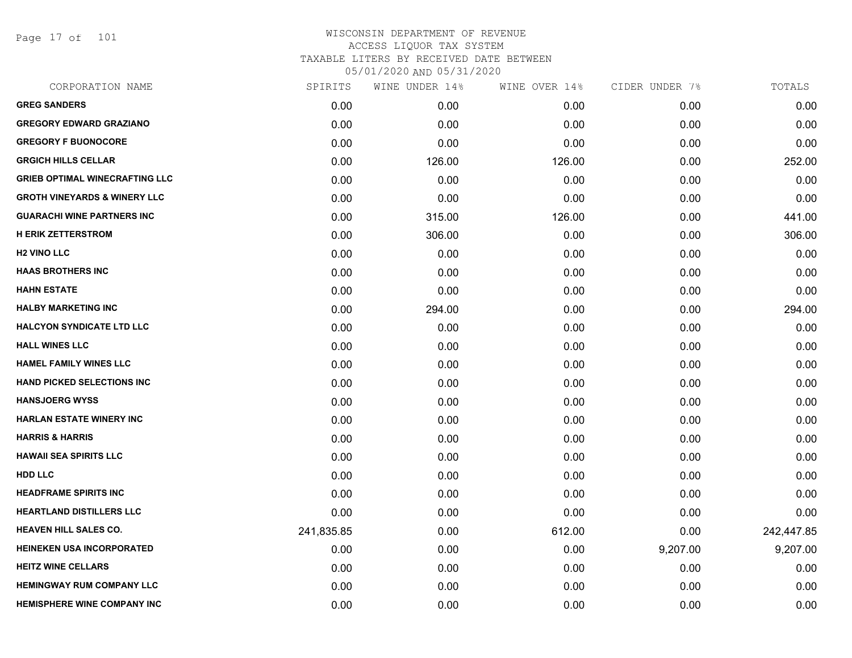Page 17 of 101

| SPIRITS    | WINE UNDER 14% |        | CIDER UNDER 7% | TOTALS     |
|------------|----------------|--------|----------------|------------|
| 0.00       | 0.00           | 0.00   | 0.00           | 0.00       |
| 0.00       | 0.00           | 0.00   | 0.00           | 0.00       |
| 0.00       | 0.00           | 0.00   | 0.00           | 0.00       |
| 0.00       | 126.00         | 126.00 | 0.00           | 252.00     |
| 0.00       | 0.00           | 0.00   | 0.00           | 0.00       |
| 0.00       | 0.00           | 0.00   | 0.00           | 0.00       |
| 0.00       | 315.00         | 126.00 | 0.00           | 441.00     |
| 0.00       | 306.00         | 0.00   | 0.00           | 306.00     |
| 0.00       | 0.00           | 0.00   | 0.00           | 0.00       |
| 0.00       | 0.00           | 0.00   | 0.00           | 0.00       |
| 0.00       | 0.00           | 0.00   | 0.00           | 0.00       |
| 0.00       | 294.00         | 0.00   | 0.00           | 294.00     |
| 0.00       | 0.00           | 0.00   | 0.00           | 0.00       |
| 0.00       | 0.00           | 0.00   | 0.00           | 0.00       |
| 0.00       | 0.00           | 0.00   | 0.00           | 0.00       |
| 0.00       | 0.00           | 0.00   | 0.00           | 0.00       |
| 0.00       | 0.00           | 0.00   | 0.00           | 0.00       |
| 0.00       | 0.00           | 0.00   | 0.00           | 0.00       |
| 0.00       | 0.00           | 0.00   | 0.00           | 0.00       |
| 0.00       | 0.00           | 0.00   | 0.00           | 0.00       |
| 0.00       | 0.00           | 0.00   | 0.00           | 0.00       |
| 0.00       | 0.00           | 0.00   | 0.00           | 0.00       |
| 0.00       | 0.00           | 0.00   | 0.00           | 0.00       |
| 241,835.85 | 0.00           | 612.00 | 0.00           | 242,447.85 |
| 0.00       | 0.00           | 0.00   | 9,207.00       | 9,207.00   |
| 0.00       | 0.00           | 0.00   | 0.00           | 0.00       |
| 0.00       | 0.00           | 0.00   | 0.00           | 0.00       |
| 0.00       | 0.00           | 0.00   | 0.00           | 0.00       |
|            |                |        | WINE OVER 14%  |            |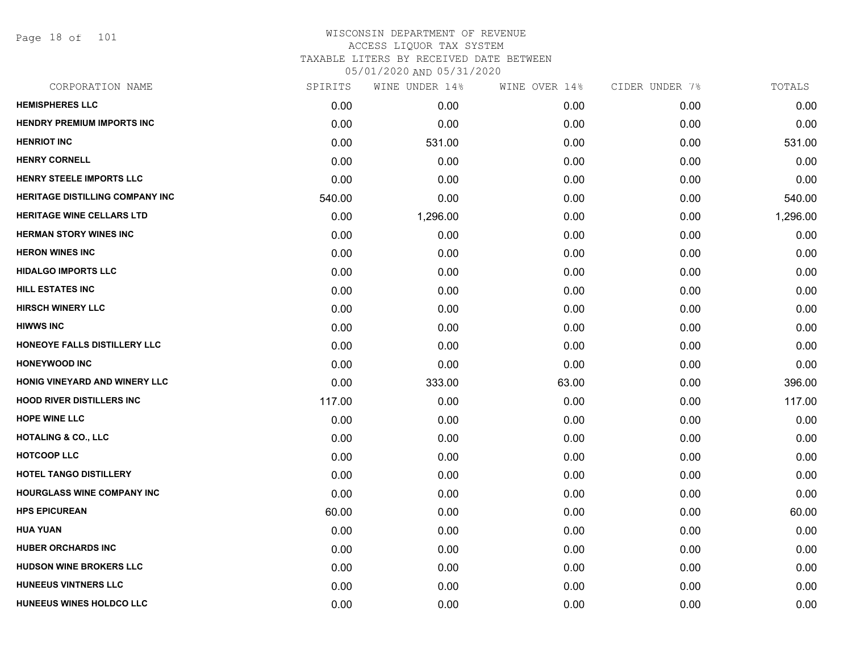Page 18 of 101

| CORPORATION NAME                       | SPIRITS | WINE UNDER 14% | WINE OVER 14% | CIDER UNDER 7% | TOTALS   |
|----------------------------------------|---------|----------------|---------------|----------------|----------|
| <b>HEMISPHERES LLC</b>                 | 0.00    | 0.00           | 0.00          | 0.00           | 0.00     |
| <b>HENDRY PREMIUM IMPORTS INC</b>      | 0.00    | 0.00           | 0.00          | 0.00           | 0.00     |
| <b>HENRIOT INC</b>                     | 0.00    | 531.00         | 0.00          | 0.00           | 531.00   |
| <b>HENRY CORNELL</b>                   | 0.00    | 0.00           | 0.00          | 0.00           | 0.00     |
| <b>HENRY STEELE IMPORTS LLC</b>        | 0.00    | 0.00           | 0.00          | 0.00           | 0.00     |
| <b>HERITAGE DISTILLING COMPANY INC</b> | 540.00  | 0.00           | 0.00          | 0.00           | 540.00   |
| <b>HERITAGE WINE CELLARS LTD</b>       | 0.00    | 1,296.00       | 0.00          | 0.00           | 1,296.00 |
| <b>HERMAN STORY WINES INC</b>          | 0.00    | 0.00           | 0.00          | 0.00           | 0.00     |
| <b>HERON WINES INC</b>                 | 0.00    | 0.00           | 0.00          | 0.00           | 0.00     |
| <b>HIDALGO IMPORTS LLC</b>             | 0.00    | 0.00           | 0.00          | 0.00           | 0.00     |
| <b>HILL ESTATES INC</b>                | 0.00    | 0.00           | 0.00          | 0.00           | 0.00     |
| <b>HIRSCH WINERY LLC</b>               | 0.00    | 0.00           | 0.00          | 0.00           | 0.00     |
| <b>HIWWS INC</b>                       | 0.00    | 0.00           | 0.00          | 0.00           | 0.00     |
| HONEOYE FALLS DISTILLERY LLC           | 0.00    | 0.00           | 0.00          | 0.00           | 0.00     |
| <b>HONEYWOOD INC</b>                   | 0.00    | 0.00           | 0.00          | 0.00           | 0.00     |
| HONIG VINEYARD AND WINERY LLC          | 0.00    | 333.00         | 63.00         | 0.00           | 396.00   |
| <b>HOOD RIVER DISTILLERS INC</b>       | 117.00  | 0.00           | 0.00          | 0.00           | 117.00   |
| <b>HOPE WINE LLC</b>                   | 0.00    | 0.00           | 0.00          | 0.00           | 0.00     |
| <b>HOTALING &amp; CO., LLC</b>         | 0.00    | 0.00           | 0.00          | 0.00           | 0.00     |
| <b>HOTCOOP LLC</b>                     | 0.00    | 0.00           | 0.00          | 0.00           | 0.00     |
| <b>HOTEL TANGO DISTILLERY</b>          | 0.00    | 0.00           | 0.00          | 0.00           | 0.00     |
| HOURGLASS WINE COMPANY INC             | 0.00    | 0.00           | 0.00          | 0.00           | 0.00     |
| <b>HPS EPICUREAN</b>                   | 60.00   | 0.00           | 0.00          | 0.00           | 60.00    |
| <b>HUA YUAN</b>                        | 0.00    | 0.00           | 0.00          | 0.00           | 0.00     |
| <b>HUBER ORCHARDS INC</b>              | 0.00    | 0.00           | 0.00          | 0.00           | 0.00     |
| <b>HUDSON WINE BROKERS LLC</b>         | 0.00    | 0.00           | 0.00          | 0.00           | 0.00     |
| <b>HUNEEUS VINTNERS LLC</b>            | 0.00    | 0.00           | 0.00          | 0.00           | 0.00     |
| HUNEEUS WINES HOLDCO LLC               | 0.00    | 0.00           | 0.00          | 0.00           | 0.00     |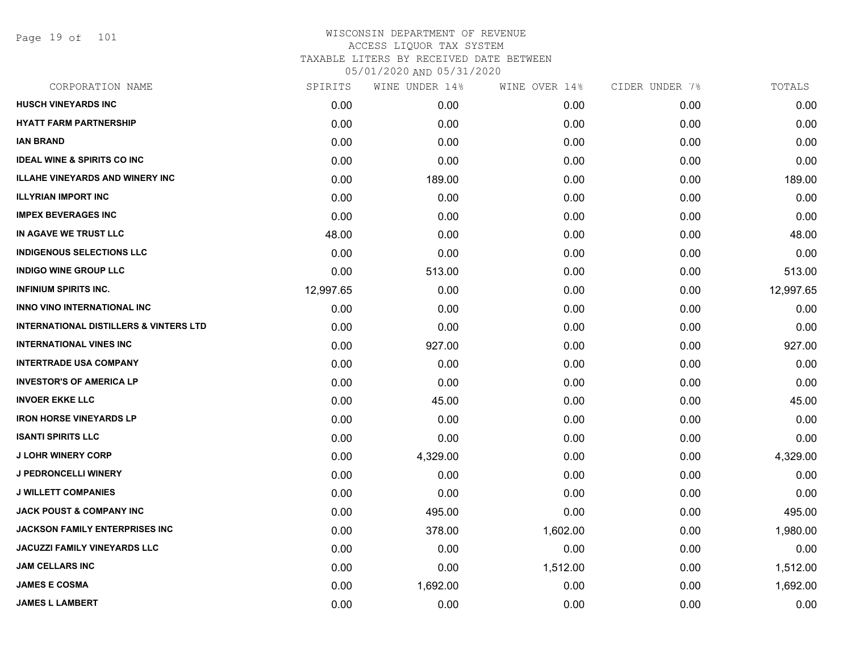Page 19 of 101

|           | WINE UNDER 14% |          | CIDER UNDER 7% | TOTALS    |
|-----------|----------------|----------|----------------|-----------|
| 0.00      | 0.00           | 0.00     | 0.00           | 0.00      |
| 0.00      | 0.00           | 0.00     | 0.00           | 0.00      |
| 0.00      | 0.00           | 0.00     | 0.00           | 0.00      |
| 0.00      | 0.00           | 0.00     | 0.00           | 0.00      |
| 0.00      | 189.00         | 0.00     | 0.00           | 189.00    |
| 0.00      | 0.00           | 0.00     | 0.00           | 0.00      |
| 0.00      | 0.00           | 0.00     | 0.00           | 0.00      |
| 48.00     | 0.00           | 0.00     | 0.00           | 48.00     |
| 0.00      | 0.00           | 0.00     | 0.00           | 0.00      |
| 0.00      | 513.00         | 0.00     | 0.00           | 513.00    |
| 12,997.65 | 0.00           | 0.00     | 0.00           | 12,997.65 |
| 0.00      | 0.00           | 0.00     | 0.00           | 0.00      |
| 0.00      | 0.00           | 0.00     | 0.00           | 0.00      |
| 0.00      | 927.00         | 0.00     | 0.00           | 927.00    |
| 0.00      | 0.00           | 0.00     | 0.00           | 0.00      |
| 0.00      | 0.00           | 0.00     | 0.00           | 0.00      |
| 0.00      | 45.00          | 0.00     | 0.00           | 45.00     |
| 0.00      | 0.00           | 0.00     | 0.00           | 0.00      |
| 0.00      | 0.00           | 0.00     | 0.00           | 0.00      |
| 0.00      | 4,329.00       | 0.00     | 0.00           | 4,329.00  |
| 0.00      | 0.00           | 0.00     | 0.00           | 0.00      |
| 0.00      | 0.00           | 0.00     | 0.00           | 0.00      |
| 0.00      | 495.00         | 0.00     | 0.00           | 495.00    |
| 0.00      | 378.00         | 1,602.00 | 0.00           | 1,980.00  |
| 0.00      | 0.00           | 0.00     | 0.00           | 0.00      |
| 0.00      | 0.00           | 1,512.00 | 0.00           | 1,512.00  |
| 0.00      | 1,692.00       | 0.00     | 0.00           | 1,692.00  |
| 0.00      | 0.00           | 0.00     | 0.00           | 0.00      |
|           | SPIRITS        |          | WINE OVER 14%  |           |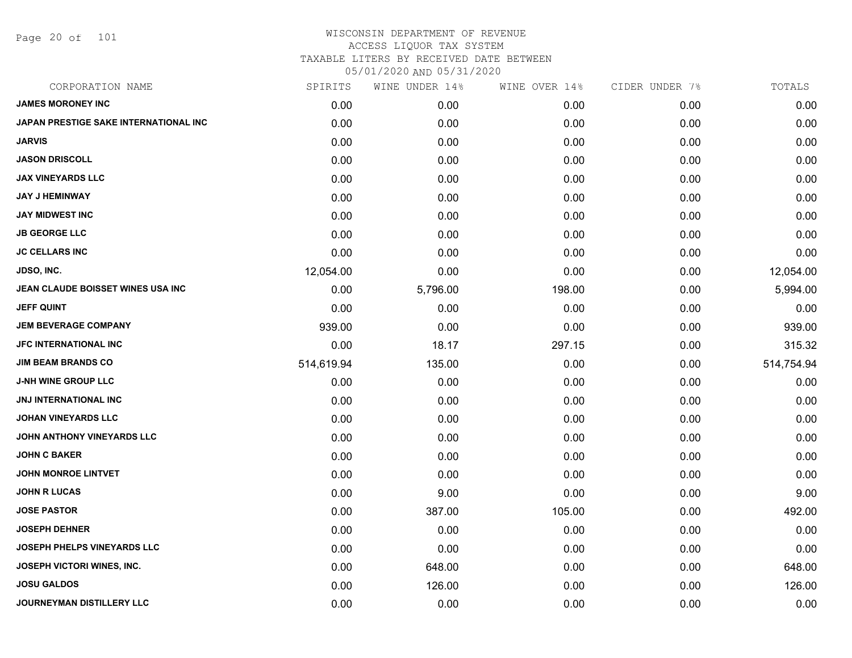Page 20 of 101

| CORPORATION NAME                      | SPIRITS    | WINE UNDER 14% | WINE OVER 14% | CIDER UNDER 7% | TOTALS     |
|---------------------------------------|------------|----------------|---------------|----------------|------------|
| <b>JAMES MORONEY INC</b>              | 0.00       | 0.00           | 0.00          | 0.00           | 0.00       |
| JAPAN PRESTIGE SAKE INTERNATIONAL INC | 0.00       | 0.00           | 0.00          | 0.00           | 0.00       |
| <b>JARVIS</b>                         | 0.00       | 0.00           | 0.00          | 0.00           | 0.00       |
| <b>JASON DRISCOLL</b>                 | 0.00       | 0.00           | 0.00          | 0.00           | 0.00       |
| <b>JAX VINEYARDS LLC</b>              | 0.00       | 0.00           | 0.00          | 0.00           | 0.00       |
| <b>JAY J HEMINWAY</b>                 | 0.00       | 0.00           | 0.00          | 0.00           | 0.00       |
| <b>JAY MIDWEST INC</b>                | 0.00       | 0.00           | 0.00          | 0.00           | 0.00       |
| <b>JB GEORGE LLC</b>                  | 0.00       | 0.00           | 0.00          | 0.00           | 0.00       |
| <b>JC CELLARS INC</b>                 | 0.00       | 0.00           | 0.00          | 0.00           | 0.00       |
| <b>JDSO, INC.</b>                     | 12,054.00  | 0.00           | 0.00          | 0.00           | 12,054.00  |
| JEAN CLAUDE BOISSET WINES USA INC     | 0.00       | 5,796.00       | 198.00        | 0.00           | 5,994.00   |
| <b>JEFF QUINT</b>                     | 0.00       | 0.00           | 0.00          | 0.00           | 0.00       |
| <b>JEM BEVERAGE COMPANY</b>           | 939.00     | 0.00           | 0.00          | 0.00           | 939.00     |
| <b>JFC INTERNATIONAL INC</b>          | 0.00       | 18.17          | 297.15        | 0.00           | 315.32     |
| <b>JIM BEAM BRANDS CO</b>             | 514,619.94 | 135.00         | 0.00          | 0.00           | 514,754.94 |
| <b>J-NH WINE GROUP LLC</b>            | 0.00       | 0.00           | 0.00          | 0.00           | 0.00       |
| <b>JNJ INTERNATIONAL INC</b>          | 0.00       | 0.00           | 0.00          | 0.00           | 0.00       |
| <b>JOHAN VINEYARDS LLC</b>            | 0.00       | 0.00           | 0.00          | 0.00           | 0.00       |
| JOHN ANTHONY VINEYARDS LLC            | 0.00       | 0.00           | 0.00          | 0.00           | 0.00       |
| <b>JOHN C BAKER</b>                   | 0.00       | 0.00           | 0.00          | 0.00           | 0.00       |
| <b>JOHN MONROE LINTVET</b>            | 0.00       | 0.00           | 0.00          | 0.00           | 0.00       |
| <b>JOHN R LUCAS</b>                   | 0.00       | 9.00           | 0.00          | 0.00           | 9.00       |
| <b>JOSE PASTOR</b>                    | 0.00       | 387.00         | 105.00        | 0.00           | 492.00     |
| <b>JOSEPH DEHNER</b>                  | 0.00       | 0.00           | 0.00          | 0.00           | 0.00       |
| <b>JOSEPH PHELPS VINEYARDS LLC</b>    | 0.00       | 0.00           | 0.00          | 0.00           | 0.00       |
| JOSEPH VICTORI WINES, INC.            | 0.00       | 648.00         | 0.00          | 0.00           | 648.00     |
| <b>JOSU GALDOS</b>                    | 0.00       | 126.00         | 0.00          | 0.00           | 126.00     |
| JOURNEYMAN DISTILLERY LLC             | 0.00       | 0.00           | 0.00          | 0.00           | 0.00       |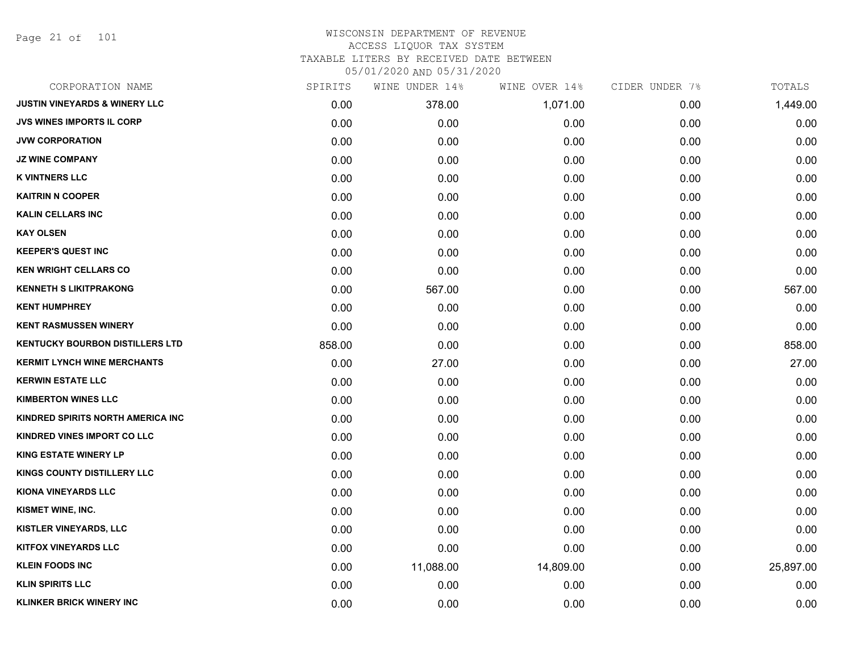Page 21 of 101

| CORPORATION NAME                         | SPIRITS | WINE UNDER 14% | WINE OVER 14% | CIDER UNDER 7% | TOTALS    |
|------------------------------------------|---------|----------------|---------------|----------------|-----------|
| <b>JUSTIN VINEYARDS &amp; WINERY LLC</b> | 0.00    | 378.00         | 1,071.00      | 0.00           | 1,449.00  |
| <b>JVS WINES IMPORTS IL CORP</b>         | 0.00    | 0.00           | 0.00          | 0.00           | 0.00      |
| <b>JVW CORPORATION</b>                   | 0.00    | 0.00           | 0.00          | 0.00           | 0.00      |
| <b>JZ WINE COMPANY</b>                   | 0.00    | 0.00           | 0.00          | 0.00           | 0.00      |
| <b>K VINTNERS LLC</b>                    | 0.00    | 0.00           | 0.00          | 0.00           | 0.00      |
| <b>KAITRIN N COOPER</b>                  | 0.00    | 0.00           | 0.00          | 0.00           | 0.00      |
| <b>KALIN CELLARS INC</b>                 | 0.00    | 0.00           | 0.00          | 0.00           | 0.00      |
| <b>KAY OLSEN</b>                         | 0.00    | 0.00           | 0.00          | 0.00           | 0.00      |
| <b>KEEPER'S QUEST INC</b>                | 0.00    | 0.00           | 0.00          | 0.00           | 0.00      |
| <b>KEN WRIGHT CELLARS CO</b>             | 0.00    | 0.00           | 0.00          | 0.00           | 0.00      |
| <b>KENNETH S LIKITPRAKONG</b>            | 0.00    | 567.00         | 0.00          | 0.00           | 567.00    |
| <b>KENT HUMPHREY</b>                     | 0.00    | 0.00           | 0.00          | 0.00           | 0.00      |
| <b>KENT RASMUSSEN WINERY</b>             | 0.00    | 0.00           | 0.00          | 0.00           | 0.00      |
| <b>KENTUCKY BOURBON DISTILLERS LTD</b>   | 858.00  | 0.00           | 0.00          | 0.00           | 858.00    |
| <b>KERMIT LYNCH WINE MERCHANTS</b>       | 0.00    | 27.00          | 0.00          | 0.00           | 27.00     |
| <b>KERWIN ESTATE LLC</b>                 | 0.00    | 0.00           | 0.00          | 0.00           | 0.00      |
| <b>KIMBERTON WINES LLC</b>               | 0.00    | 0.00           | 0.00          | 0.00           | 0.00      |
| KINDRED SPIRITS NORTH AMERICA INC        | 0.00    | 0.00           | 0.00          | 0.00           | 0.00      |
| <b>KINDRED VINES IMPORT CO LLC</b>       | 0.00    | 0.00           | 0.00          | 0.00           | 0.00      |
| <b>KING ESTATE WINERY LP</b>             | 0.00    | 0.00           | 0.00          | 0.00           | 0.00      |
| <b>KINGS COUNTY DISTILLERY LLC</b>       | 0.00    | 0.00           | 0.00          | 0.00           | 0.00      |
| <b>KIONA VINEYARDS LLC</b>               | 0.00    | 0.00           | 0.00          | 0.00           | 0.00      |
| KISMET WINE, INC.                        | 0.00    | 0.00           | 0.00          | 0.00           | 0.00      |
| <b>KISTLER VINEYARDS, LLC</b>            | 0.00    | 0.00           | 0.00          | 0.00           | 0.00      |
| <b>KITFOX VINEYARDS LLC</b>              | 0.00    | 0.00           | 0.00          | 0.00           | 0.00      |
| <b>KLEIN FOODS INC</b>                   | 0.00    | 11,088.00      | 14,809.00     | 0.00           | 25,897.00 |
| <b>KLIN SPIRITS LLC</b>                  | 0.00    | 0.00           | 0.00          | 0.00           | 0.00      |
| <b>KLINKER BRICK WINERY INC</b>          | 0.00    | 0.00           | 0.00          | 0.00           | 0.00      |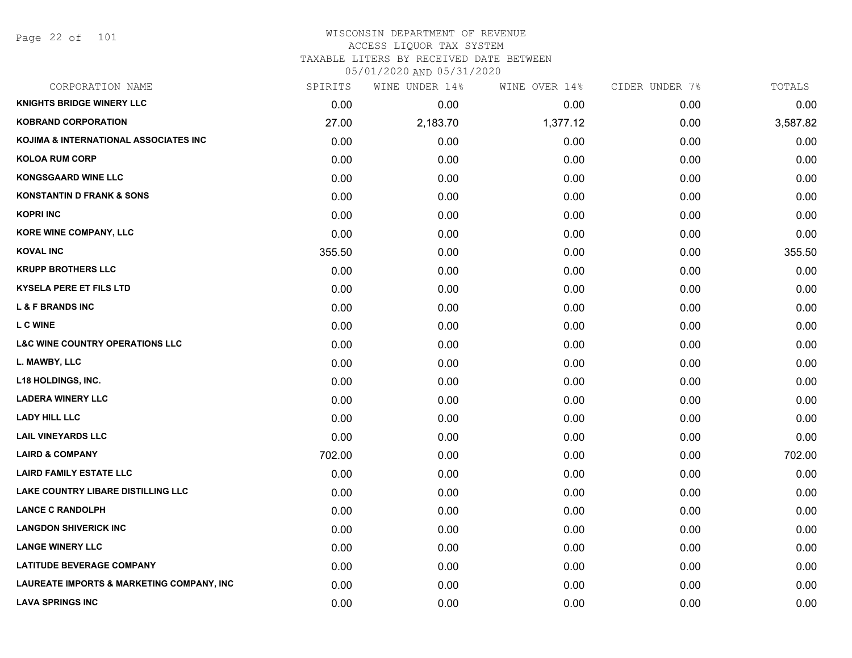Page 22 of 101

# WISCONSIN DEPARTMENT OF REVENUE ACCESS LIQUOR TAX SYSTEM TAXABLE LITERS BY RECEIVED DATE BETWEEN

| CORPORATION NAME                           | SPIRITS | WINE UNDER 14% | WINE OVER 14% | CIDER UNDER 7% | TOTALS   |
|--------------------------------------------|---------|----------------|---------------|----------------|----------|
| <b>KNIGHTS BRIDGE WINERY LLC</b>           | 0.00    | 0.00           | 0.00          | 0.00           | 0.00     |
| <b>KOBRAND CORPORATION</b>                 | 27.00   | 2,183.70       | 1,377.12      | 0.00           | 3,587.82 |
| KOJIMA & INTERNATIONAL ASSOCIATES INC      | 0.00    | 0.00           | 0.00          | 0.00           | 0.00     |
| <b>KOLOA RUM CORP</b>                      | 0.00    | 0.00           | 0.00          | 0.00           | 0.00     |
| <b>KONGSGAARD WINE LLC</b>                 | 0.00    | 0.00           | 0.00          | 0.00           | 0.00     |
| <b>KONSTANTIN D FRANK &amp; SONS</b>       | 0.00    | 0.00           | 0.00          | 0.00           | 0.00     |
| <b>KOPRI INC</b>                           | 0.00    | 0.00           | 0.00          | 0.00           | 0.00     |
| KORE WINE COMPANY, LLC                     | 0.00    | 0.00           | 0.00          | 0.00           | 0.00     |
| <b>KOVAL INC</b>                           | 355.50  | 0.00           | 0.00          | 0.00           | 355.50   |
| <b>KRUPP BROTHERS LLC</b>                  | 0.00    | 0.00           | 0.00          | 0.00           | 0.00     |
| <b>KYSELA PERE ET FILS LTD</b>             | 0.00    | 0.00           | 0.00          | 0.00           | 0.00     |
| <b>L &amp; F BRANDS INC</b>                | 0.00    | 0.00           | 0.00          | 0.00           | 0.00     |
| <b>LCWINE</b>                              | 0.00    | 0.00           | 0.00          | 0.00           | 0.00     |
| <b>L&amp;C WINE COUNTRY OPERATIONS LLC</b> | 0.00    | 0.00           | 0.00          | 0.00           | 0.00     |
| L. MAWBY, LLC                              | 0.00    | 0.00           | 0.00          | 0.00           | 0.00     |
| <b>L18 HOLDINGS, INC.</b>                  | 0.00    | 0.00           | 0.00          | 0.00           | 0.00     |
| <b>LADERA WINERY LLC</b>                   | 0.00    | 0.00           | 0.00          | 0.00           | 0.00     |
| <b>LADY HILL LLC</b>                       | 0.00    | 0.00           | 0.00          | 0.00           | 0.00     |
| <b>LAIL VINEYARDS LLC</b>                  | 0.00    | 0.00           | 0.00          | 0.00           | 0.00     |
| <b>LAIRD &amp; COMPANY</b>                 | 702.00  | 0.00           | 0.00          | 0.00           | 702.00   |
| <b>LAIRD FAMILY ESTATE LLC</b>             | 0.00    | 0.00           | 0.00          | 0.00           | 0.00     |
| LAKE COUNTRY LIBARE DISTILLING LLC         | 0.00    | 0.00           | 0.00          | 0.00           | 0.00     |
| <b>LANCE C RANDOLPH</b>                    | 0.00    | 0.00           | 0.00          | 0.00           | 0.00     |
| <b>LANGDON SHIVERICK INC</b>               | 0.00    | 0.00           | 0.00          | 0.00           | 0.00     |
| <b>LANGE WINERY LLC</b>                    | 0.00    | 0.00           | 0.00          | 0.00           | 0.00     |
| <b>LATITUDE BEVERAGE COMPANY</b>           | 0.00    | 0.00           | 0.00          | 0.00           | 0.00     |
| LAUREATE IMPORTS & MARKETING COMPANY, INC  | 0.00    | 0.00           | 0.00          | 0.00           | 0.00     |
| <b>LAVA SPRINGS INC</b>                    | 0.00    | 0.00           | 0.00          | 0.00           | 0.00     |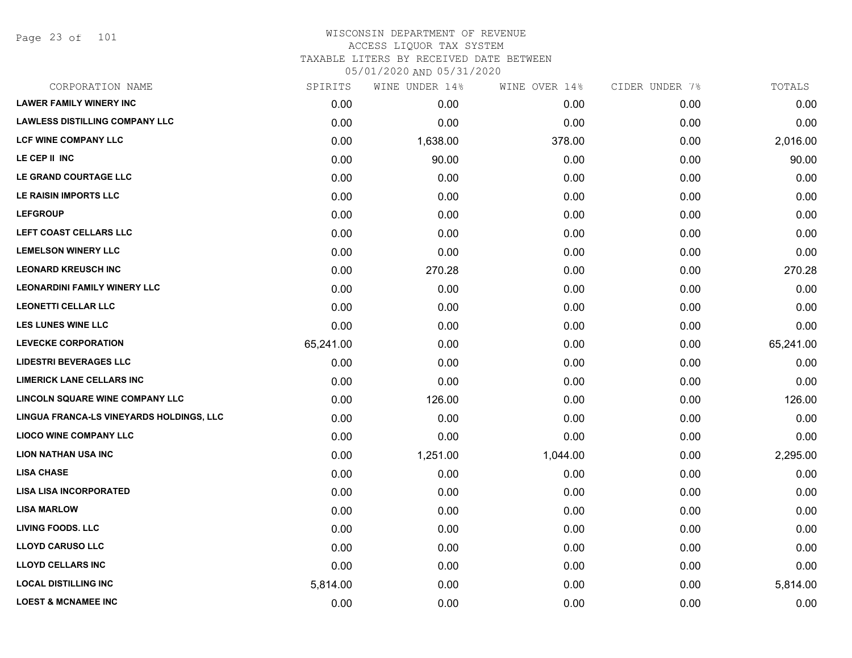Page 23 of 101

| CORPORATION NAME                         | SPIRITS   | WINE UNDER 14% | WINE OVER 14% | CIDER UNDER 7% | TOTALS    |
|------------------------------------------|-----------|----------------|---------------|----------------|-----------|
| <b>LAWER FAMILY WINERY INC</b>           | 0.00      | 0.00           | 0.00          | 0.00           | 0.00      |
| <b>LAWLESS DISTILLING COMPANY LLC</b>    | 0.00      | 0.00           | 0.00          | 0.00           | 0.00      |
| <b>LCF WINE COMPANY LLC</b>              | 0.00      | 1,638.00       | 378.00        | 0.00           | 2,016.00  |
| LE CEP II INC                            | 0.00      | 90.00          | 0.00          | 0.00           | 90.00     |
| LE GRAND COURTAGE LLC                    | 0.00      | 0.00           | 0.00          | 0.00           | 0.00      |
| LE RAISIN IMPORTS LLC                    | 0.00      | 0.00           | 0.00          | 0.00           | 0.00      |
| <b>LEFGROUP</b>                          | 0.00      | 0.00           | 0.00          | 0.00           | 0.00      |
| LEFT COAST CELLARS LLC                   | 0.00      | 0.00           | 0.00          | 0.00           | 0.00      |
| <b>LEMELSON WINERY LLC</b>               | 0.00      | 0.00           | 0.00          | 0.00           | 0.00      |
| <b>LEONARD KREUSCH INC</b>               | 0.00      | 270.28         | 0.00          | 0.00           | 270.28    |
| <b>LEONARDINI FAMILY WINERY LLC</b>      | 0.00      | 0.00           | 0.00          | 0.00           | 0.00      |
| <b>LEONETTI CELLAR LLC</b>               | 0.00      | 0.00           | 0.00          | 0.00           | 0.00      |
| <b>LES LUNES WINE LLC</b>                | 0.00      | 0.00           | 0.00          | 0.00           | 0.00      |
| <b>LEVECKE CORPORATION</b>               | 65,241.00 | 0.00           | 0.00          | 0.00           | 65,241.00 |
| <b>LIDESTRI BEVERAGES LLC</b>            | 0.00      | 0.00           | 0.00          | 0.00           | 0.00      |
| <b>LIMERICK LANE CELLARS INC</b>         | 0.00      | 0.00           | 0.00          | 0.00           | 0.00      |
| <b>LINCOLN SQUARE WINE COMPANY LLC</b>   | 0.00      | 126.00         | 0.00          | 0.00           | 126.00    |
| LINGUA FRANCA-LS VINEYARDS HOLDINGS, LLC | 0.00      | 0.00           | 0.00          | 0.00           | 0.00      |
| <b>LIOCO WINE COMPANY LLC</b>            | 0.00      | 0.00           | 0.00          | 0.00           | 0.00      |
| <b>LION NATHAN USA INC</b>               | 0.00      | 1,251.00       | 1,044.00      | 0.00           | 2,295.00  |
| <b>LISA CHASE</b>                        | 0.00      | 0.00           | 0.00          | 0.00           | 0.00      |
| <b>LISA LISA INCORPORATED</b>            | 0.00      | 0.00           | 0.00          | 0.00           | 0.00      |
| <b>LISA MARLOW</b>                       | 0.00      | 0.00           | 0.00          | 0.00           | 0.00      |
| <b>LIVING FOODS. LLC</b>                 | 0.00      | 0.00           | 0.00          | 0.00           | 0.00      |
| <b>LLOYD CARUSO LLC</b>                  | 0.00      | 0.00           | 0.00          | 0.00           | 0.00      |
| <b>LLOYD CELLARS INC</b>                 | 0.00      | 0.00           | 0.00          | 0.00           | 0.00      |
| <b>LOCAL DISTILLING INC</b>              | 5,814.00  | 0.00           | 0.00          | 0.00           | 5,814.00  |
| <b>LOEST &amp; MCNAMEE INC</b>           | 0.00      | 0.00           | 0.00          | 0.00           | 0.00      |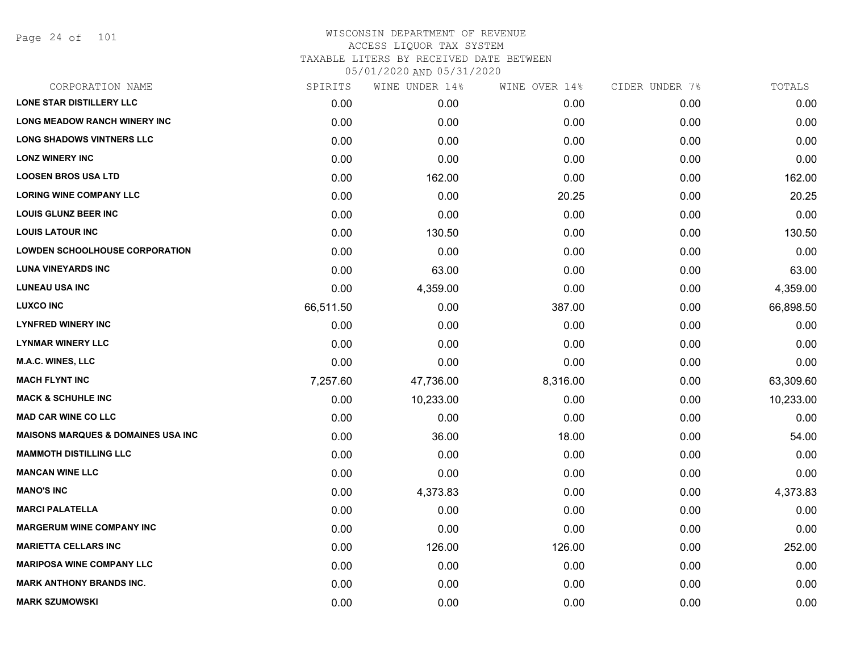Page 24 of 101

| CORPORATION NAME                               | SPIRITS   | WINE UNDER 14% | WINE OVER 14% | CIDER UNDER 7% | TOTALS    |
|------------------------------------------------|-----------|----------------|---------------|----------------|-----------|
| <b>LONE STAR DISTILLERY LLC</b>                | 0.00      | 0.00           | 0.00          | 0.00           | 0.00      |
| <b>LONG MEADOW RANCH WINERY INC</b>            | 0.00      | 0.00           | 0.00          | 0.00           | 0.00      |
| <b>LONG SHADOWS VINTNERS LLC</b>               | 0.00      | 0.00           | 0.00          | 0.00           | 0.00      |
| <b>LONZ WINERY INC</b>                         | 0.00      | 0.00           | 0.00          | 0.00           | 0.00      |
| <b>LOOSEN BROS USA LTD</b>                     | 0.00      | 162.00         | 0.00          | 0.00           | 162.00    |
| <b>LORING WINE COMPANY LLC</b>                 | 0.00      | 0.00           | 20.25         | 0.00           | 20.25     |
| <b>LOUIS GLUNZ BEER INC</b>                    | 0.00      | 0.00           | 0.00          | 0.00           | 0.00      |
| <b>LOUIS LATOUR INC</b>                        | 0.00      | 130.50         | 0.00          | 0.00           | 130.50    |
| <b>LOWDEN SCHOOLHOUSE CORPORATION</b>          | 0.00      | 0.00           | 0.00          | 0.00           | 0.00      |
| <b>LUNA VINEYARDS INC</b>                      | 0.00      | 63.00          | 0.00          | 0.00           | 63.00     |
| <b>LUNEAU USA INC</b>                          | 0.00      | 4,359.00       | 0.00          | 0.00           | 4,359.00  |
| <b>LUXCO INC</b>                               | 66,511.50 | 0.00           | 387.00        | 0.00           | 66,898.50 |
| <b>LYNFRED WINERY INC</b>                      | 0.00      | 0.00           | 0.00          | 0.00           | 0.00      |
| <b>LYNMAR WINERY LLC</b>                       | 0.00      | 0.00           | 0.00          | 0.00           | 0.00      |
| <b>M.A.C. WINES, LLC</b>                       | 0.00      | 0.00           | 0.00          | 0.00           | 0.00      |
| <b>MACH FLYNT INC</b>                          | 7,257.60  | 47,736.00      | 8,316.00      | 0.00           | 63,309.60 |
| <b>MACK &amp; SCHUHLE INC</b>                  | 0.00      | 10,233.00      | 0.00          | 0.00           | 10,233.00 |
| <b>MAD CAR WINE CO LLC</b>                     | 0.00      | 0.00           | 0.00          | 0.00           | 0.00      |
| <b>MAISONS MARQUES &amp; DOMAINES USA INC.</b> | 0.00      | 36.00          | 18.00         | 0.00           | 54.00     |
| <b>MAMMOTH DISTILLING LLC</b>                  | 0.00      | 0.00           | 0.00          | 0.00           | 0.00      |
| <b>MANCAN WINE LLC</b>                         | 0.00      | 0.00           | 0.00          | 0.00           | 0.00      |
| <b>MANO'S INC</b>                              | 0.00      | 4,373.83       | 0.00          | 0.00           | 4,373.83  |
| <b>MARCI PALATELLA</b>                         | 0.00      | 0.00           | 0.00          | 0.00           | 0.00      |
| <b>MARGERUM WINE COMPANY INC</b>               | 0.00      | 0.00           | 0.00          | 0.00           | 0.00      |
| <b>MARIETTA CELLARS INC</b>                    | 0.00      | 126.00         | 126.00        | 0.00           | 252.00    |
| <b>MARIPOSA WINE COMPANY LLC</b>               | 0.00      | 0.00           | 0.00          | 0.00           | 0.00      |
| <b>MARK ANTHONY BRANDS INC.</b>                | 0.00      | 0.00           | 0.00          | 0.00           | 0.00      |
| <b>MARK SZUMOWSKI</b>                          | 0.00      | 0.00           | 0.00          | 0.00           | 0.00      |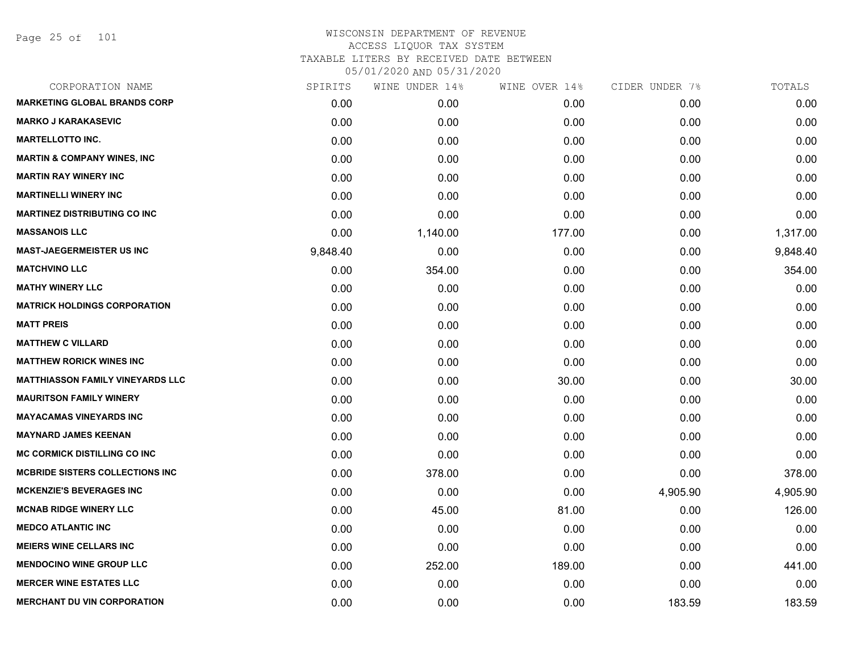Page 25 of 101

| CORPORATION NAME                        | SPIRITS  | WINE UNDER 14% | WINE OVER 14% | CIDER UNDER 7% | TOTALS   |
|-----------------------------------------|----------|----------------|---------------|----------------|----------|
| <b>MARKETING GLOBAL BRANDS CORP</b>     | 0.00     | 0.00           | 0.00          | 0.00           | 0.00     |
| <b>MARKO J KARAKASEVIC</b>              | 0.00     | 0.00           | 0.00          | 0.00           | 0.00     |
| <b>MARTELLOTTO INC.</b>                 | 0.00     | 0.00           | 0.00          | 0.00           | 0.00     |
| <b>MARTIN &amp; COMPANY WINES, INC</b>  | 0.00     | 0.00           | 0.00          | 0.00           | 0.00     |
| <b>MARTIN RAY WINERY INC</b>            | 0.00     | 0.00           | 0.00          | 0.00           | 0.00     |
| <b>MARTINELLI WINERY INC</b>            | 0.00     | 0.00           | 0.00          | 0.00           | 0.00     |
| <b>MARTINEZ DISTRIBUTING CO INC</b>     | 0.00     | 0.00           | 0.00          | 0.00           | 0.00     |
| <b>MASSANOIS LLC</b>                    | 0.00     | 1,140.00       | 177.00        | 0.00           | 1,317.00 |
| <b>MAST-JAEGERMEISTER US INC</b>        | 9,848.40 | 0.00           | 0.00          | 0.00           | 9,848.40 |
| <b>MATCHVINO LLC</b>                    | 0.00     | 354.00         | 0.00          | 0.00           | 354.00   |
| <b>MATHY WINERY LLC</b>                 | 0.00     | 0.00           | 0.00          | 0.00           | 0.00     |
| <b>MATRICK HOLDINGS CORPORATION</b>     | 0.00     | 0.00           | 0.00          | 0.00           | 0.00     |
| <b>MATT PREIS</b>                       | 0.00     | 0.00           | 0.00          | 0.00           | 0.00     |
| <b>MATTHEW C VILLARD</b>                | 0.00     | 0.00           | 0.00          | 0.00           | 0.00     |
| <b>MATTHEW RORICK WINES INC</b>         | 0.00     | 0.00           | 0.00          | 0.00           | 0.00     |
| <b>MATTHIASSON FAMILY VINEYARDS LLC</b> | 0.00     | 0.00           | 30.00         | 0.00           | 30.00    |
| <b>MAURITSON FAMILY WINERY</b>          | 0.00     | 0.00           | 0.00          | 0.00           | 0.00     |
| <b>MAYACAMAS VINEYARDS INC</b>          | 0.00     | 0.00           | 0.00          | 0.00           | 0.00     |
| <b>MAYNARD JAMES KEENAN</b>             | 0.00     | 0.00           | 0.00          | 0.00           | 0.00     |
| <b>MC CORMICK DISTILLING CO INC</b>     | 0.00     | 0.00           | 0.00          | 0.00           | 0.00     |
| <b>MCBRIDE SISTERS COLLECTIONS INC.</b> | 0.00     | 378.00         | 0.00          | 0.00           | 378.00   |
| <b>MCKENZIE'S BEVERAGES INC</b>         | 0.00     | 0.00           | 0.00          | 4,905.90       | 4,905.90 |
| <b>MCNAB RIDGE WINERY LLC</b>           | 0.00     | 45.00          | 81.00         | 0.00           | 126.00   |
| <b>MEDCO ATLANTIC INC</b>               | 0.00     | 0.00           | 0.00          | 0.00           | 0.00     |
| <b>MEIERS WINE CELLARS INC</b>          | 0.00     | 0.00           | 0.00          | 0.00           | 0.00     |
| <b>MENDOCINO WINE GROUP LLC</b>         | 0.00     | 252.00         | 189.00        | 0.00           | 441.00   |
| <b>MERCER WINE ESTATES LLC</b>          | 0.00     | 0.00           | 0.00          | 0.00           | 0.00     |
| <b>MERCHANT DU VIN CORPORATION</b>      | 0.00     | 0.00           | 0.00          | 183.59         | 183.59   |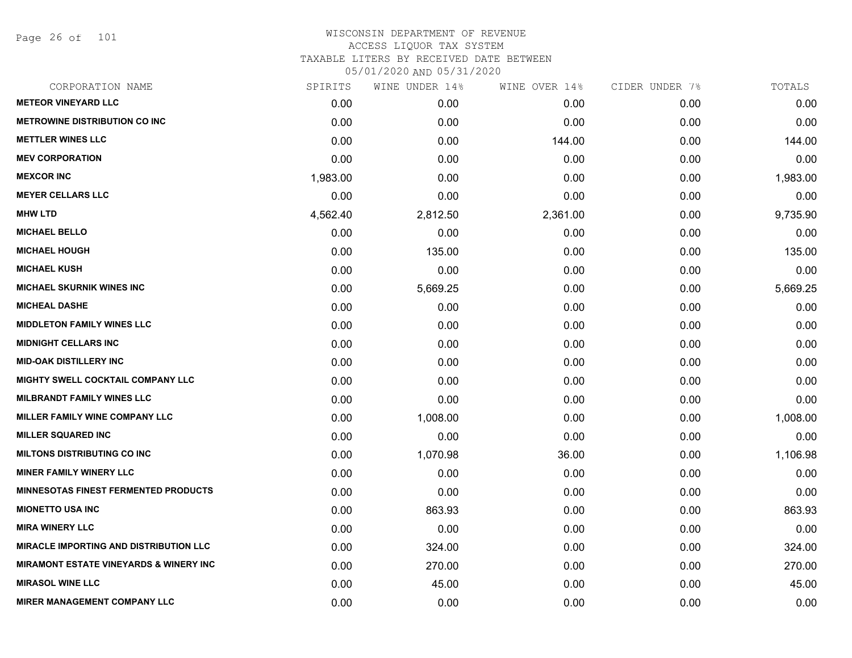Page 26 of 101

| CORPORATION NAME                                  | SPIRITS  | WINE UNDER 14% | WINE OVER 14% | CIDER UNDER 7% | TOTALS   |
|---------------------------------------------------|----------|----------------|---------------|----------------|----------|
| <b>METEOR VINEYARD LLC</b>                        | 0.00     | 0.00           | 0.00          | 0.00           | 0.00     |
| <b>METROWINE DISTRIBUTION CO INC</b>              | 0.00     | 0.00           | 0.00          | 0.00           | 0.00     |
| <b>METTLER WINES LLC</b>                          | 0.00     | 0.00           | 144.00        | 0.00           | 144.00   |
| <b>MEV CORPORATION</b>                            | 0.00     | 0.00           | 0.00          | 0.00           | 0.00     |
| <b>MEXCOR INC</b>                                 | 1,983.00 | 0.00           | 0.00          | 0.00           | 1,983.00 |
| <b>MEYER CELLARS LLC</b>                          | 0.00     | 0.00           | 0.00          | 0.00           | 0.00     |
| <b>MHW LTD</b>                                    | 4,562.40 | 2,812.50       | 2,361.00      | 0.00           | 9,735.90 |
| <b>MICHAEL BELLO</b>                              | 0.00     | 0.00           | 0.00          | 0.00           | 0.00     |
| <b>MICHAEL HOUGH</b>                              | 0.00     | 135.00         | 0.00          | 0.00           | 135.00   |
| <b>MICHAEL KUSH</b>                               | 0.00     | 0.00           | 0.00          | 0.00           | 0.00     |
| <b>MICHAEL SKURNIK WINES INC</b>                  | 0.00     | 5,669.25       | 0.00          | 0.00           | 5,669.25 |
| <b>MICHEAL DASHE</b>                              | 0.00     | 0.00           | 0.00          | 0.00           | 0.00     |
| <b>MIDDLETON FAMILY WINES LLC</b>                 | 0.00     | 0.00           | 0.00          | 0.00           | 0.00     |
| <b>MIDNIGHT CELLARS INC</b>                       | 0.00     | 0.00           | 0.00          | 0.00           | 0.00     |
| <b>MID-OAK DISTILLERY INC</b>                     | 0.00     | 0.00           | 0.00          | 0.00           | 0.00     |
| MIGHTY SWELL COCKTAIL COMPANY LLC                 | 0.00     | 0.00           | 0.00          | 0.00           | 0.00     |
| <b>MILBRANDT FAMILY WINES LLC</b>                 | 0.00     | 0.00           | 0.00          | 0.00           | 0.00     |
| MILLER FAMILY WINE COMPANY LLC                    | 0.00     | 1,008.00       | 0.00          | 0.00           | 1,008.00 |
| <b>MILLER SQUARED INC</b>                         | 0.00     | 0.00           | 0.00          | 0.00           | 0.00     |
| <b>MILTONS DISTRIBUTING CO INC</b>                | 0.00     | 1,070.98       | 36.00         | 0.00           | 1,106.98 |
| <b>MINER FAMILY WINERY LLC</b>                    | 0.00     | 0.00           | 0.00          | 0.00           | 0.00     |
| MINNESOTAS FINEST FERMENTED PRODUCTS              | 0.00     | 0.00           | 0.00          | 0.00           | 0.00     |
| <b>MIONETTO USA INC</b>                           | 0.00     | 863.93         | 0.00          | 0.00           | 863.93   |
| <b>MIRA WINERY LLC</b>                            | 0.00     | 0.00           | 0.00          | 0.00           | 0.00     |
| <b>MIRACLE IMPORTING AND DISTRIBUTION LLC</b>     | 0.00     | 324.00         | 0.00          | 0.00           | 324.00   |
| <b>MIRAMONT ESTATE VINEYARDS &amp; WINERY INC</b> | 0.00     | 270.00         | 0.00          | 0.00           | 270.00   |
| <b>MIRASOL WINE LLC</b>                           | 0.00     | 45.00          | 0.00          | 0.00           | 45.00    |
| <b>MIRER MANAGEMENT COMPANY LLC</b>               | 0.00     | 0.00           | 0.00          | 0.00           | 0.00     |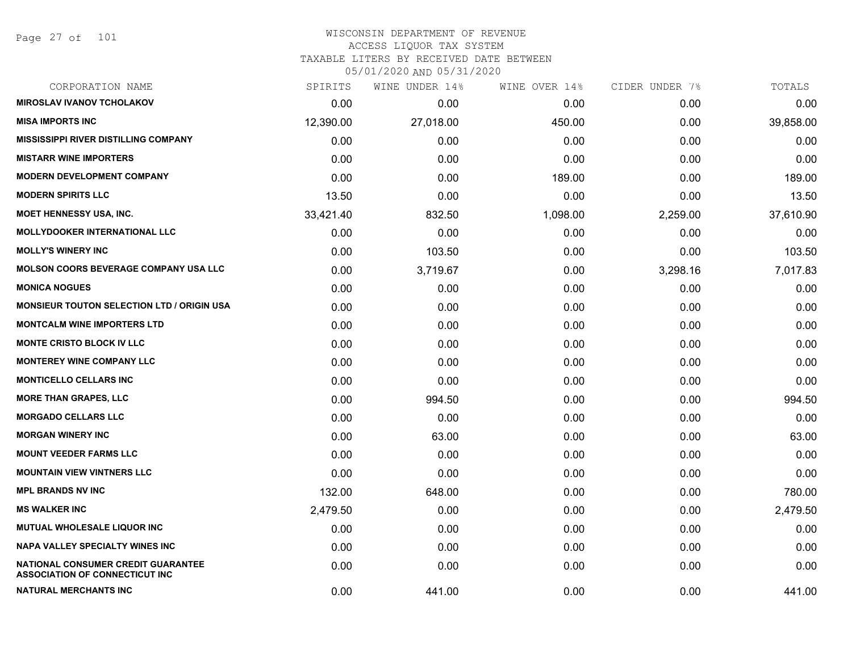| CORPORATION NAME                                                                   | SPIRITS   | WINE UNDER 14% | WINE OVER 14% | CIDER UNDER 7% | TOTALS    |
|------------------------------------------------------------------------------------|-----------|----------------|---------------|----------------|-----------|
| <b>MIROSLAV IVANOV TCHOLAKOV</b>                                                   | 0.00      | 0.00           | 0.00          | 0.00           | 0.00      |
| <b>MISA IMPORTS INC</b>                                                            | 12,390.00 | 27,018.00      | 450.00        | 0.00           | 39,858.00 |
| <b>MISSISSIPPI RIVER DISTILLING COMPANY</b>                                        | 0.00      | 0.00           | 0.00          | 0.00           | 0.00      |
| <b>MISTARR WINE IMPORTERS</b>                                                      | 0.00      | 0.00           | 0.00          | 0.00           | 0.00      |
| <b>MODERN DEVELOPMENT COMPANY</b>                                                  | 0.00      | 0.00           | 189.00        | 0.00           | 189.00    |
| <b>MODERN SPIRITS LLC</b>                                                          | 13.50     | 0.00           | 0.00          | 0.00           | 13.50     |
| <b>MOET HENNESSY USA, INC.</b>                                                     | 33,421.40 | 832.50         | 1,098.00      | 2,259.00       | 37,610.90 |
| <b>MOLLYDOOKER INTERNATIONAL LLC</b>                                               | 0.00      | 0.00           | 0.00          | 0.00           | 0.00      |
| <b>MOLLY'S WINERY INC</b>                                                          | 0.00      | 103.50         | 0.00          | 0.00           | 103.50    |
| <b>MOLSON COORS BEVERAGE COMPANY USA LLC</b>                                       | 0.00      | 3,719.67       | 0.00          | 3,298.16       | 7,017.83  |
| <b>MONICA NOGUES</b>                                                               | 0.00      | 0.00           | 0.00          | 0.00           | 0.00      |
| <b>MONSIEUR TOUTON SELECTION LTD / ORIGIN USA</b>                                  | 0.00      | 0.00           | 0.00          | 0.00           | 0.00      |
| <b>MONTCALM WINE IMPORTERS LTD</b>                                                 | 0.00      | 0.00           | 0.00          | 0.00           | 0.00      |
| <b>MONTE CRISTO BLOCK IV LLC</b>                                                   | 0.00      | 0.00           | 0.00          | 0.00           | 0.00      |
| <b>MONTEREY WINE COMPANY LLC</b>                                                   | 0.00      | 0.00           | 0.00          | 0.00           | 0.00      |
| <b>MONTICELLO CELLARS INC</b>                                                      | 0.00      | 0.00           | 0.00          | 0.00           | 0.00      |
| <b>MORE THAN GRAPES, LLC</b>                                                       | 0.00      | 994.50         | 0.00          | 0.00           | 994.50    |
| <b>MORGADO CELLARS LLC</b>                                                         | 0.00      | 0.00           | 0.00          | 0.00           | 0.00      |
| <b>MORGAN WINERY INC</b>                                                           | 0.00      | 63.00          | 0.00          | 0.00           | 63.00     |
| <b>MOUNT VEEDER FARMS LLC</b>                                                      | 0.00      | 0.00           | 0.00          | 0.00           | 0.00      |
| <b>MOUNTAIN VIEW VINTNERS LLC</b>                                                  | 0.00      | 0.00           | 0.00          | 0.00           | 0.00      |
| <b>MPL BRANDS NV INC</b>                                                           | 132.00    | 648.00         | 0.00          | 0.00           | 780.00    |
| <b>MS WALKER INC</b>                                                               | 2,479.50  | 0.00           | 0.00          | 0.00           | 2,479.50  |
| MUTUAL WHOLESALE LIQUOR INC                                                        | 0.00      | 0.00           | 0.00          | 0.00           | 0.00      |
| <b>NAPA VALLEY SPECIALTY WINES INC</b>                                             | 0.00      | 0.00           | 0.00          | 0.00           | 0.00      |
| <b>NATIONAL CONSUMER CREDIT GUARANTEE</b><br><b>ASSOCIATION OF CONNECTICUT INC</b> | 0.00      | 0.00           | 0.00          | 0.00           | 0.00      |
| <b>NATURAL MERCHANTS INC</b>                                                       | 0.00      | 441.00         | 0.00          | 0.00           | 441.00    |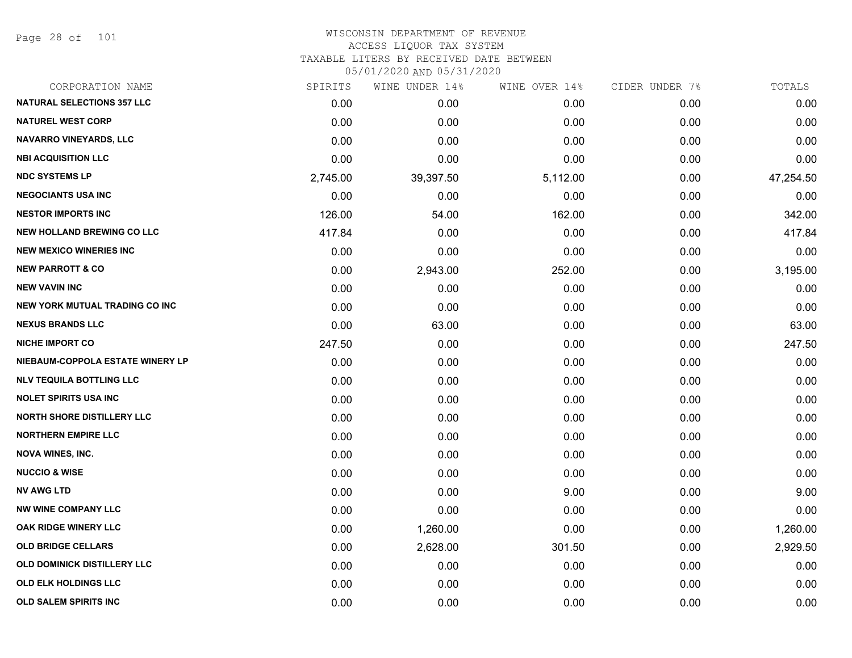Page 28 of 101

# WISCONSIN DEPARTMENT OF REVENUE ACCESS LIQUOR TAX SYSTEM TAXABLE LITERS BY RECEIVED DATE BETWEEN

| CORPORATION NAME                      | SPIRITS  | WINE UNDER 14% | WINE OVER 14% | CIDER UNDER 7% | TOTALS    |
|---------------------------------------|----------|----------------|---------------|----------------|-----------|
| <b>NATURAL SELECTIONS 357 LLC</b>     | 0.00     | 0.00           | 0.00          | 0.00           | 0.00      |
| <b>NATUREL WEST CORP</b>              | 0.00     | 0.00           | 0.00          | 0.00           | 0.00      |
| <b>NAVARRO VINEYARDS, LLC</b>         | 0.00     | 0.00           | 0.00          | 0.00           | 0.00      |
| <b>NBI ACQUISITION LLC</b>            | 0.00     | 0.00           | 0.00          | 0.00           | 0.00      |
| <b>NDC SYSTEMS LP</b>                 | 2,745.00 | 39,397.50      | 5,112.00      | 0.00           | 47,254.50 |
| <b>NEGOCIANTS USA INC</b>             | 0.00     | 0.00           | 0.00          | 0.00           | 0.00      |
| <b>NESTOR IMPORTS INC</b>             | 126.00   | 54.00          | 162.00        | 0.00           | 342.00    |
| <b>NEW HOLLAND BREWING CO LLC</b>     | 417.84   | 0.00           | 0.00          | 0.00           | 417.84    |
| <b>NEW MEXICO WINERIES INC</b>        | 0.00     | 0.00           | 0.00          | 0.00           | 0.00      |
| <b>NEW PARROTT &amp; CO</b>           | 0.00     | 2,943.00       | 252.00        | 0.00           | 3,195.00  |
| <b>NEW VAVIN INC</b>                  | 0.00     | 0.00           | 0.00          | 0.00           | 0.00      |
| <b>NEW YORK MUTUAL TRADING CO INC</b> | 0.00     | 0.00           | 0.00          | 0.00           | 0.00      |
| <b>NEXUS BRANDS LLC</b>               | 0.00     | 63.00          | 0.00          | 0.00           | 63.00     |
| <b>NICHE IMPORT CO</b>                | 247.50   | 0.00           | 0.00          | 0.00           | 247.50    |
| NIEBAUM-COPPOLA ESTATE WINERY LP      | 0.00     | 0.00           | 0.00          | 0.00           | 0.00      |
| <b>NLV TEQUILA BOTTLING LLC</b>       | 0.00     | 0.00           | 0.00          | 0.00           | 0.00      |
| <b>NOLET SPIRITS USA INC</b>          | 0.00     | 0.00           | 0.00          | 0.00           | 0.00      |
| <b>NORTH SHORE DISTILLERY LLC</b>     | 0.00     | 0.00           | 0.00          | 0.00           | 0.00      |
| <b>NORTHERN EMPIRE LLC</b>            | 0.00     | 0.00           | 0.00          | 0.00           | 0.00      |
| <b>NOVA WINES, INC.</b>               | 0.00     | 0.00           | 0.00          | 0.00           | 0.00      |
| <b>NUCCIO &amp; WISE</b>              | 0.00     | 0.00           | 0.00          | 0.00           | 0.00      |
| <b>NV AWG LTD</b>                     | 0.00     | 0.00           | 9.00          | 0.00           | 9.00      |
| <b>NW WINE COMPANY LLC</b>            | 0.00     | 0.00           | 0.00          | 0.00           | 0.00      |
| <b>OAK RIDGE WINERY LLC</b>           | 0.00     | 1,260.00       | 0.00          | 0.00           | 1,260.00  |
| <b>OLD BRIDGE CELLARS</b>             | 0.00     | 2,628.00       | 301.50        | 0.00           | 2,929.50  |
| OLD DOMINICK DISTILLERY LLC           | 0.00     | 0.00           | 0.00          | 0.00           | 0.00      |
| OLD ELK HOLDINGS LLC                  | 0.00     | 0.00           | 0.00          | 0.00           | 0.00      |
| <b>OLD SALEM SPIRITS INC</b>          | 0.00     | 0.00           | 0.00          | 0.00           | 0.00      |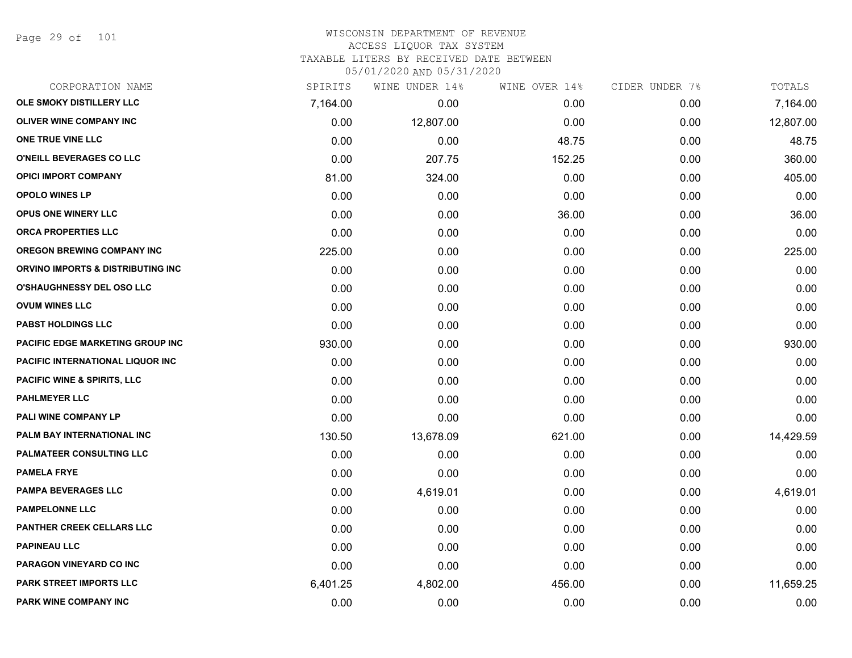Page 29 of 101

| CORPORATION NAME                              | SPIRITS  | WINE UNDER 14% | WINE OVER 14% | CIDER UNDER 7% | TOTALS    |
|-----------------------------------------------|----------|----------------|---------------|----------------|-----------|
| OLE SMOKY DISTILLERY LLC                      | 7,164.00 | 0.00           | 0.00          | 0.00           | 7,164.00  |
| <b>OLIVER WINE COMPANY INC</b>                | 0.00     | 12,807.00      | 0.00          | 0.00           | 12,807.00 |
| ONE TRUE VINE LLC                             | 0.00     | 0.00           | 48.75         | 0.00           | 48.75     |
| O'NEILL BEVERAGES CO LLC                      | 0.00     | 207.75         | 152.25        | 0.00           | 360.00    |
| <b>OPICI IMPORT COMPANY</b>                   | 81.00    | 324.00         | 0.00          | 0.00           | 405.00    |
| <b>OPOLO WINES LP</b>                         | 0.00     | 0.00           | 0.00          | 0.00           | 0.00      |
| OPUS ONE WINERY LLC                           | 0.00     | 0.00           | 36.00         | 0.00           | 36.00     |
| <b>ORCA PROPERTIES LLC</b>                    | 0.00     | 0.00           | 0.00          | 0.00           | 0.00      |
| <b>OREGON BREWING COMPANY INC</b>             | 225.00   | 0.00           | 0.00          | 0.00           | 225.00    |
| <b>ORVINO IMPORTS &amp; DISTRIBUTING INC.</b> | 0.00     | 0.00           | 0.00          | 0.00           | 0.00      |
| <b>O'SHAUGHNESSY DEL OSO LLC</b>              | 0.00     | 0.00           | 0.00          | 0.00           | 0.00      |
| <b>OVUM WINES LLC</b>                         | 0.00     | 0.00           | 0.00          | 0.00           | 0.00      |
| <b>PABST HOLDINGS LLC</b>                     | 0.00     | 0.00           | 0.00          | 0.00           | 0.00      |
| PACIFIC EDGE MARKETING GROUP INC              | 930.00   | 0.00           | 0.00          | 0.00           | 930.00    |
| PACIFIC INTERNATIONAL LIQUOR INC              | 0.00     | 0.00           | 0.00          | 0.00           | 0.00      |
| <b>PACIFIC WINE &amp; SPIRITS, LLC</b>        | 0.00     | 0.00           | 0.00          | 0.00           | 0.00      |
| <b>PAHLMEYER LLC</b>                          | 0.00     | 0.00           | 0.00          | 0.00           | 0.00      |
| <b>PALI WINE COMPANY LP</b>                   | 0.00     | 0.00           | 0.00          | 0.00           | 0.00      |
| PALM BAY INTERNATIONAL INC                    | 130.50   | 13,678.09      | 621.00        | 0.00           | 14,429.59 |
| <b>PALMATEER CONSULTING LLC</b>               | 0.00     | 0.00           | 0.00          | 0.00           | 0.00      |
| <b>PAMELA FRYE</b>                            | 0.00     | 0.00           | 0.00          | 0.00           | 0.00      |
| <b>PAMPA BEVERAGES LLC</b>                    | 0.00     | 4,619.01       | 0.00          | 0.00           | 4,619.01  |
| <b>PAMPELONNE LLC</b>                         | 0.00     | 0.00           | 0.00          | 0.00           | 0.00      |
| <b>PANTHER CREEK CELLARS LLC</b>              | 0.00     | 0.00           | 0.00          | 0.00           | 0.00      |
| <b>PAPINEAU LLC</b>                           | 0.00     | 0.00           | 0.00          | 0.00           | 0.00      |
| PARAGON VINEYARD CO INC                       | 0.00     | 0.00           | 0.00          | 0.00           | 0.00      |
| <b>PARK STREET IMPORTS LLC</b>                | 6,401.25 | 4,802.00       | 456.00        | 0.00           | 11,659.25 |
| PARK WINE COMPANY INC                         | 0.00     | 0.00           | 0.00          | 0.00           | 0.00      |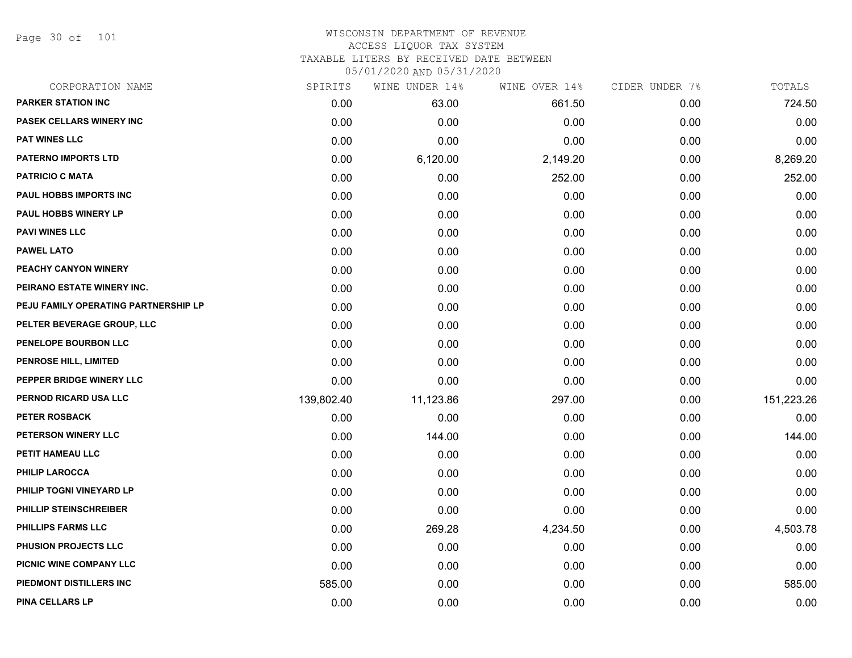Page 30 of 101

#### WISCONSIN DEPARTMENT OF REVENUE ACCESS LIQUOR TAX SYSTEM TAXABLE LITERS BY RECEIVED DATE BETWEEN

| CORPORATION NAME                     | SPIRITS    | WINE UNDER 14% | WINE OVER 14% | CIDER UNDER 7% | TOTALS     |
|--------------------------------------|------------|----------------|---------------|----------------|------------|
| <b>PARKER STATION INC</b>            | 0.00       | 63.00          | 661.50        | 0.00           | 724.50     |
| PASEK CELLARS WINERY INC             | 0.00       | 0.00           | 0.00          | 0.00           | 0.00       |
| <b>PAT WINES LLC</b>                 | 0.00       | 0.00           | 0.00          | 0.00           | 0.00       |
| <b>PATERNO IMPORTS LTD</b>           | 0.00       | 6,120.00       | 2,149.20      | 0.00           | 8,269.20   |
| <b>PATRICIO C MATA</b>               | 0.00       | 0.00           | 252.00        | 0.00           | 252.00     |
| PAUL HOBBS IMPORTS INC               | 0.00       | 0.00           | 0.00          | 0.00           | 0.00       |
| <b>PAUL HOBBS WINERY LP</b>          | 0.00       | 0.00           | 0.00          | 0.00           | 0.00       |
| <b>PAVI WINES LLC</b>                | 0.00       | 0.00           | 0.00          | 0.00           | 0.00       |
| <b>PAWEL LATO</b>                    | 0.00       | 0.00           | 0.00          | 0.00           | 0.00       |
| PEACHY CANYON WINERY                 | 0.00       | 0.00           | 0.00          | 0.00           | 0.00       |
| PEIRANO ESTATE WINERY INC.           | 0.00       | 0.00           | 0.00          | 0.00           | 0.00       |
| PEJU FAMILY OPERATING PARTNERSHIP LP | 0.00       | 0.00           | 0.00          | 0.00           | 0.00       |
| PELTER BEVERAGE GROUP, LLC           | 0.00       | 0.00           | 0.00          | 0.00           | 0.00       |
| PENELOPE BOURBON LLC                 | 0.00       | 0.00           | 0.00          | 0.00           | 0.00       |
| PENROSE HILL, LIMITED                | 0.00       | 0.00           | 0.00          | 0.00           | 0.00       |
| PEPPER BRIDGE WINERY LLC             | 0.00       | 0.00           | 0.00          | 0.00           | 0.00       |
| PERNOD RICARD USA LLC                | 139,802.40 | 11,123.86      | 297.00        | 0.00           | 151,223.26 |
| <b>PETER ROSBACK</b>                 | 0.00       | 0.00           | 0.00          | 0.00           | 0.00       |
| PETERSON WINERY LLC                  | 0.00       | 144.00         | 0.00          | 0.00           | 144.00     |
| PETIT HAMEAU LLC                     | 0.00       | 0.00           | 0.00          | 0.00           | 0.00       |
| <b>PHILIP LAROCCA</b>                | 0.00       | 0.00           | 0.00          | 0.00           | 0.00       |
| PHILIP TOGNI VINEYARD LP             | 0.00       | 0.00           | 0.00          | 0.00           | 0.00       |
| PHILLIP STEINSCHREIBER               | 0.00       | 0.00           | 0.00          | 0.00           | 0.00       |
| <b>PHILLIPS FARMS LLC</b>            | 0.00       | 269.28         | 4,234.50      | 0.00           | 4,503.78   |
| PHUSION PROJECTS LLC                 | 0.00       | 0.00           | 0.00          | 0.00           | 0.00       |
| PICNIC WINE COMPANY LLC              | 0.00       | 0.00           | 0.00          | 0.00           | 0.00       |
| PIEDMONT DISTILLERS INC              | 585.00     | 0.00           | 0.00          | 0.00           | 585.00     |
| PINA CELLARS LP                      | 0.00       | 0.00           | 0.00          | 0.00           | 0.00       |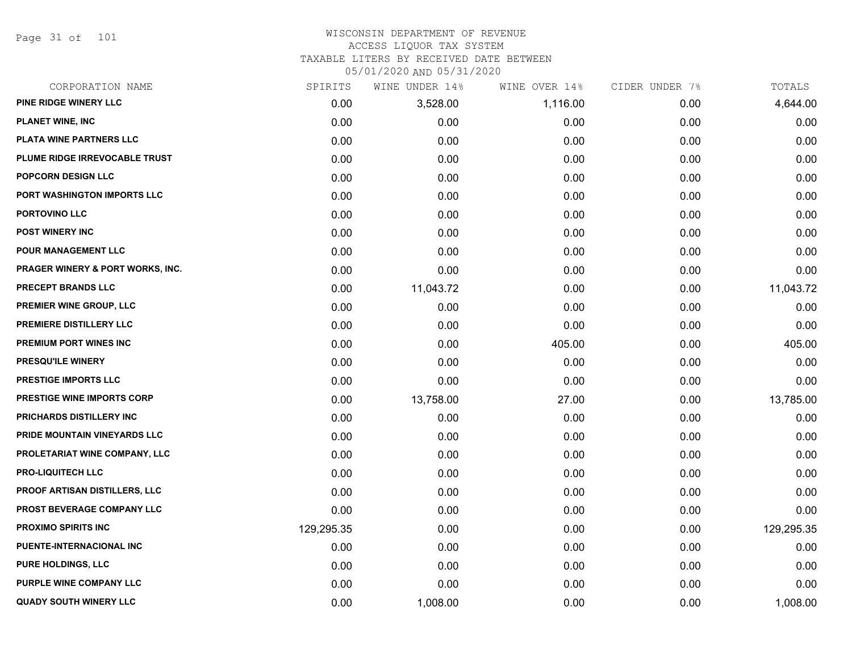Page 31 of 101

# WISCONSIN DEPARTMENT OF REVENUE ACCESS LIQUOR TAX SYSTEM TAXABLE LITERS BY RECEIVED DATE BETWEEN

| CORPORATION NAME                            | SPIRITS    | WINE UNDER 14% | WINE OVER 14% | CIDER UNDER 7% | TOTALS     |
|---------------------------------------------|------------|----------------|---------------|----------------|------------|
| PINE RIDGE WINERY LLC                       | 0.00       | 3,528.00       | 1,116.00      | 0.00           | 4,644.00   |
| <b>PLANET WINE, INC</b>                     | 0.00       | 0.00           | 0.00          | 0.00           | 0.00       |
| PLATA WINE PARTNERS LLC                     | 0.00       | 0.00           | 0.00          | 0.00           | 0.00       |
| PLUME RIDGE IRREVOCABLE TRUST               | 0.00       | 0.00           | 0.00          | 0.00           | 0.00       |
| POPCORN DESIGN LLC                          | 0.00       | 0.00           | 0.00          | 0.00           | 0.00       |
| PORT WASHINGTON IMPORTS LLC                 | 0.00       | 0.00           | 0.00          | 0.00           | 0.00       |
| PORTOVINO LLC                               | 0.00       | 0.00           | 0.00          | 0.00           | 0.00       |
| <b>POST WINERY INC</b>                      | 0.00       | 0.00           | 0.00          | 0.00           | 0.00       |
| POUR MANAGEMENT LLC                         | 0.00       | 0.00           | 0.00          | 0.00           | 0.00       |
| <b>PRAGER WINERY &amp; PORT WORKS, INC.</b> | 0.00       | 0.00           | 0.00          | 0.00           | 0.00       |
| PRECEPT BRANDS LLC                          | 0.00       | 11,043.72      | 0.00          | 0.00           | 11,043.72  |
| PREMIER WINE GROUP, LLC                     | 0.00       | 0.00           | 0.00          | 0.00           | 0.00       |
| PREMIERE DISTILLERY LLC                     | 0.00       | 0.00           | 0.00          | 0.00           | 0.00       |
| <b>PREMIUM PORT WINES INC</b>               | 0.00       | 0.00           | 405.00        | 0.00           | 405.00     |
| <b>PRESQU'ILE WINERY</b>                    | 0.00       | 0.00           | 0.00          | 0.00           | 0.00       |
| PRESTIGE IMPORTS LLC                        | 0.00       | 0.00           | 0.00          | 0.00           | 0.00       |
| PRESTIGE WINE IMPORTS CORP                  | 0.00       | 13,758.00      | 27.00         | 0.00           | 13,785.00  |
| PRICHARDS DISTILLERY INC                    | 0.00       | 0.00           | 0.00          | 0.00           | 0.00       |
| PRIDE MOUNTAIN VINEYARDS LLC                | 0.00       | 0.00           | 0.00          | 0.00           | 0.00       |
| PROLETARIAT WINE COMPANY, LLC               | 0.00       | 0.00           | 0.00          | 0.00           | 0.00       |
| <b>PRO-LIQUITECH LLC</b>                    | 0.00       | 0.00           | 0.00          | 0.00           | 0.00       |
| PROOF ARTISAN DISTILLERS, LLC               | 0.00       | 0.00           | 0.00          | 0.00           | 0.00       |
| PROST BEVERAGE COMPANY LLC                  | 0.00       | 0.00           | 0.00          | 0.00           | 0.00       |
| <b>PROXIMO SPIRITS INC</b>                  | 129,295.35 | 0.00           | 0.00          | 0.00           | 129,295.35 |
| PUENTE-INTERNACIONAL INC                    | 0.00       | 0.00           | 0.00          | 0.00           | 0.00       |
| PURE HOLDINGS, LLC                          | 0.00       | 0.00           | 0.00          | 0.00           | 0.00       |
| PURPLE WINE COMPANY LLC                     | 0.00       | 0.00           | 0.00          | 0.00           | 0.00       |
| <b>QUADY SOUTH WINERY LLC</b>               | 0.00       | 1,008.00       | 0.00          | 0.00           | 1,008.00   |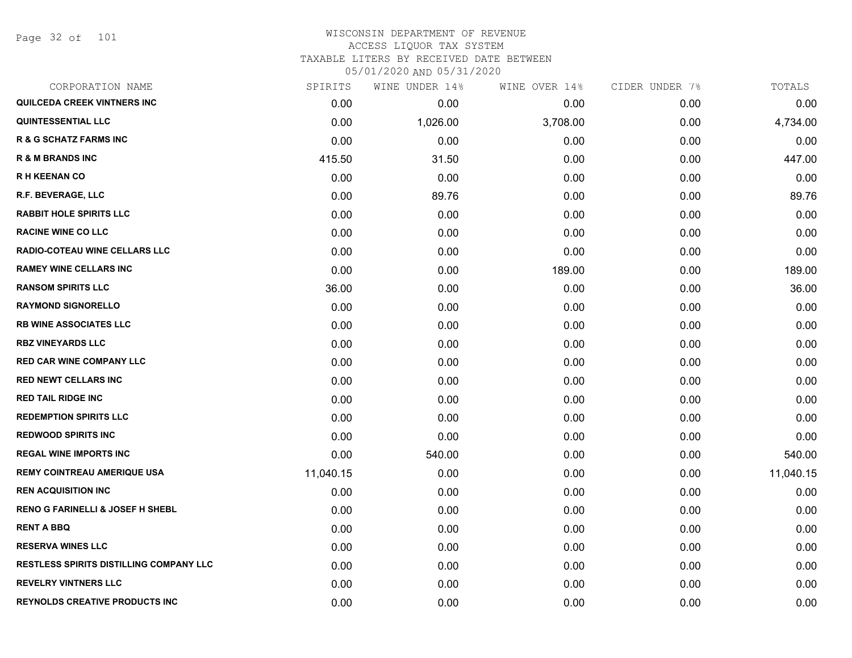Page 32 of 101

# WISCONSIN DEPARTMENT OF REVENUE ACCESS LIQUOR TAX SYSTEM TAXABLE LITERS BY RECEIVED DATE BETWEEN

| CORPORATION NAME                               | SPIRITS   | WINE UNDER 14% | WINE OVER 14% | CIDER UNDER 7% | TOTALS    |
|------------------------------------------------|-----------|----------------|---------------|----------------|-----------|
| QUILCEDA CREEK VINTNERS INC                    | 0.00      | 0.00           | 0.00          | 0.00           | 0.00      |
| <b>QUINTESSENTIAL LLC</b>                      | 0.00      | 1,026.00       | 3,708.00      | 0.00           | 4,734.00  |
| <b>R &amp; G SCHATZ FARMS INC</b>              | 0.00      | 0.00           | 0.00          | 0.00           | 0.00      |
| <b>R &amp; M BRANDS INC</b>                    | 415.50    | 31.50          | 0.00          | 0.00           | 447.00    |
| <b>RH KEENAN CO</b>                            | 0.00      | 0.00           | 0.00          | 0.00           | 0.00      |
| R.F. BEVERAGE, LLC                             | 0.00      | 89.76          | 0.00          | 0.00           | 89.76     |
| <b>RABBIT HOLE SPIRITS LLC</b>                 | 0.00      | 0.00           | 0.00          | 0.00           | 0.00      |
| <b>RACINE WINE CO LLC</b>                      | 0.00      | 0.00           | 0.00          | 0.00           | 0.00      |
| <b>RADIO-COTEAU WINE CELLARS LLC</b>           | 0.00      | 0.00           | 0.00          | 0.00           | 0.00      |
| <b>RAMEY WINE CELLARS INC</b>                  | 0.00      | 0.00           | 189.00        | 0.00           | 189.00    |
| <b>RANSOM SPIRITS LLC</b>                      | 36.00     | 0.00           | 0.00          | 0.00           | 36.00     |
| <b>RAYMOND SIGNORELLO</b>                      | 0.00      | 0.00           | 0.00          | 0.00           | 0.00      |
| <b>RB WINE ASSOCIATES LLC</b>                  | 0.00      | 0.00           | 0.00          | 0.00           | 0.00      |
| <b>RBZ VINEYARDS LLC</b>                       | 0.00      | 0.00           | 0.00          | 0.00           | 0.00      |
| <b>RED CAR WINE COMPANY LLC</b>                | 0.00      | 0.00           | 0.00          | 0.00           | 0.00      |
| <b>RED NEWT CELLARS INC</b>                    | 0.00      | 0.00           | 0.00          | 0.00           | 0.00      |
| <b>RED TAIL RIDGE INC</b>                      | 0.00      | 0.00           | 0.00          | 0.00           | 0.00      |
| <b>REDEMPTION SPIRITS LLC</b>                  | 0.00      | 0.00           | 0.00          | 0.00           | 0.00      |
| <b>REDWOOD SPIRITS INC</b>                     | 0.00      | 0.00           | 0.00          | 0.00           | 0.00      |
| <b>REGAL WINE IMPORTS INC</b>                  | 0.00      | 540.00         | 0.00          | 0.00           | 540.00    |
| <b>REMY COINTREAU AMERIQUE USA</b>             | 11,040.15 | 0.00           | 0.00          | 0.00           | 11,040.15 |
| <b>REN ACQUISITION INC</b>                     | 0.00      | 0.00           | 0.00          | 0.00           | 0.00      |
| <b>RENO G FARINELLI &amp; JOSEF H SHEBL</b>    | 0.00      | 0.00           | 0.00          | 0.00           | 0.00      |
| <b>RENT A BBQ</b>                              | 0.00      | 0.00           | 0.00          | 0.00           | 0.00      |
| <b>RESERVA WINES LLC</b>                       | 0.00      | 0.00           | 0.00          | 0.00           | 0.00      |
| <b>RESTLESS SPIRITS DISTILLING COMPANY LLC</b> | 0.00      | 0.00           | 0.00          | 0.00           | 0.00      |
| <b>REVELRY VINTNERS LLC</b>                    | 0.00      | 0.00           | 0.00          | 0.00           | 0.00      |
| <b>REYNOLDS CREATIVE PRODUCTS INC</b>          | 0.00      | 0.00           | 0.00          | 0.00           | 0.00      |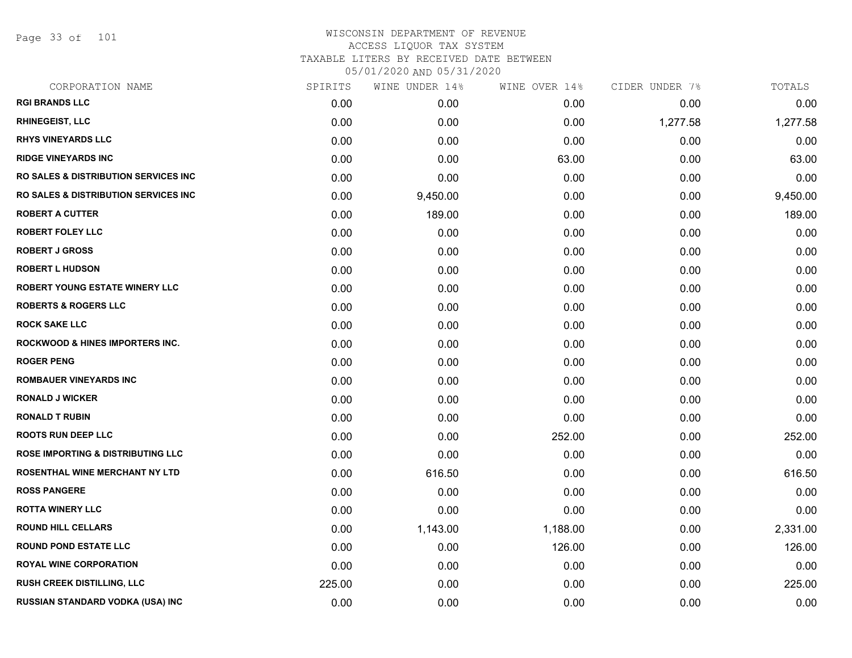Page 33 of 101

| 0.00   | 0.00     | 0.00     | 0.00     |          |
|--------|----------|----------|----------|----------|
|        |          |          |          | 0.00     |
| 0.00   | 0.00     | 0.00     | 1,277.58 | 1,277.58 |
| 0.00   | 0.00     | 0.00     | 0.00     | 0.00     |
| 0.00   | 0.00     | 63.00    | 0.00     | 63.00    |
| 0.00   | 0.00     | 0.00     | 0.00     | 0.00     |
| 0.00   | 9,450.00 | 0.00     | 0.00     | 9,450.00 |
| 0.00   | 189.00   | 0.00     | 0.00     | 189.00   |
| 0.00   | 0.00     | 0.00     | 0.00     | 0.00     |
| 0.00   | 0.00     | 0.00     | 0.00     | 0.00     |
| 0.00   | 0.00     | 0.00     | 0.00     | 0.00     |
| 0.00   | 0.00     | 0.00     | 0.00     | 0.00     |
| 0.00   | 0.00     | 0.00     | 0.00     | 0.00     |
| 0.00   | 0.00     | 0.00     | 0.00     | 0.00     |
| 0.00   | 0.00     | 0.00     | 0.00     | 0.00     |
| 0.00   | 0.00     | 0.00     | 0.00     | 0.00     |
| 0.00   | 0.00     | 0.00     | 0.00     | 0.00     |
| 0.00   | 0.00     | 0.00     | 0.00     | 0.00     |
| 0.00   | 0.00     | 0.00     | 0.00     | 0.00     |
| 0.00   | 0.00     | 252.00   | 0.00     | 252.00   |
| 0.00   | 0.00     | 0.00     | 0.00     | 0.00     |
| 0.00   | 616.50   | 0.00     | 0.00     | 616.50   |
| 0.00   | 0.00     | 0.00     | 0.00     | 0.00     |
| 0.00   | 0.00     | 0.00     | 0.00     | 0.00     |
| 0.00   | 1,143.00 | 1,188.00 | 0.00     | 2,331.00 |
| 0.00   | 0.00     | 126.00   | 0.00     | 126.00   |
| 0.00   | 0.00     | 0.00     | 0.00     | 0.00     |
| 225.00 | 0.00     | 0.00     | 0.00     | 225.00   |
| 0.00   | 0.00     | 0.00     | 0.00     | 0.00     |
|        |          |          |          |          |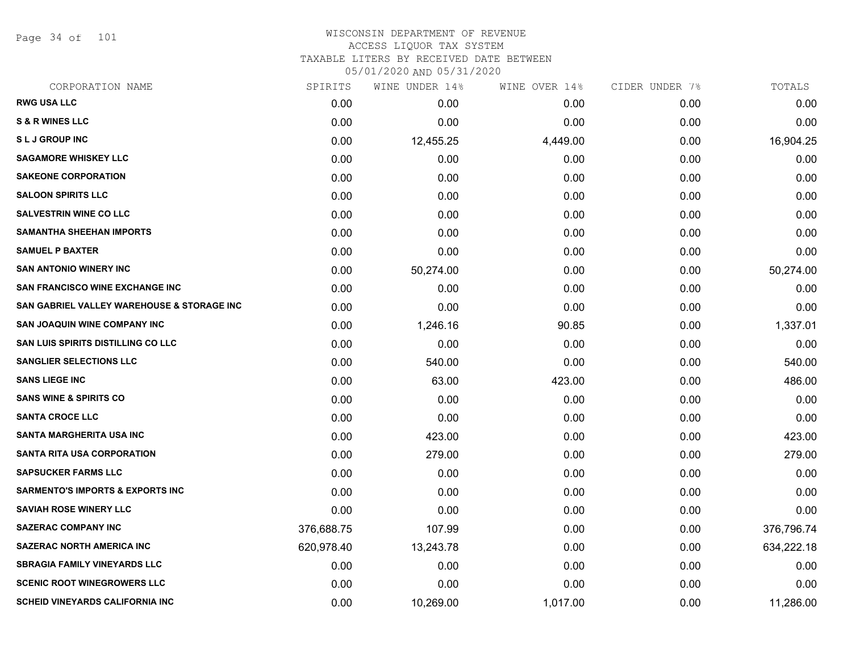Page 34 of 101

#### WISCONSIN DEPARTMENT OF REVENUE ACCESS LIQUOR TAX SYSTEM TAXABLE LITERS BY RECEIVED DATE BETWEEN

| CORPORATION NAME                                      | SPIRITS    | WINE UNDER 14% | WINE OVER 14% | CIDER UNDER 7% | TOTALS     |
|-------------------------------------------------------|------------|----------------|---------------|----------------|------------|
| <b>RWG USA LLC</b>                                    | 0.00       | 0.00           | 0.00          | 0.00           | 0.00       |
| <b>S &amp; R WINES LLC</b>                            | 0.00       | 0.00           | 0.00          | 0.00           | 0.00       |
| <b>SLJ GROUP INC</b>                                  | 0.00       | 12,455.25      | 4,449.00      | 0.00           | 16,904.25  |
| <b>SAGAMORE WHISKEY LLC</b>                           | 0.00       | 0.00           | 0.00          | 0.00           | 0.00       |
| <b>SAKEONE CORPORATION</b>                            | 0.00       | 0.00           | 0.00          | 0.00           | 0.00       |
| <b>SALOON SPIRITS LLC</b>                             | 0.00       | 0.00           | 0.00          | 0.00           | 0.00       |
| <b>SALVESTRIN WINE CO LLC</b>                         | 0.00       | 0.00           | 0.00          | 0.00           | 0.00       |
| <b>SAMANTHA SHEEHAN IMPORTS</b>                       | 0.00       | 0.00           | 0.00          | 0.00           | 0.00       |
| <b>SAMUEL P BAXTER</b>                                | 0.00       | 0.00           | 0.00          | 0.00           | 0.00       |
| <b>SAN ANTONIO WINERY INC</b>                         | 0.00       | 50,274.00      | 0.00          | 0.00           | 50,274.00  |
| <b>SAN FRANCISCO WINE EXCHANGE INC</b>                | 0.00       | 0.00           | 0.00          | 0.00           | 0.00       |
| <b>SAN GABRIEL VALLEY WAREHOUSE &amp; STORAGE INC</b> | 0.00       | 0.00           | 0.00          | 0.00           | 0.00       |
| <b>SAN JOAQUIN WINE COMPANY INC</b>                   | 0.00       | 1,246.16       | 90.85         | 0.00           | 1,337.01   |
| SAN LUIS SPIRITS DISTILLING CO LLC                    | 0.00       | 0.00           | 0.00          | 0.00           | 0.00       |
| <b>SANGLIER SELECTIONS LLC</b>                        | 0.00       | 540.00         | 0.00          | 0.00           | 540.00     |
| <b>SANS LIEGE INC</b>                                 | 0.00       | 63.00          | 423.00        | 0.00           | 486.00     |
| <b>SANS WINE &amp; SPIRITS CO</b>                     | 0.00       | 0.00           | 0.00          | 0.00           | 0.00       |
| <b>SANTA CROCE LLC</b>                                | 0.00       | 0.00           | 0.00          | 0.00           | 0.00       |
| <b>SANTA MARGHERITA USA INC</b>                       | 0.00       | 423.00         | 0.00          | 0.00           | 423.00     |
| <b>SANTA RITA USA CORPORATION</b>                     | 0.00       | 279.00         | 0.00          | 0.00           | 279.00     |
| <b>SAPSUCKER FARMS LLC</b>                            | 0.00       | 0.00           | 0.00          | 0.00           | 0.00       |
| <b>SARMENTO'S IMPORTS &amp; EXPORTS INC</b>           | 0.00       | 0.00           | 0.00          | 0.00           | 0.00       |
| <b>SAVIAH ROSE WINERY LLC</b>                         | 0.00       | 0.00           | 0.00          | 0.00           | 0.00       |
| <b>SAZERAC COMPANY INC</b>                            | 376,688.75 | 107.99         | 0.00          | 0.00           | 376,796.74 |
| <b>SAZERAC NORTH AMERICA INC</b>                      | 620,978.40 | 13,243.78      | 0.00          | 0.00           | 634,222.18 |
| <b>SBRAGIA FAMILY VINEYARDS LLC</b>                   | 0.00       | 0.00           | 0.00          | 0.00           | 0.00       |
| <b>SCENIC ROOT WINEGROWERS LLC</b>                    | 0.00       | 0.00           | 0.00          | 0.00           | 0.00       |
| <b>SCHEID VINEYARDS CALIFORNIA INC</b>                | 0.00       | 10,269.00      | 1,017.00      | 0.00           | 11,286.00  |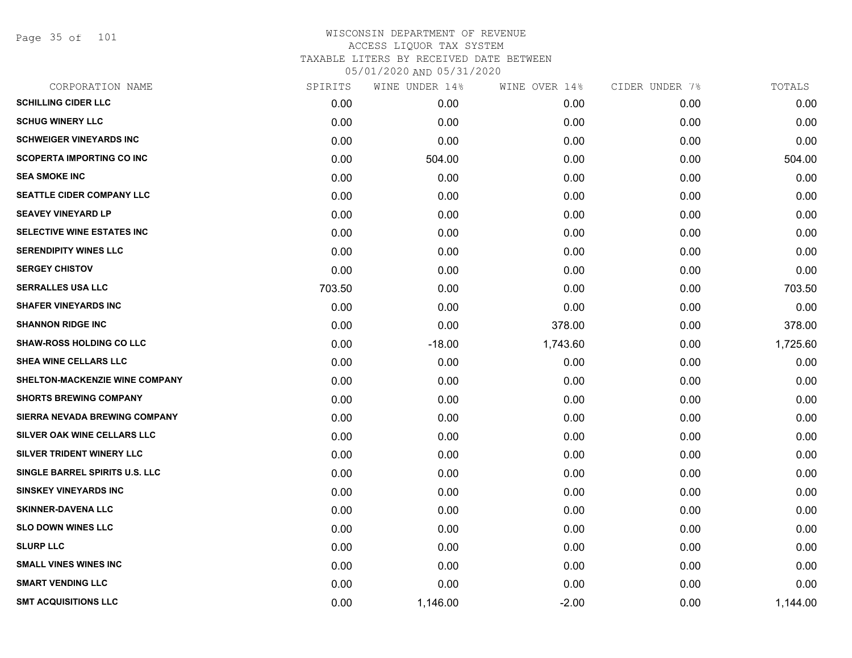Page 35 of 101

| CORPORATION NAME                 | SPIRITS | WINE UNDER 14% | WINE OVER 14% | CIDER UNDER 7% | TOTALS   |
|----------------------------------|---------|----------------|---------------|----------------|----------|
| <b>SCHILLING CIDER LLC</b>       | 0.00    | 0.00           | 0.00          | 0.00           | 0.00     |
| <b>SCHUG WINERY LLC</b>          | 0.00    | 0.00           | 0.00          | 0.00           | 0.00     |
| <b>SCHWEIGER VINEYARDS INC</b>   | 0.00    | 0.00           | 0.00          | 0.00           | 0.00     |
| <b>SCOPERTA IMPORTING CO INC</b> | 0.00    | 504.00         | 0.00          | 0.00           | 504.00   |
| <b>SEA SMOKE INC</b>             | 0.00    | 0.00           | 0.00          | 0.00           | 0.00     |
| SEATTLE CIDER COMPANY LLC        | 0.00    | 0.00           | 0.00          | 0.00           | 0.00     |
| <b>SEAVEY VINEYARD LP</b>        | 0.00    | 0.00           | 0.00          | 0.00           | 0.00     |
| SELECTIVE WINE ESTATES INC       | 0.00    | 0.00           | 0.00          | 0.00           | 0.00     |
| <b>SERENDIPITY WINES LLC</b>     | 0.00    | 0.00           | 0.00          | 0.00           | 0.00     |
| <b>SERGEY CHISTOV</b>            | 0.00    | 0.00           | 0.00          | 0.00           | 0.00     |
| <b>SERRALLES USA LLC</b>         | 703.50  | 0.00           | 0.00          | 0.00           | 703.50   |
| <b>SHAFER VINEYARDS INC</b>      | 0.00    | 0.00           | 0.00          | 0.00           | 0.00     |
| <b>SHANNON RIDGE INC</b>         | 0.00    | 0.00           | 378.00        | 0.00           | 378.00   |
| <b>SHAW-ROSS HOLDING CO LLC</b>  | 0.00    | $-18.00$       | 1,743.60      | 0.00           | 1,725.60 |
| SHEA WINE CELLARS LLC            | 0.00    | 0.00           | 0.00          | 0.00           | 0.00     |
| SHELTON-MACKENZIE WINE COMPANY   | 0.00    | 0.00           | 0.00          | 0.00           | 0.00     |
| <b>SHORTS BREWING COMPANY</b>    | 0.00    | 0.00           | 0.00          | 0.00           | 0.00     |
| SIERRA NEVADA BREWING COMPANY    | 0.00    | 0.00           | 0.00          | 0.00           | 0.00     |
| SILVER OAK WINE CELLARS LLC      | 0.00    | 0.00           | 0.00          | 0.00           | 0.00     |
| SILVER TRIDENT WINERY LLC        | 0.00    | 0.00           | 0.00          | 0.00           | 0.00     |
| SINGLE BARREL SPIRITS U.S. LLC   | 0.00    | 0.00           | 0.00          | 0.00           | 0.00     |
| <b>SINSKEY VINEYARDS INC</b>     | 0.00    | 0.00           | 0.00          | 0.00           | 0.00     |
| <b>SKINNER-DAVENA LLC</b>        | 0.00    | 0.00           | 0.00          | 0.00           | 0.00     |
| <b>SLO DOWN WINES LLC</b>        | 0.00    | 0.00           | 0.00          | 0.00           | 0.00     |
| <b>SLURP LLC</b>                 | 0.00    | 0.00           | 0.00          | 0.00           | 0.00     |
| <b>SMALL VINES WINES INC</b>     | 0.00    | 0.00           | 0.00          | 0.00           | 0.00     |
| <b>SMART VENDING LLC</b>         | 0.00    | 0.00           | 0.00          | 0.00           | 0.00     |
| <b>SMT ACQUISITIONS LLC</b>      | 0.00    | 1,146.00       | $-2.00$       | 0.00           | 1,144.00 |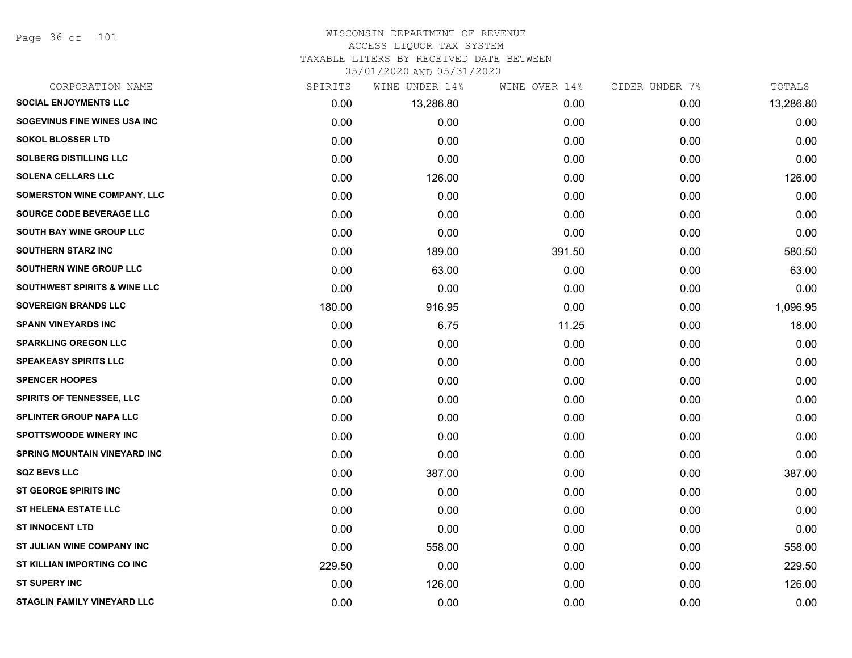Page 36 of 101

# WISCONSIN DEPARTMENT OF REVENUE ACCESS LIQUOR TAX SYSTEM

TAXABLE LITERS BY RECEIVED DATE BETWEEN

| CORPORATION NAME                        | SPIRITS | WINE UNDER 14% | WINE OVER 14% | CIDER UNDER 7% | TOTALS    |
|-----------------------------------------|---------|----------------|---------------|----------------|-----------|
| <b>SOCIAL ENJOYMENTS LLC</b>            | 0.00    | 13,286.80      | 0.00          | 0.00           | 13,286.80 |
| SOGEVINUS FINE WINES USA INC            | 0.00    | 0.00           | 0.00          | 0.00           | 0.00      |
| <b>SOKOL BLOSSER LTD</b>                | 0.00    | 0.00           | 0.00          | 0.00           | 0.00      |
| <b>SOLBERG DISTILLING LLC</b>           | 0.00    | 0.00           | 0.00          | 0.00           | 0.00      |
| <b>SOLENA CELLARS LLC</b>               | 0.00    | 126.00         | 0.00          | 0.00           | 126.00    |
| <b>SOMERSTON WINE COMPANY, LLC</b>      | 0.00    | 0.00           | 0.00          | 0.00           | 0.00      |
| <b>SOURCE CODE BEVERAGE LLC</b>         | 0.00    | 0.00           | 0.00          | 0.00           | 0.00      |
| SOUTH BAY WINE GROUP LLC                | 0.00    | 0.00           | 0.00          | 0.00           | 0.00      |
| <b>SOUTHERN STARZ INC</b>               | 0.00    | 189.00         | 391.50        | 0.00           | 580.50    |
| SOUTHERN WINE GROUP LLC                 | 0.00    | 63.00          | 0.00          | 0.00           | 63.00     |
| <b>SOUTHWEST SPIRITS &amp; WINE LLC</b> | 0.00    | 0.00           | 0.00          | 0.00           | 0.00      |
| <b>SOVEREIGN BRANDS LLC</b>             | 180.00  | 916.95         | 0.00          | 0.00           | 1,096.95  |
| <b>SPANN VINEYARDS INC</b>              | 0.00    | 6.75           | 11.25         | 0.00           | 18.00     |
| <b>SPARKLING OREGON LLC</b>             | 0.00    | 0.00           | 0.00          | 0.00           | 0.00      |
| <b>SPEAKEASY SPIRITS LLC</b>            | 0.00    | 0.00           | 0.00          | 0.00           | 0.00      |
| <b>SPENCER HOOPES</b>                   | 0.00    | 0.00           | 0.00          | 0.00           | 0.00      |
| <b>SPIRITS OF TENNESSEE, LLC</b>        | 0.00    | 0.00           | 0.00          | 0.00           | 0.00      |
| SPLINTER GROUP NAPA LLC                 | 0.00    | 0.00           | 0.00          | 0.00           | 0.00      |
| <b>SPOTTSWOODE WINERY INC</b>           | 0.00    | 0.00           | 0.00          | 0.00           | 0.00      |
| <b>SPRING MOUNTAIN VINEYARD INC</b>     | 0.00    | 0.00           | 0.00          | 0.00           | 0.00      |
| <b>SQZ BEVS LLC</b>                     | 0.00    | 387.00         | 0.00          | 0.00           | 387.00    |
| <b>ST GEORGE SPIRITS INC</b>            | 0.00    | 0.00           | 0.00          | 0.00           | 0.00      |
| ST HELENA ESTATE LLC                    | 0.00    | 0.00           | 0.00          | 0.00           | 0.00      |
| <b>ST INNOCENT LTD</b>                  | 0.00    | 0.00           | 0.00          | 0.00           | 0.00      |
| ST JULIAN WINE COMPANY INC              | 0.00    | 558.00         | 0.00          | 0.00           | 558.00    |
| ST KILLIAN IMPORTING CO INC             | 229.50  | 0.00           | 0.00          | 0.00           | 229.50    |
| <b>ST SUPERY INC</b>                    | 0.00    | 126.00         | 0.00          | 0.00           | 126.00    |
| STAGLIN FAMILY VINEYARD LLC             | 0.00    | 0.00           | 0.00          | 0.00           | 0.00      |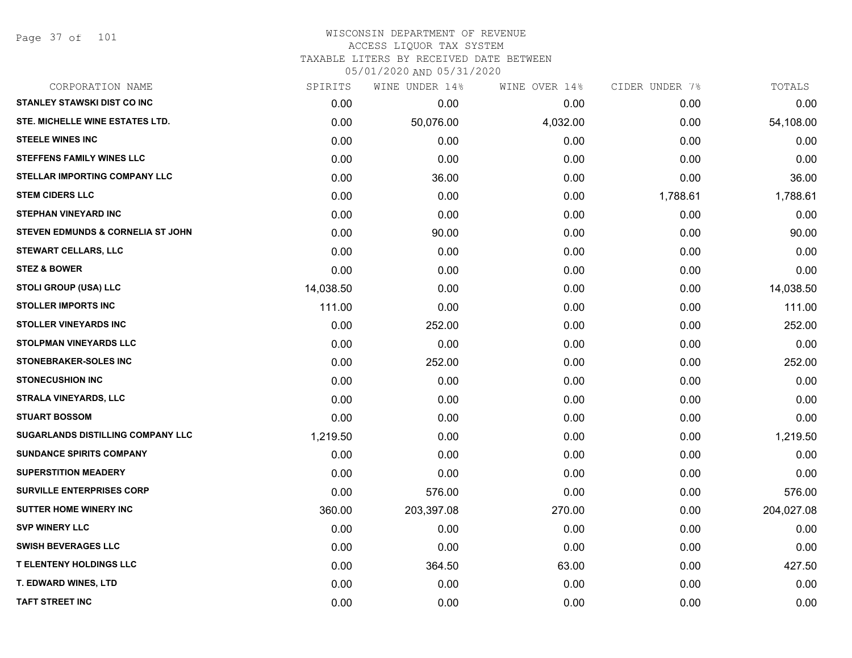Page 37 of 101

#### WISCONSIN DEPARTMENT OF REVENUE ACCESS LIQUOR TAX SYSTEM TAXABLE LITERS BY RECEIVED DATE BETWEEN

| CORPORATION NAME                             | SPIRITS   | WINE UNDER 14% | WINE OVER 14% | CIDER UNDER 7% | TOTALS     |
|----------------------------------------------|-----------|----------------|---------------|----------------|------------|
| <b>STANLEY STAWSKI DIST CO INC</b>           | 0.00      | 0.00           | 0.00          | 0.00           | 0.00       |
| STE. MICHELLE WINE ESTATES LTD.              | 0.00      | 50,076.00      | 4,032.00      | 0.00           | 54,108.00  |
| <b>STEELE WINES INC</b>                      | 0.00      | 0.00           | 0.00          | 0.00           | 0.00       |
| <b>STEFFENS FAMILY WINES LLC</b>             | 0.00      | 0.00           | 0.00          | 0.00           | 0.00       |
| <b>STELLAR IMPORTING COMPANY LLC</b>         | 0.00      | 36.00          | 0.00          | 0.00           | 36.00      |
| <b>STEM CIDERS LLC</b>                       | 0.00      | 0.00           | 0.00          | 1,788.61       | 1,788.61   |
| <b>STEPHAN VINEYARD INC</b>                  | 0.00      | 0.00           | 0.00          | 0.00           | 0.00       |
| <b>STEVEN EDMUNDS &amp; CORNELIA ST JOHN</b> | 0.00      | 90.00          | 0.00          | 0.00           | 90.00      |
| <b>STEWART CELLARS, LLC</b>                  | 0.00      | 0.00           | 0.00          | 0.00           | 0.00       |
| <b>STEZ &amp; BOWER</b>                      | 0.00      | 0.00           | 0.00          | 0.00           | 0.00       |
| STOLI GROUP (USA) LLC                        | 14,038.50 | 0.00           | 0.00          | 0.00           | 14,038.50  |
| <b>STOLLER IMPORTS INC</b>                   | 111.00    | 0.00           | 0.00          | 0.00           | 111.00     |
| <b>STOLLER VINEYARDS INC</b>                 | 0.00      | 252.00         | 0.00          | 0.00           | 252.00     |
| <b>STOLPMAN VINEYARDS LLC</b>                | 0.00      | 0.00           | 0.00          | 0.00           | 0.00       |
| STONEBRAKER-SOLES INC                        | 0.00      | 252.00         | 0.00          | 0.00           | 252.00     |
| <b>STONECUSHION INC</b>                      | 0.00      | 0.00           | 0.00          | 0.00           | 0.00       |
| <b>STRALA VINEYARDS, LLC</b>                 | 0.00      | 0.00           | 0.00          | 0.00           | 0.00       |
| <b>STUART BOSSOM</b>                         | 0.00      | 0.00           | 0.00          | 0.00           | 0.00       |
| SUGARLANDS DISTILLING COMPANY LLC            | 1,219.50  | 0.00           | 0.00          | 0.00           | 1,219.50   |
| <b>SUNDANCE SPIRITS COMPANY</b>              | 0.00      | 0.00           | 0.00          | 0.00           | 0.00       |
| <b>SUPERSTITION MEADERY</b>                  | 0.00      | 0.00           | 0.00          | 0.00           | 0.00       |
| SURVILLE ENTERPRISES CORP                    | 0.00      | 576.00         | 0.00          | 0.00           | 576.00     |
| SUTTER HOME WINERY INC                       | 360.00    | 203,397.08     | 270.00        | 0.00           | 204,027.08 |
| <b>SVP WINERY LLC</b>                        | 0.00      | 0.00           | 0.00          | 0.00           | 0.00       |
| <b>SWISH BEVERAGES LLC</b>                   | 0.00      | 0.00           | 0.00          | 0.00           | 0.00       |
| <b>T ELENTENY HOLDINGS LLC</b>               | 0.00      | 364.50         | 63.00         | 0.00           | 427.50     |
| T. EDWARD WINES, LTD                         | 0.00      | 0.00           | 0.00          | 0.00           | 0.00       |
| <b>TAFT STREET INC</b>                       | 0.00      | 0.00           | 0.00          | 0.00           | 0.00       |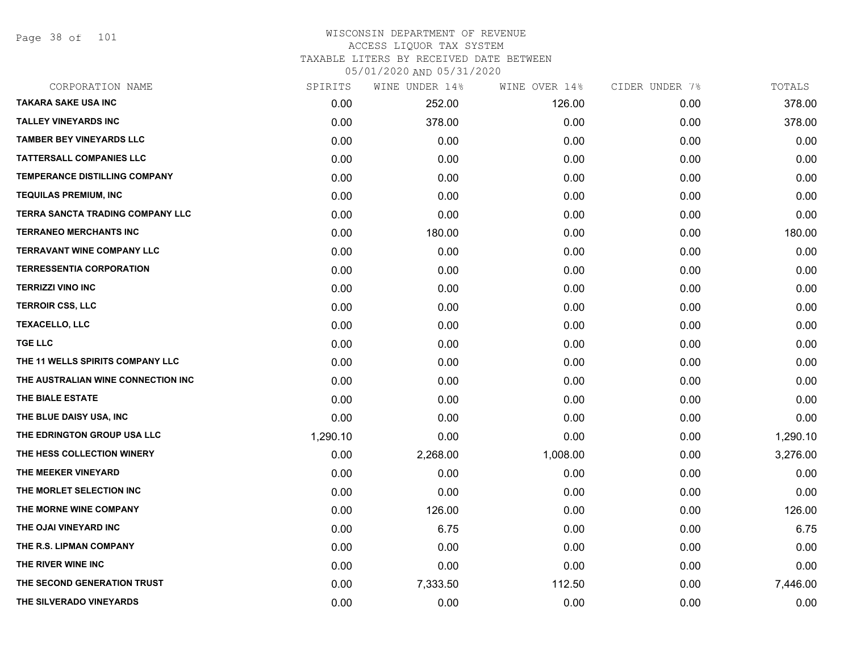Page 38 of 101

# WISCONSIN DEPARTMENT OF REVENUE ACCESS LIQUOR TAX SYSTEM TAXABLE LITERS BY RECEIVED DATE BETWEEN

| CORPORATION NAME                        | SPIRITS  | WINE UNDER 14% | WINE OVER 14% | CIDER UNDER 7% | TOTALS   |
|-----------------------------------------|----------|----------------|---------------|----------------|----------|
| <b>TAKARA SAKE USA INC</b>              | 0.00     | 252.00         | 126.00        | 0.00           | 378.00   |
| <b>TALLEY VINEYARDS INC</b>             | 0.00     | 378.00         | 0.00          | 0.00           | 378.00   |
| <b>TAMBER BEY VINEYARDS LLC</b>         | 0.00     | 0.00           | 0.00          | 0.00           | 0.00     |
| <b>TATTERSALL COMPANIES LLC</b>         | 0.00     | 0.00           | 0.00          | 0.00           | 0.00     |
| TEMPERANCE DISTILLING COMPANY           | 0.00     | 0.00           | 0.00          | 0.00           | 0.00     |
| <b>TEQUILAS PREMIUM, INC</b>            | 0.00     | 0.00           | 0.00          | 0.00           | 0.00     |
| <b>TERRA SANCTA TRADING COMPANY LLC</b> | 0.00     | 0.00           | 0.00          | 0.00           | 0.00     |
| <b>TERRANEO MERCHANTS INC</b>           | 0.00     | 180.00         | 0.00          | 0.00           | 180.00   |
| <b>TERRAVANT WINE COMPANY LLC</b>       | 0.00     | 0.00           | 0.00          | 0.00           | 0.00     |
| <b>TERRESSENTIA CORPORATION</b>         | 0.00     | 0.00           | 0.00          | 0.00           | 0.00     |
| <b>TERRIZZI VINO INC</b>                | 0.00     | 0.00           | 0.00          | 0.00           | 0.00     |
| <b>TERROIR CSS, LLC</b>                 | 0.00     | 0.00           | 0.00          | 0.00           | 0.00     |
| <b>TEXACELLO, LLC</b>                   | 0.00     | 0.00           | 0.00          | 0.00           | 0.00     |
| <b>TGE LLC</b>                          | 0.00     | 0.00           | 0.00          | 0.00           | 0.00     |
| THE 11 WELLS SPIRITS COMPANY LLC        | 0.00     | 0.00           | 0.00          | 0.00           | 0.00     |
| THE AUSTRALIAN WINE CONNECTION INC      | 0.00     | 0.00           | 0.00          | 0.00           | 0.00     |
| THE BIALE ESTATE                        | 0.00     | 0.00           | 0.00          | 0.00           | 0.00     |
| THE BLUE DAISY USA, INC                 | 0.00     | 0.00           | 0.00          | 0.00           | 0.00     |
| THE EDRINGTON GROUP USA LLC             | 1,290.10 | 0.00           | 0.00          | 0.00           | 1,290.10 |
| THE HESS COLLECTION WINERY              | 0.00     | 2,268.00       | 1,008.00      | 0.00           | 3,276.00 |
| THE MEEKER VINEYARD                     | 0.00     | 0.00           | 0.00          | 0.00           | 0.00     |
| THE MORLET SELECTION INC                | 0.00     | 0.00           | 0.00          | 0.00           | 0.00     |
| THE MORNE WINE COMPANY                  | 0.00     | 126.00         | 0.00          | 0.00           | 126.00   |
| THE OJAI VINEYARD INC                   | 0.00     | 6.75           | 0.00          | 0.00           | 6.75     |
| THE R.S. LIPMAN COMPANY                 | 0.00     | 0.00           | 0.00          | 0.00           | 0.00     |
| THE RIVER WINE INC                      | 0.00     | 0.00           | 0.00          | 0.00           | 0.00     |
| THE SECOND GENERATION TRUST             | 0.00     | 7,333.50       | 112.50        | 0.00           | 7,446.00 |
| THE SILVERADO VINEYARDS                 | 0.00     | 0.00           | 0.00          | 0.00           | 0.00     |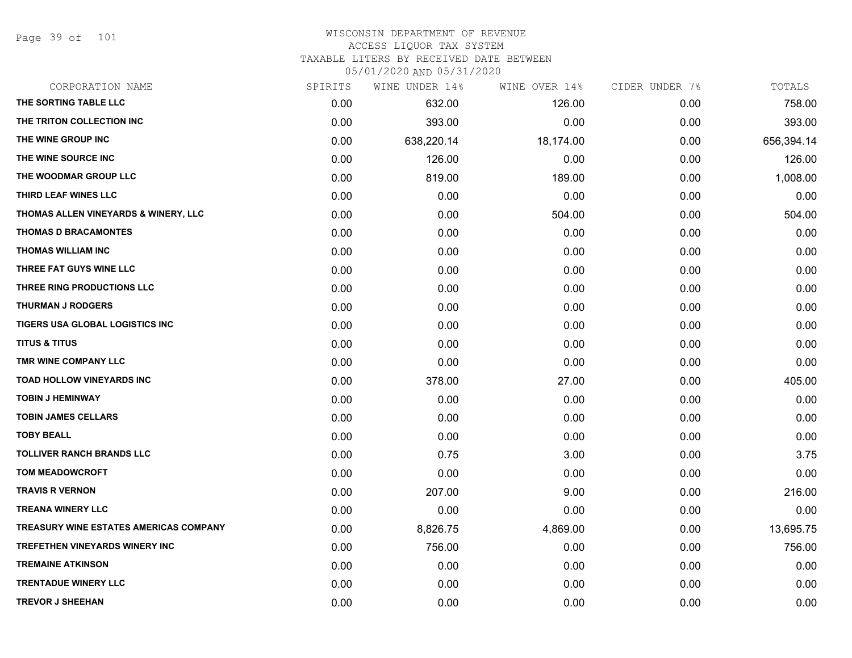Page 39 of 101

#### WISCONSIN DEPARTMENT OF REVENUE ACCESS LIQUOR TAX SYSTEM

TAXABLE LITERS BY RECEIVED DATE BETWEEN

| CORPORATION NAME                              | SPIRITS | WINE UNDER 14% | WINE OVER 14% | CIDER UNDER 7% | TOTALS     |
|-----------------------------------------------|---------|----------------|---------------|----------------|------------|
| THE SORTING TABLE LLC                         | 0.00    | 632.00         | 126.00        | 0.00           | 758.00     |
| THE TRITON COLLECTION INC                     | 0.00    | 393.00         | 0.00          | 0.00           | 393.00     |
| THE WINE GROUP INC                            | 0.00    | 638,220.14     | 18,174.00     | 0.00           | 656,394.14 |
| THE WINE SOURCE INC                           | 0.00    | 126.00         | 0.00          | 0.00           | 126.00     |
| THE WOODMAR GROUP LLC                         | 0.00    | 819.00         | 189.00        | 0.00           | 1,008.00   |
| THIRD LEAF WINES LLC                          | 0.00    | 0.00           | 0.00          | 0.00           | 0.00       |
| THOMAS ALLEN VINEYARDS & WINERY, LLC          | 0.00    | 0.00           | 504.00        | 0.00           | 504.00     |
| <b>THOMAS D BRACAMONTES</b>                   | 0.00    | 0.00           | 0.00          | 0.00           | 0.00       |
| <b>THOMAS WILLIAM INC</b>                     | 0.00    | 0.00           | 0.00          | 0.00           | 0.00       |
| THREE FAT GUYS WINE LLC                       | 0.00    | 0.00           | 0.00          | 0.00           | 0.00       |
| THREE RING PRODUCTIONS LLC                    | 0.00    | 0.00           | 0.00          | 0.00           | 0.00       |
| <b>THURMAN J RODGERS</b>                      | 0.00    | 0.00           | 0.00          | 0.00           | 0.00       |
| TIGERS USA GLOBAL LOGISTICS INC               | 0.00    | 0.00           | 0.00          | 0.00           | 0.00       |
| <b>TITUS &amp; TITUS</b>                      | 0.00    | 0.00           | 0.00          | 0.00           | 0.00       |
| TMR WINE COMPANY LLC                          | 0.00    | 0.00           | 0.00          | 0.00           | 0.00       |
| <b>TOAD HOLLOW VINEYARDS INC</b>              | 0.00    | 378.00         | 27.00         | 0.00           | 405.00     |
| <b>TOBIN J HEMINWAY</b>                       | 0.00    | 0.00           | 0.00          | 0.00           | 0.00       |
| <b>TOBIN JAMES CELLARS</b>                    | 0.00    | 0.00           | 0.00          | 0.00           | 0.00       |
| <b>TOBY BEALL</b>                             | 0.00    | 0.00           | 0.00          | 0.00           | 0.00       |
| <b>TOLLIVER RANCH BRANDS LLC</b>              | 0.00    | 0.75           | 3.00          | 0.00           | 3.75       |
| <b>TOM MEADOWCROFT</b>                        | 0.00    | 0.00           | 0.00          | 0.00           | 0.00       |
| <b>TRAVIS R VERNON</b>                        | 0.00    | 207.00         | 9.00          | 0.00           | 216.00     |
| <b>TREANA WINERY LLC</b>                      | 0.00    | 0.00           | 0.00          | 0.00           | 0.00       |
| <b>TREASURY WINE ESTATES AMERICAS COMPANY</b> | 0.00    | 8,826.75       | 4,869.00      | 0.00           | 13,695.75  |
| TREFETHEN VINEYARDS WINERY INC                | 0.00    | 756.00         | 0.00          | 0.00           | 756.00     |
| <b>TREMAINE ATKINSON</b>                      | 0.00    | 0.00           | 0.00          | 0.00           | 0.00       |
| <b>TRENTADUE WINERY LLC</b>                   | 0.00    | 0.00           | 0.00          | 0.00           | 0.00       |
| <b>TREVOR J SHEEHAN</b>                       | 0.00    | 0.00           | 0.00          | 0.00           | 0.00       |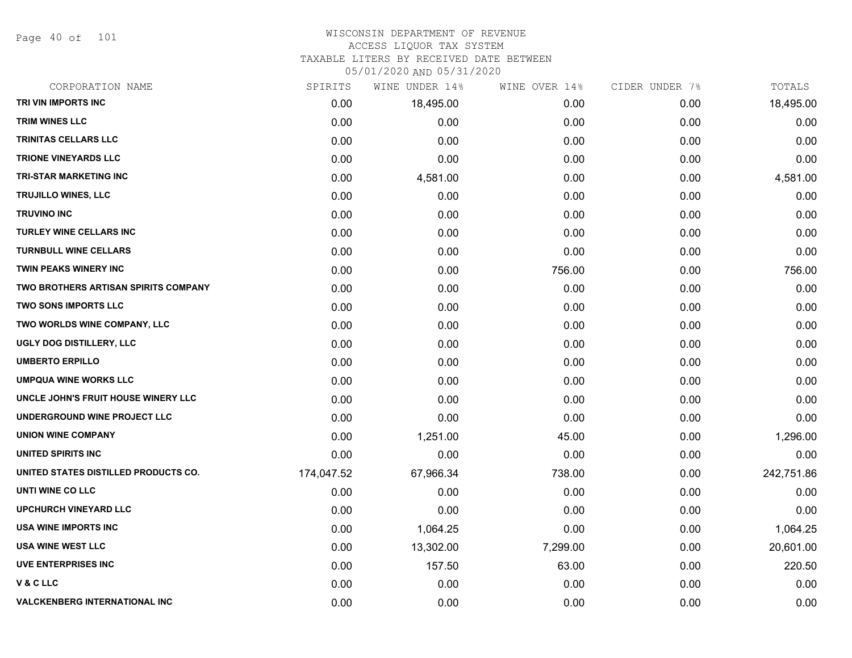Page 40 of 101

#### WISCONSIN DEPARTMENT OF REVENUE ACCESS LIQUOR TAX SYSTEM

TAXABLE LITERS BY RECEIVED DATE BETWEEN

| CORPORATION NAME                            | SPIRITS    | WINE UNDER 14% | WINE OVER 14% | CIDER UNDER 7% | TOTALS     |
|---------------------------------------------|------------|----------------|---------------|----------------|------------|
| TRI VIN IMPORTS INC                         | 0.00       | 18,495.00      | 0.00          | 0.00           | 18,495.00  |
| <b>TRIM WINES LLC</b>                       | 0.00       | 0.00           | 0.00          | 0.00           | 0.00       |
| <b>TRINITAS CELLARS LLC</b>                 | 0.00       | 0.00           | 0.00          | 0.00           | 0.00       |
| <b>TRIONE VINEYARDS LLC</b>                 | 0.00       | 0.00           | 0.00          | 0.00           | 0.00       |
| <b>TRI-STAR MARKETING INC</b>               | 0.00       | 4,581.00       | 0.00          | 0.00           | 4,581.00   |
| TRUJILLO WINES, LLC                         | 0.00       | 0.00           | 0.00          | 0.00           | 0.00       |
| <b>TRUVINO INC</b>                          | 0.00       | 0.00           | 0.00          | 0.00           | 0.00       |
| <b>TURLEY WINE CELLARS INC</b>              | 0.00       | 0.00           | 0.00          | 0.00           | 0.00       |
| <b>TURNBULL WINE CELLARS</b>                | 0.00       | 0.00           | 0.00          | 0.00           | 0.00       |
| TWIN PEAKS WINERY INC                       | 0.00       | 0.00           | 756.00        | 0.00           | 756.00     |
| <b>TWO BROTHERS ARTISAN SPIRITS COMPANY</b> | 0.00       | 0.00           | 0.00          | 0.00           | 0.00       |
| <b>TWO SONS IMPORTS LLC</b>                 | 0.00       | 0.00           | 0.00          | 0.00           | 0.00       |
| TWO WORLDS WINE COMPANY, LLC                | 0.00       | 0.00           | 0.00          | 0.00           | 0.00       |
| UGLY DOG DISTILLERY, LLC                    | 0.00       | 0.00           | 0.00          | 0.00           | 0.00       |
| <b>UMBERTO ERPILLO</b>                      | 0.00       | 0.00           | 0.00          | 0.00           | 0.00       |
| <b>UMPQUA WINE WORKS LLC</b>                | 0.00       | 0.00           | 0.00          | 0.00           | 0.00       |
| UNCLE JOHN'S FRUIT HOUSE WINERY LLC         | 0.00       | 0.00           | 0.00          | 0.00           | 0.00       |
| UNDERGROUND WINE PROJECT LLC                | 0.00       | 0.00           | 0.00          | 0.00           | 0.00       |
| <b>UNION WINE COMPANY</b>                   | 0.00       | 1,251.00       | 45.00         | 0.00           | 1,296.00   |
| <b>UNITED SPIRITS INC</b>                   | 0.00       | 0.00           | 0.00          | 0.00           | 0.00       |
| UNITED STATES DISTILLED PRODUCTS CO.        | 174,047.52 | 67,966.34      | 738.00        | 0.00           | 242,751.86 |
| UNTI WINE CO LLC                            | 0.00       | 0.00           | 0.00          | 0.00           | 0.00       |
| <b>UPCHURCH VINEYARD LLC</b>                | 0.00       | 0.00           | 0.00          | 0.00           | 0.00       |
| <b>USA WINE IMPORTS INC</b>                 | 0.00       | 1,064.25       | 0.00          | 0.00           | 1,064.25   |
| <b>USA WINE WEST LLC</b>                    | 0.00       | 13,302.00      | 7,299.00      | 0.00           | 20,601.00  |
| <b>UVE ENTERPRISES INC</b>                  | 0.00       | 157.50         | 63.00         | 0.00           | 220.50     |
| V & C LLC                                   | 0.00       | 0.00           | 0.00          | 0.00           | 0.00       |
| <b>VALCKENBERG INTERNATIONAL INC</b>        | 0.00       | 0.00           | 0.00          | 0.00           | 0.00       |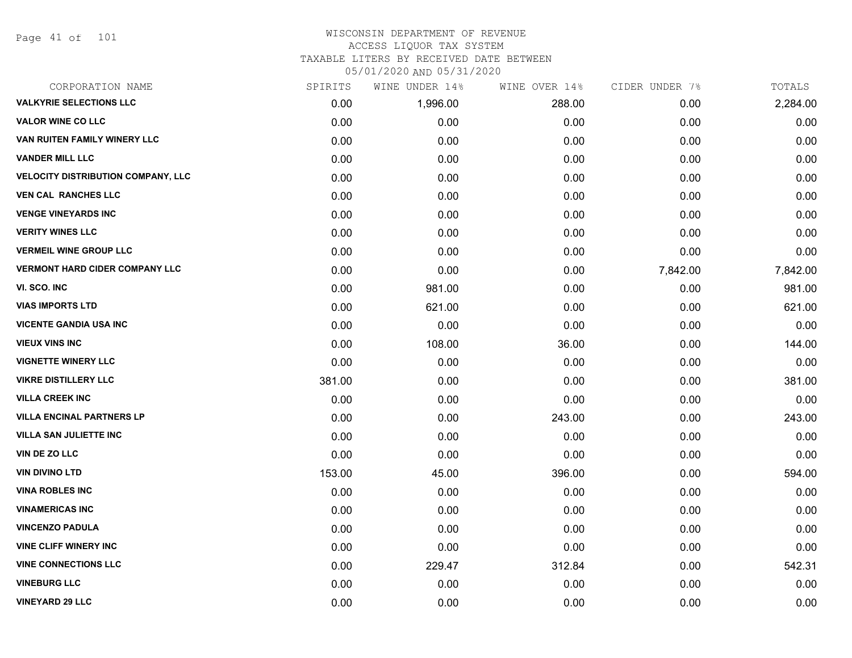#### WISCONSIN DEPARTMENT OF REVENUE ACCESS LIQUOR TAX SYSTEM

TAXABLE LITERS BY RECEIVED DATE BETWEEN

| CORPORATION NAME                          | SPIRITS | WINE UNDER 14% | WINE OVER 14% | CIDER UNDER 7% | TOTALS   |
|-------------------------------------------|---------|----------------|---------------|----------------|----------|
| <b>VALKYRIE SELECTIONS LLC</b>            | 0.00    | 1,996.00       | 288.00        | 0.00           | 2,284.00 |
| <b>VALOR WINE CO LLC</b>                  | 0.00    | 0.00           | 0.00          | 0.00           | 0.00     |
| VAN RUITEN FAMILY WINERY LLC              | 0.00    | 0.00           | 0.00          | 0.00           | 0.00     |
| <b>VANDER MILL LLC</b>                    | 0.00    | 0.00           | 0.00          | 0.00           | 0.00     |
| <b>VELOCITY DISTRIBUTION COMPANY, LLC</b> | 0.00    | 0.00           | 0.00          | 0.00           | 0.00     |
| <b>VEN CAL RANCHES LLC</b>                | 0.00    | 0.00           | 0.00          | 0.00           | 0.00     |
| <b>VENGE VINEYARDS INC</b>                | 0.00    | 0.00           | 0.00          | 0.00           | 0.00     |
| <b>VERITY WINES LLC</b>                   | 0.00    | 0.00           | 0.00          | 0.00           | 0.00     |
| <b>VERMEIL WINE GROUP LLC</b>             | 0.00    | 0.00           | 0.00          | 0.00           | 0.00     |
| <b>VERMONT HARD CIDER COMPANY LLC</b>     | 0.00    | 0.00           | 0.00          | 7,842.00       | 7,842.00 |
| VI. SCO. INC                              | 0.00    | 981.00         | 0.00          | 0.00           | 981.00   |
| <b>VIAS IMPORTS LTD</b>                   | 0.00    | 621.00         | 0.00          | 0.00           | 621.00   |
| <b>VICENTE GANDIA USA INC</b>             | 0.00    | 0.00           | 0.00          | 0.00           | 0.00     |
| <b>VIEUX VINS INC</b>                     | 0.00    | 108.00         | 36.00         | 0.00           | 144.00   |
| <b>VIGNETTE WINERY LLC</b>                | 0.00    | 0.00           | 0.00          | 0.00           | 0.00     |
| <b>VIKRE DISTILLERY LLC</b>               | 381.00  | 0.00           | 0.00          | 0.00           | 381.00   |
| <b>VILLA CREEK INC</b>                    | 0.00    | 0.00           | 0.00          | 0.00           | 0.00     |
| <b>VILLA ENCINAL PARTNERS LP</b>          | 0.00    | 0.00           | 243.00        | 0.00           | 243.00   |
| <b>VILLA SAN JULIETTE INC</b>             | 0.00    | 0.00           | 0.00          | 0.00           | 0.00     |
| <b>VIN DE ZO LLC</b>                      | 0.00    | 0.00           | 0.00          | 0.00           | 0.00     |
| <b>VIN DIVINO LTD</b>                     | 153.00  | 45.00          | 396.00        | 0.00           | 594.00   |
| <b>VINA ROBLES INC</b>                    | 0.00    | 0.00           | 0.00          | 0.00           | 0.00     |
| <b>VINAMERICAS INC</b>                    | 0.00    | 0.00           | 0.00          | 0.00           | 0.00     |
| <b>VINCENZO PADULA</b>                    | 0.00    | 0.00           | 0.00          | 0.00           | 0.00     |
| <b>VINE CLIFF WINERY INC</b>              | 0.00    | 0.00           | 0.00          | 0.00           | 0.00     |
| <b>VINE CONNECTIONS LLC</b>               | 0.00    | 229.47         | 312.84        | 0.00           | 542.31   |
| <b>VINEBURG LLC</b>                       | 0.00    | 0.00           | 0.00          | 0.00           | 0.00     |
| <b>VINEYARD 29 LLC</b>                    | 0.00    | 0.00           | 0.00          | 0.00           | 0.00     |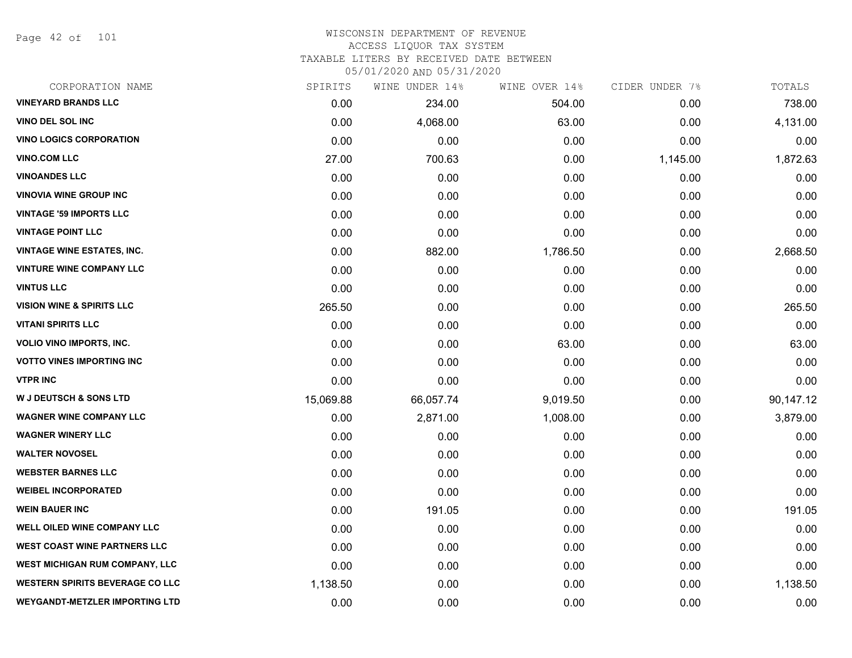Page 42 of 101

#### WISCONSIN DEPARTMENT OF REVENUE ACCESS LIQUOR TAX SYSTEM TAXABLE LITERS BY RECEIVED DATE BETWEEN

| CORPORATION NAME                       | SPIRITS   | WINE UNDER 14% | WINE OVER 14% | CIDER UNDER 7% | TOTALS    |
|----------------------------------------|-----------|----------------|---------------|----------------|-----------|
| <b>VINEYARD BRANDS LLC</b>             | 0.00      | 234.00         | 504.00        | 0.00           | 738.00    |
| <b>VINO DEL SOL INC</b>                | 0.00      | 4,068.00       | 63.00         | 0.00           | 4,131.00  |
| <b>VINO LOGICS CORPORATION</b>         | 0.00      | 0.00           | 0.00          | 0.00           | 0.00      |
| <b>VINO.COM LLC</b>                    | 27.00     | 700.63         | 0.00          | 1,145.00       | 1,872.63  |
| <b>VINOANDES LLC</b>                   | 0.00      | 0.00           | 0.00          | 0.00           | 0.00      |
| <b>VINOVIA WINE GROUP INC</b>          | 0.00      | 0.00           | 0.00          | 0.00           | 0.00      |
| <b>VINTAGE '59 IMPORTS LLC</b>         | 0.00      | 0.00           | 0.00          | 0.00           | 0.00      |
| <b>VINTAGE POINT LLC</b>               | 0.00      | 0.00           | 0.00          | 0.00           | 0.00      |
| <b>VINTAGE WINE ESTATES, INC.</b>      | 0.00      | 882.00         | 1,786.50      | 0.00           | 2,668.50  |
| <b>VINTURE WINE COMPANY LLC</b>        | 0.00      | 0.00           | 0.00          | 0.00           | 0.00      |
| <b>VINTUS LLC</b>                      | 0.00      | 0.00           | 0.00          | 0.00           | 0.00      |
| <b>VISION WINE &amp; SPIRITS LLC</b>   | 265.50    | 0.00           | 0.00          | 0.00           | 265.50    |
| <b>VITANI SPIRITS LLC</b>              | 0.00      | 0.00           | 0.00          | 0.00           | 0.00      |
| <b>VOLIO VINO IMPORTS, INC.</b>        | 0.00      | 0.00           | 63.00         | 0.00           | 63.00     |
| <b>VOTTO VINES IMPORTING INC</b>       | 0.00      | 0.00           | 0.00          | 0.00           | 0.00      |
| <b>VTPR INC</b>                        | 0.00      | 0.00           | 0.00          | 0.00           | 0.00      |
| <b>W J DEUTSCH &amp; SONS LTD</b>      | 15,069.88 | 66,057.74      | 9,019.50      | 0.00           | 90,147.12 |
| <b>WAGNER WINE COMPANY LLC</b>         | 0.00      | 2,871.00       | 1,008.00      | 0.00           | 3,879.00  |
| <b>WAGNER WINERY LLC</b>               | 0.00      | 0.00           | 0.00          | 0.00           | 0.00      |
| <b>WALTER NOVOSEL</b>                  | 0.00      | 0.00           | 0.00          | 0.00           | 0.00      |
| <b>WEBSTER BARNES LLC</b>              | 0.00      | 0.00           | 0.00          | 0.00           | 0.00      |
| <b>WEIBEL INCORPORATED</b>             | 0.00      | 0.00           | 0.00          | 0.00           | 0.00      |
| <b>WEIN BAUER INC</b>                  | 0.00      | 191.05         | 0.00          | 0.00           | 191.05    |
| <b>WELL OILED WINE COMPANY LLC</b>     | 0.00      | 0.00           | 0.00          | 0.00           | 0.00      |
| <b>WEST COAST WINE PARTNERS LLC</b>    | 0.00      | 0.00           | 0.00          | 0.00           | 0.00      |
| WEST MICHIGAN RUM COMPANY, LLC         | 0.00      | 0.00           | 0.00          | 0.00           | 0.00      |
| <b>WESTERN SPIRITS BEVERAGE CO LLC</b> | 1,138.50  | 0.00           | 0.00          | 0.00           | 1,138.50  |
| <b>WEYGANDT-METZLER IMPORTING LTD</b>  | 0.00      | 0.00           | 0.00          | 0.00           | 0.00      |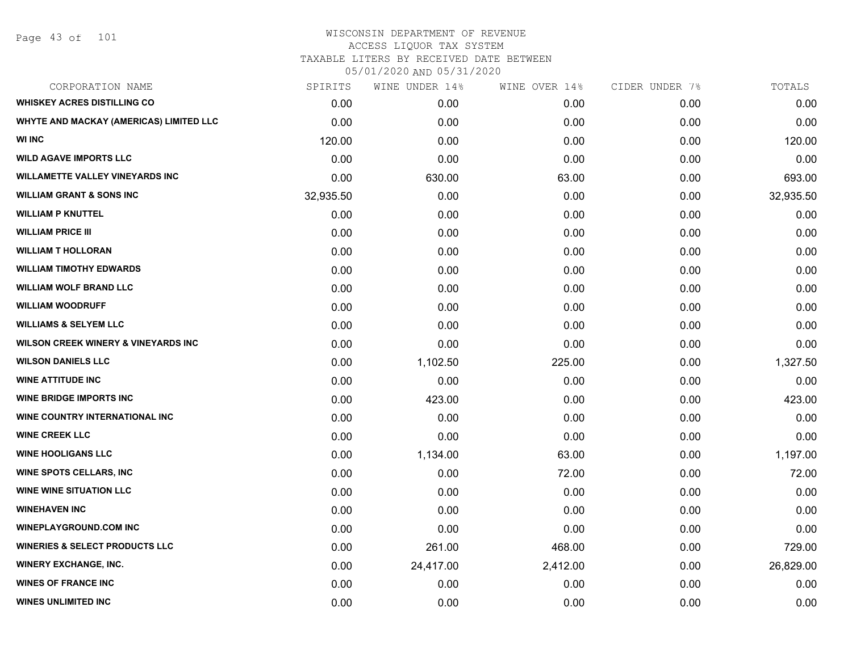| CORPORATION NAME                               | SPIRITS   | WINE UNDER 14% | WINE OVER 14% | CIDER UNDER 7% | TOTALS    |
|------------------------------------------------|-----------|----------------|---------------|----------------|-----------|
| <b>WHISKEY ACRES DISTILLING CO</b>             | 0.00      | 0.00           | 0.00          | 0.00           | 0.00      |
| WHYTE AND MACKAY (AMERICAS) LIMITED LLC        | 0.00      | 0.00           | 0.00          | 0.00           | 0.00      |
| <b>WI INC</b>                                  | 120.00    | 0.00           | 0.00          | 0.00           | 120.00    |
| <b>WILD AGAVE IMPORTS LLC</b>                  | 0.00      | 0.00           | 0.00          | 0.00           | 0.00      |
| <b>WILLAMETTE VALLEY VINEYARDS INC</b>         | 0.00      | 630.00         | 63.00         | 0.00           | 693.00    |
| <b>WILLIAM GRANT &amp; SONS INC</b>            | 32,935.50 | 0.00           | 0.00          | 0.00           | 32,935.50 |
| <b>WILLIAM P KNUTTEL</b>                       | 0.00      | 0.00           | 0.00          | 0.00           | 0.00      |
| <b>WILLIAM PRICE III</b>                       | 0.00      | 0.00           | 0.00          | 0.00           | 0.00      |
| <b>WILLIAM T HOLLORAN</b>                      | 0.00      | 0.00           | 0.00          | 0.00           | 0.00      |
| <b>WILLIAM TIMOTHY EDWARDS</b>                 | 0.00      | 0.00           | 0.00          | 0.00           | 0.00      |
| <b>WILLIAM WOLF BRAND LLC</b>                  | 0.00      | 0.00           | 0.00          | 0.00           | 0.00      |
| <b>WILLIAM WOODRUFF</b>                        | 0.00      | 0.00           | 0.00          | 0.00           | 0.00      |
| <b>WILLIAMS &amp; SELYEM LLC</b>               | 0.00      | 0.00           | 0.00          | 0.00           | 0.00      |
| <b>WILSON CREEK WINERY &amp; VINEYARDS INC</b> | 0.00      | 0.00           | 0.00          | 0.00           | 0.00      |
| <b>WILSON DANIELS LLC</b>                      | 0.00      | 1,102.50       | 225.00        | 0.00           | 1,327.50  |
| <b>WINE ATTITUDE INC</b>                       | 0.00      | 0.00           | 0.00          | 0.00           | 0.00      |
| <b>WINE BRIDGE IMPORTS INC</b>                 | 0.00      | 423.00         | 0.00          | 0.00           | 423.00    |
| WINE COUNTRY INTERNATIONAL INC                 | 0.00      | 0.00           | 0.00          | 0.00           | 0.00      |
| <b>WINE CREEK LLC</b>                          | 0.00      | 0.00           | 0.00          | 0.00           | 0.00      |
| <b>WINE HOOLIGANS LLC</b>                      | 0.00      | 1,134.00       | 63.00         | 0.00           | 1,197.00  |
| <b>WINE SPOTS CELLARS, INC</b>                 | 0.00      | 0.00           | 72.00         | 0.00           | 72.00     |
| <b>WINE WINE SITUATION LLC</b>                 | 0.00      | 0.00           | 0.00          | 0.00           | 0.00      |
| <b>WINEHAVEN INC</b>                           | 0.00      | 0.00           | 0.00          | 0.00           | 0.00      |
| <b>WINEPLAYGROUND.COM INC</b>                  | 0.00      | 0.00           | 0.00          | 0.00           | 0.00      |
| <b>WINERIES &amp; SELECT PRODUCTS LLC</b>      | 0.00      | 261.00         | 468.00        | 0.00           | 729.00    |
| <b>WINERY EXCHANGE, INC.</b>                   | 0.00      | 24,417.00      | 2,412.00      | 0.00           | 26,829.00 |
| <b>WINES OF FRANCE INC</b>                     | 0.00      | 0.00           | 0.00          | 0.00           | 0.00      |
| <b>WINES UNLIMITED INC</b>                     | 0.00      | 0.00           | 0.00          | 0.00           | 0.00      |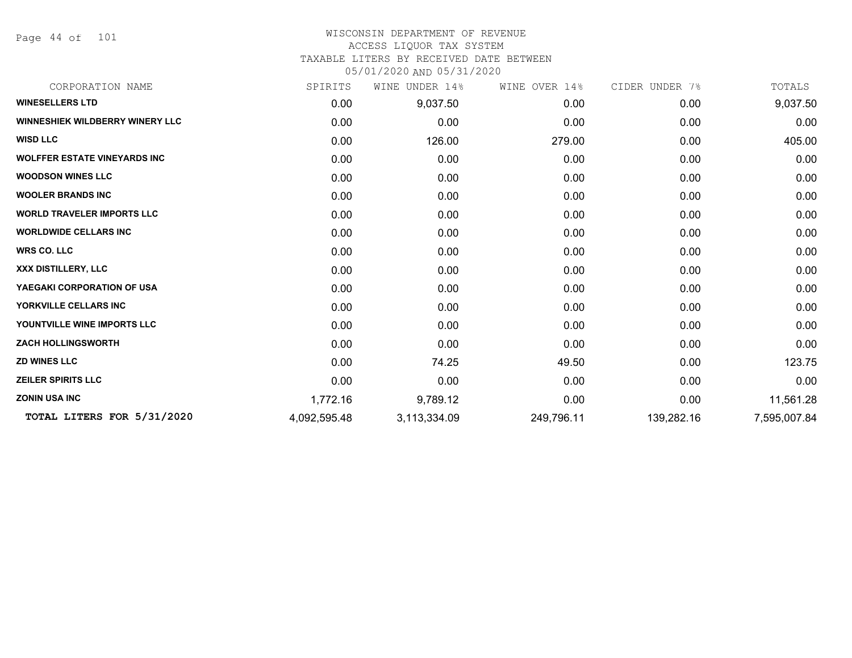Page 44 of 101

# WISCONSIN DEPARTMENT OF REVENUE ACCESS LIQUOR TAX SYSTEM

# TAXABLE LITERS BY RECEIVED DATE BETWEEN

| CORPORATION NAME                       | SPIRITS      | UNDER 14%<br>WINE | WINE OVER 14% | CIDER UNDER 7% | TOTALS       |
|----------------------------------------|--------------|-------------------|---------------|----------------|--------------|
| <b>WINESELLERS LTD</b>                 | 0.00         | 9,037.50          | 0.00          | 0.00           | 9,037.50     |
| <b>WINNESHIEK WILDBERRY WINERY LLC</b> | 0.00         | 0.00              | 0.00          | 0.00           | 0.00         |
| <b>WISD LLC</b>                        | 0.00         | 126.00            | 279.00        | 0.00           | 405.00       |
| <b>WOLFFER ESTATE VINEYARDS INC</b>    | 0.00         | 0.00              | 0.00          | 0.00           | 0.00         |
| <b>WOODSON WINES LLC</b>               | 0.00         | 0.00              | 0.00          | 0.00           | 0.00         |
| <b>WOOLER BRANDS INC</b>               | 0.00         | 0.00              | 0.00          | 0.00           | 0.00         |
| <b>WORLD TRAVELER IMPORTS LLC</b>      | 0.00         | 0.00              | 0.00          | 0.00           | 0.00         |
| <b>WORLDWIDE CELLARS INC</b>           | 0.00         | 0.00              | 0.00          | 0.00           | 0.00         |
| <b>WRS CO. LLC</b>                     | 0.00         | 0.00              | 0.00          | 0.00           | 0.00         |
| XXX DISTILLERY, LLC                    | 0.00         | 0.00              | 0.00          | 0.00           | 0.00         |
| YAEGAKI CORPORATION OF USA             | 0.00         | 0.00              | 0.00          | 0.00           | 0.00         |
| YORKVILLE CELLARS INC                  | 0.00         | 0.00              | 0.00          | 0.00           | 0.00         |
| YOUNTVILLE WINE IMPORTS LLC            | 0.00         | 0.00              | 0.00          | 0.00           | 0.00         |
| <b>ZACH HOLLINGSWORTH</b>              | 0.00         | 0.00              | 0.00          | 0.00           | 0.00         |
| <b>ZD WINES LLC</b>                    | 0.00         | 74.25             | 49.50         | 0.00           | 123.75       |
| <b>ZEILER SPIRITS LLC</b>              | 0.00         | 0.00              | 0.00          | 0.00           | 0.00         |
| <b>ZONIN USA INC</b>                   | 1,772.16     | 9,789.12          | 0.00          | 0.00           | 11,561.28    |
| TOTAL LITERS FOR 5/31/2020             | 4,092,595.48 | 3,113,334.09      | 249,796.11    | 139,282.16     | 7,595,007.84 |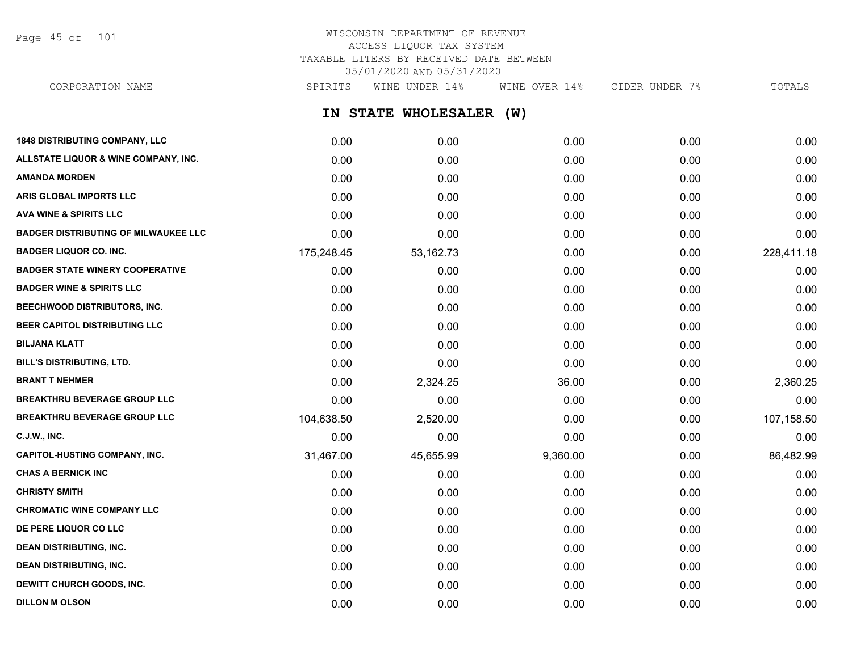Page 45 of 101

# WISCONSIN DEPARTMENT OF REVENUE ACCESS LIQUOR TAX SYSTEM TAXABLE LITERS BY RECEIVED DATE BETWEEN 05/01/2020 AND 05/31/2020

CORPORATION NAME SPIRITS WINE UNDER 14% WINE OVER 14% CIDER UNDER 7% TOTALS

**IN STATE WHOLESALER (W)**

| <b>1848 DISTRIBUTING COMPANY, LLC</b>       | 0.00       | 0.00      | 0.00     | 0.00 | 0.00       |
|---------------------------------------------|------------|-----------|----------|------|------------|
| ALLSTATE LIQUOR & WINE COMPANY, INC.        | 0.00       | 0.00      | 0.00     | 0.00 | 0.00       |
| <b>AMANDA MORDEN</b>                        | 0.00       | 0.00      | 0.00     | 0.00 | 0.00       |
| ARIS GLOBAL IMPORTS LLC                     | 0.00       | 0.00      | 0.00     | 0.00 | 0.00       |
| <b>AVA WINE &amp; SPIRITS LLC</b>           | 0.00       | 0.00      | 0.00     | 0.00 | 0.00       |
| <b>BADGER DISTRIBUTING OF MILWAUKEE LLC</b> | 0.00       | 0.00      | 0.00     | 0.00 | 0.00       |
| <b>BADGER LIQUOR CO. INC.</b>               | 175,248.45 | 53,162.73 | 0.00     | 0.00 | 228,411.18 |
| <b>BADGER STATE WINERY COOPERATIVE</b>      | 0.00       | 0.00      | 0.00     | 0.00 | 0.00       |
| <b>BADGER WINE &amp; SPIRITS LLC</b>        | 0.00       | 0.00      | 0.00     | 0.00 | 0.00       |
| BEECHWOOD DISTRIBUTORS, INC.                | 0.00       | 0.00      | 0.00     | 0.00 | 0.00       |
| BEER CAPITOL DISTRIBUTING LLC               | 0.00       | 0.00      | 0.00     | 0.00 | 0.00       |
| <b>BILJANA KLATT</b>                        | 0.00       | 0.00      | 0.00     | 0.00 | 0.00       |
| BILL'S DISTRIBUTING, LTD.                   | 0.00       | 0.00      | 0.00     | 0.00 | 0.00       |
| <b>BRANT T NEHMER</b>                       | 0.00       | 2,324.25  | 36.00    | 0.00 | 2,360.25   |
| <b>BREAKTHRU BEVERAGE GROUP LLC</b>         | 0.00       | 0.00      | 0.00     | 0.00 | 0.00       |
| <b>BREAKTHRU BEVERAGE GROUP LLC</b>         | 104,638.50 | 2,520.00  | 0.00     | 0.00 | 107,158.50 |
| <b>C.J.W., INC.</b>                         | 0.00       | 0.00      | 0.00     | 0.00 | 0.00       |
| <b>CAPITOL-HUSTING COMPANY, INC.</b>        | 31,467.00  | 45,655.99 | 9,360.00 | 0.00 | 86,482.99  |
| <b>CHAS A BERNICK INC</b>                   | 0.00       | 0.00      | 0.00     | 0.00 | 0.00       |
| <b>CHRISTY SMITH</b>                        | 0.00       | 0.00      | 0.00     | 0.00 | 0.00       |
| <b>CHROMATIC WINE COMPANY LLC</b>           | 0.00       | 0.00      | 0.00     | 0.00 | 0.00       |
| DE PERE LIQUOR CO LLC                       | 0.00       | 0.00      | 0.00     | 0.00 | 0.00       |
| <b>DEAN DISTRIBUTING, INC.</b>              | 0.00       | 0.00      | 0.00     | 0.00 | 0.00       |
| <b>DEAN DISTRIBUTING, INC.</b>              | 0.00       | 0.00      | 0.00     | 0.00 | 0.00       |
| DEWITT CHURCH GOODS, INC.                   | 0.00       | 0.00      | 0.00     | 0.00 | 0.00       |
| <b>DILLON M OLSON</b>                       | 0.00       | 0.00      | 0.00     | 0.00 | 0.00       |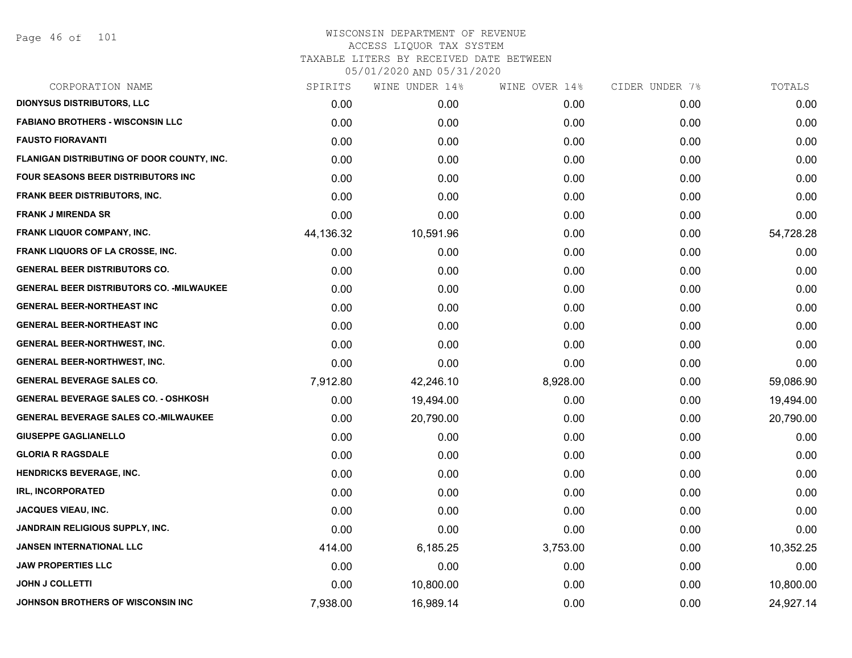| CORPORATION NAME                                 | SPIRITS   | WINE UNDER 14% | WINE OVER 14% | CIDER UNDER 7% | TOTALS    |
|--------------------------------------------------|-----------|----------------|---------------|----------------|-----------|
| <b>DIONYSUS DISTRIBUTORS, LLC</b>                | 0.00      | 0.00           | 0.00          | 0.00           | 0.00      |
| <b>FABIANO BROTHERS - WISCONSIN LLC</b>          | 0.00      | 0.00           | 0.00          | 0.00           | 0.00      |
| <b>FAUSTO FIORAVANTI</b>                         | 0.00      | 0.00           | 0.00          | 0.00           | 0.00      |
| FLANIGAN DISTRIBUTING OF DOOR COUNTY, INC.       | 0.00      | 0.00           | 0.00          | 0.00           | 0.00      |
| <b>FOUR SEASONS BEER DISTRIBUTORS INC</b>        | 0.00      | 0.00           | 0.00          | 0.00           | 0.00      |
| <b>FRANK BEER DISTRIBUTORS, INC.</b>             | 0.00      | 0.00           | 0.00          | 0.00           | 0.00      |
| <b>FRANK J MIRENDA SR</b>                        | 0.00      | 0.00           | 0.00          | 0.00           | 0.00      |
| <b>FRANK LIQUOR COMPANY, INC.</b>                | 44,136.32 | 10,591.96      | 0.00          | 0.00           | 54,728.28 |
| <b>FRANK LIQUORS OF LA CROSSE, INC.</b>          | 0.00      | 0.00           | 0.00          | 0.00           | 0.00      |
| <b>GENERAL BEER DISTRIBUTORS CO.</b>             | 0.00      | 0.00           | 0.00          | 0.00           | 0.00      |
| <b>GENERAL BEER DISTRIBUTORS CO. - MILWAUKEE</b> | 0.00      | 0.00           | 0.00          | 0.00           | 0.00      |
| <b>GENERAL BEER-NORTHEAST INC</b>                | 0.00      | 0.00           | 0.00          | 0.00           | 0.00      |
| <b>GENERAL BEER-NORTHEAST INC</b>                | 0.00      | 0.00           | 0.00          | 0.00           | 0.00      |
| <b>GENERAL BEER-NORTHWEST, INC.</b>              | 0.00      | 0.00           | 0.00          | 0.00           | 0.00      |
| <b>GENERAL BEER-NORTHWEST, INC.</b>              | 0.00      | 0.00           | 0.00          | 0.00           | 0.00      |
| <b>GENERAL BEVERAGE SALES CO.</b>                | 7,912.80  | 42,246.10      | 8,928.00      | 0.00           | 59,086.90 |
| <b>GENERAL BEVERAGE SALES CO. - OSHKOSH</b>      | 0.00      | 19,494.00      | 0.00          | 0.00           | 19,494.00 |
| <b>GENERAL BEVERAGE SALES CO.-MILWAUKEE</b>      | 0.00      | 20,790.00      | 0.00          | 0.00           | 20,790.00 |
| <b>GIUSEPPE GAGLIANELLO</b>                      | 0.00      | 0.00           | 0.00          | 0.00           | 0.00      |
| <b>GLORIA R RAGSDALE</b>                         | 0.00      | 0.00           | 0.00          | 0.00           | 0.00      |
| <b>HENDRICKS BEVERAGE, INC.</b>                  | 0.00      | 0.00           | 0.00          | 0.00           | 0.00      |
| <b>IRL, INCORPORATED</b>                         | 0.00      | 0.00           | 0.00          | 0.00           | 0.00      |
| <b>JACQUES VIEAU, INC.</b>                       | 0.00      | 0.00           | 0.00          | 0.00           | 0.00      |
| <b>JANDRAIN RELIGIOUS SUPPLY, INC.</b>           | 0.00      | 0.00           | 0.00          | 0.00           | 0.00      |
| JANSEN INTERNATIONAL LLC                         | 414.00    | 6,185.25       | 3,753.00      | 0.00           | 10,352.25 |
| <b>JAW PROPERTIES LLC</b>                        | 0.00      | 0.00           | 0.00          | 0.00           | 0.00      |
| <b>JOHN J COLLETTI</b>                           | 0.00      | 10,800.00      | 0.00          | 0.00           | 10,800.00 |
| JOHNSON BROTHERS OF WISCONSIN INC                | 7,938.00  | 16,989.14      | 0.00          | 0.00           | 24,927.14 |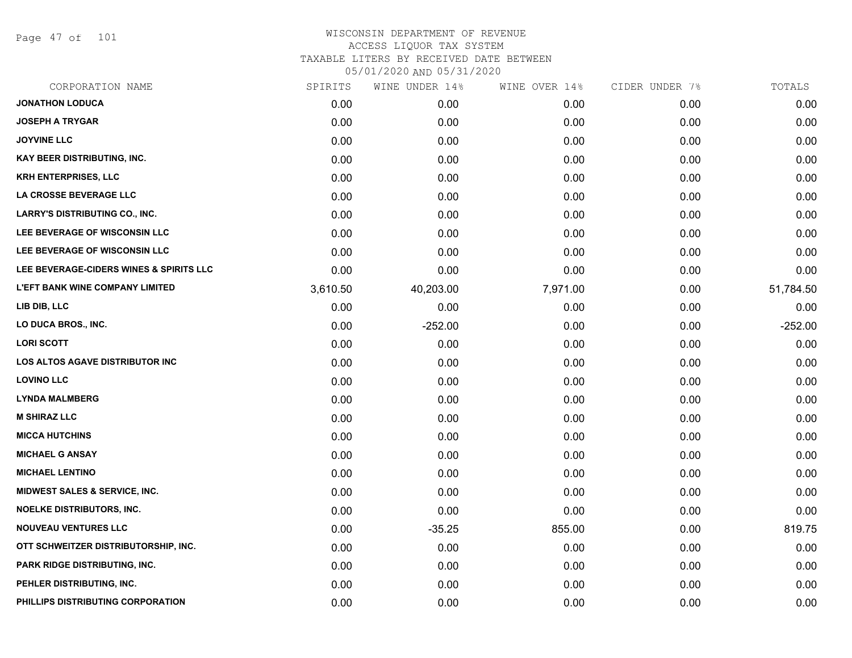Page 47 of 101

| CORPORATION NAME                        | SPIRITS  | WINE UNDER 14% | WINE OVER 14% | CIDER UNDER 7% | TOTALS    |
|-----------------------------------------|----------|----------------|---------------|----------------|-----------|
| <b>JONATHON LODUCA</b>                  | 0.00     | 0.00           | 0.00          | 0.00           | 0.00      |
| <b>JOSEPH A TRYGAR</b>                  | 0.00     | 0.00           | 0.00          | 0.00           | 0.00      |
| <b>JOYVINE LLC</b>                      | 0.00     | 0.00           | 0.00          | 0.00           | 0.00      |
| KAY BEER DISTRIBUTING, INC.             | 0.00     | 0.00           | 0.00          | 0.00           | 0.00      |
| <b>KRH ENTERPRISES, LLC</b>             | 0.00     | 0.00           | 0.00          | 0.00           | 0.00      |
| LA CROSSE BEVERAGE LLC                  | 0.00     | 0.00           | 0.00          | 0.00           | 0.00      |
| <b>LARRY'S DISTRIBUTING CO., INC.</b>   | 0.00     | 0.00           | 0.00          | 0.00           | 0.00      |
| LEE BEVERAGE OF WISCONSIN LLC           | 0.00     | 0.00           | 0.00          | 0.00           | 0.00      |
| LEE BEVERAGE OF WISCONSIN LLC           | 0.00     | 0.00           | 0.00          | 0.00           | 0.00      |
| LEE BEVERAGE-CIDERS WINES & SPIRITS LLC | 0.00     | 0.00           | 0.00          | 0.00           | 0.00      |
| <b>L'EFT BANK WINE COMPANY LIMITED</b>  | 3,610.50 | 40,203.00      | 7,971.00      | 0.00           | 51,784.50 |
| LIB DIB, LLC                            | 0.00     | 0.00           | 0.00          | 0.00           | 0.00      |
| LO DUCA BROS., INC.                     | 0.00     | $-252.00$      | 0.00          | 0.00           | $-252.00$ |
| <b>LORI SCOTT</b>                       | 0.00     | 0.00           | 0.00          | 0.00           | 0.00      |
| <b>LOS ALTOS AGAVE DISTRIBUTOR INC</b>  | 0.00     | 0.00           | 0.00          | 0.00           | 0.00      |
| <b>LOVINO LLC</b>                       | 0.00     | 0.00           | 0.00          | 0.00           | 0.00      |
| <b>LYNDA MALMBERG</b>                   | 0.00     | 0.00           | 0.00          | 0.00           | 0.00      |
| <b>M SHIRAZ LLC</b>                     | 0.00     | 0.00           | 0.00          | 0.00           | 0.00      |
| <b>MICCA HUTCHINS</b>                   | 0.00     | 0.00           | 0.00          | 0.00           | 0.00      |
| <b>MICHAEL G ANSAY</b>                  | 0.00     | 0.00           | 0.00          | 0.00           | 0.00      |
| <b>MICHAEL LENTINO</b>                  | 0.00     | 0.00           | 0.00          | 0.00           | 0.00      |
| MIDWEST SALES & SERVICE, INC.           | 0.00     | 0.00           | 0.00          | 0.00           | 0.00      |
| <b>NOELKE DISTRIBUTORS, INC.</b>        | 0.00     | 0.00           | 0.00          | 0.00           | 0.00      |
| <b>NOUVEAU VENTURES LLC</b>             | 0.00     | $-35.25$       | 855.00        | 0.00           | 819.75    |
| OTT SCHWEITZER DISTRIBUTORSHIP, INC.    | 0.00     | 0.00           | 0.00          | 0.00           | 0.00      |
| PARK RIDGE DISTRIBUTING, INC.           | 0.00     | 0.00           | 0.00          | 0.00           | 0.00      |
| PEHLER DISTRIBUTING, INC.               | 0.00     | 0.00           | 0.00          | 0.00           | 0.00      |
| PHILLIPS DISTRIBUTING CORPORATION       | 0.00     | 0.00           | 0.00          | 0.00           | 0.00      |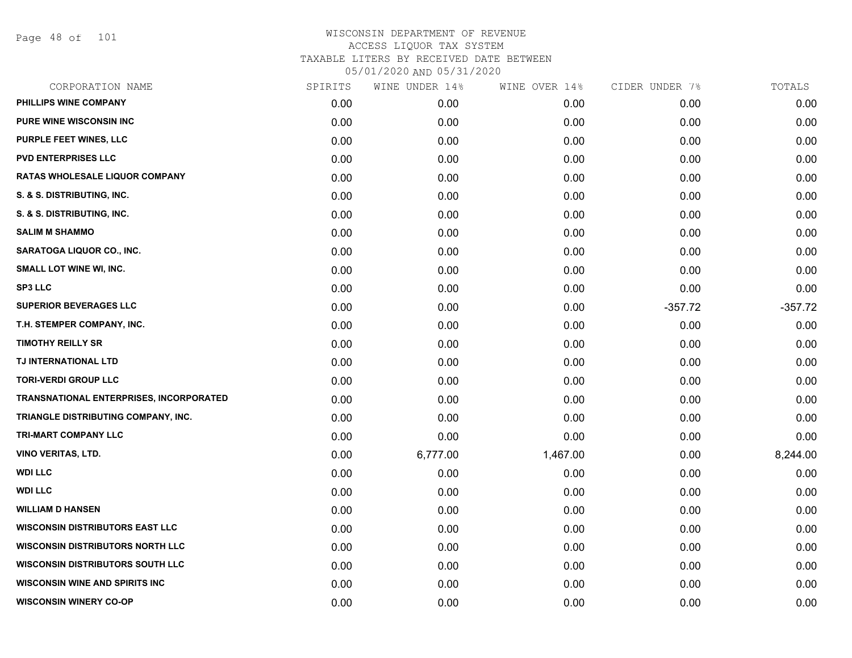Page 48 of 101

| CORPORATION NAME                               | SPIRITS | WINE UNDER 14% | WINE OVER 14% | CIDER UNDER 7% | TOTALS    |
|------------------------------------------------|---------|----------------|---------------|----------------|-----------|
| PHILLIPS WINE COMPANY                          | 0.00    | 0.00           | 0.00          | 0.00           | 0.00      |
| <b>PURE WINE WISCONSIN INC</b>                 | 0.00    | 0.00           | 0.00          | 0.00           | 0.00      |
| PURPLE FEET WINES, LLC                         | 0.00    | 0.00           | 0.00          | 0.00           | 0.00      |
| <b>PVD ENTERPRISES LLC</b>                     | 0.00    | 0.00           | 0.00          | 0.00           | 0.00      |
| <b>RATAS WHOLESALE LIQUOR COMPANY</b>          | 0.00    | 0.00           | 0.00          | 0.00           | 0.00      |
| S. & S. DISTRIBUTING, INC.                     | 0.00    | 0.00           | 0.00          | 0.00           | 0.00      |
| S. & S. DISTRIBUTING, INC.                     | 0.00    | 0.00           | 0.00          | 0.00           | 0.00      |
| <b>SALIM M SHAMMO</b>                          | 0.00    | 0.00           | 0.00          | 0.00           | 0.00      |
| SARATOGA LIQUOR CO., INC.                      | 0.00    | 0.00           | 0.00          | 0.00           | 0.00      |
| SMALL LOT WINE WI, INC.                        | 0.00    | 0.00           | 0.00          | 0.00           | 0.00      |
| <b>SP3 LLC</b>                                 | 0.00    | 0.00           | 0.00          | 0.00           | 0.00      |
| <b>SUPERIOR BEVERAGES LLC</b>                  | 0.00    | 0.00           | 0.00          | $-357.72$      | $-357.72$ |
| T.H. STEMPER COMPANY, INC.                     | 0.00    | 0.00           | 0.00          | 0.00           | 0.00      |
| <b>TIMOTHY REILLY SR</b>                       | 0.00    | 0.00           | 0.00          | 0.00           | 0.00      |
| TJ INTERNATIONAL LTD                           | 0.00    | 0.00           | 0.00          | 0.00           | 0.00      |
| <b>TORI-VERDI GROUP LLC</b>                    | 0.00    | 0.00           | 0.00          | 0.00           | 0.00      |
| <b>TRANSNATIONAL ENTERPRISES, INCORPORATED</b> | 0.00    | 0.00           | 0.00          | 0.00           | 0.00      |
| TRIANGLE DISTRIBUTING COMPANY, INC.            | 0.00    | 0.00           | 0.00          | 0.00           | 0.00      |
| <b>TRI-MART COMPANY LLC</b>                    | 0.00    | 0.00           | 0.00          | 0.00           | 0.00      |
| <b>VINO VERITAS, LTD.</b>                      | 0.00    | 6,777.00       | 1,467.00      | 0.00           | 8,244.00  |
| <b>WDI LLC</b>                                 | 0.00    | 0.00           | 0.00          | 0.00           | 0.00      |
| <b>WDI LLC</b>                                 | 0.00    | 0.00           | 0.00          | 0.00           | 0.00      |
| <b>WILLIAM D HANSEN</b>                        | 0.00    | 0.00           | 0.00          | 0.00           | 0.00      |
| <b>WISCONSIN DISTRIBUTORS EAST LLC</b>         | 0.00    | 0.00           | 0.00          | 0.00           | 0.00      |
| <b>WISCONSIN DISTRIBUTORS NORTH LLC</b>        | 0.00    | 0.00           | 0.00          | 0.00           | 0.00      |
| <b>WISCONSIN DISTRIBUTORS SOUTH LLC</b>        | 0.00    | 0.00           | 0.00          | 0.00           | 0.00      |
| <b>WISCONSIN WINE AND SPIRITS INC</b>          | 0.00    | 0.00           | 0.00          | 0.00           | 0.00      |
| <b>WISCONSIN WINERY CO-OP</b>                  | 0.00    | 0.00           | 0.00          | 0.00           | 0.00      |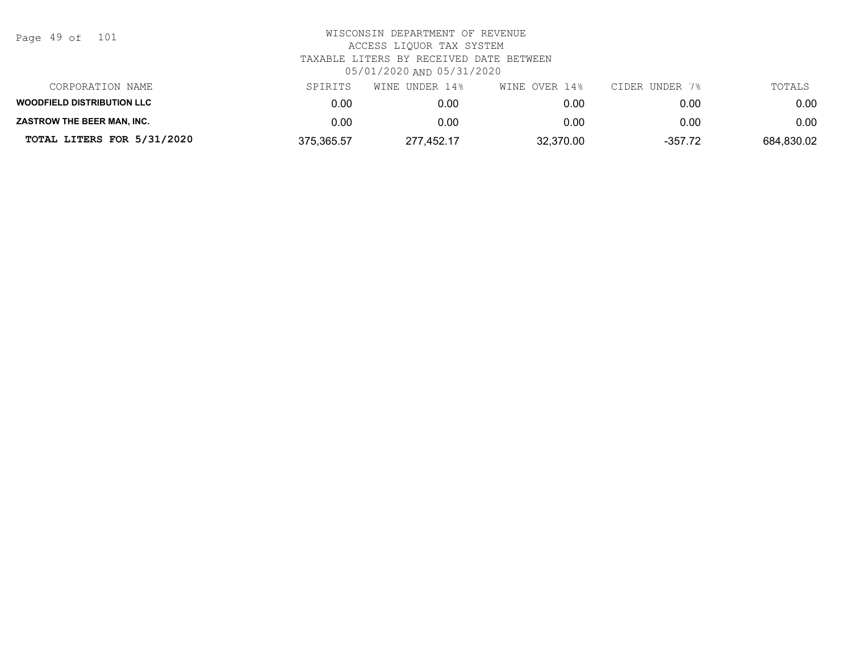| Page 49 of |  |  | 101 |
|------------|--|--|-----|
|------------|--|--|-----|

| CORPORATION NAME                  | SPIRITS    | WINE UNDER 14%    | WINE OVER 14% | CIDER UNDER 7% | TOTALS     |
|-----------------------------------|------------|-------------------|---------------|----------------|------------|
| <b>WOODFIELD DISTRIBUTION LLC</b> | 0.OC       | 0.00 <sub>1</sub> | 0.00          | 0.00           | 0.00       |
| <b>ZASTROW THE BEER MAN. INC.</b> | 0.00       | 0.00              | 0.00          | 0.00           | 0.00       |
| TOTAL LITERS FOR 5/31/2020        | 375,365.57 | 277.452.17        | 32,370.00     | -357.72        | 684,830.02 |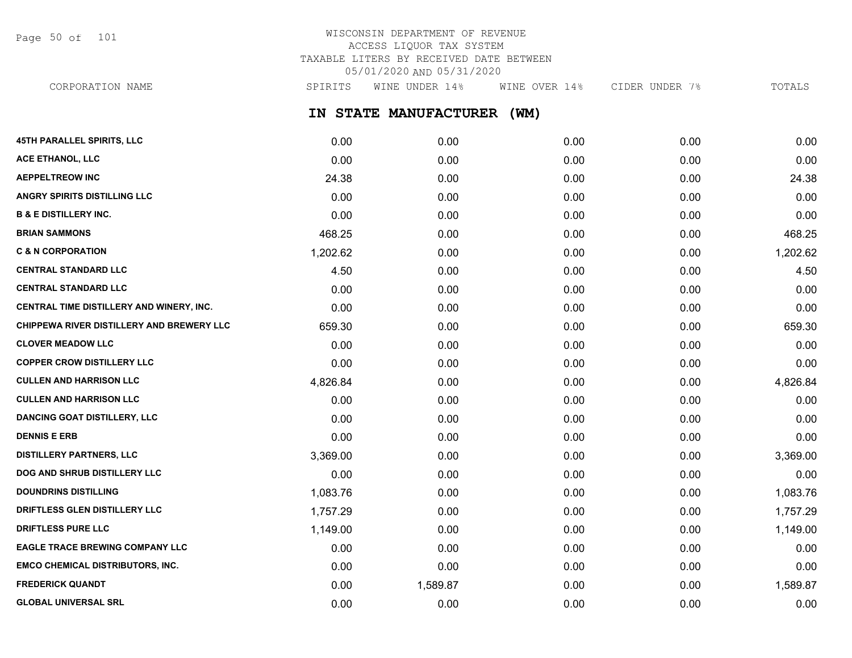Page 50 of 101

# WISCONSIN DEPARTMENT OF REVENUE ACCESS LIQUOR TAX SYSTEM TAXABLE LITERS BY RECEIVED DATE BETWEEN 05/01/2020 AND 05/31/2020

**IN STATE MANUFACTURER (WM)** CORPORATION NAME SPIRITS WINE UNDER 14% WINE OVER 14% CIDER UNDER 7% TOTALS

| <b>45TH PARALLEL SPIRITS, LLC</b>                | 0.00     | 0.00     | 0.00 | 0.00 | 0.00     |
|--------------------------------------------------|----------|----------|------|------|----------|
| ACE ETHANOL, LLC                                 | 0.00     | 0.00     | 0.00 | 0.00 | 0.00     |
| <b>AEPPELTREOW INC</b>                           | 24.38    | 0.00     | 0.00 | 0.00 | 24.38    |
| ANGRY SPIRITS DISTILLING LLC                     | 0.00     | 0.00     | 0.00 | 0.00 | 0.00     |
| <b>B &amp; E DISTILLERY INC.</b>                 | 0.00     | 0.00     | 0.00 | 0.00 | 0.00     |
| <b>BRIAN SAMMONS</b>                             | 468.25   | 0.00     | 0.00 | 0.00 | 468.25   |
| <b>C &amp; N CORPORATION</b>                     | 1,202.62 | 0.00     | 0.00 | 0.00 | 1,202.62 |
| <b>CENTRAL STANDARD LLC</b>                      | 4.50     | 0.00     | 0.00 | 0.00 | 4.50     |
| <b>CENTRAL STANDARD LLC</b>                      | 0.00     | 0.00     | 0.00 | 0.00 | 0.00     |
| CENTRAL TIME DISTILLERY AND WINERY, INC.         | 0.00     | 0.00     | 0.00 | 0.00 | 0.00     |
| <b>CHIPPEWA RIVER DISTILLERY AND BREWERY LLC</b> | 659.30   | 0.00     | 0.00 | 0.00 | 659.30   |
| <b>CLOVER MEADOW LLC</b>                         | 0.00     | 0.00     | 0.00 | 0.00 | 0.00     |
| <b>COPPER CROW DISTILLERY LLC</b>                | 0.00     | 0.00     | 0.00 | 0.00 | 0.00     |
| <b>CULLEN AND HARRISON LLC</b>                   | 4,826.84 | 0.00     | 0.00 | 0.00 | 4,826.84 |
| <b>CULLEN AND HARRISON LLC</b>                   | 0.00     | 0.00     | 0.00 | 0.00 | 0.00     |
| <b>DANCING GOAT DISTILLERY, LLC</b>              | 0.00     | 0.00     | 0.00 | 0.00 | 0.00     |
| <b>DENNIS E ERB</b>                              | 0.00     | 0.00     | 0.00 | 0.00 | 0.00     |
| <b>DISTILLERY PARTNERS, LLC</b>                  | 3,369.00 | 0.00     | 0.00 | 0.00 | 3,369.00 |
| DOG AND SHRUB DISTILLERY LLC                     | 0.00     | 0.00     | 0.00 | 0.00 | 0.00     |
| <b>DOUNDRINS DISTILLING</b>                      | 1,083.76 | 0.00     | 0.00 | 0.00 | 1,083.76 |
| DRIFTLESS GLEN DISTILLERY LLC                    | 1,757.29 | 0.00     | 0.00 | 0.00 | 1,757.29 |
| <b>DRIFTLESS PURE LLC</b>                        | 1,149.00 | 0.00     | 0.00 | 0.00 | 1,149.00 |
| <b>EAGLE TRACE BREWING COMPANY LLC</b>           | 0.00     | 0.00     | 0.00 | 0.00 | 0.00     |
| <b>EMCO CHEMICAL DISTRIBUTORS, INC.</b>          | 0.00     | 0.00     | 0.00 | 0.00 | 0.00     |
| <b>FREDERICK QUANDT</b>                          | 0.00     | 1,589.87 | 0.00 | 0.00 | 1,589.87 |
| <b>GLOBAL UNIVERSAL SRL</b>                      | 0.00     | 0.00     | 0.00 | 0.00 | 0.00     |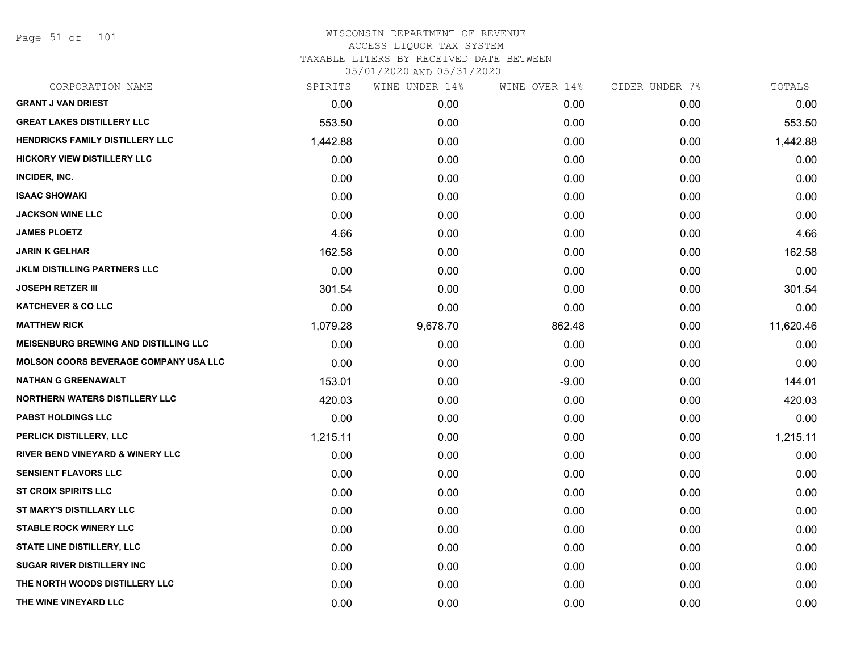Page 51 of 101

| CORPORATION NAME                             | SPIRITS  | WINE UNDER 14% | WINE OVER 14% | CIDER UNDER 7% | TOTALS    |
|----------------------------------------------|----------|----------------|---------------|----------------|-----------|
| <b>GRANT J VAN DRIEST</b>                    | 0.00     | 0.00           | 0.00          | 0.00           | 0.00      |
| <b>GREAT LAKES DISTILLERY LLC</b>            | 553.50   | 0.00           | 0.00          | 0.00           | 553.50    |
| HENDRICKS FAMILY DISTILLERY LLC              | 1,442.88 | 0.00           | 0.00          | 0.00           | 1,442.88  |
| <b>HICKORY VIEW DISTILLERY LLC</b>           | 0.00     | 0.00           | 0.00          | 0.00           | 0.00      |
| INCIDER, INC.                                | 0.00     | 0.00           | 0.00          | 0.00           | 0.00      |
| <b>ISAAC SHOWAKI</b>                         | 0.00     | 0.00           | 0.00          | 0.00           | 0.00      |
| <b>JACKSON WINE LLC</b>                      | 0.00     | 0.00           | 0.00          | 0.00           | 0.00      |
| <b>JAMES PLOETZ</b>                          | 4.66     | 0.00           | 0.00          | 0.00           | 4.66      |
| <b>JARIN K GELHAR</b>                        | 162.58   | 0.00           | 0.00          | 0.00           | 162.58    |
| <b>JKLM DISTILLING PARTNERS LLC</b>          | 0.00     | 0.00           | 0.00          | 0.00           | 0.00      |
| <b>JOSEPH RETZER III</b>                     | 301.54   | 0.00           | 0.00          | 0.00           | 301.54    |
| <b>KATCHEVER &amp; CO LLC</b>                | 0.00     | 0.00           | 0.00          | 0.00           | 0.00      |
| <b>MATTHEW RICK</b>                          | 1,079.28 | 9,678.70       | 862.48        | 0.00           | 11,620.46 |
| <b>MEISENBURG BREWING AND DISTILLING LLC</b> | 0.00     | 0.00           | 0.00          | 0.00           | 0.00      |
| <b>MOLSON COORS BEVERAGE COMPANY USA LLC</b> | 0.00     | 0.00           | 0.00          | 0.00           | 0.00      |
| <b>NATHAN G GREENAWALT</b>                   | 153.01   | 0.00           | $-9.00$       | 0.00           | 144.01    |
| <b>NORTHERN WATERS DISTILLERY LLC</b>        | 420.03   | 0.00           | 0.00          | 0.00           | 420.03    |
| <b>PABST HOLDINGS LLC</b>                    | 0.00     | 0.00           | 0.00          | 0.00           | 0.00      |
| PERLICK DISTILLERY, LLC                      | 1,215.11 | 0.00           | 0.00          | 0.00           | 1,215.11  |
| <b>RIVER BEND VINEYARD &amp; WINERY LLC</b>  | 0.00     | 0.00           | 0.00          | 0.00           | 0.00      |
| <b>SENSIENT FLAVORS LLC</b>                  | 0.00     | 0.00           | 0.00          | 0.00           | 0.00      |
| <b>ST CROIX SPIRITS LLC</b>                  | 0.00     | 0.00           | 0.00          | 0.00           | 0.00      |
| ST MARY'S DISTILLARY LLC                     | 0.00     | 0.00           | 0.00          | 0.00           | 0.00      |
| <b>STABLE ROCK WINERY LLC</b>                | 0.00     | 0.00           | 0.00          | 0.00           | 0.00      |
| STATE LINE DISTILLERY, LLC                   | 0.00     | 0.00           | 0.00          | 0.00           | 0.00      |
| <b>SUGAR RIVER DISTILLERY INC</b>            | 0.00     | 0.00           | 0.00          | 0.00           | 0.00      |
| THE NORTH WOODS DISTILLERY LLC               | 0.00     | 0.00           | 0.00          | 0.00           | 0.00      |
| THE WINE VINEYARD LLC                        | 0.00     | 0.00           | 0.00          | 0.00           | 0.00      |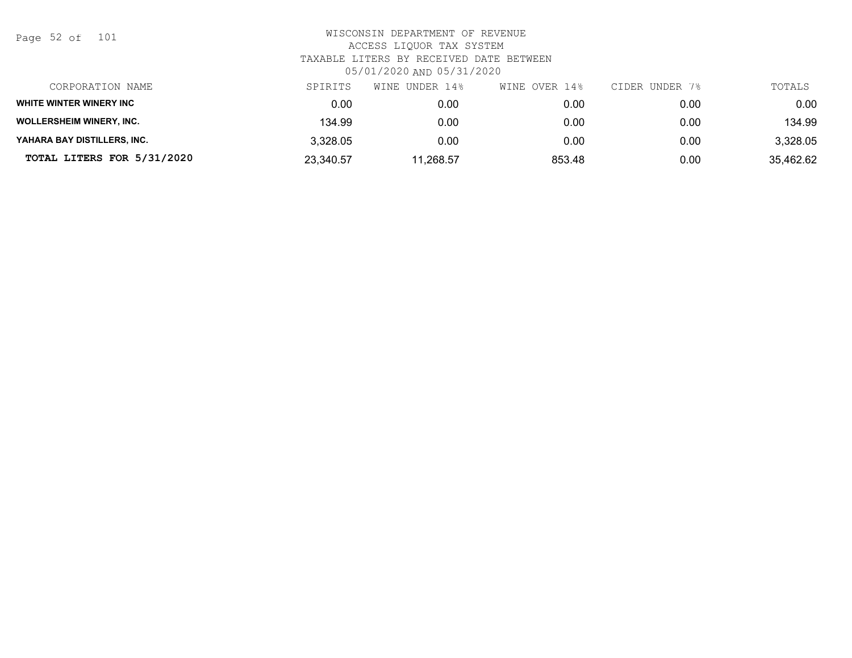Page 52 of 101

| CORPORATION NAME                | SPIRITS   | WINE<br>UNDER 14% | WINE OVER 14% | CIDER UNDER 7% | TOTALS    |
|---------------------------------|-----------|-------------------|---------------|----------------|-----------|
| WHITE WINTER WINERY INC         | 0.00      | 0.00              | 0.00          | 0.00           | 0.00      |
| <b>WOLLERSHEIM WINERY, INC.</b> | 134.99    | 0.00              | 0.00          | 0.00           | 134.99    |
| YAHARA BAY DISTILLERS, INC.     | 3,328.05  | 0.00              | 0.00          | 0.00           | 3,328.05  |
| TOTAL LITERS FOR 5/31/2020      | 23,340.57 | 11,268.57         | 853.48        | 0.00           | 35,462.62 |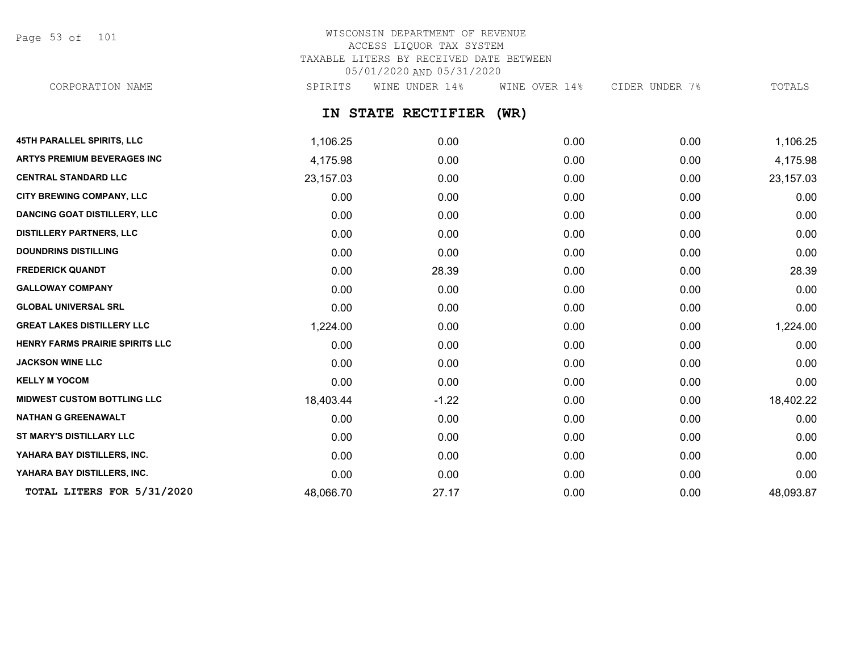Page 53 of 101

### WISCONSIN DEPARTMENT OF REVENUE ACCESS LIQUOR TAX SYSTEM TAXABLE LITERS BY RECEIVED DATE BETWEEN 05/01/2020 AND 05/31/2020 CORPORATION NAME SPIRITS WINE UNDER 14% WINE OVER 14% CIDER UNDER 7% TOTALS

### **IN STATE RECTIFIER (WR)**

| 45TH PARALLEL SPIRITS, LLC          | 1,106.25  | 0.00    | 0.00 | 0.00 | 1,106.25  |
|-------------------------------------|-----------|---------|------|------|-----------|
| <b>ARTYS PREMIUM BEVERAGES INC</b>  | 4,175.98  | 0.00    | 0.00 | 0.00 | 4,175.98  |
| <b>CENTRAL STANDARD LLC</b>         | 23,157.03 | 0.00    | 0.00 | 0.00 | 23,157.03 |
| CITY BREWING COMPANY, LLC           | 0.00      | 0.00    | 0.00 | 0.00 | 0.00      |
| <b>DANCING GOAT DISTILLERY, LLC</b> | 0.00      | 0.00    | 0.00 | 0.00 | 0.00      |
| <b>DISTILLERY PARTNERS, LLC</b>     | 0.00      | 0.00    | 0.00 | 0.00 | 0.00      |
| <b>DOUNDRINS DISTILLING</b>         | 0.00      | 0.00    | 0.00 | 0.00 | 0.00      |
| <b>FREDERICK QUANDT</b>             | 0.00      | 28.39   | 0.00 | 0.00 | 28.39     |
| <b>GALLOWAY COMPANY</b>             | 0.00      | 0.00    | 0.00 | 0.00 | 0.00      |
| <b>GLOBAL UNIVERSAL SRL</b>         | 0.00      | 0.00    | 0.00 | 0.00 | 0.00      |
| <b>GREAT LAKES DISTILLERY LLC</b>   | 1,224.00  | 0.00    | 0.00 | 0.00 | 1,224.00  |
| HENRY FARMS PRAIRIE SPIRITS LLC     | 0.00      | 0.00    | 0.00 | 0.00 | 0.00      |
| <b>JACKSON WINE LLC</b>             | 0.00      | 0.00    | 0.00 | 0.00 | 0.00      |
| <b>KELLY M YOCOM</b>                | 0.00      | 0.00    | 0.00 | 0.00 | 0.00      |
| <b>MIDWEST CUSTOM BOTTLING LLC</b>  | 18,403.44 | $-1.22$ | 0.00 | 0.00 | 18,402.22 |
| NATHAN G GREENAWALT                 | 0.00      | 0.00    | 0.00 | 0.00 | 0.00      |
| ST MARY'S DISTILLARY LLC            | 0.00      | 0.00    | 0.00 | 0.00 | 0.00      |
| YAHARA BAY DISTILLERS, INC.         | 0.00      | 0.00    | 0.00 | 0.00 | 0.00      |
| YAHARA BAY DISTILLERS, INC.         | 0.00      | 0.00    | 0.00 | 0.00 | 0.00      |
| TOTAL LITERS FOR 5/31/2020          | 48,066.70 | 27.17   | 0.00 | 0.00 | 48,093.87 |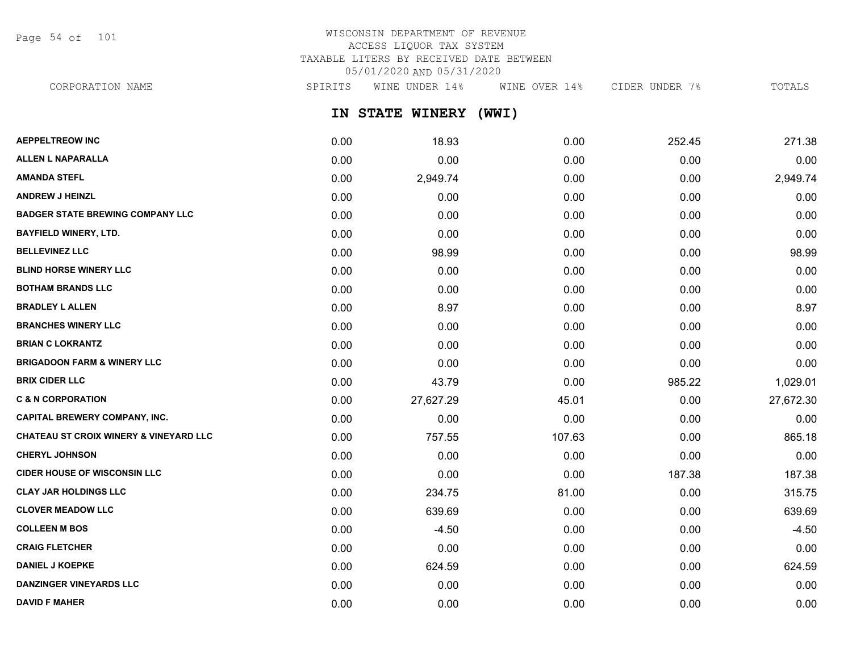Page 54 of 101

# WISCONSIN DEPARTMENT OF REVENUE ACCESS LIQUOR TAX SYSTEM TAXABLE LITERS BY RECEIVED DATE BETWEEN 05/01/2020 AND 05/31/2020

CORPORATION NAME SPIRITS WINE UNDER 14% WINE OVER 14% CIDER UNDER 7% TOTALS

**IN STATE WINERY (WWI)**

| <b>AEPPELTREOW INC</b>                            | 0.00 | 18.93     | 0.00   | 252.45 | 271.38    |
|---------------------------------------------------|------|-----------|--------|--------|-----------|
| <b>ALLEN L NAPARALLA</b>                          | 0.00 | 0.00      | 0.00   | 0.00   | 0.00      |
| <b>AMANDA STEFL</b>                               | 0.00 | 2,949.74  | 0.00   | 0.00   | 2,949.74  |
| <b>ANDREW J HEINZL</b>                            | 0.00 | 0.00      | 0.00   | 0.00   | 0.00      |
| <b>BADGER STATE BREWING COMPANY LLC</b>           | 0.00 | 0.00      | 0.00   | 0.00   | 0.00      |
| <b>BAYFIELD WINERY, LTD.</b>                      | 0.00 | 0.00      | 0.00   | 0.00   | 0.00      |
| <b>BELLEVINEZ LLC</b>                             | 0.00 | 98.99     | 0.00   | 0.00   | 98.99     |
| <b>BLIND HORSE WINERY LLC</b>                     | 0.00 | 0.00      | 0.00   | 0.00   | 0.00      |
| <b>BOTHAM BRANDS LLC</b>                          | 0.00 | 0.00      | 0.00   | 0.00   | 0.00      |
| <b>BRADLEY L ALLEN</b>                            | 0.00 | 8.97      | 0.00   | 0.00   | 8.97      |
| <b>BRANCHES WINERY LLC</b>                        | 0.00 | 0.00      | 0.00   | 0.00   | 0.00      |
| <b>BRIAN C LOKRANTZ</b>                           | 0.00 | 0.00      | 0.00   | 0.00   | 0.00      |
| <b>BRIGADOON FARM &amp; WINERY LLC</b>            | 0.00 | 0.00      | 0.00   | 0.00   | 0.00      |
| <b>BRIX CIDER LLC</b>                             | 0.00 | 43.79     | 0.00   | 985.22 | 1,029.01  |
| <b>C &amp; N CORPORATION</b>                      | 0.00 | 27,627.29 | 45.01  | 0.00   | 27,672.30 |
| <b>CAPITAL BREWERY COMPANY, INC.</b>              | 0.00 | 0.00      | 0.00   | 0.00   | 0.00      |
| <b>CHATEAU ST CROIX WINERY &amp; VINEYARD LLC</b> | 0.00 | 757.55    | 107.63 | 0.00   | 865.18    |
| <b>CHERYL JOHNSON</b>                             | 0.00 | 0.00      | 0.00   | 0.00   | 0.00      |
| <b>CIDER HOUSE OF WISCONSIN LLC</b>               | 0.00 | 0.00      | 0.00   | 187.38 | 187.38    |
| <b>CLAY JAR HOLDINGS LLC</b>                      | 0.00 | 234.75    | 81.00  | 0.00   | 315.75    |
| <b>CLOVER MEADOW LLC</b>                          | 0.00 | 639.69    | 0.00   | 0.00   | 639.69    |
| <b>COLLEEN M BOS</b>                              | 0.00 | $-4.50$   | 0.00   | 0.00   | $-4.50$   |
| <b>CRAIG FLETCHER</b>                             | 0.00 | 0.00      | 0.00   | 0.00   | 0.00      |
| <b>DANIEL J KOEPKE</b>                            | 0.00 | 624.59    | 0.00   | 0.00   | 624.59    |
| <b>DANZINGER VINEYARDS LLC</b>                    | 0.00 | 0.00      | 0.00   | 0.00   | 0.00      |
| <b>DAVID F MAHER</b>                              | 0.00 | 0.00      | 0.00   | 0.00   | 0.00      |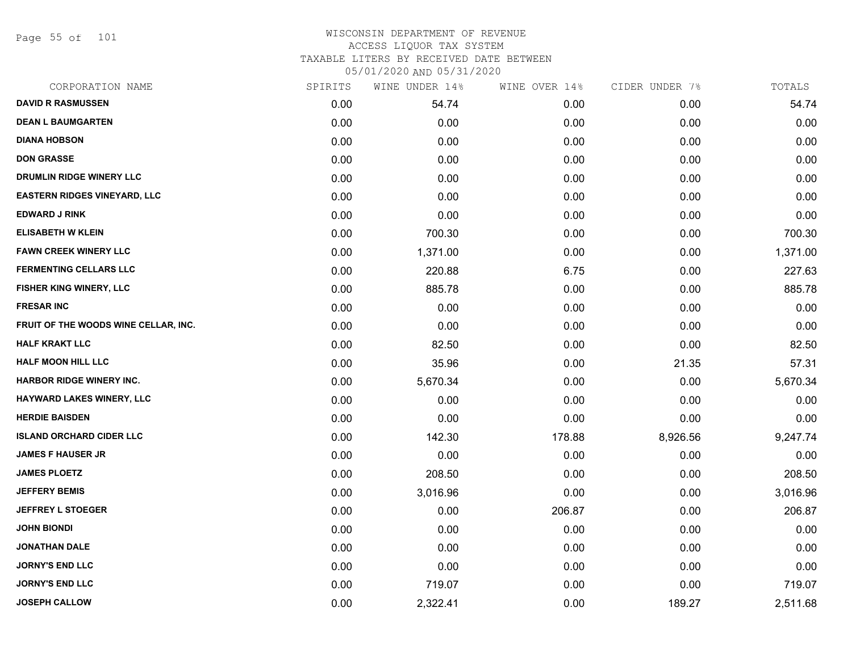Page 55 of 101

| CORPORATION NAME                     | SPIRITS | WINE UNDER 14% | WINE OVER 14% | CIDER UNDER 7% | TOTALS   |
|--------------------------------------|---------|----------------|---------------|----------------|----------|
| <b>DAVID R RASMUSSEN</b>             | 0.00    | 54.74          | 0.00          | 0.00           | 54.74    |
| <b>DEAN L BAUMGARTEN</b>             | 0.00    | 0.00           | 0.00          | 0.00           | 0.00     |
| <b>DIANA HOBSON</b>                  | 0.00    | 0.00           | 0.00          | 0.00           | 0.00     |
| <b>DON GRASSE</b>                    | 0.00    | 0.00           | 0.00          | 0.00           | 0.00     |
| DRUMLIN RIDGE WINERY LLC             | 0.00    | 0.00           | 0.00          | 0.00           | 0.00     |
| <b>EASTERN RIDGES VINEYARD, LLC</b>  | 0.00    | 0.00           | 0.00          | 0.00           | 0.00     |
| <b>EDWARD J RINK</b>                 | 0.00    | 0.00           | 0.00          | 0.00           | 0.00     |
| <b>ELISABETH W KLEIN</b>             | 0.00    | 700.30         | 0.00          | 0.00           | 700.30   |
| <b>FAWN CREEK WINERY LLC</b>         | 0.00    | 1,371.00       | 0.00          | 0.00           | 1,371.00 |
| <b>FERMENTING CELLARS LLC</b>        | 0.00    | 220.88         | 6.75          | 0.00           | 227.63   |
| FISHER KING WINERY, LLC              | 0.00    | 885.78         | 0.00          | 0.00           | 885.78   |
| <b>FRESAR INC</b>                    | 0.00    | 0.00           | 0.00          | 0.00           | 0.00     |
| FRUIT OF THE WOODS WINE CELLAR, INC. | 0.00    | 0.00           | 0.00          | 0.00           | 0.00     |
| <b>HALF KRAKT LLC</b>                | 0.00    | 82.50          | 0.00          | 0.00           | 82.50    |
| <b>HALF MOON HILL LLC</b>            | 0.00    | 35.96          | 0.00          | 21.35          | 57.31    |
| HARBOR RIDGE WINERY INC.             | 0.00    | 5,670.34       | 0.00          | 0.00           | 5,670.34 |
| HAYWARD LAKES WINERY, LLC            | 0.00    | 0.00           | 0.00          | 0.00           | 0.00     |
| <b>HERDIE BAISDEN</b>                | 0.00    | 0.00           | 0.00          | 0.00           | 0.00     |
| <b>ISLAND ORCHARD CIDER LLC</b>      | 0.00    | 142.30         | 178.88        | 8,926.56       | 9,247.74 |
| <b>JAMES F HAUSER JR</b>             | 0.00    | 0.00           | 0.00          | 0.00           | 0.00     |
| <b>JAMES PLOETZ</b>                  | 0.00    | 208.50         | 0.00          | 0.00           | 208.50   |
| <b>JEFFERY BEMIS</b>                 | 0.00    | 3,016.96       | 0.00          | 0.00           | 3,016.96 |
| <b>JEFFREY L STOEGER</b>             | 0.00    | 0.00           | 206.87        | 0.00           | 206.87   |
| <b>JOHN BIONDI</b>                   | 0.00    | 0.00           | 0.00          | 0.00           | 0.00     |
| <b>JONATHAN DALE</b>                 | 0.00    | 0.00           | 0.00          | 0.00           | 0.00     |
| <b>JORNY'S END LLC</b>               | 0.00    | 0.00           | 0.00          | 0.00           | 0.00     |
| <b>JORNY'S END LLC</b>               | 0.00    | 719.07         | 0.00          | 0.00           | 719.07   |
| <b>JOSEPH CALLOW</b>                 | 0.00    | 2,322.41       | 0.00          | 189.27         | 2,511.68 |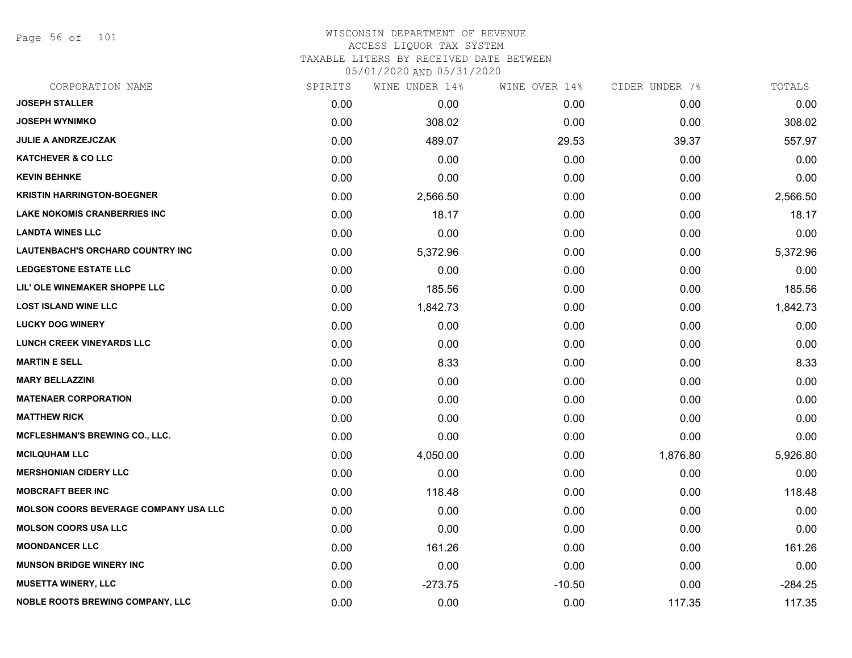Page 56 of 101

| CORPORATION NAME                             | SPIRITS | WINE UNDER 14% | WINE OVER 14% | CIDER UNDER 7% | TOTALS    |
|----------------------------------------------|---------|----------------|---------------|----------------|-----------|
| <b>JOSEPH STALLER</b>                        | 0.00    | 0.00           | 0.00          | 0.00           | 0.00      |
| <b>JOSEPH WYNIMKO</b>                        | 0.00    | 308.02         | 0.00          | 0.00           | 308.02    |
| JULIE A ANDRZEJCZAK                          | 0.00    | 489.07         | 29.53         | 39.37          | 557.97    |
| <b>KATCHEVER &amp; CO LLC</b>                | 0.00    | 0.00           | 0.00          | 0.00           | 0.00      |
| <b>KEVIN BEHNKE</b>                          | 0.00    | 0.00           | 0.00          | 0.00           | 0.00      |
| <b>KRISTIN HARRINGTON-BOEGNER</b>            | 0.00    | 2,566.50       | 0.00          | 0.00           | 2,566.50  |
| <b>LAKE NOKOMIS CRANBERRIES INC</b>          | 0.00    | 18.17          | 0.00          | 0.00           | 18.17     |
| <b>LANDTA WINES LLC</b>                      | 0.00    | 0.00           | 0.00          | 0.00           | 0.00      |
| <b>LAUTENBACH'S ORCHARD COUNTRY INC</b>      | 0.00    | 5,372.96       | 0.00          | 0.00           | 5,372.96  |
| <b>LEDGESTONE ESTATE LLC</b>                 | 0.00    | 0.00           | 0.00          | 0.00           | 0.00      |
| LIL' OLE WINEMAKER SHOPPE LLC                | 0.00    | 185.56         | 0.00          | 0.00           | 185.56    |
| <b>LOST ISLAND WINE LLC</b>                  | 0.00    | 1,842.73       | 0.00          | 0.00           | 1,842.73  |
| <b>LUCKY DOG WINERY</b>                      | 0.00    | 0.00           | 0.00          | 0.00           | 0.00      |
| <b>LUNCH CREEK VINEYARDS LLC</b>             | 0.00    | 0.00           | 0.00          | 0.00           | 0.00      |
| <b>MARTIN E SELL</b>                         | 0.00    | 8.33           | 0.00          | 0.00           | 8.33      |
| <b>MARY BELLAZZINI</b>                       | 0.00    | 0.00           | 0.00          | 0.00           | 0.00      |
| <b>MATENAER CORPORATION</b>                  | 0.00    | 0.00           | 0.00          | 0.00           | 0.00      |
| <b>MATTHEW RICK</b>                          | 0.00    | 0.00           | 0.00          | 0.00           | 0.00      |
| MCFLESHMAN'S BREWING CO., LLC.               | 0.00    | 0.00           | 0.00          | 0.00           | 0.00      |
| <b>MCILQUHAM LLC</b>                         | 0.00    | 4,050.00       | 0.00          | 1,876.80       | 5,926.80  |
| <b>MERSHONIAN CIDERY LLC</b>                 | 0.00    | 0.00           | 0.00          | 0.00           | 0.00      |
| <b>MOBCRAFT BEER INC</b>                     | 0.00    | 118.48         | 0.00          | 0.00           | 118.48    |
| <b>MOLSON COORS BEVERAGE COMPANY USA LLC</b> | 0.00    | 0.00           | 0.00          | 0.00           | 0.00      |
| <b>MOLSON COORS USA LLC</b>                  | 0.00    | 0.00           | 0.00          | 0.00           | 0.00      |
| <b>MOONDANCER LLC</b>                        | 0.00    | 161.26         | 0.00          | 0.00           | 161.26    |
| <b>MUNSON BRIDGE WINERY INC</b>              | 0.00    | 0.00           | 0.00          | 0.00           | 0.00      |
| <b>MUSETTA WINERY, LLC</b>                   | 0.00    | $-273.75$      | $-10.50$      | 0.00           | $-284.25$ |
| NOBLE ROOTS BREWING COMPANY, LLC             | 0.00    | 0.00           | 0.00          | 117.35         | 117.35    |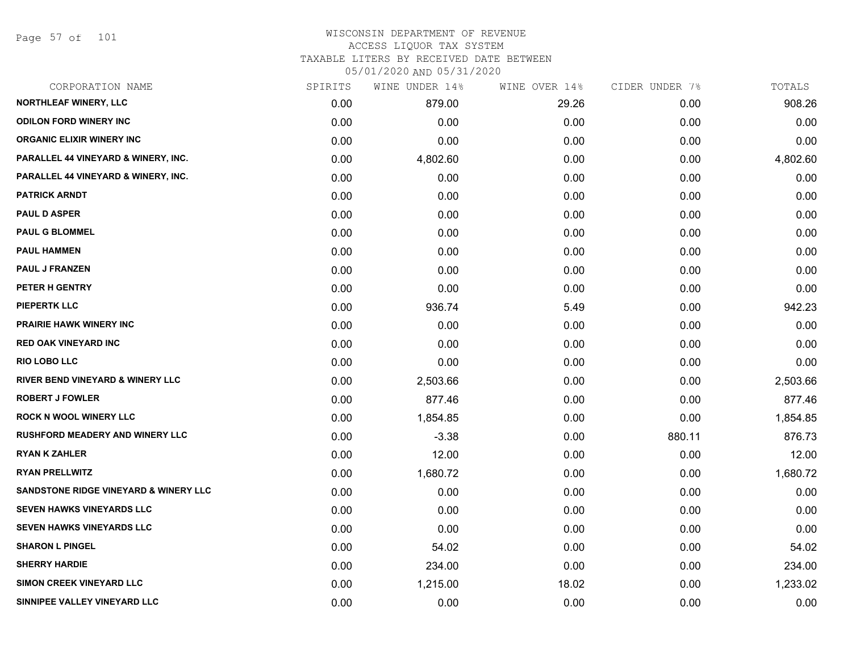Page 57 of 101

#### WISCONSIN DEPARTMENT OF REVENUE ACCESS LIQUOR TAX SYSTEM TAXABLE LITERS BY RECEIVED DATE BETWEEN

| CORPORATION NAME                       | SPIRITS | WINE UNDER 14% | WINE OVER 14% | CIDER UNDER 7% | TOTALS   |
|----------------------------------------|---------|----------------|---------------|----------------|----------|
| <b>NORTHLEAF WINERY, LLC</b>           | 0.00    | 879.00         | 29.26         | 0.00           | 908.26   |
| <b>ODILON FORD WINERY INC</b>          | 0.00    | 0.00           | 0.00          | 0.00           | 0.00     |
| <b>ORGANIC ELIXIR WINERY INC</b>       | 0.00    | 0.00           | 0.00          | 0.00           | 0.00     |
| PARALLEL 44 VINEYARD & WINERY, INC.    | 0.00    | 4,802.60       | 0.00          | 0.00           | 4,802.60 |
| PARALLEL 44 VINEYARD & WINERY, INC.    | 0.00    | 0.00           | 0.00          | 0.00           | 0.00     |
| <b>PATRICK ARNDT</b>                   | 0.00    | 0.00           | 0.00          | 0.00           | 0.00     |
| <b>PAUL D ASPER</b>                    | 0.00    | 0.00           | 0.00          | 0.00           | 0.00     |
| <b>PAUL G BLOMMEL</b>                  | 0.00    | 0.00           | 0.00          | 0.00           | 0.00     |
| <b>PAUL HAMMEN</b>                     | 0.00    | 0.00           | 0.00          | 0.00           | 0.00     |
| <b>PAUL J FRANZEN</b>                  | 0.00    | 0.00           | 0.00          | 0.00           | 0.00     |
| PETER H GENTRY                         | 0.00    | 0.00           | 0.00          | 0.00           | 0.00     |
| <b>PIEPERTK LLC</b>                    | 0.00    | 936.74         | 5.49          | 0.00           | 942.23   |
| <b>PRAIRIE HAWK WINERY INC</b>         | 0.00    | 0.00           | 0.00          | 0.00           | 0.00     |
| <b>RED OAK VINEYARD INC</b>            | 0.00    | 0.00           | 0.00          | 0.00           | 0.00     |
| <b>RIO LOBO LLC</b>                    | 0.00    | 0.00           | 0.00          | 0.00           | 0.00     |
| RIVER BEND VINEYARD & WINERY LLC       | 0.00    | 2,503.66       | 0.00          | 0.00           | 2,503.66 |
| <b>ROBERT J FOWLER</b>                 | 0.00    | 877.46         | 0.00          | 0.00           | 877.46   |
| <b>ROCK N WOOL WINERY LLC</b>          | 0.00    | 1,854.85       | 0.00          | 0.00           | 1,854.85 |
| <b>RUSHFORD MEADERY AND WINERY LLC</b> | 0.00    | $-3.38$        | 0.00          | 880.11         | 876.73   |
| <b>RYAN K ZAHLER</b>                   | 0.00    | 12.00          | 0.00          | 0.00           | 12.00    |
| <b>RYAN PRELLWITZ</b>                  | 0.00    | 1,680.72       | 0.00          | 0.00           | 1,680.72 |
| SANDSTONE RIDGE VINEYARD & WINERY LLC  | 0.00    | 0.00           | 0.00          | 0.00           | 0.00     |
| <b>SEVEN HAWKS VINEYARDS LLC</b>       | 0.00    | 0.00           | 0.00          | 0.00           | 0.00     |
| SEVEN HAWKS VINEYARDS LLC              | 0.00    | 0.00           | 0.00          | 0.00           | 0.00     |
| <b>SHARON L PINGEL</b>                 | 0.00    | 54.02          | 0.00          | 0.00           | 54.02    |
| <b>SHERRY HARDIE</b>                   | 0.00    | 234.00         | 0.00          | 0.00           | 234.00   |
| SIMON CREEK VINEYARD LLC               | 0.00    | 1,215.00       | 18.02         | 0.00           | 1,233.02 |
| SINNIPEE VALLEY VINEYARD LLC           | 0.00    | 0.00           | 0.00          | 0.00           | 0.00     |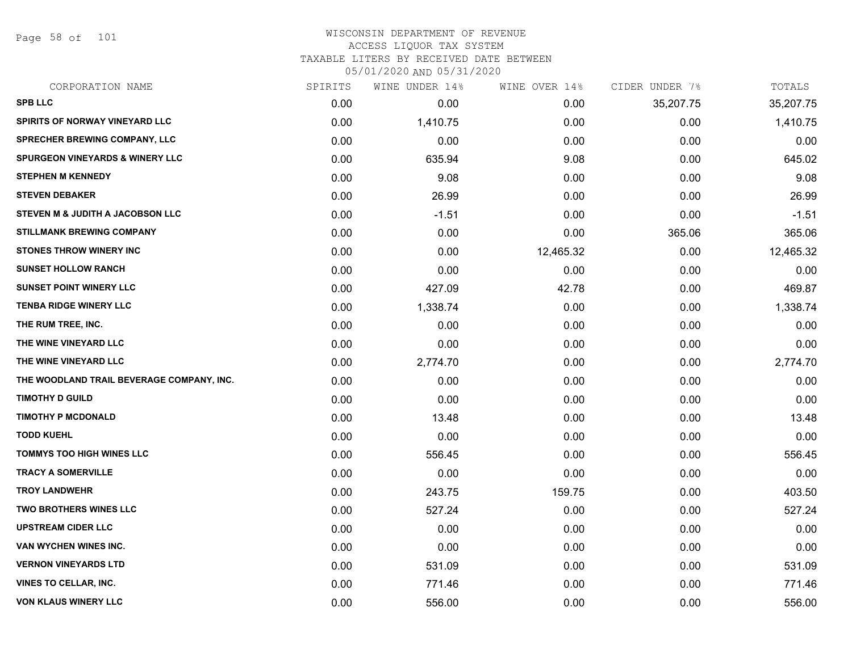Page 58 of 101

#### WISCONSIN DEPARTMENT OF REVENUE ACCESS LIQUOR TAX SYSTEM TAXABLE LITERS BY RECEIVED DATE BETWEEN

| CORPORATION NAME                           | SPIRITS | WINE UNDER 14% | WINE OVER 14% | CIDER UNDER 7% | TOTALS    |
|--------------------------------------------|---------|----------------|---------------|----------------|-----------|
| <b>SPB LLC</b>                             | 0.00    | 0.00           | 0.00          | 35,207.75      | 35,207.75 |
| <b>SPIRITS OF NORWAY VINEYARD LLC</b>      | 0.00    | 1,410.75       | 0.00          | 0.00           | 1,410.75  |
| SPRECHER BREWING COMPANY, LLC              | 0.00    | 0.00           | 0.00          | 0.00           | 0.00      |
| <b>SPURGEON VINEYARDS &amp; WINERY LLC</b> | 0.00    | 635.94         | 9.08          | 0.00           | 645.02    |
| <b>STEPHEN M KENNEDY</b>                   | 0.00    | 9.08           | 0.00          | 0.00           | 9.08      |
| <b>STEVEN DEBAKER</b>                      | 0.00    | 26.99          | 0.00          | 0.00           | 26.99     |
| STEVEN M & JUDITH A JACOBSON LLC           | 0.00    | $-1.51$        | 0.00          | 0.00           | $-1.51$   |
| <b>STILLMANK BREWING COMPANY</b>           | 0.00    | 0.00           | 0.00          | 365.06         | 365.06    |
| <b>STONES THROW WINERY INC</b>             | 0.00    | 0.00           | 12,465.32     | 0.00           | 12,465.32 |
| <b>SUNSET HOLLOW RANCH</b>                 | 0.00    | 0.00           | 0.00          | 0.00           | 0.00      |
| <b>SUNSET POINT WINERY LLC</b>             | 0.00    | 427.09         | 42.78         | 0.00           | 469.87    |
| <b>TENBA RIDGE WINERY LLC</b>              | 0.00    | 1,338.74       | 0.00          | 0.00           | 1,338.74  |
| THE RUM TREE, INC.                         | 0.00    | 0.00           | 0.00          | 0.00           | 0.00      |
| THE WINE VINEYARD LLC                      | 0.00    | 0.00           | 0.00          | 0.00           | 0.00      |
| THE WINE VINEYARD LLC                      | 0.00    | 2,774.70       | 0.00          | 0.00           | 2,774.70  |
| THE WOODLAND TRAIL BEVERAGE COMPANY, INC.  | 0.00    | 0.00           | 0.00          | 0.00           | 0.00      |
| <b>TIMOTHY D GUILD</b>                     | 0.00    | 0.00           | 0.00          | 0.00           | 0.00      |
| <b>TIMOTHY P MCDONALD</b>                  | 0.00    | 13.48          | 0.00          | 0.00           | 13.48     |
| <b>TODD KUEHL</b>                          | 0.00    | 0.00           | 0.00          | 0.00           | 0.00      |
| <b>TOMMYS TOO HIGH WINES LLC</b>           | 0.00    | 556.45         | 0.00          | 0.00           | 556.45    |
| <b>TRACY A SOMERVILLE</b>                  | 0.00    | 0.00           | 0.00          | 0.00           | 0.00      |
| <b>TROY LANDWEHR</b>                       | 0.00    | 243.75         | 159.75        | 0.00           | 403.50    |
| <b>TWO BROTHERS WINES LLC</b>              | 0.00    | 527.24         | 0.00          | 0.00           | 527.24    |
| <b>UPSTREAM CIDER LLC</b>                  | 0.00    | 0.00           | 0.00          | 0.00           | 0.00      |
| VAN WYCHEN WINES INC.                      | 0.00    | 0.00           | 0.00          | 0.00           | 0.00      |
| <b>VERNON VINEYARDS LTD</b>                | 0.00    | 531.09         | 0.00          | 0.00           | 531.09    |
| <b>VINES TO CELLAR, INC.</b>               | 0.00    | 771.46         | 0.00          | 0.00           | 771.46    |
| <b>VON KLAUS WINERY LLC</b>                | 0.00    | 556.00         | 0.00          | 0.00           | 556.00    |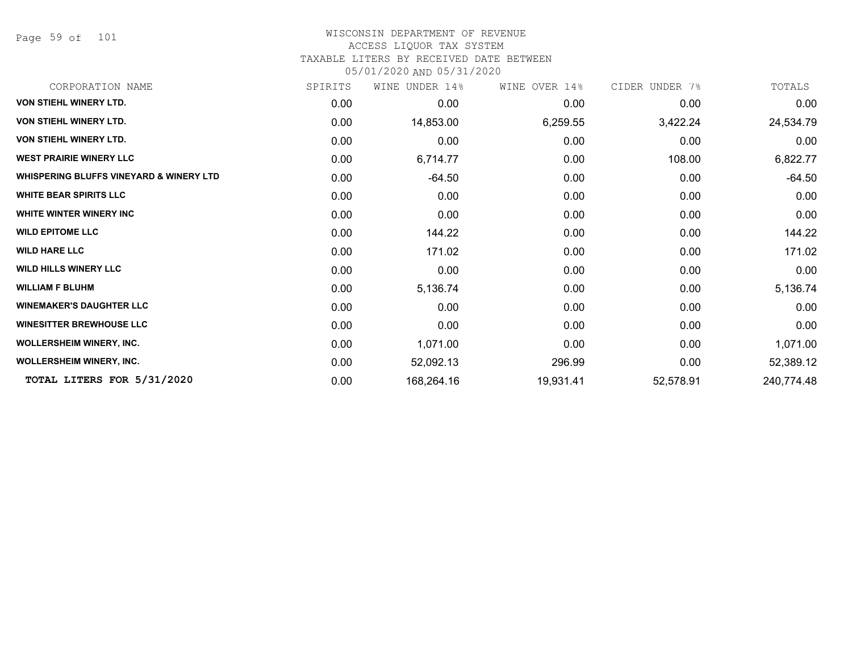Page 59 of 101

#### WISCONSIN DEPARTMENT OF REVENUE ACCESS LIQUOR TAX SYSTEM

TAXABLE LITERS BY RECEIVED DATE BETWEEN

| CORPORATION NAME                                   | SPIRITS | UNDER 14%<br>WINE | WINE OVER 14% | CIDER UNDER 7% | TOTALS     |
|----------------------------------------------------|---------|-------------------|---------------|----------------|------------|
| <b>VON STIEHL WINERY LTD.</b>                      | 0.00    | 0.00              | 0.00          | 0.00           | 0.00       |
| <b>VON STIEHL WINERY LTD.</b>                      | 0.00    | 14,853.00         | 6,259.55      | 3,422.24       | 24,534.79  |
| <b>VON STIEHL WINERY LTD.</b>                      | 0.00    | 0.00              | 0.00          | 0.00           | 0.00       |
| <b>WEST PRAIRIE WINERY LLC</b>                     | 0.00    | 6,714.77          | 0.00          | 108.00         | 6,822.77   |
| <b>WHISPERING BLUFFS VINEYARD &amp; WINERY LTD</b> | 0.00    | $-64.50$          | 0.00          | 0.00           | $-64.50$   |
| <b>WHITE BEAR SPIRITS LLC</b>                      | 0.00    | 0.00              | 0.00          | 0.00           | 0.00       |
| <b>WHITE WINTER WINERY INC.</b>                    | 0.00    | 0.00              | 0.00          | 0.00           | 0.00       |
| <b>WILD EPITOME LLC</b>                            | 0.00    | 144.22            | 0.00          | 0.00           | 144.22     |
| <b>WILD HARE LLC</b>                               | 0.00    | 171.02            | 0.00          | 0.00           | 171.02     |
| <b>WILD HILLS WINERY LLC</b>                       | 0.00    | 0.00              | 0.00          | 0.00           | 0.00       |
| <b>WILLIAM F BLUHM</b>                             | 0.00    | 5,136.74          | 0.00          | 0.00           | 5,136.74   |
| <b>WINEMAKER'S DAUGHTER LLC</b>                    | 0.00    | 0.00              | 0.00          | 0.00           | 0.00       |
| <b>WINESITTER BREWHOUSE LLC</b>                    | 0.00    | 0.00              | 0.00          | 0.00           | 0.00       |
| <b>WOLLERSHEIM WINERY, INC.</b>                    | 0.00    | 1,071.00          | 0.00          | 0.00           | 1,071.00   |
| <b>WOLLERSHEIM WINERY, INC.</b>                    | 0.00    | 52,092.13         | 296.99        | 0.00           | 52,389.12  |
| TOTAL LITERS FOR 5/31/2020                         | 0.00    | 168,264.16        | 19,931.41     | 52,578.91      | 240,774.48 |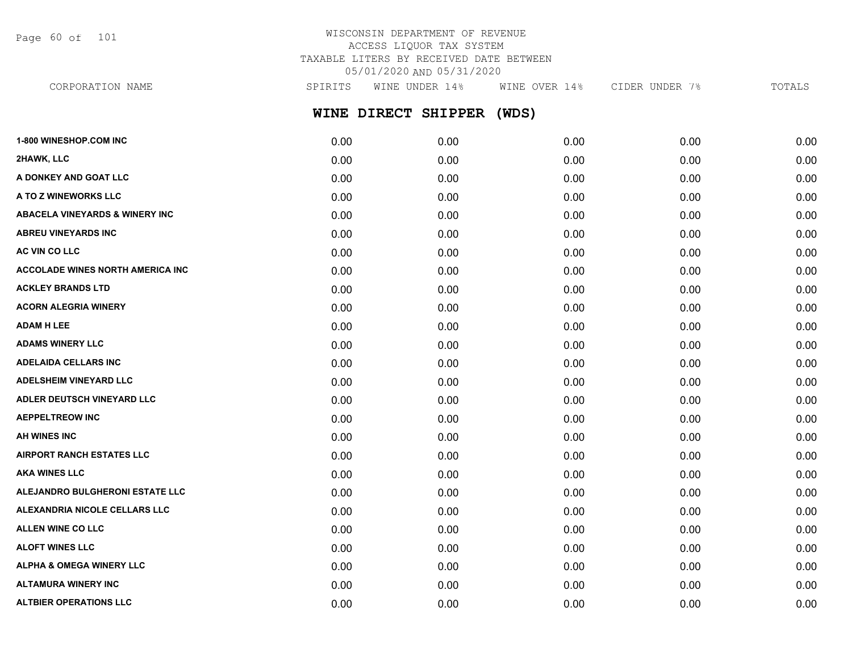Page 60 of 101

# WISCONSIN DEPARTMENT OF REVENUE ACCESS LIQUOR TAX SYSTEM TAXABLE LITERS BY RECEIVED DATE BETWEEN 05/01/2020 AND 05/31/2020

**WINE DIRECT SHIPPER (WDS)** CORPORATION NAME SPIRITS WINE UNDER 14% WINE OVER 14% CIDER UNDER 7% TOTALS

| <b>1-800 WINESHOP.COM INC</b>             | 0.00 | 0.00 | 0.00 | 0.00 | 0.00 |
|-------------------------------------------|------|------|------|------|------|
| 2HAWK, LLC                                | 0.00 | 0.00 | 0.00 | 0.00 | 0.00 |
| A DONKEY AND GOAT LLC                     | 0.00 | 0.00 | 0.00 | 0.00 | 0.00 |
| A TO Z WINEWORKS LLC                      | 0.00 | 0.00 | 0.00 | 0.00 | 0.00 |
| <b>ABACELA VINEYARDS &amp; WINERY INC</b> | 0.00 | 0.00 | 0.00 | 0.00 | 0.00 |
| <b>ABREU VINEYARDS INC</b>                | 0.00 | 0.00 | 0.00 | 0.00 | 0.00 |
| AC VIN CO LLC                             | 0.00 | 0.00 | 0.00 | 0.00 | 0.00 |
| <b>ACCOLADE WINES NORTH AMERICA INC</b>   | 0.00 | 0.00 | 0.00 | 0.00 | 0.00 |
| <b>ACKLEY BRANDS LTD</b>                  | 0.00 | 0.00 | 0.00 | 0.00 | 0.00 |
| <b>ACORN ALEGRIA WINERY</b>               | 0.00 | 0.00 | 0.00 | 0.00 | 0.00 |
| <b>ADAM H LEE</b>                         | 0.00 | 0.00 | 0.00 | 0.00 | 0.00 |
| <b>ADAMS WINERY LLC</b>                   | 0.00 | 0.00 | 0.00 | 0.00 | 0.00 |
| <b>ADELAIDA CELLARS INC</b>               | 0.00 | 0.00 | 0.00 | 0.00 | 0.00 |
| <b>ADELSHEIM VINEYARD LLC</b>             | 0.00 | 0.00 | 0.00 | 0.00 | 0.00 |
| ADLER DEUTSCH VINEYARD LLC                | 0.00 | 0.00 | 0.00 | 0.00 | 0.00 |
| <b>AEPPELTREOW INC</b>                    | 0.00 | 0.00 | 0.00 | 0.00 | 0.00 |
| <b>AH WINES INC</b>                       | 0.00 | 0.00 | 0.00 | 0.00 | 0.00 |
| <b>AIRPORT RANCH ESTATES LLC</b>          | 0.00 | 0.00 | 0.00 | 0.00 | 0.00 |
| <b>AKA WINES LLC</b>                      | 0.00 | 0.00 | 0.00 | 0.00 | 0.00 |
| ALEJANDRO BULGHERONI ESTATE LLC           | 0.00 | 0.00 | 0.00 | 0.00 | 0.00 |
| ALEXANDRIA NICOLE CELLARS LLC             | 0.00 | 0.00 | 0.00 | 0.00 | 0.00 |
| ALLEN WINE CO LLC                         | 0.00 | 0.00 | 0.00 | 0.00 | 0.00 |
| <b>ALOFT WINES LLC</b>                    | 0.00 | 0.00 | 0.00 | 0.00 | 0.00 |
| <b>ALPHA &amp; OMEGA WINERY LLC</b>       | 0.00 | 0.00 | 0.00 | 0.00 | 0.00 |
| <b>ALTAMURA WINERY INC</b>                | 0.00 | 0.00 | 0.00 | 0.00 | 0.00 |
| <b>ALTBIER OPERATIONS LLC</b>             | 0.00 | 0.00 | 0.00 | 0.00 | 0.00 |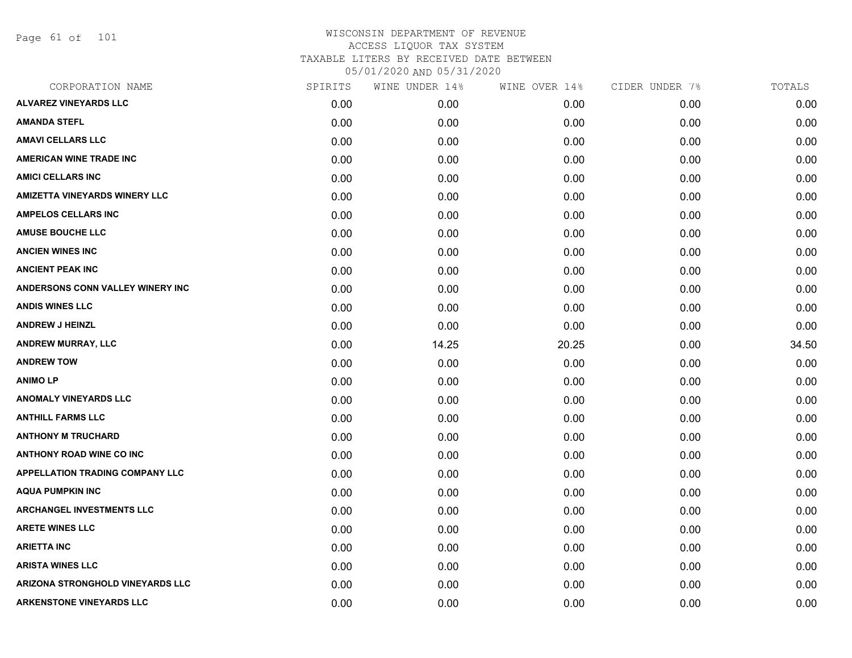Page 61 of 101

|      | WINE UNDER 14% |       |               | TOTALS         |
|------|----------------|-------|---------------|----------------|
| 0.00 | 0.00           | 0.00  | 0.00          | 0.00           |
| 0.00 | 0.00           | 0.00  | 0.00          | 0.00           |
| 0.00 | 0.00           | 0.00  | 0.00          | 0.00           |
| 0.00 | 0.00           | 0.00  | 0.00          | 0.00           |
| 0.00 | 0.00           | 0.00  | 0.00          | 0.00           |
| 0.00 | 0.00           | 0.00  | 0.00          | 0.00           |
| 0.00 | 0.00           | 0.00  | 0.00          | 0.00           |
| 0.00 | 0.00           | 0.00  | 0.00          | 0.00           |
| 0.00 | 0.00           | 0.00  | 0.00          | 0.00           |
| 0.00 | 0.00           | 0.00  | 0.00          | 0.00           |
| 0.00 | 0.00           | 0.00  | 0.00          | 0.00           |
| 0.00 | 0.00           | 0.00  | 0.00          | 0.00           |
| 0.00 | 0.00           | 0.00  | 0.00          | 0.00           |
| 0.00 | 14.25          | 20.25 | 0.00          | 34.50          |
| 0.00 | 0.00           | 0.00  | 0.00          | 0.00           |
| 0.00 | 0.00           | 0.00  | 0.00          | 0.00           |
| 0.00 | 0.00           | 0.00  | 0.00          | 0.00           |
| 0.00 | 0.00           | 0.00  | 0.00          | 0.00           |
| 0.00 | 0.00           | 0.00  | 0.00          | 0.00           |
| 0.00 | 0.00           | 0.00  | 0.00          | 0.00           |
| 0.00 | 0.00           | 0.00  | 0.00          | 0.00           |
| 0.00 | 0.00           | 0.00  | 0.00          | 0.00           |
| 0.00 | 0.00           | 0.00  | 0.00          | 0.00           |
| 0.00 | 0.00           | 0.00  | 0.00          | 0.00           |
| 0.00 | 0.00           | 0.00  | 0.00          | 0.00           |
| 0.00 | 0.00           | 0.00  | 0.00          | 0.00           |
| 0.00 | 0.00           | 0.00  | 0.00          | 0.00           |
| 0.00 | 0.00           | 0.00  | 0.00          | 0.00           |
|      | SPIRITS        |       | WINE OVER 14% | CIDER UNDER 7% |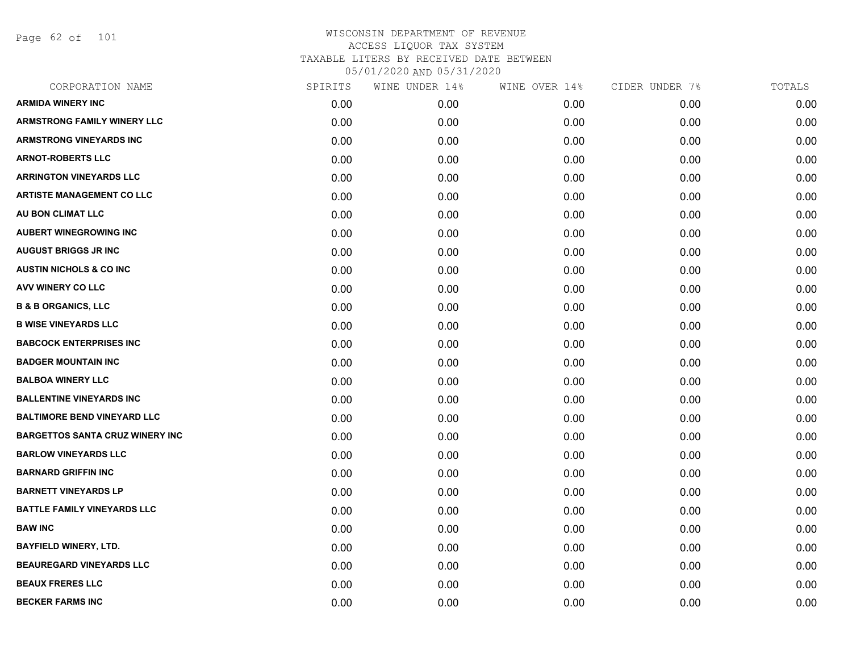Page 62 of 101

| CORPORATION NAME                       | SPIRITS | WINE UNDER 14% | WINE OVER 14% | CIDER UNDER 7% | TOTALS |
|----------------------------------------|---------|----------------|---------------|----------------|--------|
| <b>ARMIDA WINERY INC</b>               | 0.00    | 0.00           | 0.00          | 0.00           | 0.00   |
| <b>ARMSTRONG FAMILY WINERY LLC</b>     | 0.00    | 0.00           | 0.00          | 0.00           | 0.00   |
| <b>ARMSTRONG VINEYARDS INC</b>         | 0.00    | 0.00           | 0.00          | 0.00           | 0.00   |
| <b>ARNOT-ROBERTS LLC</b>               | 0.00    | 0.00           | 0.00          | 0.00           | 0.00   |
| <b>ARRINGTON VINEYARDS LLC</b>         | 0.00    | 0.00           | 0.00          | 0.00           | 0.00   |
| <b>ARTISTE MANAGEMENT CO LLC</b>       | 0.00    | 0.00           | 0.00          | 0.00           | 0.00   |
| AU BON CLIMAT LLC                      | 0.00    | 0.00           | 0.00          | 0.00           | 0.00   |
| <b>AUBERT WINEGROWING INC</b>          | 0.00    | 0.00           | 0.00          | 0.00           | 0.00   |
| <b>AUGUST BRIGGS JR INC</b>            | 0.00    | 0.00           | 0.00          | 0.00           | 0.00   |
| <b>AUSTIN NICHOLS &amp; CO INC.</b>    | 0.00    | 0.00           | 0.00          | 0.00           | 0.00   |
| AVV WINERY CO LLC                      | 0.00    | 0.00           | 0.00          | 0.00           | 0.00   |
| <b>B &amp; B ORGANICS, LLC</b>         | 0.00    | 0.00           | 0.00          | 0.00           | 0.00   |
| <b>B WISE VINEYARDS LLC</b>            | 0.00    | 0.00           | 0.00          | 0.00           | 0.00   |
| <b>BABCOCK ENTERPRISES INC</b>         | 0.00    | 0.00           | 0.00          | 0.00           | 0.00   |
| <b>BADGER MOUNTAIN INC</b>             | 0.00    | 0.00           | 0.00          | 0.00           | 0.00   |
| <b>BALBOA WINERY LLC</b>               | 0.00    | 0.00           | 0.00          | 0.00           | 0.00   |
| <b>BALLENTINE VINEYARDS INC</b>        | 0.00    | 0.00           | 0.00          | 0.00           | 0.00   |
| <b>BALTIMORE BEND VINEYARD LLC</b>     | 0.00    | 0.00           | 0.00          | 0.00           | 0.00   |
| <b>BARGETTOS SANTA CRUZ WINERY INC</b> | 0.00    | 0.00           | 0.00          | 0.00           | 0.00   |
| <b>BARLOW VINEYARDS LLC</b>            | 0.00    | 0.00           | 0.00          | 0.00           | 0.00   |
| <b>BARNARD GRIFFIN INC</b>             | 0.00    | 0.00           | 0.00          | 0.00           | 0.00   |
| <b>BARNETT VINEYARDS LP</b>            | 0.00    | 0.00           | 0.00          | 0.00           | 0.00   |
| <b>BATTLE FAMILY VINEYARDS LLC</b>     | 0.00    | 0.00           | 0.00          | 0.00           | 0.00   |
| <b>BAW INC</b>                         | 0.00    | 0.00           | 0.00          | 0.00           | 0.00   |
| <b>BAYFIELD WINERY, LTD.</b>           | 0.00    | 0.00           | 0.00          | 0.00           | 0.00   |
| BEAUREGARD VINEYARDS LLC               | 0.00    | 0.00           | 0.00          | 0.00           | 0.00   |
| <b>BEAUX FRERES LLC</b>                | 0.00    | 0.00           | 0.00          | 0.00           | 0.00   |
| <b>BECKER FARMS INC</b>                | 0.00    | 0.00           | 0.00          | 0.00           | 0.00   |
|                                        |         |                |               |                |        |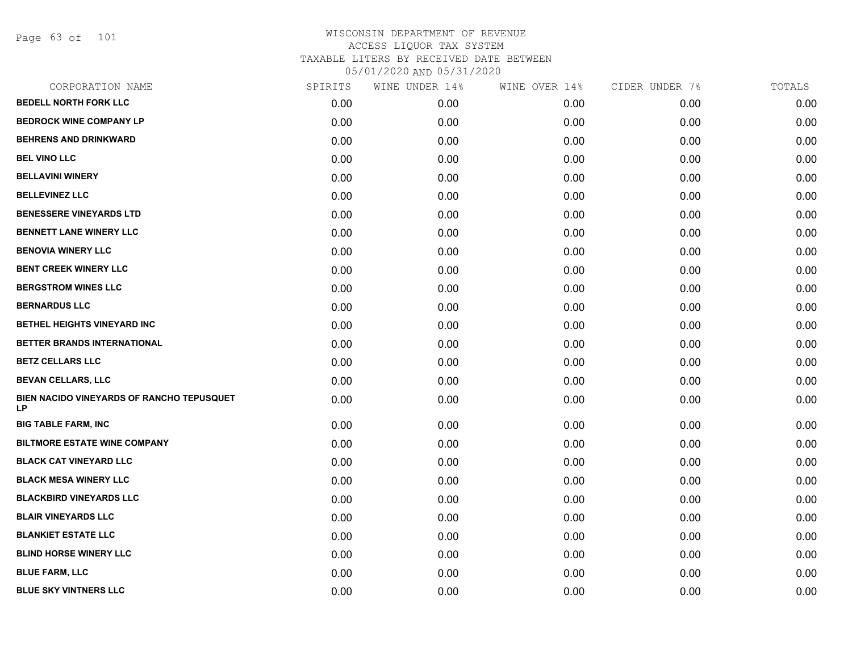Page 63 of 101

| SPIRITS | WINE UNDER 14% | WINE OVER 14% | CIDER UNDER 7% | TOTALS |
|---------|----------------|---------------|----------------|--------|
| 0.00    | 0.00           | 0.00          | 0.00           | 0.00   |
| 0.00    | 0.00           | 0.00          | 0.00           | 0.00   |
| 0.00    | 0.00           | 0.00          | 0.00           | 0.00   |
| 0.00    | 0.00           | 0.00          | 0.00           | 0.00   |
| 0.00    | 0.00           | 0.00          | 0.00           | 0.00   |
| 0.00    | 0.00           | 0.00          | 0.00           | 0.00   |
| 0.00    | 0.00           | 0.00          | 0.00           | 0.00   |
| 0.00    | 0.00           | 0.00          | 0.00           | 0.00   |
| 0.00    | 0.00           | 0.00          | 0.00           | 0.00   |
| 0.00    | 0.00           | 0.00          | 0.00           | 0.00   |
| 0.00    | 0.00           | 0.00          | 0.00           | 0.00   |
| 0.00    | 0.00           | 0.00          | 0.00           | 0.00   |
| 0.00    | 0.00           | 0.00          | 0.00           | 0.00   |
| 0.00    | 0.00           | 0.00          | 0.00           | 0.00   |
| 0.00    | 0.00           | 0.00          | 0.00           | 0.00   |
| 0.00    | 0.00           | 0.00          | 0.00           | 0.00   |
| 0.00    | 0.00           | 0.00          | 0.00           | 0.00   |
| 0.00    | 0.00           | 0.00          | 0.00           | 0.00   |
| 0.00    | 0.00           | 0.00          | 0.00           | 0.00   |
| 0.00    | 0.00           | 0.00          | 0.00           | 0.00   |
| 0.00    | 0.00           | 0.00          | 0.00           | 0.00   |
| 0.00    | 0.00           | 0.00          | 0.00           | 0.00   |
| 0.00    | 0.00           | 0.00          | 0.00           | 0.00   |
| 0.00    | 0.00           | 0.00          | 0.00           | 0.00   |
| 0.00    | 0.00           | 0.00          | 0.00           | 0.00   |
| 0.00    | 0.00           | 0.00          | 0.00           | 0.00   |
| 0.00    | 0.00           | 0.00          | 0.00           | 0.00   |
|         |                |               |                |        |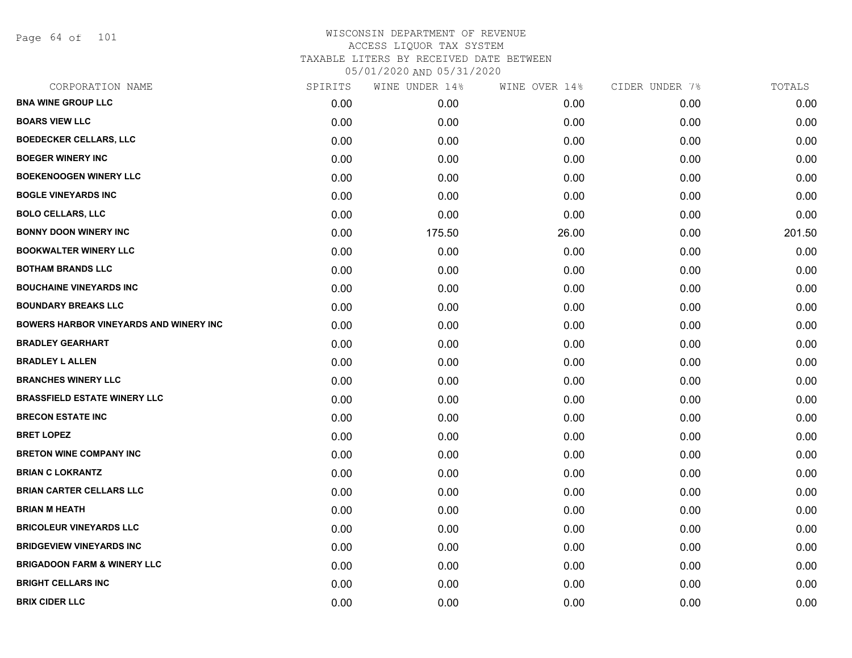Page 64 of 101

| CORPORATION NAME                              | SPIRITS | WINE UNDER 14% | WINE OVER 14% | CIDER UNDER 7% | TOTALS |
|-----------------------------------------------|---------|----------------|---------------|----------------|--------|
| <b>BNA WINE GROUP LLC</b>                     | 0.00    | 0.00           | 0.00          | 0.00           | 0.00   |
| <b>BOARS VIEW LLC</b>                         | 0.00    | 0.00           | 0.00          | 0.00           | 0.00   |
| <b>BOEDECKER CELLARS, LLC</b>                 | 0.00    | 0.00           | 0.00          | 0.00           | 0.00   |
| <b>BOEGER WINERY INC</b>                      | 0.00    | 0.00           | 0.00          | 0.00           | 0.00   |
| <b>BOEKENOOGEN WINERY LLC</b>                 | 0.00    | 0.00           | 0.00          | 0.00           | 0.00   |
| <b>BOGLE VINEYARDS INC</b>                    | 0.00    | 0.00           | 0.00          | 0.00           | 0.00   |
| <b>BOLO CELLARS, LLC</b>                      | 0.00    | 0.00           | 0.00          | 0.00           | 0.00   |
| <b>BONNY DOON WINERY INC</b>                  | 0.00    | 175.50         | 26.00         | 0.00           | 201.50 |
| <b>BOOKWALTER WINERY LLC</b>                  | 0.00    | 0.00           | 0.00          | 0.00           | 0.00   |
| <b>BOTHAM BRANDS LLC</b>                      | 0.00    | 0.00           | 0.00          | 0.00           | 0.00   |
| <b>BOUCHAINE VINEYARDS INC</b>                | 0.00    | 0.00           | 0.00          | 0.00           | 0.00   |
| <b>BOUNDARY BREAKS LLC</b>                    | 0.00    | 0.00           | 0.00          | 0.00           | 0.00   |
| <b>BOWERS HARBOR VINEYARDS AND WINERY INC</b> | 0.00    | 0.00           | 0.00          | 0.00           | 0.00   |
| <b>BRADLEY GEARHART</b>                       | 0.00    | 0.00           | 0.00          | 0.00           | 0.00   |
| <b>BRADLEY L ALLEN</b>                        | 0.00    | 0.00           | 0.00          | 0.00           | 0.00   |
| <b>BRANCHES WINERY LLC</b>                    | 0.00    | 0.00           | 0.00          | 0.00           | 0.00   |
| <b>BRASSFIELD ESTATE WINERY LLC</b>           | 0.00    | 0.00           | 0.00          | 0.00           | 0.00   |
| <b>BRECON ESTATE INC</b>                      | 0.00    | 0.00           | 0.00          | 0.00           | 0.00   |
| <b>BRET LOPEZ</b>                             | 0.00    | 0.00           | 0.00          | 0.00           | 0.00   |
| <b>BRETON WINE COMPANY INC</b>                | 0.00    | 0.00           | 0.00          | 0.00           | 0.00   |
| <b>BRIAN C LOKRANTZ</b>                       | 0.00    | 0.00           | 0.00          | 0.00           | 0.00   |
| <b>BRIAN CARTER CELLARS LLC</b>               | 0.00    | 0.00           | 0.00          | 0.00           | 0.00   |
| <b>BRIAN M HEATH</b>                          | 0.00    | 0.00           | 0.00          | 0.00           | 0.00   |
| <b>BRICOLEUR VINEYARDS LLC</b>                | 0.00    | 0.00           | 0.00          | 0.00           | 0.00   |
| <b>BRIDGEVIEW VINEYARDS INC</b>               | 0.00    | 0.00           | 0.00          | 0.00           | 0.00   |
| <b>BRIGADOON FARM &amp; WINERY LLC</b>        | 0.00    | 0.00           | 0.00          | 0.00           | 0.00   |
| <b>BRIGHT CELLARS INC</b>                     | 0.00    | 0.00           | 0.00          | 0.00           | 0.00   |
| <b>BRIX CIDER LLC</b>                         | 0.00    | 0.00           | 0.00          | 0.00           | 0.00   |
|                                               |         |                |               |                |        |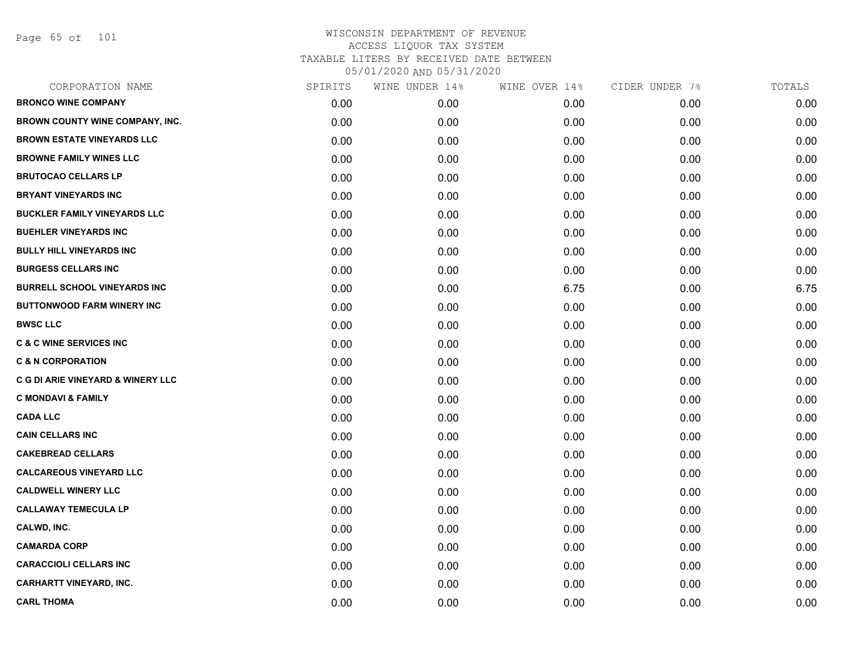Page 65 of 101

| CORPORATION NAME                       | SPIRITS | WINE UNDER 14% | WINE OVER 14% | CIDER UNDER 7% | TOTALS |
|----------------------------------------|---------|----------------|---------------|----------------|--------|
| <b>BRONCO WINE COMPANY</b>             | 0.00    | 0.00           | 0.00          | 0.00           | 0.00   |
| <b>BROWN COUNTY WINE COMPANY, INC.</b> | 0.00    | 0.00           | 0.00          | 0.00           | 0.00   |
| <b>BROWN ESTATE VINEYARDS LLC</b>      | 0.00    | 0.00           | 0.00          | 0.00           | 0.00   |
| <b>BROWNE FAMILY WINES LLC</b>         | 0.00    | 0.00           | 0.00          | 0.00           | 0.00   |
| <b>BRUTOCAO CELLARS LP</b>             | 0.00    | 0.00           | 0.00          | 0.00           | 0.00   |
| <b>BRYANT VINEYARDS INC</b>            | 0.00    | 0.00           | 0.00          | 0.00           | 0.00   |
| <b>BUCKLER FAMILY VINEYARDS LLC</b>    | 0.00    | 0.00           | 0.00          | 0.00           | 0.00   |
| <b>BUEHLER VINEYARDS INC</b>           | 0.00    | 0.00           | 0.00          | 0.00           | 0.00   |
| <b>BULLY HILL VINEYARDS INC</b>        | 0.00    | 0.00           | 0.00          | 0.00           | 0.00   |
| <b>BURGESS CELLARS INC</b>             | 0.00    | 0.00           | 0.00          | 0.00           | 0.00   |
| <b>BURRELL SCHOOL VINEYARDS INC</b>    | 0.00    | 0.00           | 6.75          | 0.00           | 6.75   |
| <b>BUTTONWOOD FARM WINERY INC</b>      | 0.00    | 0.00           | 0.00          | 0.00           | 0.00   |
| <b>BWSC LLC</b>                        | 0.00    | 0.00           | 0.00          | 0.00           | 0.00   |
| <b>C &amp; C WINE SERVICES INC</b>     | 0.00    | 0.00           | 0.00          | 0.00           | 0.00   |
| <b>C &amp; N CORPORATION</b>           | 0.00    | 0.00           | 0.00          | 0.00           | 0.00   |
| C G DI ARIE VINEYARD & WINERY LLC      | 0.00    | 0.00           | 0.00          | 0.00           | 0.00   |
| <b>C MONDAVI &amp; FAMILY</b>          | 0.00    | 0.00           | 0.00          | 0.00           | 0.00   |
| <b>CADA LLC</b>                        | 0.00    | 0.00           | 0.00          | 0.00           | 0.00   |
| <b>CAIN CELLARS INC</b>                | 0.00    | 0.00           | 0.00          | 0.00           | 0.00   |
| <b>CAKEBREAD CELLARS</b>               | 0.00    | 0.00           | 0.00          | 0.00           | 0.00   |
| <b>CALCAREOUS VINEYARD LLC</b>         | 0.00    | 0.00           | 0.00          | 0.00           | 0.00   |
| <b>CALDWELL WINERY LLC</b>             | 0.00    | 0.00           | 0.00          | 0.00           | 0.00   |
| <b>CALLAWAY TEMECULA LP</b>            | 0.00    | 0.00           | 0.00          | 0.00           | 0.00   |
| CALWD, INC.                            | 0.00    | 0.00           | 0.00          | 0.00           | 0.00   |
| <b>CAMARDA CORP</b>                    | 0.00    | 0.00           | 0.00          | 0.00           | 0.00   |
| <b>CARACCIOLI CELLARS INC</b>          | 0.00    | 0.00           | 0.00          | 0.00           | 0.00   |
| <b>CARHARTT VINEYARD, INC.</b>         | 0.00    | 0.00           | 0.00          | 0.00           | 0.00   |
| <b>CARL THOMA</b>                      | 0.00    | 0.00           | 0.00          | 0.00           | 0.00   |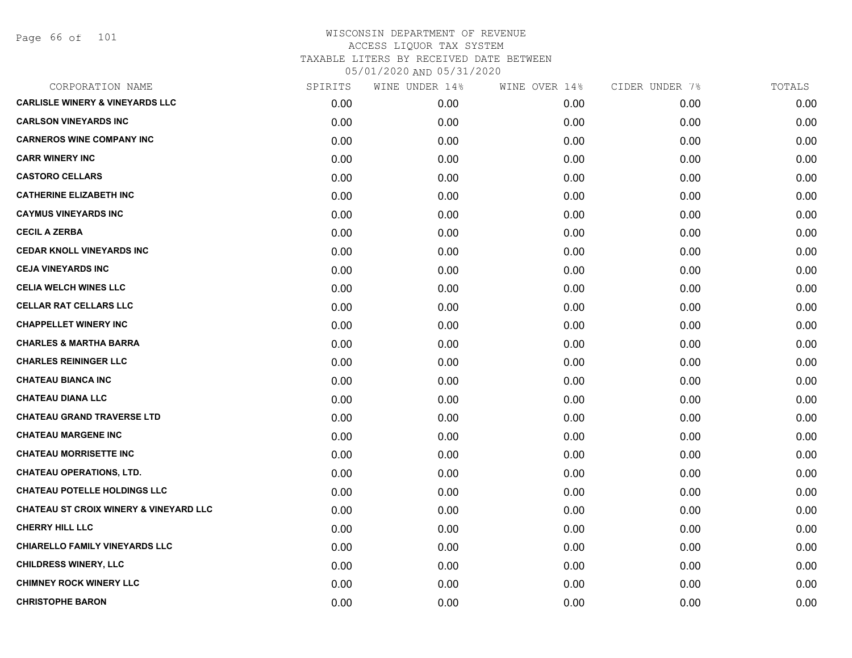Page 66 of 101

| CORPORATION NAME                                  | SPIRITS | WINE UNDER 14% | WINE OVER 14% | CIDER UNDER 7% | TOTALS |
|---------------------------------------------------|---------|----------------|---------------|----------------|--------|
| <b>CARLISLE WINERY &amp; VINEYARDS LLC</b>        | 0.00    | 0.00           | 0.00          | 0.00           | 0.00   |
| <b>CARLSON VINEYARDS INC</b>                      | 0.00    | 0.00           | 0.00          | 0.00           | 0.00   |
| <b>CARNEROS WINE COMPANY INC</b>                  | 0.00    | 0.00           | 0.00          | 0.00           | 0.00   |
| <b>CARR WINERY INC</b>                            | 0.00    | 0.00           | 0.00          | 0.00           | 0.00   |
| <b>CASTORO CELLARS</b>                            | 0.00    | 0.00           | 0.00          | 0.00           | 0.00   |
| <b>CATHERINE ELIZABETH INC</b>                    | 0.00    | 0.00           | 0.00          | 0.00           | 0.00   |
| <b>CAYMUS VINEYARDS INC</b>                       | 0.00    | 0.00           | 0.00          | 0.00           | 0.00   |
| <b>CECIL A ZERBA</b>                              | 0.00    | 0.00           | 0.00          | 0.00           | 0.00   |
| <b>CEDAR KNOLL VINEYARDS INC</b>                  | 0.00    | 0.00           | 0.00          | 0.00           | 0.00   |
| <b>CEJA VINEYARDS INC</b>                         | 0.00    | 0.00           | 0.00          | 0.00           | 0.00   |
| <b>CELIA WELCH WINES LLC</b>                      | 0.00    | 0.00           | 0.00          | 0.00           | 0.00   |
| <b>CELLAR RAT CELLARS LLC</b>                     | 0.00    | 0.00           | 0.00          | 0.00           | 0.00   |
| <b>CHAPPELLET WINERY INC</b>                      | 0.00    | 0.00           | 0.00          | 0.00           | 0.00   |
| <b>CHARLES &amp; MARTHA BARRA</b>                 | 0.00    | 0.00           | 0.00          | 0.00           | 0.00   |
| <b>CHARLES REININGER LLC</b>                      | 0.00    | 0.00           | 0.00          | 0.00           | 0.00   |
| <b>CHATEAU BIANCA INC</b>                         | 0.00    | 0.00           | 0.00          | 0.00           | 0.00   |
| <b>CHATEAU DIANA LLC</b>                          | 0.00    | 0.00           | 0.00          | 0.00           | 0.00   |
| <b>CHATEAU GRAND TRAVERSE LTD</b>                 | 0.00    | 0.00           | 0.00          | 0.00           | 0.00   |
| <b>CHATEAU MARGENE INC</b>                        | 0.00    | 0.00           | 0.00          | 0.00           | 0.00   |
| <b>CHATEAU MORRISETTE INC</b>                     | 0.00    | 0.00           | 0.00          | 0.00           | 0.00   |
| <b>CHATEAU OPERATIONS, LTD.</b>                   | 0.00    | 0.00           | 0.00          | 0.00           | 0.00   |
| <b>CHATEAU POTELLE HOLDINGS LLC</b>               | 0.00    | 0.00           | 0.00          | 0.00           | 0.00   |
| <b>CHATEAU ST CROIX WINERY &amp; VINEYARD LLC</b> | 0.00    | 0.00           | 0.00          | 0.00           | 0.00   |
| <b>CHERRY HILL LLC</b>                            | 0.00    | 0.00           | 0.00          | 0.00           | 0.00   |
| <b>CHIARELLO FAMILY VINEYARDS LLC</b>             | 0.00    | 0.00           | 0.00          | 0.00           | 0.00   |
| <b>CHILDRESS WINERY, LLC</b>                      | 0.00    | 0.00           | 0.00          | 0.00           | 0.00   |
| <b>CHIMNEY ROCK WINERY LLC</b>                    | 0.00    | 0.00           | 0.00          | 0.00           | 0.00   |
| <b>CHRISTOPHE BARON</b>                           | 0.00    | 0.00           | 0.00          | 0.00           | 0.00   |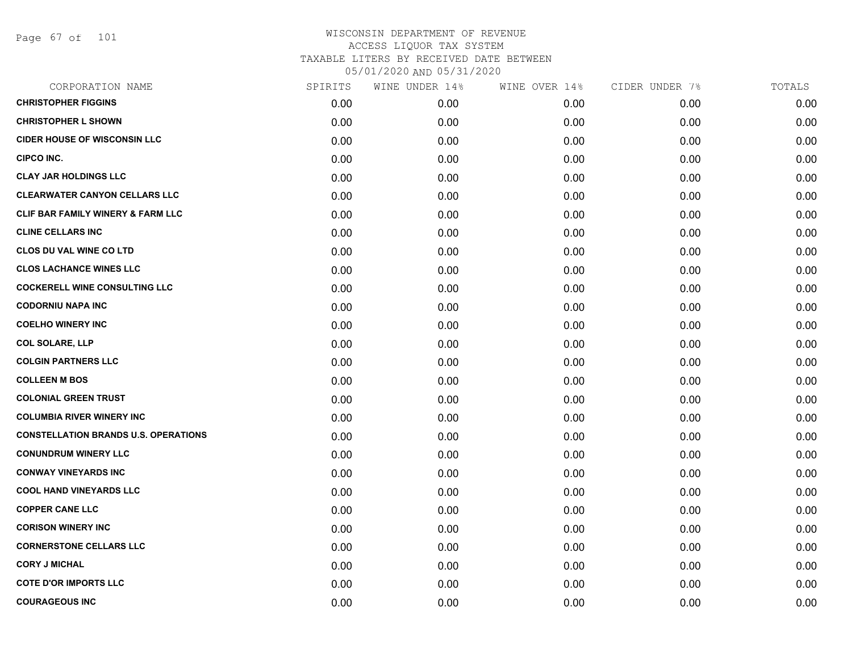Page 67 of 101

| CORPORATION NAME                             | SPIRITS | WINE UNDER 14% | WINE OVER 14% | CIDER UNDER 7% | TOTALS |
|----------------------------------------------|---------|----------------|---------------|----------------|--------|
| <b>CHRISTOPHER FIGGINS</b>                   | 0.00    | 0.00           | 0.00          | 0.00           | 0.00   |
| <b>CHRISTOPHER L SHOWN</b>                   | 0.00    | 0.00           | 0.00          | 0.00           | 0.00   |
| <b>CIDER HOUSE OF WISCONSIN LLC</b>          | 0.00    | 0.00           | 0.00          | 0.00           | 0.00   |
| <b>CIPCO INC.</b>                            | 0.00    | 0.00           | 0.00          | 0.00           | 0.00   |
| <b>CLAY JAR HOLDINGS LLC</b>                 | 0.00    | 0.00           | 0.00          | 0.00           | 0.00   |
| <b>CLEARWATER CANYON CELLARS LLC</b>         | 0.00    | 0.00           | 0.00          | 0.00           | 0.00   |
| <b>CLIF BAR FAMILY WINERY &amp; FARM LLC</b> | 0.00    | 0.00           | 0.00          | 0.00           | 0.00   |
| <b>CLINE CELLARS INC</b>                     | 0.00    | 0.00           | 0.00          | 0.00           | 0.00   |
| <b>CLOS DU VAL WINE CO LTD</b>               | 0.00    | 0.00           | 0.00          | 0.00           | 0.00   |
| <b>CLOS LACHANCE WINES LLC</b>               | 0.00    | 0.00           | 0.00          | 0.00           | 0.00   |
| <b>COCKERELL WINE CONSULTING LLC</b>         | 0.00    | 0.00           | 0.00          | 0.00           | 0.00   |
| <b>CODORNIU NAPA INC</b>                     | 0.00    | 0.00           | 0.00          | 0.00           | 0.00   |
| <b>COELHO WINERY INC</b>                     | 0.00    | 0.00           | 0.00          | 0.00           | 0.00   |
| <b>COL SOLARE, LLP</b>                       | 0.00    | 0.00           | 0.00          | 0.00           | 0.00   |
| <b>COLGIN PARTNERS LLC</b>                   | 0.00    | 0.00           | 0.00          | 0.00           | 0.00   |
| <b>COLLEEN M BOS</b>                         | 0.00    | 0.00           | 0.00          | 0.00           | 0.00   |
| <b>COLONIAL GREEN TRUST</b>                  | 0.00    | 0.00           | 0.00          | 0.00           | 0.00   |
| <b>COLUMBIA RIVER WINERY INC</b>             | 0.00    | 0.00           | 0.00          | 0.00           | 0.00   |
| <b>CONSTELLATION BRANDS U.S. OPERATIONS</b>  | 0.00    | 0.00           | 0.00          | 0.00           | 0.00   |
| <b>CONUNDRUM WINERY LLC</b>                  | 0.00    | 0.00           | 0.00          | 0.00           | 0.00   |
| <b>CONWAY VINEYARDS INC</b>                  | 0.00    | 0.00           | 0.00          | 0.00           | 0.00   |
| <b>COOL HAND VINEYARDS LLC</b>               | 0.00    | 0.00           | 0.00          | 0.00           | 0.00   |
| <b>COPPER CANE LLC</b>                       | 0.00    | 0.00           | 0.00          | 0.00           | 0.00   |
| <b>CORISON WINERY INC</b>                    | 0.00    | 0.00           | 0.00          | 0.00           | 0.00   |
| <b>CORNERSTONE CELLARS LLC</b>               | 0.00    | 0.00           | 0.00          | 0.00           | 0.00   |
| <b>CORY J MICHAL</b>                         | 0.00    | 0.00           | 0.00          | 0.00           | 0.00   |
| <b>COTE D'OR IMPORTS LLC</b>                 | 0.00    | 0.00           | 0.00          | 0.00           | 0.00   |
| <b>COURAGEOUS INC</b>                        | 0.00    | 0.00           | 0.00          | 0.00           | 0.00   |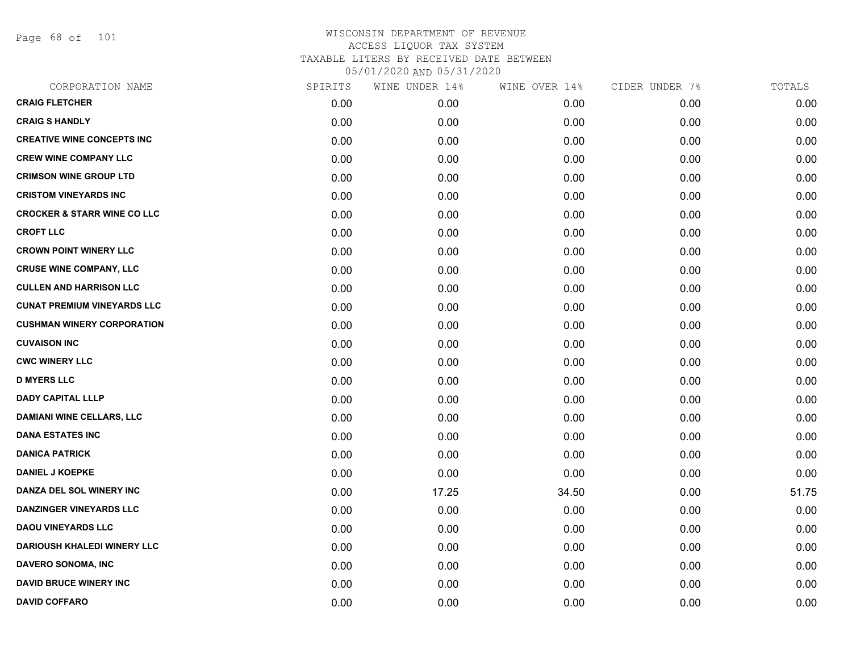Page 68 of 101

|      | WINE UNDER 14% | WINE OVER 14% | CIDER UNDER 7% | TOTALS |
|------|----------------|---------------|----------------|--------|
| 0.00 | 0.00           | 0.00          | 0.00           | 0.00   |
| 0.00 | 0.00           | 0.00          | 0.00           | 0.00   |
| 0.00 | 0.00           | 0.00          | 0.00           | 0.00   |
| 0.00 | 0.00           | 0.00          | 0.00           | 0.00   |
| 0.00 | 0.00           | 0.00          | 0.00           | 0.00   |
| 0.00 | 0.00           | 0.00          | 0.00           | 0.00   |
| 0.00 | 0.00           | 0.00          | 0.00           | 0.00   |
| 0.00 | 0.00           | 0.00          | 0.00           | 0.00   |
| 0.00 | 0.00           | 0.00          | 0.00           | 0.00   |
| 0.00 | 0.00           | 0.00          | 0.00           | 0.00   |
| 0.00 | 0.00           | 0.00          | 0.00           | 0.00   |
| 0.00 | 0.00           | 0.00          | 0.00           | 0.00   |
| 0.00 | 0.00           | 0.00          | 0.00           | 0.00   |
| 0.00 | 0.00           | 0.00          | 0.00           | 0.00   |
| 0.00 | 0.00           | 0.00          | 0.00           | 0.00   |
| 0.00 | 0.00           | 0.00          | 0.00           | 0.00   |
| 0.00 | 0.00           | 0.00          | 0.00           | 0.00   |
| 0.00 | 0.00           | 0.00          | 0.00           | 0.00   |
| 0.00 | 0.00           | 0.00          | 0.00           | 0.00   |
| 0.00 | 0.00           | 0.00          | 0.00           | 0.00   |
| 0.00 | 0.00           | 0.00          | 0.00           | 0.00   |
| 0.00 | 17.25          | 34.50         | 0.00           | 51.75  |
| 0.00 | 0.00           | 0.00          | 0.00           | 0.00   |
| 0.00 | 0.00           | 0.00          | 0.00           | 0.00   |
| 0.00 | 0.00           | 0.00          | 0.00           | 0.00   |
| 0.00 | 0.00           | 0.00          | 0.00           | 0.00   |
| 0.00 | 0.00           | 0.00          | 0.00           | 0.00   |
| 0.00 | 0.00           | 0.00          | 0.00           | 0.00   |
|      | SPIRITS        |               |                |        |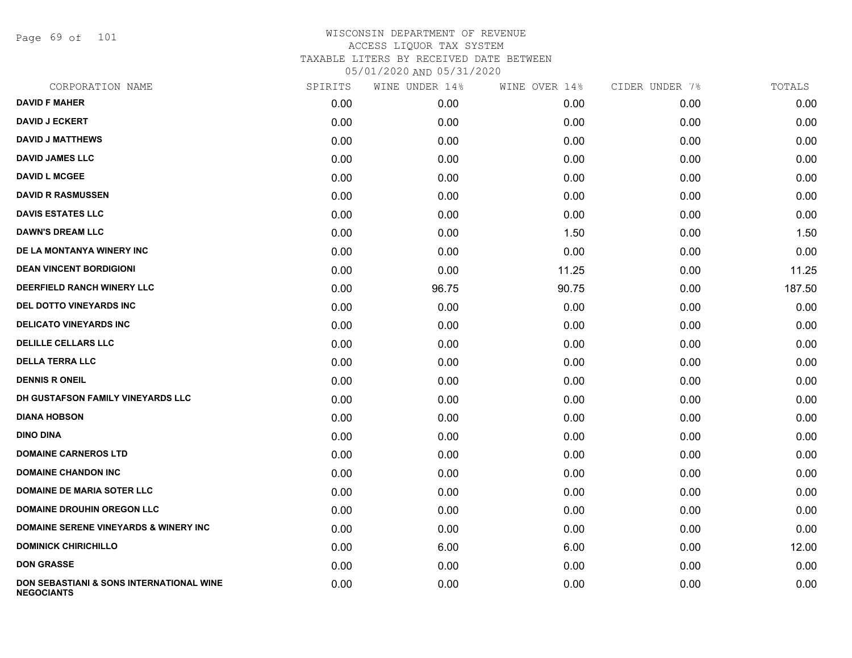Page 69 of 101

| CORPORATION NAME                                                         | SPIRITS | WINE UNDER 14% | WINE OVER 14% | CIDER UNDER 7% | TOTALS |
|--------------------------------------------------------------------------|---------|----------------|---------------|----------------|--------|
| <b>DAVID F MAHER</b>                                                     | 0.00    | 0.00           | 0.00          | 0.00           | 0.00   |
| <b>DAVID J ECKERT</b>                                                    | 0.00    | 0.00           | 0.00          | 0.00           | 0.00   |
| <b>DAVID J MATTHEWS</b>                                                  | 0.00    | 0.00           | 0.00          | 0.00           | 0.00   |
| <b>DAVID JAMES LLC</b>                                                   | 0.00    | 0.00           | 0.00          | 0.00           | 0.00   |
| <b>DAVID L MCGEE</b>                                                     | 0.00    | 0.00           | 0.00          | 0.00           | 0.00   |
| <b>DAVID R RASMUSSEN</b>                                                 | 0.00    | 0.00           | 0.00          | 0.00           | 0.00   |
| <b>DAVIS ESTATES LLC</b>                                                 | 0.00    | 0.00           | 0.00          | 0.00           | 0.00   |
| <b>DAWN'S DREAM LLC</b>                                                  | 0.00    | 0.00           | 1.50          | 0.00           | 1.50   |
| DE LA MONTANYA WINERY INC                                                | 0.00    | 0.00           | 0.00          | 0.00           | 0.00   |
| <b>DEAN VINCENT BORDIGIONI</b>                                           | 0.00    | 0.00           | 11.25         | 0.00           | 11.25  |
| DEERFIELD RANCH WINERY LLC                                               | 0.00    | 96.75          | 90.75         | 0.00           | 187.50 |
| DEL DOTTO VINEYARDS INC                                                  | 0.00    | 0.00           | 0.00          | 0.00           | 0.00   |
| <b>DELICATO VINEYARDS INC</b>                                            | 0.00    | 0.00           | 0.00          | 0.00           | 0.00   |
| <b>DELILLE CELLARS LLC</b>                                               | 0.00    | 0.00           | 0.00          | 0.00           | 0.00   |
| <b>DELLA TERRA LLC</b>                                                   | 0.00    | 0.00           | 0.00          | 0.00           | 0.00   |
| <b>DENNIS R ONEIL</b>                                                    | 0.00    | 0.00           | 0.00          | 0.00           | 0.00   |
| DH GUSTAFSON FAMILY VINEYARDS LLC                                        | 0.00    | 0.00           | 0.00          | 0.00           | 0.00   |
| <b>DIANA HOBSON</b>                                                      | 0.00    | 0.00           | 0.00          | 0.00           | 0.00   |
| <b>DINO DINA</b>                                                         | 0.00    | 0.00           | 0.00          | 0.00           | 0.00   |
| <b>DOMAINE CARNEROS LTD</b>                                              | 0.00    | 0.00           | 0.00          | 0.00           | 0.00   |
| <b>DOMAINE CHANDON INC</b>                                               | 0.00    | 0.00           | 0.00          | 0.00           | 0.00   |
| <b>DOMAINE DE MARIA SOTER LLC</b>                                        | 0.00    | 0.00           | 0.00          | 0.00           | 0.00   |
| <b>DOMAINE DROUHIN OREGON LLC</b>                                        | 0.00    | 0.00           | 0.00          | 0.00           | 0.00   |
| <b>DOMAINE SERENE VINEYARDS &amp; WINERY INC</b>                         | 0.00    | 0.00           | 0.00          | 0.00           | 0.00   |
| <b>DOMINICK CHIRICHILLO</b>                                              | 0.00    | 6.00           | 6.00          | 0.00           | 12.00  |
| <b>DON GRASSE</b>                                                        | 0.00    | 0.00           | 0.00          | 0.00           | 0.00   |
| <b>DON SEBASTIANI &amp; SONS INTERNATIONAL WINE</b><br><b>NEGOCIANTS</b> | 0.00    | 0.00           | 0.00          | 0.00           | 0.00   |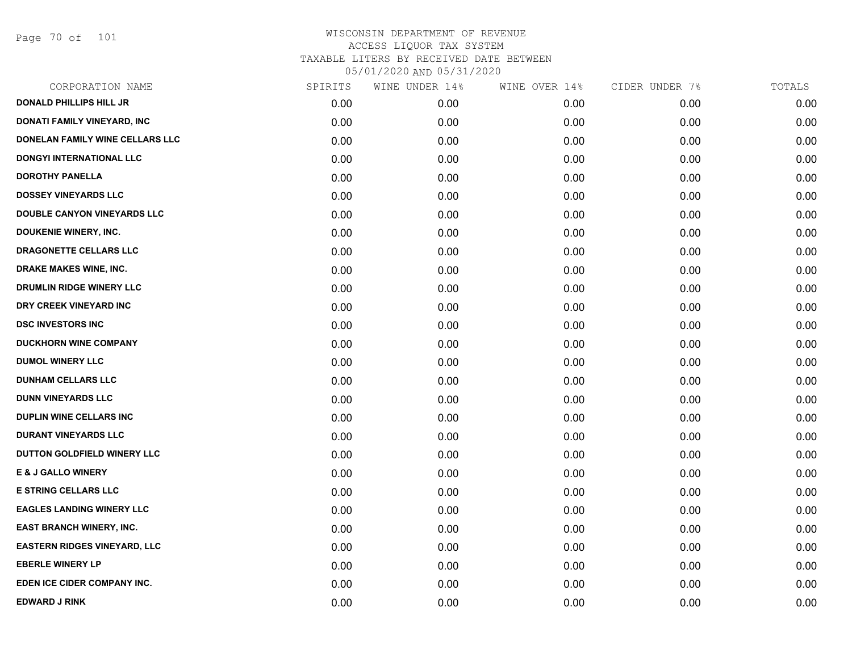Page 70 of 101

| CORPORATION NAME                    | SPIRITS | WINE UNDER 14% | WINE OVER 14% | CIDER UNDER 7% | TOTALS |
|-------------------------------------|---------|----------------|---------------|----------------|--------|
| <b>DONALD PHILLIPS HILL JR</b>      | 0.00    | 0.00           | 0.00          | 0.00           | 0.00   |
| <b>DONATI FAMILY VINEYARD, INC</b>  | 0.00    | 0.00           | 0.00          | 0.00           | 0.00   |
| DONELAN FAMILY WINE CELLARS LLC     | 0.00    | 0.00           | 0.00          | 0.00           | 0.00   |
| <b>DONGYI INTERNATIONAL LLC</b>     | 0.00    | 0.00           | 0.00          | 0.00           | 0.00   |
| <b>DOROTHY PANELLA</b>              | 0.00    | 0.00           | 0.00          | 0.00           | 0.00   |
| <b>DOSSEY VINEYARDS LLC</b>         | 0.00    | 0.00           | 0.00          | 0.00           | 0.00   |
| DOUBLE CANYON VINEYARDS LLC         | 0.00    | 0.00           | 0.00          | 0.00           | 0.00   |
| <b>DOUKENIE WINERY, INC.</b>        | 0.00    | 0.00           | 0.00          | 0.00           | 0.00   |
| DRAGONETTE CELLARS LLC              | 0.00    | 0.00           | 0.00          | 0.00           | 0.00   |
| DRAKE MAKES WINE, INC.              | 0.00    | 0.00           | 0.00          | 0.00           | 0.00   |
| DRUMLIN RIDGE WINERY LLC            | 0.00    | 0.00           | 0.00          | 0.00           | 0.00   |
| DRY CREEK VINEYARD INC              | 0.00    | 0.00           | 0.00          | 0.00           | 0.00   |
| <b>DSC INVESTORS INC</b>            | 0.00    | 0.00           | 0.00          | 0.00           | 0.00   |
| <b>DUCKHORN WINE COMPANY</b>        | 0.00    | 0.00           | 0.00          | 0.00           | 0.00   |
| <b>DUMOL WINERY LLC</b>             | 0.00    | 0.00           | 0.00          | 0.00           | 0.00   |
| <b>DUNHAM CELLARS LLC</b>           | 0.00    | 0.00           | 0.00          | 0.00           | 0.00   |
| <b>DUNN VINEYARDS LLC</b>           | 0.00    | 0.00           | 0.00          | 0.00           | 0.00   |
| DUPLIN WINE CELLARS INC             | 0.00    | 0.00           | 0.00          | 0.00           | 0.00   |
| <b>DURANT VINEYARDS LLC</b>         | 0.00    | 0.00           | 0.00          | 0.00           | 0.00   |
| DUTTON GOLDFIELD WINERY LLC         | 0.00    | 0.00           | 0.00          | 0.00           | 0.00   |
| <b>E &amp; J GALLO WINERY</b>       | 0.00    | 0.00           | 0.00          | 0.00           | 0.00   |
| <b>E STRING CELLARS LLC</b>         | 0.00    | 0.00           | 0.00          | 0.00           | 0.00   |
| <b>EAGLES LANDING WINERY LLC</b>    | 0.00    | 0.00           | 0.00          | 0.00           | 0.00   |
| <b>EAST BRANCH WINERY, INC.</b>     | 0.00    | 0.00           | 0.00          | 0.00           | 0.00   |
| <b>EASTERN RIDGES VINEYARD, LLC</b> | 0.00    | 0.00           | 0.00          | 0.00           | 0.00   |
| <b>EBERLE WINERY LP</b>             | 0.00    | 0.00           | 0.00          | 0.00           | 0.00   |
| EDEN ICE CIDER COMPANY INC.         | 0.00    | 0.00           | 0.00          | 0.00           | 0.00   |
| <b>EDWARD J RINK</b>                | 0.00    | 0.00           | 0.00          | 0.00           | 0.00   |
|                                     |         |                |               |                |        |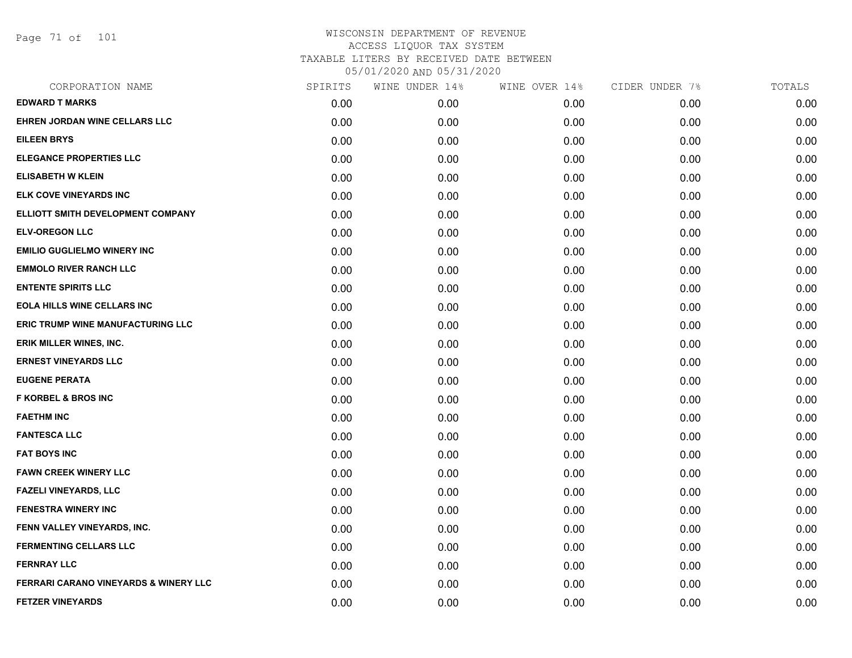Page 71 of 101

| CORPORATION NAME                      | SPIRITS | WINE UNDER 14% | WINE OVER 14% | CIDER UNDER 7% | TOTALS |
|---------------------------------------|---------|----------------|---------------|----------------|--------|
| <b>EDWARD T MARKS</b>                 | 0.00    | 0.00           | 0.00          | 0.00           | 0.00   |
| EHREN JORDAN WINE CELLARS LLC         | 0.00    | 0.00           | 0.00          | 0.00           | 0.00   |
| <b>EILEEN BRYS</b>                    | 0.00    | 0.00           | 0.00          | 0.00           | 0.00   |
| <b>ELEGANCE PROPERTIES LLC</b>        | 0.00    | 0.00           | 0.00          | 0.00           | 0.00   |
| <b>ELISABETH W KLEIN</b>              | 0.00    | 0.00           | 0.00          | 0.00           | 0.00   |
| <b>ELK COVE VINEYARDS INC</b>         | 0.00    | 0.00           | 0.00          | 0.00           | 0.00   |
| ELLIOTT SMITH DEVELOPMENT COMPANY     | 0.00    | 0.00           | 0.00          | 0.00           | 0.00   |
| <b>ELV-OREGON LLC</b>                 | 0.00    | 0.00           | 0.00          | 0.00           | 0.00   |
| <b>EMILIO GUGLIELMO WINERY INC</b>    | 0.00    | 0.00           | 0.00          | 0.00           | 0.00   |
| <b>EMMOLO RIVER RANCH LLC</b>         | 0.00    | 0.00           | 0.00          | 0.00           | 0.00   |
| <b>ENTENTE SPIRITS LLC</b>            | 0.00    | 0.00           | 0.00          | 0.00           | 0.00   |
| <b>EOLA HILLS WINE CELLARS INC</b>    | 0.00    | 0.00           | 0.00          | 0.00           | 0.00   |
| ERIC TRUMP WINE MANUFACTURING LLC     | 0.00    | 0.00           | 0.00          | 0.00           | 0.00   |
| <b>ERIK MILLER WINES, INC.</b>        | 0.00    | 0.00           | 0.00          | 0.00           | 0.00   |
| <b>ERNEST VINEYARDS LLC</b>           | 0.00    | 0.00           | 0.00          | 0.00           | 0.00   |
| <b>EUGENE PERATA</b>                  | 0.00    | 0.00           | 0.00          | 0.00           | 0.00   |
| <b>F KORBEL &amp; BROS INC</b>        | 0.00    | 0.00           | 0.00          | 0.00           | 0.00   |
| <b>FAETHM INC</b>                     | 0.00    | 0.00           | 0.00          | 0.00           | 0.00   |
| <b>FANTESCA LLC</b>                   | 0.00    | 0.00           | 0.00          | 0.00           | 0.00   |
| <b>FAT BOYS INC</b>                   | 0.00    | 0.00           | 0.00          | 0.00           | 0.00   |
| <b>FAWN CREEK WINERY LLC</b>          | 0.00    | 0.00           | 0.00          | 0.00           | 0.00   |
| <b>FAZELI VINEYARDS, LLC</b>          | 0.00    | 0.00           | 0.00          | 0.00           | 0.00   |
| <b>FENESTRA WINERY INC</b>            | 0.00    | 0.00           | 0.00          | 0.00           | 0.00   |
| FENN VALLEY VINEYARDS, INC.           | 0.00    | 0.00           | 0.00          | 0.00           | 0.00   |
| <b>FERMENTING CELLARS LLC</b>         | 0.00    | 0.00           | 0.00          | 0.00           | 0.00   |
| <b>FERNRAY LLC</b>                    | 0.00    | 0.00           | 0.00          | 0.00           | 0.00   |
| FERRARI CARANO VINEYARDS & WINERY LLC | 0.00    | 0.00           | 0.00          | 0.00           | 0.00   |
| <b>FETZER VINEYARDS</b>               | 0.00    | 0.00           | 0.00          | 0.00           | 0.00   |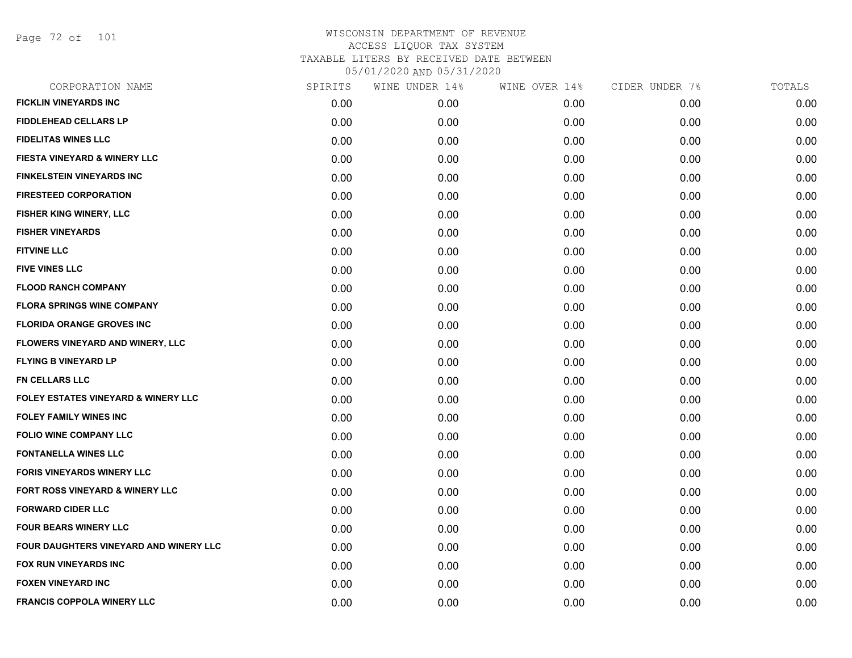Page 72 of 101

| CORPORATION NAME                               | SPIRITS | WINE UNDER 14% | WINE OVER 14% | CIDER UNDER 7% | TOTALS |
|------------------------------------------------|---------|----------------|---------------|----------------|--------|
| <b>FICKLIN VINEYARDS INC</b>                   | 0.00    | 0.00           | 0.00          | 0.00           | 0.00   |
| <b>FIDDLEHEAD CELLARS LP</b>                   | 0.00    | 0.00           | 0.00          | 0.00           | 0.00   |
| <b>FIDELITAS WINES LLC</b>                     | 0.00    | 0.00           | 0.00          | 0.00           | 0.00   |
| FIESTA VINEYARD & WINERY LLC                   | 0.00    | 0.00           | 0.00          | 0.00           | 0.00   |
| <b>FINKELSTEIN VINEYARDS INC</b>               | 0.00    | 0.00           | 0.00          | 0.00           | 0.00   |
| <b>FIRESTEED CORPORATION</b>                   | 0.00    | 0.00           | 0.00          | 0.00           | 0.00   |
| FISHER KING WINERY, LLC                        | 0.00    | 0.00           | 0.00          | 0.00           | 0.00   |
| <b>FISHER VINEYARDS</b>                        | 0.00    | 0.00           | 0.00          | 0.00           | 0.00   |
| <b>FITVINE LLC</b>                             | 0.00    | 0.00           | 0.00          | 0.00           | 0.00   |
| <b>FIVE VINES LLC</b>                          | 0.00    | 0.00           | 0.00          | 0.00           | 0.00   |
| <b>FLOOD RANCH COMPANY</b>                     | 0.00    | 0.00           | 0.00          | 0.00           | 0.00   |
| <b>FLORA SPRINGS WINE COMPANY</b>              | 0.00    | 0.00           | 0.00          | 0.00           | 0.00   |
| <b>FLORIDA ORANGE GROVES INC</b>               | 0.00    | 0.00           | 0.00          | 0.00           | 0.00   |
| <b>FLOWERS VINEYARD AND WINERY, LLC</b>        | 0.00    | 0.00           | 0.00          | 0.00           | 0.00   |
| <b>FLYING B VINEYARD LP</b>                    | 0.00    | 0.00           | 0.00          | 0.00           | 0.00   |
| FN CELLARS LLC                                 | 0.00    | 0.00           | 0.00          | 0.00           | 0.00   |
| <b>FOLEY ESTATES VINEYARD &amp; WINERY LLC</b> | 0.00    | 0.00           | 0.00          | 0.00           | 0.00   |
| <b>FOLEY FAMILY WINES INC</b>                  | 0.00    | 0.00           | 0.00          | 0.00           | 0.00   |
| <b>FOLIO WINE COMPANY LLC</b>                  | 0.00    | 0.00           | 0.00          | 0.00           | 0.00   |
| <b>FONTANELLA WINES LLC</b>                    | 0.00    | 0.00           | 0.00          | 0.00           | 0.00   |
| <b>FORIS VINEYARDS WINERY LLC</b>              | 0.00    | 0.00           | 0.00          | 0.00           | 0.00   |
| FORT ROSS VINEYARD & WINERY LLC                | 0.00    | 0.00           | 0.00          | 0.00           | 0.00   |
| <b>FORWARD CIDER LLC</b>                       | 0.00    | 0.00           | 0.00          | 0.00           | 0.00   |
| <b>FOUR BEARS WINERY LLC</b>                   | 0.00    | 0.00           | 0.00          | 0.00           | 0.00   |
| FOUR DAUGHTERS VINEYARD AND WINERY LLC         | 0.00    | 0.00           | 0.00          | 0.00           | 0.00   |
| <b>FOX RUN VINEYARDS INC</b>                   | 0.00    | 0.00           | 0.00          | 0.00           | 0.00   |
| <b>FOXEN VINEYARD INC</b>                      | 0.00    | 0.00           | 0.00          | 0.00           | 0.00   |
| <b>FRANCIS COPPOLA WINERY LLC</b>              | 0.00    | 0.00           | 0.00          | 0.00           | 0.00   |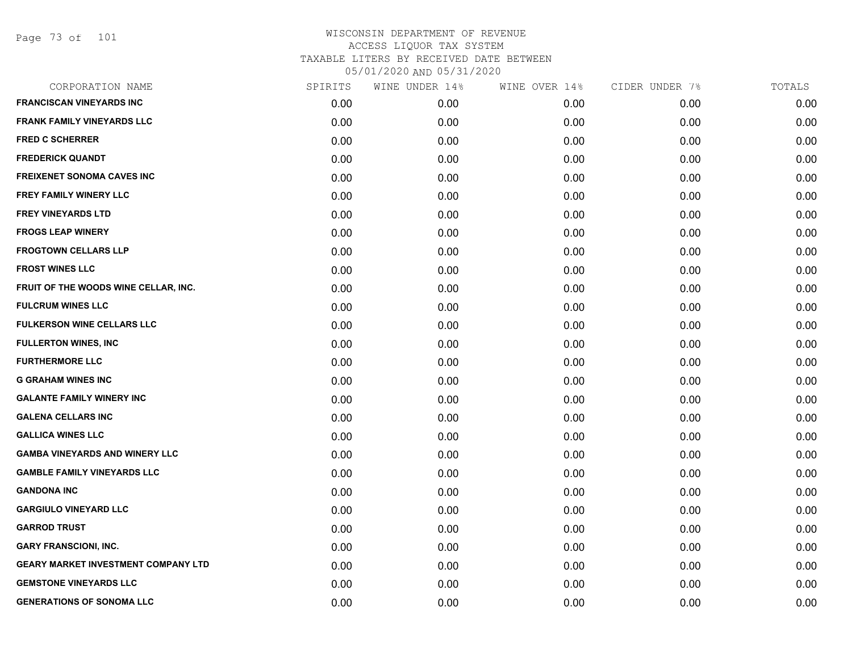Page 73 of 101

| CORPORATION NAME                           | SPIRITS | WINE UNDER 14% | WINE OVER 14% | CIDER UNDER 7% | TOTALS |
|--------------------------------------------|---------|----------------|---------------|----------------|--------|
| <b>FRANCISCAN VINEYARDS INC</b>            | 0.00    | 0.00           | 0.00          | 0.00           | 0.00   |
| <b>FRANK FAMILY VINEYARDS LLC</b>          | 0.00    | 0.00           | 0.00          | 0.00           | 0.00   |
| <b>FRED C SCHERRER</b>                     | 0.00    | 0.00           | 0.00          | 0.00           | 0.00   |
| <b>FREDERICK QUANDT</b>                    | 0.00    | 0.00           | 0.00          | 0.00           | 0.00   |
| <b>FREIXENET SONOMA CAVES INC</b>          | 0.00    | 0.00           | 0.00          | 0.00           | 0.00   |
| FREY FAMILY WINERY LLC                     | 0.00    | 0.00           | 0.00          | 0.00           | 0.00   |
| <b>FREY VINEYARDS LTD</b>                  | 0.00    | 0.00           | 0.00          | 0.00           | 0.00   |
| <b>FROGS LEAP WINERY</b>                   | 0.00    | 0.00           | 0.00          | 0.00           | 0.00   |
| <b>FROGTOWN CELLARS LLP</b>                | 0.00    | 0.00           | 0.00          | 0.00           | 0.00   |
| <b>FROST WINES LLC</b>                     | 0.00    | 0.00           | 0.00          | 0.00           | 0.00   |
| FRUIT OF THE WOODS WINE CELLAR, INC.       | 0.00    | 0.00           | 0.00          | 0.00           | 0.00   |
| <b>FULCRUM WINES LLC</b>                   | 0.00    | 0.00           | 0.00          | 0.00           | 0.00   |
| <b>FULKERSON WINE CELLARS LLC</b>          | 0.00    | 0.00           | 0.00          | 0.00           | 0.00   |
| <b>FULLERTON WINES, INC</b>                | 0.00    | 0.00           | 0.00          | 0.00           | 0.00   |
| <b>FURTHERMORE LLC</b>                     | 0.00    | 0.00           | 0.00          | 0.00           | 0.00   |
| <b>G GRAHAM WINES INC</b>                  | 0.00    | 0.00           | 0.00          | 0.00           | 0.00   |
| <b>GALANTE FAMILY WINERY INC</b>           | 0.00    | 0.00           | 0.00          | 0.00           | 0.00   |
| <b>GALENA CELLARS INC</b>                  | 0.00    | 0.00           | 0.00          | 0.00           | 0.00   |
| <b>GALLICA WINES LLC</b>                   | 0.00    | 0.00           | 0.00          | 0.00           | 0.00   |
| <b>GAMBA VINEYARDS AND WINERY LLC</b>      | 0.00    | 0.00           | 0.00          | 0.00           | 0.00   |
| <b>GAMBLE FAMILY VINEYARDS LLC</b>         | 0.00    | 0.00           | 0.00          | 0.00           | 0.00   |
| <b>GANDONA INC</b>                         | 0.00    | 0.00           | 0.00          | 0.00           | 0.00   |
| <b>GARGIULO VINEYARD LLC</b>               | 0.00    | 0.00           | 0.00          | 0.00           | 0.00   |
| <b>GARROD TRUST</b>                        | 0.00    | 0.00           | 0.00          | 0.00           | 0.00   |
| <b>GARY FRANSCIONI, INC.</b>               | 0.00    | 0.00           | 0.00          | 0.00           | 0.00   |
| <b>GEARY MARKET INVESTMENT COMPANY LTD</b> | 0.00    | 0.00           | 0.00          | 0.00           | 0.00   |
| <b>GEMSTONE VINEYARDS LLC</b>              | 0.00    | 0.00           | 0.00          | 0.00           | 0.00   |
| <b>GENERATIONS OF SONOMA LLC</b>           | 0.00    | 0.00           | 0.00          | 0.00           | 0.00   |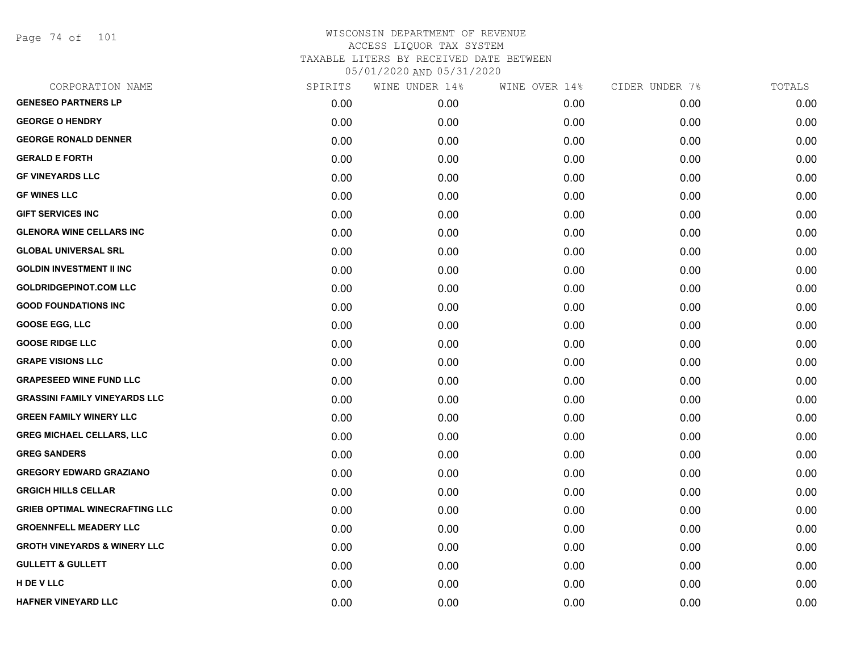Page 74 of 101

| CORPORATION NAME                        | SPIRITS | WINE UNDER 14% | WINE OVER 14% | CIDER UNDER 7% | TOTALS |
|-----------------------------------------|---------|----------------|---------------|----------------|--------|
| <b>GENESEO PARTNERS LP</b>              | 0.00    | 0.00           | 0.00          | 0.00           | 0.00   |
| <b>GEORGE O HENDRY</b>                  | 0.00    | 0.00           | 0.00          | 0.00           | 0.00   |
| <b>GEORGE RONALD DENNER</b>             | 0.00    | 0.00           | 0.00          | 0.00           | 0.00   |
| <b>GERALD E FORTH</b>                   | 0.00    | 0.00           | 0.00          | 0.00           | 0.00   |
| <b>GF VINEYARDS LLC</b>                 | 0.00    | 0.00           | 0.00          | 0.00           | 0.00   |
| <b>GF WINES LLC</b>                     | 0.00    | 0.00           | 0.00          | 0.00           | 0.00   |
| <b>GIFT SERVICES INC</b>                | 0.00    | 0.00           | 0.00          | 0.00           | 0.00   |
| <b>GLENORA WINE CELLARS INC</b>         | 0.00    | 0.00           | 0.00          | 0.00           | 0.00   |
| <b>GLOBAL UNIVERSAL SRL</b>             | 0.00    | 0.00           | 0.00          | 0.00           | 0.00   |
| <b>GOLDIN INVESTMENT II INC</b>         | 0.00    | 0.00           | 0.00          | 0.00           | 0.00   |
| <b>GOLDRIDGEPINOT.COM LLC</b>           | 0.00    | 0.00           | 0.00          | 0.00           | 0.00   |
| <b>GOOD FOUNDATIONS INC</b>             | 0.00    | 0.00           | 0.00          | 0.00           | 0.00   |
| <b>GOOSE EGG, LLC</b>                   | 0.00    | 0.00           | 0.00          | 0.00           | 0.00   |
| <b>GOOSE RIDGE LLC</b>                  | 0.00    | 0.00           | 0.00          | 0.00           | 0.00   |
| <b>GRAPE VISIONS LLC</b>                | 0.00    | 0.00           | 0.00          | 0.00           | 0.00   |
| <b>GRAPESEED WINE FUND LLC</b>          | 0.00    | 0.00           | 0.00          | 0.00           | 0.00   |
| <b>GRASSINI FAMILY VINEYARDS LLC</b>    | 0.00    | 0.00           | 0.00          | 0.00           | 0.00   |
| <b>GREEN FAMILY WINERY LLC</b>          | 0.00    | 0.00           | 0.00          | 0.00           | 0.00   |
| <b>GREG MICHAEL CELLARS, LLC</b>        | 0.00    | 0.00           | 0.00          | 0.00           | 0.00   |
| <b>GREG SANDERS</b>                     | 0.00    | 0.00           | 0.00          | 0.00           | 0.00   |
| <b>GREGORY EDWARD GRAZIANO</b>          | 0.00    | 0.00           | 0.00          | 0.00           | 0.00   |
| <b>GRGICH HILLS CELLAR</b>              | 0.00    | 0.00           | 0.00          | 0.00           | 0.00   |
| <b>GRIEB OPTIMAL WINECRAFTING LLC</b>   | 0.00    | 0.00           | 0.00          | 0.00           | 0.00   |
| <b>GROENNFELL MEADERY LLC</b>           | 0.00    | 0.00           | 0.00          | 0.00           | 0.00   |
| <b>GROTH VINEYARDS &amp; WINERY LLC</b> | 0.00    | 0.00           | 0.00          | 0.00           | 0.00   |
| <b>GULLETT &amp; GULLETT</b>            | 0.00    | 0.00           | 0.00          | 0.00           | 0.00   |
| H DE V LLC                              | 0.00    | 0.00           | 0.00          | 0.00           | 0.00   |
| <b>HAFNER VINEYARD LLC</b>              | 0.00    | 0.00           | 0.00          | 0.00           | 0.00   |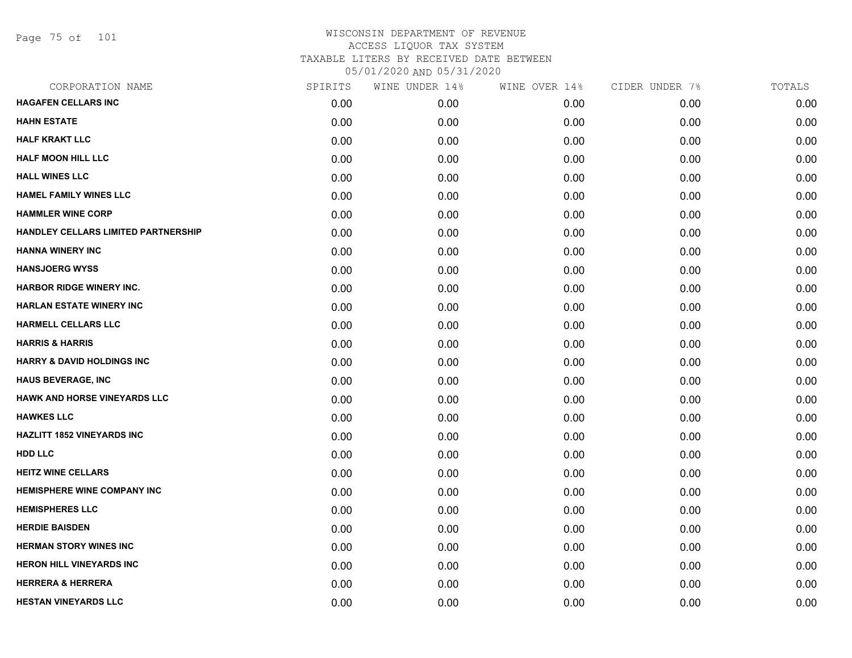Page 75 of 101

| CORPORATION NAME                           | SPIRITS | WINE UNDER 14% | WINE OVER 14% | CIDER UNDER 7% | TOTALS |
|--------------------------------------------|---------|----------------|---------------|----------------|--------|
| <b>HAGAFEN CELLARS INC</b>                 | 0.00    | 0.00           | 0.00          | 0.00           | 0.00   |
| <b>HAHN ESTATE</b>                         | 0.00    | 0.00           | 0.00          | 0.00           | 0.00   |
| <b>HALF KRAKT LLC</b>                      | 0.00    | 0.00           | 0.00          | 0.00           | 0.00   |
| <b>HALF MOON HILL LLC</b>                  | 0.00    | 0.00           | 0.00          | 0.00           | 0.00   |
| <b>HALL WINES LLC</b>                      | 0.00    | 0.00           | 0.00          | 0.00           | 0.00   |
| <b>HAMEL FAMILY WINES LLC</b>              | 0.00    | 0.00           | 0.00          | 0.00           | 0.00   |
| <b>HAMMLER WINE CORP</b>                   | 0.00    | 0.00           | 0.00          | 0.00           | 0.00   |
| <b>HANDLEY CELLARS LIMITED PARTNERSHIP</b> | 0.00    | 0.00           | 0.00          | 0.00           | 0.00   |
| <b>HANNA WINERY INC</b>                    | 0.00    | 0.00           | 0.00          | 0.00           | 0.00   |
| <b>HANSJOERG WYSS</b>                      | 0.00    | 0.00           | 0.00          | 0.00           | 0.00   |
| <b>HARBOR RIDGE WINERY INC.</b>            | 0.00    | 0.00           | 0.00          | 0.00           | 0.00   |
| <b>HARLAN ESTATE WINERY INC</b>            | 0.00    | 0.00           | 0.00          | 0.00           | 0.00   |
| <b>HARMELL CELLARS LLC</b>                 | 0.00    | 0.00           | 0.00          | 0.00           | 0.00   |
| <b>HARRIS &amp; HARRIS</b>                 | 0.00    | 0.00           | 0.00          | 0.00           | 0.00   |
| <b>HARRY &amp; DAVID HOLDINGS INC</b>      | 0.00    | 0.00           | 0.00          | 0.00           | 0.00   |
| <b>HAUS BEVERAGE, INC</b>                  | 0.00    | 0.00           | 0.00          | 0.00           | 0.00   |
| HAWK AND HORSE VINEYARDS LLC               | 0.00    | 0.00           | 0.00          | 0.00           | 0.00   |
| <b>HAWKES LLC</b>                          | 0.00    | 0.00           | 0.00          | 0.00           | 0.00   |
| <b>HAZLITT 1852 VINEYARDS INC</b>          | 0.00    | 0.00           | 0.00          | 0.00           | 0.00   |
| <b>HDD LLC</b>                             | 0.00    | 0.00           | 0.00          | 0.00           | 0.00   |
| <b>HEITZ WINE CELLARS</b>                  | 0.00    | 0.00           | 0.00          | 0.00           | 0.00   |
| HEMISPHERE WINE COMPANY INC                | 0.00    | 0.00           | 0.00          | 0.00           | 0.00   |
| <b>HEMISPHERES LLC</b>                     | 0.00    | 0.00           | 0.00          | 0.00           | 0.00   |
| <b>HERDIE BAISDEN</b>                      | 0.00    | 0.00           | 0.00          | 0.00           | 0.00   |
| <b>HERMAN STORY WINES INC</b>              | 0.00    | 0.00           | 0.00          | 0.00           | 0.00   |
| <b>HERON HILL VINEYARDS INC</b>            | 0.00    | 0.00           | 0.00          | 0.00           | 0.00   |
| <b>HERRERA &amp; HERRERA</b>               | 0.00    | 0.00           | 0.00          | 0.00           | 0.00   |
| <b>HESTAN VINEYARDS LLC</b>                | 0.00    | 0.00           | 0.00          | 0.00           | 0.00   |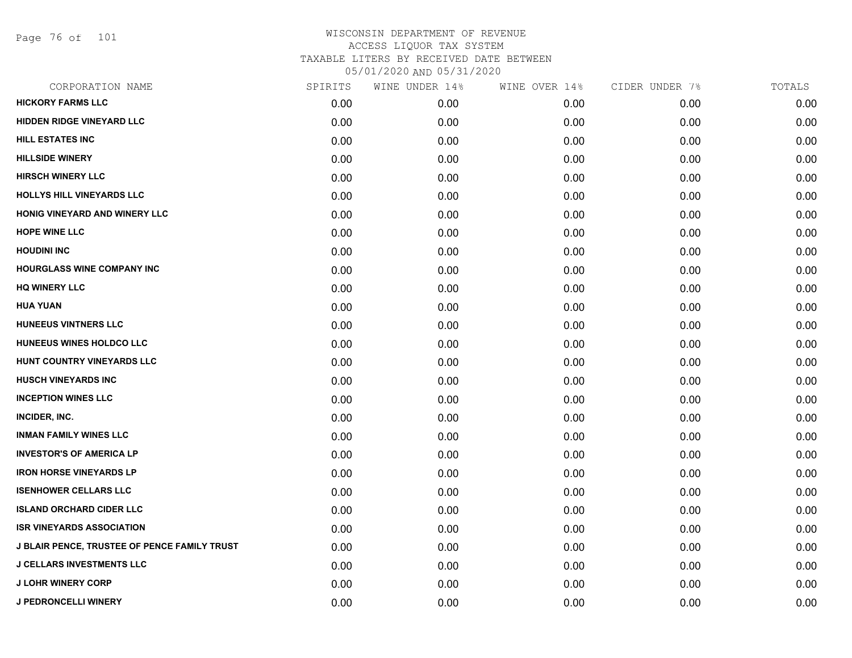Page 76 of 101

| CORPORATION NAME                             | SPIRITS | WINE UNDER 14% | WINE OVER 14% | CIDER UNDER 7% | TOTALS |
|----------------------------------------------|---------|----------------|---------------|----------------|--------|
| <b>HICKORY FARMS LLC</b>                     | 0.00    | 0.00           | 0.00          | 0.00           | 0.00   |
| HIDDEN RIDGE VINEYARD LLC                    | 0.00    | 0.00           | 0.00          | 0.00           | 0.00   |
| <b>HILL ESTATES INC</b>                      | 0.00    | 0.00           | 0.00          | 0.00           | 0.00   |
| <b>HILLSIDE WINERY</b>                       | 0.00    | 0.00           | 0.00          | 0.00           | 0.00   |
| <b>HIRSCH WINERY LLC</b>                     | 0.00    | 0.00           | 0.00          | 0.00           | 0.00   |
| <b>HOLLYS HILL VINEYARDS LLC</b>             | 0.00    | 0.00           | 0.00          | 0.00           | 0.00   |
| HONIG VINEYARD AND WINERY LLC                | 0.00    | 0.00           | 0.00          | 0.00           | 0.00   |
| <b>HOPE WINE LLC</b>                         | 0.00    | 0.00           | 0.00          | 0.00           | 0.00   |
| <b>HOUDINI INC</b>                           | 0.00    | 0.00           | 0.00          | 0.00           | 0.00   |
| <b>HOURGLASS WINE COMPANY INC</b>            | 0.00    | 0.00           | 0.00          | 0.00           | 0.00   |
| <b>HQ WINERY LLC</b>                         | 0.00    | 0.00           | 0.00          | 0.00           | 0.00   |
| <b>HUA YUAN</b>                              | 0.00    | 0.00           | 0.00          | 0.00           | 0.00   |
| HUNEEUS VINTNERS LLC                         | 0.00    | 0.00           | 0.00          | 0.00           | 0.00   |
| HUNEEUS WINES HOLDCO LLC                     | 0.00    | 0.00           | 0.00          | 0.00           | 0.00   |
| HUNT COUNTRY VINEYARDS LLC                   | 0.00    | 0.00           | 0.00          | 0.00           | 0.00   |
| <b>HUSCH VINEYARDS INC</b>                   | 0.00    | 0.00           | 0.00          | 0.00           | 0.00   |
| <b>INCEPTION WINES LLC</b>                   | 0.00    | 0.00           | 0.00          | 0.00           | 0.00   |
| INCIDER, INC.                                | 0.00    | 0.00           | 0.00          | 0.00           | 0.00   |
| <b>INMAN FAMILY WINES LLC</b>                | 0.00    | 0.00           | 0.00          | 0.00           | 0.00   |
| <b>INVESTOR'S OF AMERICA LP</b>              | 0.00    | 0.00           | 0.00          | 0.00           | 0.00   |
| <b>IRON HORSE VINEYARDS LP</b>               | 0.00    | 0.00           | 0.00          | 0.00           | 0.00   |
| <b>ISENHOWER CELLARS LLC</b>                 | 0.00    | 0.00           | 0.00          | 0.00           | 0.00   |
| <b>ISLAND ORCHARD CIDER LLC</b>              | 0.00    | 0.00           | 0.00          | 0.00           | 0.00   |
| <b>ISR VINEYARDS ASSOCIATION</b>             | 0.00    | 0.00           | 0.00          | 0.00           | 0.00   |
| J BLAIR PENCE, TRUSTEE OF PENCE FAMILY TRUST | 0.00    | 0.00           | 0.00          | 0.00           | 0.00   |
| <b>J CELLARS INVESTMENTS LLC</b>             | 0.00    | 0.00           | 0.00          | 0.00           | 0.00   |
| <b>J LOHR WINERY CORP</b>                    | 0.00    | 0.00           | 0.00          | 0.00           | 0.00   |
| <b>J PEDRONCELLI WINERY</b>                  | 0.00    | 0.00           | 0.00          | 0.00           | 0.00   |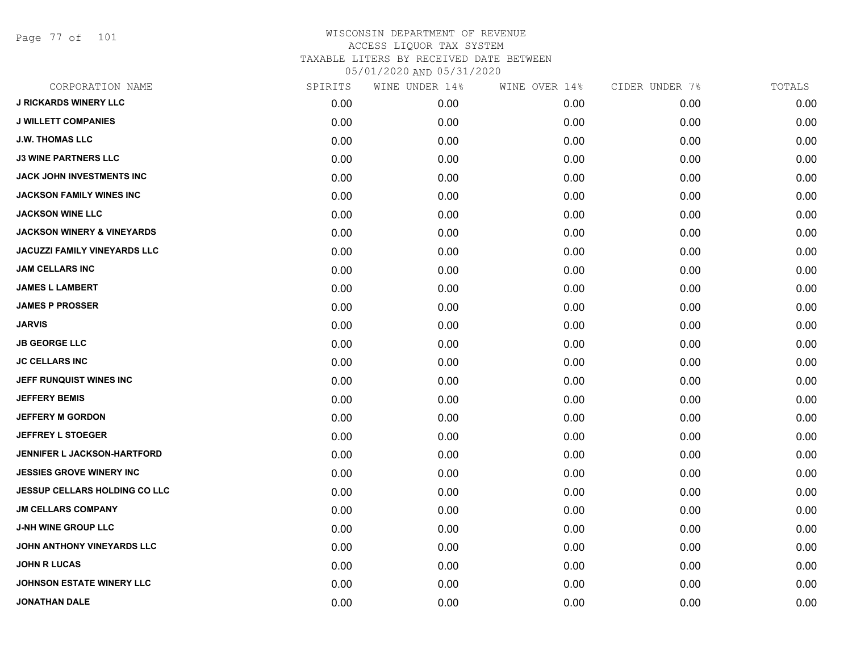Page 77 of 101

| CORPORATION NAME                      | SPIRITS | WINE UNDER 14% | WINE OVER 14% | CIDER UNDER 7% | TOTALS |
|---------------------------------------|---------|----------------|---------------|----------------|--------|
| <b>J RICKARDS WINERY LLC</b>          | 0.00    | 0.00           | 0.00          | 0.00           | 0.00   |
| <b>J WILLETT COMPANIES</b>            | 0.00    | 0.00           | 0.00          | 0.00           | 0.00   |
| <b>J.W. THOMAS LLC</b>                | 0.00    | 0.00           | 0.00          | 0.00           | 0.00   |
| <b>J3 WINE PARTNERS LLC</b>           | 0.00    | 0.00           | 0.00          | 0.00           | 0.00   |
| <b>JACK JOHN INVESTMENTS INC</b>      | 0.00    | 0.00           | 0.00          | 0.00           | 0.00   |
| <b>JACKSON FAMILY WINES INC</b>       | 0.00    | 0.00           | 0.00          | 0.00           | 0.00   |
| <b>JACKSON WINE LLC</b>               | 0.00    | 0.00           | 0.00          | 0.00           | 0.00   |
| <b>JACKSON WINERY &amp; VINEYARDS</b> | 0.00    | 0.00           | 0.00          | 0.00           | 0.00   |
| <b>JACUZZI FAMILY VINEYARDS LLC</b>   | 0.00    | 0.00           | 0.00          | 0.00           | 0.00   |
| <b>JAM CELLARS INC</b>                | 0.00    | 0.00           | 0.00          | 0.00           | 0.00   |
| <b>JAMES L LAMBERT</b>                | 0.00    | 0.00           | 0.00          | 0.00           | 0.00   |
| <b>JAMES P PROSSER</b>                | 0.00    | 0.00           | 0.00          | 0.00           | 0.00   |
| <b>JARVIS</b>                         | 0.00    | 0.00           | 0.00          | 0.00           | 0.00   |
| <b>JB GEORGE LLC</b>                  | 0.00    | 0.00           | 0.00          | 0.00           | 0.00   |
| <b>JC CELLARS INC</b>                 | 0.00    | 0.00           | 0.00          | 0.00           | 0.00   |
| JEFF RUNQUIST WINES INC               | 0.00    | 0.00           | 0.00          | 0.00           | 0.00   |
| <b>JEFFERY BEMIS</b>                  | 0.00    | 0.00           | 0.00          | 0.00           | 0.00   |
| <b>JEFFERY M GORDON</b>               | 0.00    | 0.00           | 0.00          | 0.00           | 0.00   |
| <b>JEFFREY L STOEGER</b>              | 0.00    | 0.00           | 0.00          | 0.00           | 0.00   |
| JENNIFER L JACKSON-HARTFORD           | 0.00    | 0.00           | 0.00          | 0.00           | 0.00   |
| <b>JESSIES GROVE WINERY INC</b>       | 0.00    | 0.00           | 0.00          | 0.00           | 0.00   |
| <b>JESSUP CELLARS HOLDING CO LLC</b>  | 0.00    | 0.00           | 0.00          | 0.00           | 0.00   |
| <b>JM CELLARS COMPANY</b>             | 0.00    | 0.00           | 0.00          | 0.00           | 0.00   |
| <b>J-NH WINE GROUP LLC</b>            | 0.00    | 0.00           | 0.00          | 0.00           | 0.00   |
| JOHN ANTHONY VINEYARDS LLC            | 0.00    | 0.00           | 0.00          | 0.00           | 0.00   |
| <b>JOHN R LUCAS</b>                   | 0.00    | 0.00           | 0.00          | 0.00           | 0.00   |
| <b>JOHNSON ESTATE WINERY LLC</b>      | 0.00    | 0.00           | 0.00          | 0.00           | 0.00   |
| <b>JONATHAN DALE</b>                  | 0.00    | 0.00           | 0.00          | 0.00           | 0.00   |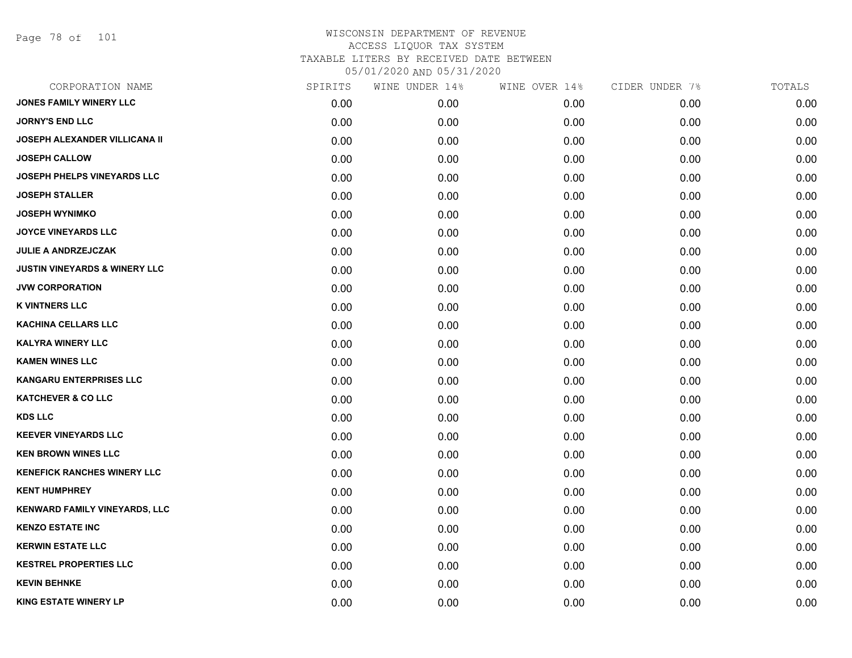Page 78 of 101

| CORPORATION NAME                         | SPIRITS | WINE UNDER 14% | WINE OVER 14% | CIDER UNDER 7% | TOTALS |
|------------------------------------------|---------|----------------|---------------|----------------|--------|
| <b>JONES FAMILY WINERY LLC</b>           | 0.00    | 0.00           | 0.00          | 0.00           | 0.00   |
| <b>JORNY'S END LLC</b>                   | 0.00    | 0.00           | 0.00          | 0.00           | 0.00   |
| <b>JOSEPH ALEXANDER VILLICANA II</b>     | 0.00    | 0.00           | 0.00          | 0.00           | 0.00   |
| <b>JOSEPH CALLOW</b>                     | 0.00    | 0.00           | 0.00          | 0.00           | 0.00   |
| <b>JOSEPH PHELPS VINEYARDS LLC</b>       | 0.00    | 0.00           | 0.00          | 0.00           | 0.00   |
| <b>JOSEPH STALLER</b>                    | 0.00    | 0.00           | 0.00          | 0.00           | 0.00   |
| <b>JOSEPH WYNIMKO</b>                    | 0.00    | 0.00           | 0.00          | 0.00           | 0.00   |
| <b>JOYCE VINEYARDS LLC</b>               | 0.00    | 0.00           | 0.00          | 0.00           | 0.00   |
| <b>JULIE A ANDRZEJCZAK</b>               | 0.00    | 0.00           | 0.00          | 0.00           | 0.00   |
| <b>JUSTIN VINEYARDS &amp; WINERY LLC</b> | 0.00    | 0.00           | 0.00          | 0.00           | 0.00   |
| <b>JVW CORPORATION</b>                   | 0.00    | 0.00           | 0.00          | 0.00           | 0.00   |
| <b>K VINTNERS LLC</b>                    | 0.00    | 0.00           | 0.00          | 0.00           | 0.00   |
| <b>KACHINA CELLARS LLC</b>               | 0.00    | 0.00           | 0.00          | 0.00           | 0.00   |
| <b>KALYRA WINERY LLC</b>                 | 0.00    | 0.00           | 0.00          | 0.00           | 0.00   |
| <b>KAMEN WINES LLC</b>                   | 0.00    | 0.00           | 0.00          | 0.00           | 0.00   |
| <b>KANGARU ENTERPRISES LLC</b>           | 0.00    | 0.00           | 0.00          | 0.00           | 0.00   |
| <b>KATCHEVER &amp; CO LLC</b>            | 0.00    | 0.00           | 0.00          | 0.00           | 0.00   |
| <b>KDS LLC</b>                           | 0.00    | 0.00           | 0.00          | 0.00           | 0.00   |
| <b>KEEVER VINEYARDS LLC</b>              | 0.00    | 0.00           | 0.00          | 0.00           | 0.00   |
| <b>KEN BROWN WINES LLC</b>               | 0.00    | 0.00           | 0.00          | 0.00           | 0.00   |
| <b>KENEFICK RANCHES WINERY LLC</b>       | 0.00    | 0.00           | 0.00          | 0.00           | 0.00   |
| <b>KENT HUMPHREY</b>                     | 0.00    | 0.00           | 0.00          | 0.00           | 0.00   |
| KENWARD FAMILY VINEYARDS, LLC            | 0.00    | 0.00           | 0.00          | 0.00           | 0.00   |
| <b>KENZO ESTATE INC</b>                  | 0.00    | 0.00           | 0.00          | 0.00           | 0.00   |
| <b>KERWIN ESTATE LLC</b>                 | 0.00    | 0.00           | 0.00          | 0.00           | 0.00   |
| <b>KESTREL PROPERTIES LLC</b>            | 0.00    | 0.00           | 0.00          | 0.00           | 0.00   |
| <b>KEVIN BEHNKE</b>                      | 0.00    | 0.00           | 0.00          | 0.00           | 0.00   |
| <b>KING ESTATE WINERY LP</b>             | 0.00    | 0.00           | 0.00          | 0.00           | 0.00   |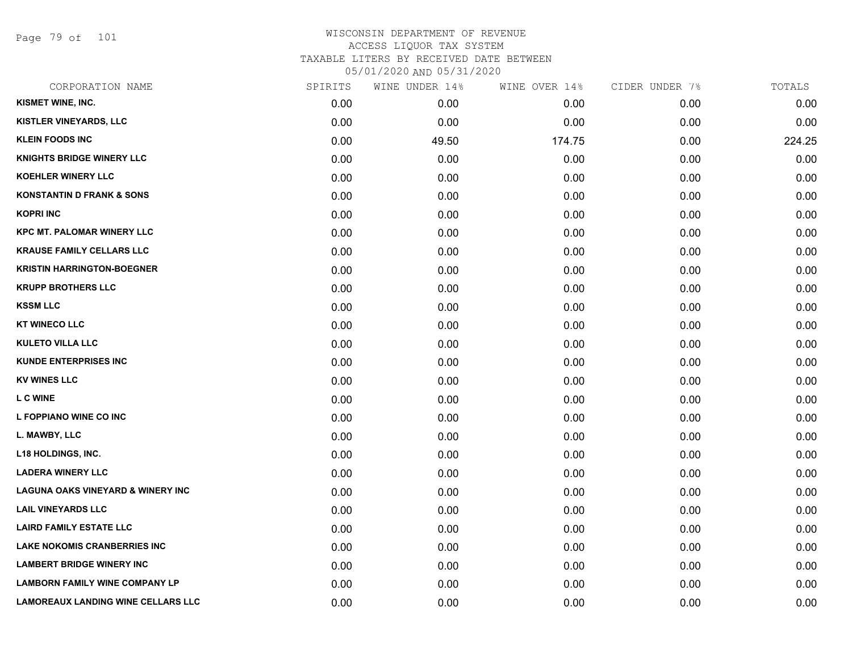Page 79 of 101

| CORPORATION NAME                             | SPIRITS | WINE UNDER 14% | WINE OVER 14% | CIDER UNDER 7% | TOTALS |
|----------------------------------------------|---------|----------------|---------------|----------------|--------|
| KISMET WINE, INC.                            | 0.00    | 0.00           | 0.00          | 0.00           | 0.00   |
| <b>KISTLER VINEYARDS, LLC</b>                | 0.00    | 0.00           | 0.00          | 0.00           | 0.00   |
| <b>KLEIN FOODS INC</b>                       | 0.00    | 49.50          | 174.75        | 0.00           | 224.25 |
| <b>KNIGHTS BRIDGE WINERY LLC</b>             | 0.00    | 0.00           | 0.00          | 0.00           | 0.00   |
| <b>KOEHLER WINERY LLC</b>                    | 0.00    | 0.00           | 0.00          | 0.00           | 0.00   |
| <b>KONSTANTIN D FRANK &amp; SONS</b>         | 0.00    | 0.00           | 0.00          | 0.00           | 0.00   |
| <b>KOPRI INC</b>                             | 0.00    | 0.00           | 0.00          | 0.00           | 0.00   |
| <b>KPC MT. PALOMAR WINERY LLC</b>            | 0.00    | 0.00           | 0.00          | 0.00           | 0.00   |
| <b>KRAUSE FAMILY CELLARS LLC</b>             | 0.00    | 0.00           | 0.00          | 0.00           | 0.00   |
| <b>KRISTIN HARRINGTON-BOEGNER</b>            | 0.00    | 0.00           | 0.00          | 0.00           | 0.00   |
| <b>KRUPP BROTHERS LLC</b>                    | 0.00    | 0.00           | 0.00          | 0.00           | 0.00   |
| <b>KSSM LLC</b>                              | 0.00    | 0.00           | 0.00          | 0.00           | 0.00   |
| <b>KT WINECO LLC</b>                         | 0.00    | 0.00           | 0.00          | 0.00           | 0.00   |
| <b>KULETO VILLA LLC</b>                      | 0.00    | 0.00           | 0.00          | 0.00           | 0.00   |
| <b>KUNDE ENTERPRISES INC</b>                 | 0.00    | 0.00           | 0.00          | 0.00           | 0.00   |
| <b>KV WINES LLC</b>                          | 0.00    | 0.00           | 0.00          | 0.00           | 0.00   |
| <b>LCWINE</b>                                | 0.00    | 0.00           | 0.00          | 0.00           | 0.00   |
| L FOPPIANO WINE CO INC                       | 0.00    | 0.00           | 0.00          | 0.00           | 0.00   |
| L. MAWBY, LLC                                | 0.00    | 0.00           | 0.00          | 0.00           | 0.00   |
| <b>L18 HOLDINGS, INC.</b>                    | 0.00    | 0.00           | 0.00          | 0.00           | 0.00   |
| <b>LADERA WINERY LLC</b>                     | 0.00    | 0.00           | 0.00          | 0.00           | 0.00   |
| <b>LAGUNA OAKS VINEYARD &amp; WINERY INC</b> | 0.00    | 0.00           | 0.00          | 0.00           | 0.00   |
| <b>LAIL VINEYARDS LLC</b>                    | 0.00    | 0.00           | 0.00          | 0.00           | 0.00   |
| <b>LAIRD FAMILY ESTATE LLC</b>               | 0.00    | 0.00           | 0.00          | 0.00           | 0.00   |
| <b>LAKE NOKOMIS CRANBERRIES INC</b>          | 0.00    | 0.00           | 0.00          | 0.00           | 0.00   |
| <b>LAMBERT BRIDGE WINERY INC</b>             | 0.00    | 0.00           | 0.00          | 0.00           | 0.00   |
| <b>LAMBORN FAMILY WINE COMPANY LP</b>        | 0.00    | 0.00           | 0.00          | 0.00           | 0.00   |
| <b>LAMOREAUX LANDING WINE CELLARS LLC</b>    | 0.00    | 0.00           | 0.00          | 0.00           | 0.00   |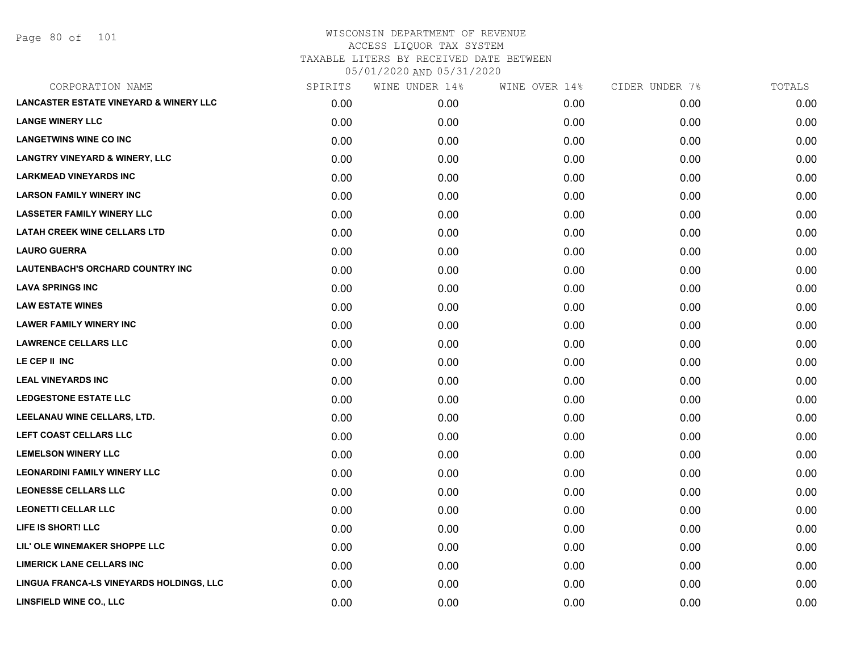Page 80 of 101

|      | WINE UNDER 14% |      |               | TOTALS         |
|------|----------------|------|---------------|----------------|
| 0.00 | 0.00           | 0.00 | 0.00          | 0.00           |
| 0.00 | 0.00           | 0.00 | 0.00          | 0.00           |
| 0.00 | 0.00           | 0.00 | 0.00          | 0.00           |
| 0.00 | 0.00           | 0.00 | 0.00          | 0.00           |
| 0.00 | 0.00           | 0.00 | 0.00          | 0.00           |
| 0.00 | 0.00           | 0.00 | 0.00          | 0.00           |
| 0.00 | 0.00           | 0.00 | 0.00          | 0.00           |
| 0.00 | 0.00           | 0.00 | 0.00          | 0.00           |
| 0.00 | 0.00           | 0.00 | 0.00          | 0.00           |
| 0.00 | 0.00           | 0.00 | 0.00          | 0.00           |
| 0.00 | 0.00           | 0.00 | 0.00          | 0.00           |
| 0.00 | 0.00           | 0.00 | 0.00          | 0.00           |
| 0.00 | 0.00           | 0.00 | 0.00          | 0.00           |
| 0.00 | 0.00           | 0.00 | 0.00          | 0.00           |
| 0.00 | 0.00           | 0.00 | 0.00          | 0.00           |
| 0.00 | 0.00           | 0.00 | 0.00          | 0.00           |
| 0.00 | 0.00           | 0.00 | 0.00          | 0.00           |
| 0.00 | 0.00           | 0.00 | 0.00          | 0.00           |
| 0.00 | 0.00           | 0.00 | 0.00          | 0.00           |
| 0.00 | 0.00           | 0.00 | 0.00          | 0.00           |
| 0.00 | 0.00           | 0.00 | 0.00          | 0.00           |
| 0.00 | 0.00           | 0.00 | 0.00          | 0.00           |
| 0.00 | 0.00           | 0.00 | 0.00          | 0.00           |
| 0.00 | 0.00           | 0.00 | 0.00          | 0.00           |
| 0.00 | 0.00           | 0.00 | 0.00          | 0.00           |
| 0.00 | 0.00           | 0.00 | 0.00          | 0.00           |
| 0.00 | 0.00           | 0.00 | 0.00          | 0.00           |
| 0.00 | 0.00           | 0.00 | 0.00          | 0.00           |
|      | SPIRITS        |      | WINE OVER 14% | CIDER UNDER 7% |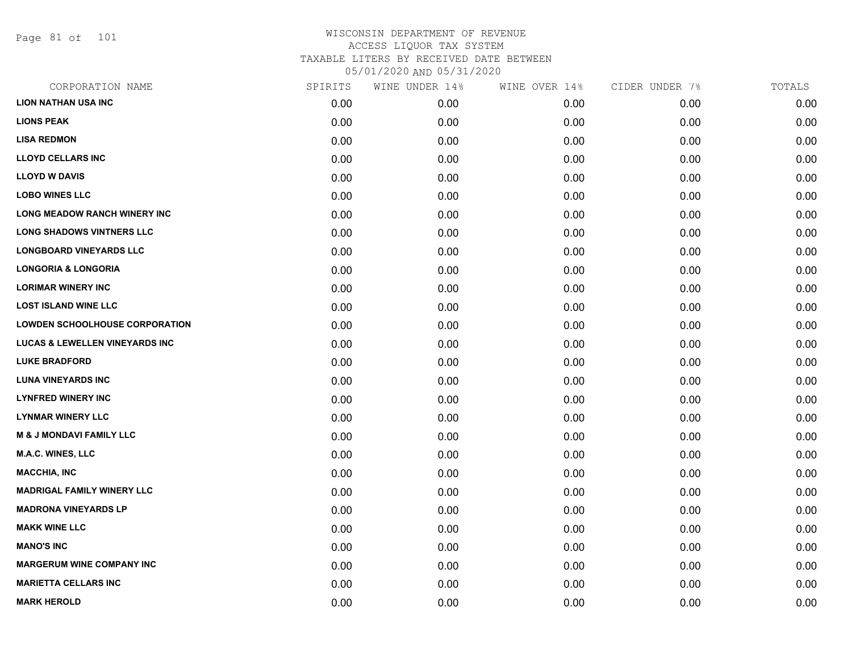Page 81 of 101

| CORPORATION NAME                          | SPIRITS | WINE UNDER 14% | WINE OVER 14% | CIDER UNDER 7% | TOTALS |
|-------------------------------------------|---------|----------------|---------------|----------------|--------|
| <b>LION NATHAN USA INC</b>                | 0.00    | 0.00           | 0.00          | 0.00           | 0.00   |
| <b>LIONS PEAK</b>                         | 0.00    | 0.00           | 0.00          | 0.00           | 0.00   |
| <b>LISA REDMON</b>                        | 0.00    | 0.00           | 0.00          | 0.00           | 0.00   |
| <b>LLOYD CELLARS INC</b>                  | 0.00    | 0.00           | 0.00          | 0.00           | 0.00   |
| <b>LLOYD W DAVIS</b>                      | 0.00    | 0.00           | 0.00          | 0.00           | 0.00   |
| <b>LOBO WINES LLC</b>                     | 0.00    | 0.00           | 0.00          | 0.00           | 0.00   |
| LONG MEADOW RANCH WINERY INC              | 0.00    | 0.00           | 0.00          | 0.00           | 0.00   |
| <b>LONG SHADOWS VINTNERS LLC</b>          | 0.00    | 0.00           | 0.00          | 0.00           | 0.00   |
| <b>LONGBOARD VINEYARDS LLC</b>            | 0.00    | 0.00           | 0.00          | 0.00           | 0.00   |
| <b>LONGORIA &amp; LONGORIA</b>            | 0.00    | 0.00           | 0.00          | 0.00           | 0.00   |
| <b>LORIMAR WINERY INC</b>                 | 0.00    | 0.00           | 0.00          | 0.00           | 0.00   |
| <b>LOST ISLAND WINE LLC</b>               | 0.00    | 0.00           | 0.00          | 0.00           | 0.00   |
| <b>LOWDEN SCHOOLHOUSE CORPORATION</b>     | 0.00    | 0.00           | 0.00          | 0.00           | 0.00   |
| <b>LUCAS &amp; LEWELLEN VINEYARDS INC</b> | 0.00    | 0.00           | 0.00          | 0.00           | 0.00   |
| <b>LUKE BRADFORD</b>                      | 0.00    | 0.00           | 0.00          | 0.00           | 0.00   |
| <b>LUNA VINEYARDS INC</b>                 | 0.00    | 0.00           | 0.00          | 0.00           | 0.00   |
| <b>LYNFRED WINERY INC</b>                 | 0.00    | 0.00           | 0.00          | 0.00           | 0.00   |
| <b>LYNMAR WINERY LLC</b>                  | 0.00    | 0.00           | 0.00          | 0.00           | 0.00   |
| <b>M &amp; J MONDAVI FAMILY LLC</b>       | 0.00    | 0.00           | 0.00          | 0.00           | 0.00   |
| <b>M.A.C. WINES, LLC</b>                  | 0.00    | 0.00           | 0.00          | 0.00           | 0.00   |
| <b>MACCHIA, INC</b>                       | 0.00    | 0.00           | 0.00          | 0.00           | 0.00   |
| <b>MADRIGAL FAMILY WINERY LLC</b>         | 0.00    | 0.00           | 0.00          | 0.00           | 0.00   |
| <b>MADRONA VINEYARDS LP</b>               | 0.00    | 0.00           | 0.00          | 0.00           | 0.00   |
| <b>MAKK WINE LLC</b>                      | 0.00    | 0.00           | 0.00          | 0.00           | 0.00   |
| <b>MANO'S INC</b>                         | 0.00    | 0.00           | 0.00          | 0.00           | 0.00   |
| <b>MARGERUM WINE COMPANY INC</b>          | 0.00    | 0.00           | 0.00          | 0.00           | 0.00   |
| <b>MARIETTA CELLARS INC</b>               | 0.00    | 0.00           | 0.00          | 0.00           | 0.00   |
| <b>MARK HEROLD</b>                        | 0.00    | 0.00           | 0.00          | 0.00           | 0.00   |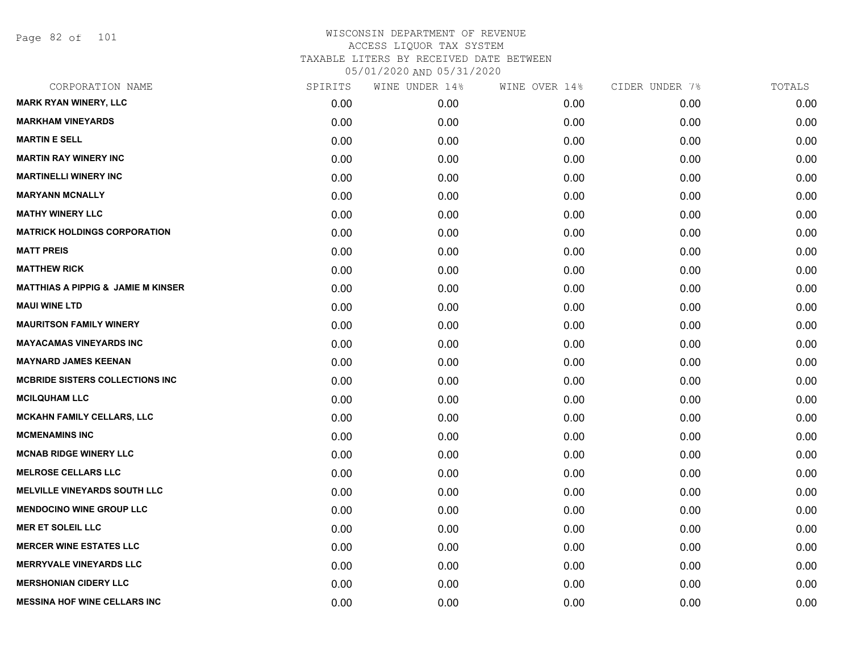Page 82 of 101

| SPIRITS | WINE UNDER 14% | WINE OVER 14% | CIDER UNDER 7% | TOTALS |
|---------|----------------|---------------|----------------|--------|
| 0.00    | 0.00           | 0.00          | 0.00           | 0.00   |
| 0.00    | 0.00           | 0.00          | 0.00           | 0.00   |
| 0.00    | 0.00           | 0.00          | 0.00           | 0.00   |
| 0.00    | 0.00           | 0.00          | 0.00           | 0.00   |
| 0.00    | 0.00           | 0.00          | 0.00           | 0.00   |
| 0.00    | 0.00           | 0.00          | 0.00           | 0.00   |
| 0.00    | 0.00           | 0.00          | 0.00           | 0.00   |
| 0.00    | 0.00           | 0.00          | 0.00           | 0.00   |
| 0.00    | 0.00           | 0.00          | 0.00           | 0.00   |
| 0.00    | 0.00           | 0.00          | 0.00           | 0.00   |
| 0.00    | 0.00           | 0.00          | 0.00           | 0.00   |
| 0.00    | 0.00           | 0.00          | 0.00           | 0.00   |
| 0.00    | 0.00           | 0.00          | 0.00           | 0.00   |
| 0.00    | 0.00           | 0.00          | 0.00           | 0.00   |
| 0.00    | 0.00           | 0.00          | 0.00           | 0.00   |
| 0.00    | 0.00           | 0.00          | 0.00           | 0.00   |
| 0.00    | 0.00           | 0.00          | 0.00           | 0.00   |
| 0.00    | 0.00           | 0.00          | 0.00           | 0.00   |
| 0.00    | 0.00           | 0.00          | 0.00           | 0.00   |
| 0.00    | 0.00           | 0.00          | 0.00           | 0.00   |
| 0.00    | 0.00           | 0.00          | 0.00           | 0.00   |
| 0.00    | 0.00           | 0.00          | 0.00           | 0.00   |
| 0.00    | 0.00           | 0.00          | 0.00           | 0.00   |
| 0.00    | 0.00           | 0.00          | 0.00           | 0.00   |
| 0.00    | 0.00           | 0.00          | 0.00           | 0.00   |
| 0.00    | 0.00           | 0.00          | 0.00           | 0.00   |
| 0.00    | 0.00           | 0.00          | 0.00           | 0.00   |
| 0.00    | 0.00           | 0.00          | 0.00           | 0.00   |
|         |                |               |                |        |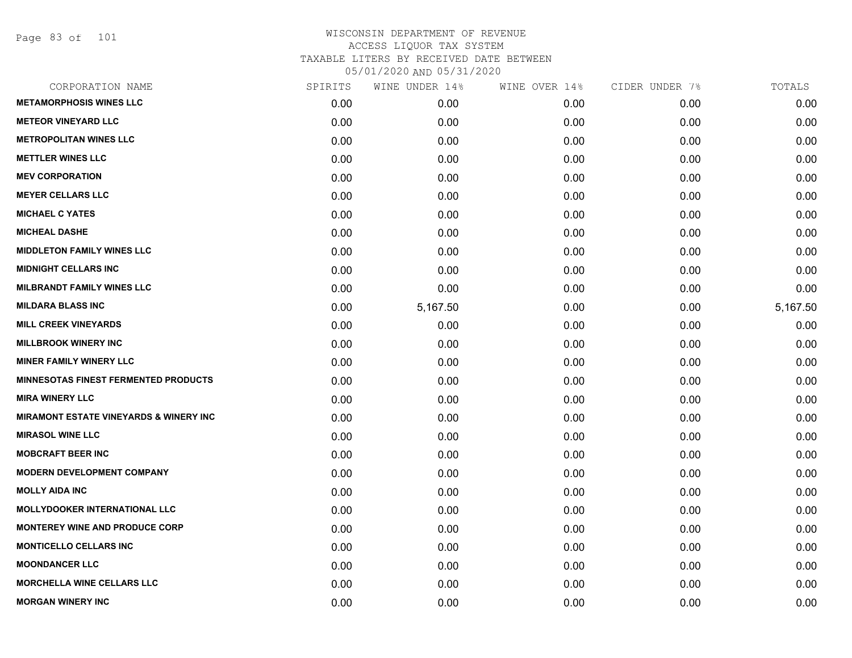Page 83 of 101

| CORPORATION NAME                                  | SPIRITS | WINE UNDER 14% | WINE OVER 14% | CIDER UNDER 7% | TOTALS   |
|---------------------------------------------------|---------|----------------|---------------|----------------|----------|
| <b>METAMORPHOSIS WINES LLC</b>                    | 0.00    | 0.00           | 0.00          | 0.00           | 0.00     |
| <b>METEOR VINEYARD LLC</b>                        | 0.00    | 0.00           | 0.00          | 0.00           | 0.00     |
| <b>METROPOLITAN WINES LLC</b>                     | 0.00    | 0.00           | 0.00          | 0.00           | 0.00     |
| <b>METTLER WINES LLC</b>                          | 0.00    | 0.00           | 0.00          | 0.00           | 0.00     |
| <b>MEV CORPORATION</b>                            | 0.00    | 0.00           | 0.00          | 0.00           | 0.00     |
| <b>MEYER CELLARS LLC</b>                          | 0.00    | 0.00           | 0.00          | 0.00           | 0.00     |
| <b>MICHAEL C YATES</b>                            | 0.00    | 0.00           | 0.00          | 0.00           | 0.00     |
| <b>MICHEAL DASHE</b>                              | 0.00    | 0.00           | 0.00          | 0.00           | 0.00     |
| <b>MIDDLETON FAMILY WINES LLC</b>                 | 0.00    | 0.00           | 0.00          | 0.00           | 0.00     |
| <b>MIDNIGHT CELLARS INC</b>                       | 0.00    | 0.00           | 0.00          | 0.00           | 0.00     |
| <b>MILBRANDT FAMILY WINES LLC</b>                 | 0.00    | 0.00           | 0.00          | 0.00           | 0.00     |
| <b>MILDARA BLASS INC</b>                          | 0.00    | 5,167.50       | 0.00          | 0.00           | 5,167.50 |
| <b>MILL CREEK VINEYARDS</b>                       | 0.00    | 0.00           | 0.00          | 0.00           | 0.00     |
| <b>MILLBROOK WINERY INC</b>                       | 0.00    | 0.00           | 0.00          | 0.00           | 0.00     |
| <b>MINER FAMILY WINERY LLC</b>                    | 0.00    | 0.00           | 0.00          | 0.00           | 0.00     |
| <b>MINNESOTAS FINEST FERMENTED PRODUCTS</b>       | 0.00    | 0.00           | 0.00          | 0.00           | 0.00     |
| <b>MIRA WINERY LLC</b>                            | 0.00    | 0.00           | 0.00          | 0.00           | 0.00     |
| <b>MIRAMONT ESTATE VINEYARDS &amp; WINERY INC</b> | 0.00    | 0.00           | 0.00          | 0.00           | 0.00     |
| <b>MIRASOL WINE LLC</b>                           | 0.00    | 0.00           | 0.00          | 0.00           | 0.00     |
| <b>MOBCRAFT BEER INC</b>                          | 0.00    | 0.00           | 0.00          | 0.00           | 0.00     |
| <b>MODERN DEVELOPMENT COMPANY</b>                 | 0.00    | 0.00           | 0.00          | 0.00           | 0.00     |
| <b>MOLLY AIDA INC</b>                             | 0.00    | 0.00           | 0.00          | 0.00           | 0.00     |
| <b>MOLLYDOOKER INTERNATIONAL LLC</b>              | 0.00    | 0.00           | 0.00          | 0.00           | 0.00     |
| <b>MONTEREY WINE AND PRODUCE CORP</b>             | 0.00    | 0.00           | 0.00          | 0.00           | 0.00     |
| <b>MONTICELLO CELLARS INC</b>                     | 0.00    | 0.00           | 0.00          | 0.00           | 0.00     |
| <b>MOONDANCER LLC</b>                             | 0.00    | 0.00           | 0.00          | 0.00           | 0.00     |
| <b>MORCHELLA WINE CELLARS LLC</b>                 | 0.00    | 0.00           | 0.00          | 0.00           | 0.00     |
| <b>MORGAN WINERY INC</b>                          | 0.00    | 0.00           | 0.00          | 0.00           | 0.00     |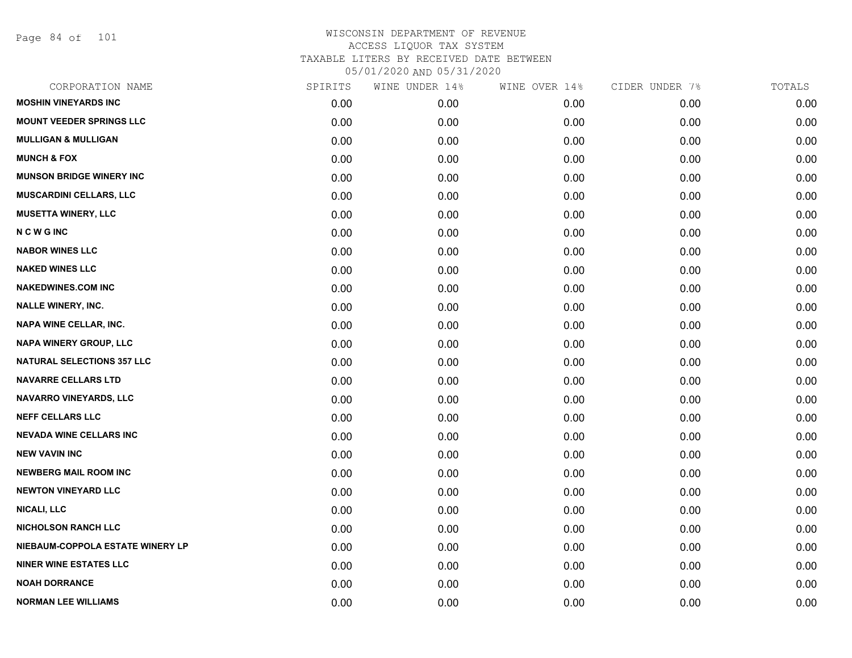Page 84 of 101

| CORPORATION NAME                  | SPIRITS | WINE UNDER 14% | WINE OVER 14% | CIDER UNDER 7% | TOTALS |
|-----------------------------------|---------|----------------|---------------|----------------|--------|
| <b>MOSHIN VINEYARDS INC</b>       | 0.00    | 0.00           | 0.00          | 0.00           | 0.00   |
| <b>MOUNT VEEDER SPRINGS LLC</b>   | 0.00    | 0.00           | 0.00          | 0.00           | 0.00   |
| <b>MULLIGAN &amp; MULLIGAN</b>    | 0.00    | 0.00           | 0.00          | 0.00           | 0.00   |
| <b>MUNCH &amp; FOX</b>            | 0.00    | 0.00           | 0.00          | 0.00           | 0.00   |
| <b>MUNSON BRIDGE WINERY INC</b>   | 0.00    | 0.00           | 0.00          | 0.00           | 0.00   |
| MUSCARDINI CELLARS, LLC           | 0.00    | 0.00           | 0.00          | 0.00           | 0.00   |
| <b>MUSETTA WINERY, LLC</b>        | 0.00    | 0.00           | 0.00          | 0.00           | 0.00   |
| <b>NCWGINC</b>                    | 0.00    | 0.00           | 0.00          | 0.00           | 0.00   |
| <b>NABOR WINES LLC</b>            | 0.00    | 0.00           | 0.00          | 0.00           | 0.00   |
| <b>NAKED WINES LLC</b>            | 0.00    | 0.00           | 0.00          | 0.00           | 0.00   |
| <b>NAKEDWINES.COM INC</b>         | 0.00    | 0.00           | 0.00          | 0.00           | 0.00   |
| <b>NALLE WINERY, INC.</b>         | 0.00    | 0.00           | 0.00          | 0.00           | 0.00   |
| NAPA WINE CELLAR, INC.            | 0.00    | 0.00           | 0.00          | 0.00           | 0.00   |
| <b>NAPA WINERY GROUP, LLC</b>     | 0.00    | 0.00           | 0.00          | 0.00           | 0.00   |
| <b>NATURAL SELECTIONS 357 LLC</b> | 0.00    | 0.00           | 0.00          | 0.00           | 0.00   |
| <b>NAVARRE CELLARS LTD</b>        | 0.00    | 0.00           | 0.00          | 0.00           | 0.00   |
| NAVARRO VINEYARDS, LLC            | 0.00    | 0.00           | 0.00          | 0.00           | 0.00   |
| <b>NEFF CELLARS LLC</b>           | 0.00    | 0.00           | 0.00          | 0.00           | 0.00   |
| <b>NEVADA WINE CELLARS INC</b>    | 0.00    | 0.00           | 0.00          | 0.00           | 0.00   |
| <b>NEW VAVIN INC</b>              | 0.00    | 0.00           | 0.00          | 0.00           | 0.00   |
| <b>NEWBERG MAIL ROOM INC</b>      | 0.00    | 0.00           | 0.00          | 0.00           | 0.00   |
| <b>NEWTON VINEYARD LLC</b>        | 0.00    | 0.00           | 0.00          | 0.00           | 0.00   |
| <b>NICALI, LLC</b>                | 0.00    | 0.00           | 0.00          | 0.00           | 0.00   |
| <b>NICHOLSON RANCH LLC</b>        | 0.00    | 0.00           | 0.00          | 0.00           | 0.00   |
| NIEBAUM-COPPOLA ESTATE WINERY LP  | 0.00    | 0.00           | 0.00          | 0.00           | 0.00   |
| <b>NINER WINE ESTATES LLC</b>     | 0.00    | 0.00           | 0.00          | 0.00           | 0.00   |
| <b>NOAH DORRANCE</b>              | 0.00    | 0.00           | 0.00          | 0.00           | 0.00   |
| <b>NORMAN LEE WILLIAMS</b>        | 0.00    | 0.00           | 0.00          | 0.00           | 0.00   |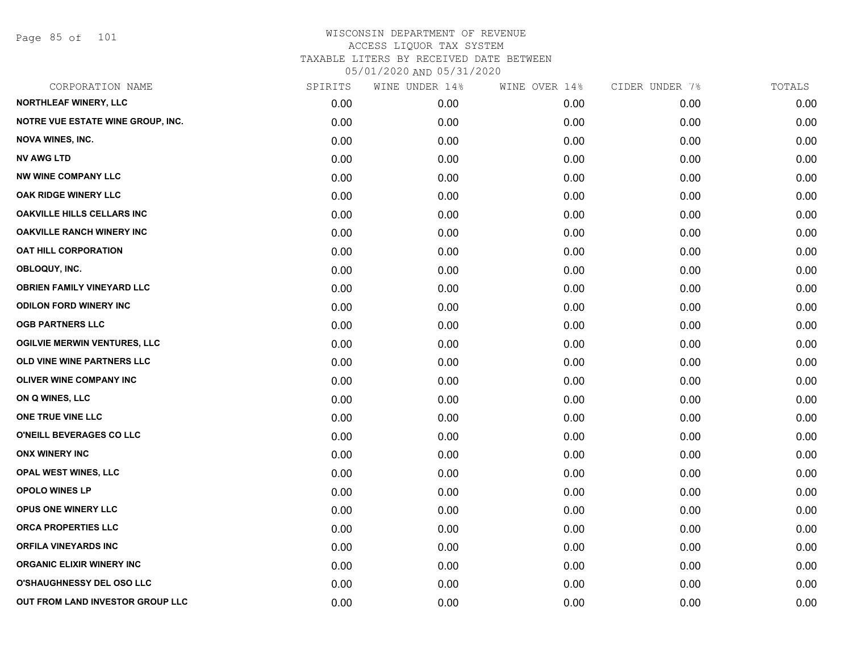Page 85 of 101

| CORPORATION NAME                    | SPIRITS | WINE UNDER 14% | WINE OVER 14% | CIDER UNDER 7% | TOTALS |
|-------------------------------------|---------|----------------|---------------|----------------|--------|
| <b>NORTHLEAF WINERY, LLC</b>        | 0.00    | 0.00           | 0.00          | 0.00           | 0.00   |
| NOTRE VUE ESTATE WINE GROUP, INC.   | 0.00    | 0.00           | 0.00          | 0.00           | 0.00   |
| <b>NOVA WINES, INC.</b>             | 0.00    | 0.00           | 0.00          | 0.00           | 0.00   |
| <b>NV AWG LTD</b>                   | 0.00    | 0.00           | 0.00          | 0.00           | 0.00   |
| <b>NW WINE COMPANY LLC</b>          | 0.00    | 0.00           | 0.00          | 0.00           | 0.00   |
| OAK RIDGE WINERY LLC                | 0.00    | 0.00           | 0.00          | 0.00           | 0.00   |
| <b>OAKVILLE HILLS CELLARS INC</b>   | 0.00    | 0.00           | 0.00          | 0.00           | 0.00   |
| <b>OAKVILLE RANCH WINERY INC</b>    | 0.00    | 0.00           | 0.00          | 0.00           | 0.00   |
| <b>OAT HILL CORPORATION</b>         | 0.00    | 0.00           | 0.00          | 0.00           | 0.00   |
| OBLOQUY, INC.                       | 0.00    | 0.00           | 0.00          | 0.00           | 0.00   |
| <b>OBRIEN FAMILY VINEYARD LLC</b>   | 0.00    | 0.00           | 0.00          | 0.00           | 0.00   |
| <b>ODILON FORD WINERY INC</b>       | 0.00    | 0.00           | 0.00          | 0.00           | 0.00   |
| <b>OGB PARTNERS LLC</b>             | 0.00    | 0.00           | 0.00          | 0.00           | 0.00   |
| <b>OGILVIE MERWIN VENTURES, LLC</b> | 0.00    | 0.00           | 0.00          | 0.00           | 0.00   |
| OLD VINE WINE PARTNERS LLC          | 0.00    | 0.00           | 0.00          | 0.00           | 0.00   |
| <b>OLIVER WINE COMPANY INC</b>      | 0.00    | 0.00           | 0.00          | 0.00           | 0.00   |
| ON Q WINES, LLC                     | 0.00    | 0.00           | 0.00          | 0.00           | 0.00   |
| ONE TRUE VINE LLC                   | 0.00    | 0.00           | 0.00          | 0.00           | 0.00   |
| O'NEILL BEVERAGES CO LLC            | 0.00    | 0.00           | 0.00          | 0.00           | 0.00   |
| <b>ONX WINERY INC</b>               | 0.00    | 0.00           | 0.00          | 0.00           | 0.00   |
| <b>OPAL WEST WINES, LLC</b>         | 0.00    | 0.00           | 0.00          | 0.00           | 0.00   |
| <b>OPOLO WINES LP</b>               | 0.00    | 0.00           | 0.00          | 0.00           | 0.00   |
| OPUS ONE WINERY LLC                 | 0.00    | 0.00           | 0.00          | 0.00           | 0.00   |
| ORCA PROPERTIES LLC                 | 0.00    | 0.00           | 0.00          | 0.00           | 0.00   |
| <b>ORFILA VINEYARDS INC</b>         | 0.00    | 0.00           | 0.00          | 0.00           | 0.00   |
| ORGANIC ELIXIR WINERY INC           | 0.00    | 0.00           | 0.00          | 0.00           | 0.00   |
| <b>O'SHAUGHNESSY DEL OSO LLC</b>    | 0.00    | 0.00           | 0.00          | 0.00           | 0.00   |
| OUT FROM LAND INVESTOR GROUP LLC    | 0.00    | 0.00           | 0.00          | 0.00           | 0.00   |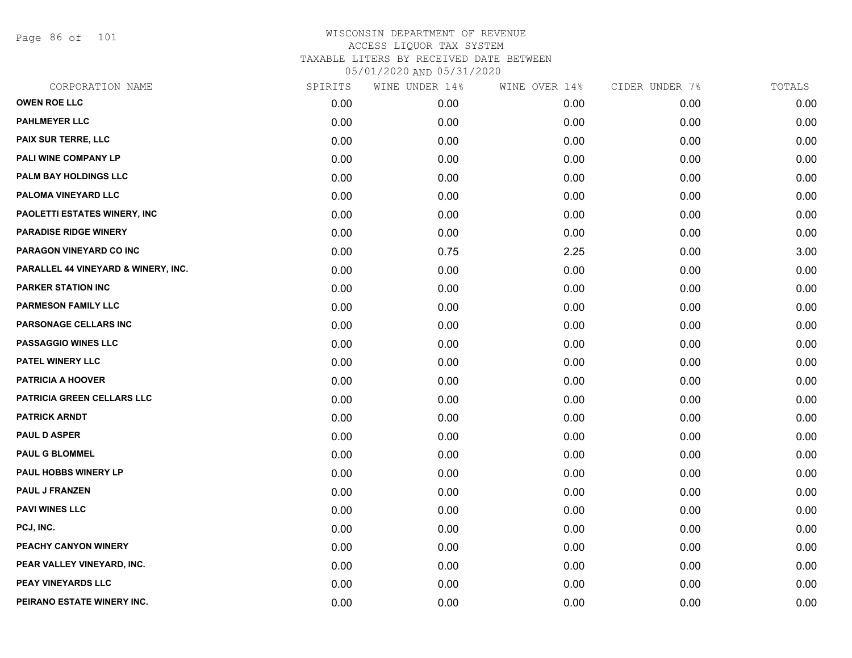Page 86 of 101

| CORPORATION NAME                    | SPIRITS | WINE UNDER 14% | WINE OVER 14% | CIDER UNDER 7% | TOTALS |
|-------------------------------------|---------|----------------|---------------|----------------|--------|
| <b>OWEN ROE LLC</b>                 | 0.00    | 0.00           | 0.00          | 0.00           | 0.00   |
| <b>PAHLMEYER LLC</b>                | 0.00    | 0.00           | 0.00          | 0.00           | 0.00   |
| <b>PAIX SUR TERRE, LLC</b>          | 0.00    | 0.00           | 0.00          | 0.00           | 0.00   |
| PALI WINE COMPANY LP                | 0.00    | 0.00           | 0.00          | 0.00           | 0.00   |
| <b>PALM BAY HOLDINGS LLC</b>        | 0.00    | 0.00           | 0.00          | 0.00           | 0.00   |
| PALOMA VINEYARD LLC                 | 0.00    | 0.00           | 0.00          | 0.00           | 0.00   |
| PAOLETTI ESTATES WINERY, INC        | 0.00    | 0.00           | 0.00          | 0.00           | 0.00   |
| <b>PARADISE RIDGE WINERY</b>        | 0.00    | 0.00           | 0.00          | 0.00           | 0.00   |
| PARAGON VINEYARD CO INC             | 0.00    | 0.75           | 2.25          | 0.00           | 3.00   |
| PARALLEL 44 VINEYARD & WINERY, INC. | 0.00    | 0.00           | 0.00          | 0.00           | 0.00   |
| <b>PARKER STATION INC</b>           | 0.00    | 0.00           | 0.00          | 0.00           | 0.00   |
| <b>PARMESON FAMILY LLC</b>          | 0.00    | 0.00           | 0.00          | 0.00           | 0.00   |
| PARSONAGE CELLARS INC               | 0.00    | 0.00           | 0.00          | 0.00           | 0.00   |
| <b>PASSAGGIO WINES LLC</b>          | 0.00    | 0.00           | 0.00          | 0.00           | 0.00   |
| PATEL WINERY LLC                    | 0.00    | 0.00           | 0.00          | 0.00           | 0.00   |
| <b>PATRICIA A HOOVER</b>            | 0.00    | 0.00           | 0.00          | 0.00           | 0.00   |
| PATRICIA GREEN CELLARS LLC          | 0.00    | 0.00           | 0.00          | 0.00           | 0.00   |
| <b>PATRICK ARNDT</b>                | 0.00    | 0.00           | 0.00          | 0.00           | 0.00   |
| <b>PAUL D ASPER</b>                 | 0.00    | 0.00           | 0.00          | 0.00           | 0.00   |
| <b>PAUL G BLOMMEL</b>               | 0.00    | 0.00           | 0.00          | 0.00           | 0.00   |
| PAUL HOBBS WINERY LP                | 0.00    | 0.00           | 0.00          | 0.00           | 0.00   |
| <b>PAUL J FRANZEN</b>               | 0.00    | 0.00           | 0.00          | 0.00           | 0.00   |
| <b>PAVI WINES LLC</b>               | 0.00    | 0.00           | 0.00          | 0.00           | 0.00   |
| PCJ, INC.                           | 0.00    | 0.00           | 0.00          | 0.00           | 0.00   |
| PEACHY CANYON WINERY                | 0.00    | 0.00           | 0.00          | 0.00           | 0.00   |
| PEAR VALLEY VINEYARD, INC.          | 0.00    | 0.00           | 0.00          | 0.00           | 0.00   |
| <b>PEAY VINEYARDS LLC</b>           | 0.00    | 0.00           | 0.00          | 0.00           | 0.00   |
| PEIRANO ESTATE WINERY INC.          | 0.00    | 0.00           | 0.00          | 0.00           | 0.00   |
|                                     |         |                |               |                |        |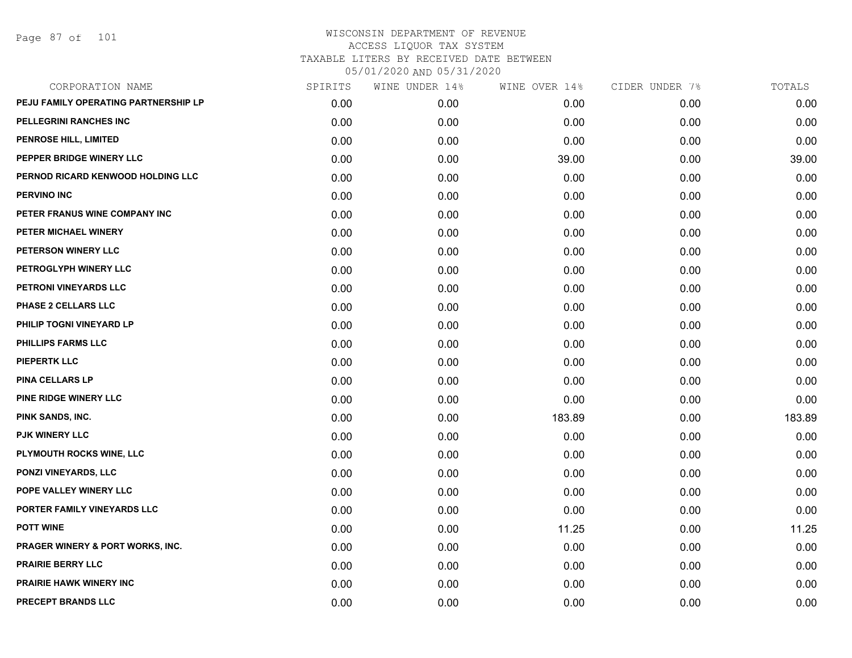Page 87 of 101

| CORPORATION NAME                            | SPIRITS | WINE UNDER 14% | WINE OVER 14% | CIDER UNDER 7% | TOTALS |
|---------------------------------------------|---------|----------------|---------------|----------------|--------|
| PEJU FAMILY OPERATING PARTNERSHIP LP        | 0.00    | 0.00           | 0.00          | 0.00           | 0.00   |
| PELLEGRINI RANCHES INC                      | 0.00    | 0.00           | 0.00          | 0.00           | 0.00   |
| PENROSE HILL, LIMITED                       | 0.00    | 0.00           | 0.00          | 0.00           | 0.00   |
| PEPPER BRIDGE WINERY LLC                    | 0.00    | 0.00           | 39.00         | 0.00           | 39.00  |
| PERNOD RICARD KENWOOD HOLDING LLC           | 0.00    | 0.00           | 0.00          | 0.00           | 0.00   |
| <b>PERVINO INC</b>                          | 0.00    | 0.00           | 0.00          | 0.00           | 0.00   |
| PETER FRANUS WINE COMPANY INC               | 0.00    | 0.00           | 0.00          | 0.00           | 0.00   |
| PETER MICHAEL WINERY                        | 0.00    | 0.00           | 0.00          | 0.00           | 0.00   |
| PETERSON WINERY LLC                         | 0.00    | 0.00           | 0.00          | 0.00           | 0.00   |
| PETROGLYPH WINERY LLC                       | 0.00    | 0.00           | 0.00          | 0.00           | 0.00   |
| PETRONI VINEYARDS LLC                       | 0.00    | 0.00           | 0.00          | 0.00           | 0.00   |
| PHASE 2 CELLARS LLC                         | 0.00    | 0.00           | 0.00          | 0.00           | 0.00   |
| PHILIP TOGNI VINEYARD LP                    | 0.00    | 0.00           | 0.00          | 0.00           | 0.00   |
| <b>PHILLIPS FARMS LLC</b>                   | 0.00    | 0.00           | 0.00          | 0.00           | 0.00   |
| <b>PIEPERTK LLC</b>                         | 0.00    | 0.00           | 0.00          | 0.00           | 0.00   |
| <b>PINA CELLARS LP</b>                      | 0.00    | 0.00           | 0.00          | 0.00           | 0.00   |
| PINE RIDGE WINERY LLC                       | 0.00    | 0.00           | 0.00          | 0.00           | 0.00   |
| PINK SANDS, INC.                            | 0.00    | 0.00           | 183.89        | 0.00           | 183.89 |
| <b>PJK WINERY LLC</b>                       | 0.00    | 0.00           | 0.00          | 0.00           | 0.00   |
| PLYMOUTH ROCKS WINE, LLC                    | 0.00    | 0.00           | 0.00          | 0.00           | 0.00   |
| <b>PONZI VINEYARDS, LLC</b>                 | 0.00    | 0.00           | 0.00          | 0.00           | 0.00   |
| POPE VALLEY WINERY LLC                      | 0.00    | 0.00           | 0.00          | 0.00           | 0.00   |
| PORTER FAMILY VINEYARDS LLC                 | 0.00    | 0.00           | 0.00          | 0.00           | 0.00   |
| <b>POTT WINE</b>                            | 0.00    | 0.00           | 11.25         | 0.00           | 11.25  |
| <b>PRAGER WINERY &amp; PORT WORKS, INC.</b> | 0.00    | 0.00           | 0.00          | 0.00           | 0.00   |
| <b>PRAIRIE BERRY LLC</b>                    | 0.00    | 0.00           | 0.00          | 0.00           | 0.00   |
| <b>PRAIRIE HAWK WINERY INC</b>              | 0.00    | 0.00           | 0.00          | 0.00           | 0.00   |
| PRECEPT BRANDS LLC                          | 0.00    | 0.00           | 0.00          | 0.00           | 0.00   |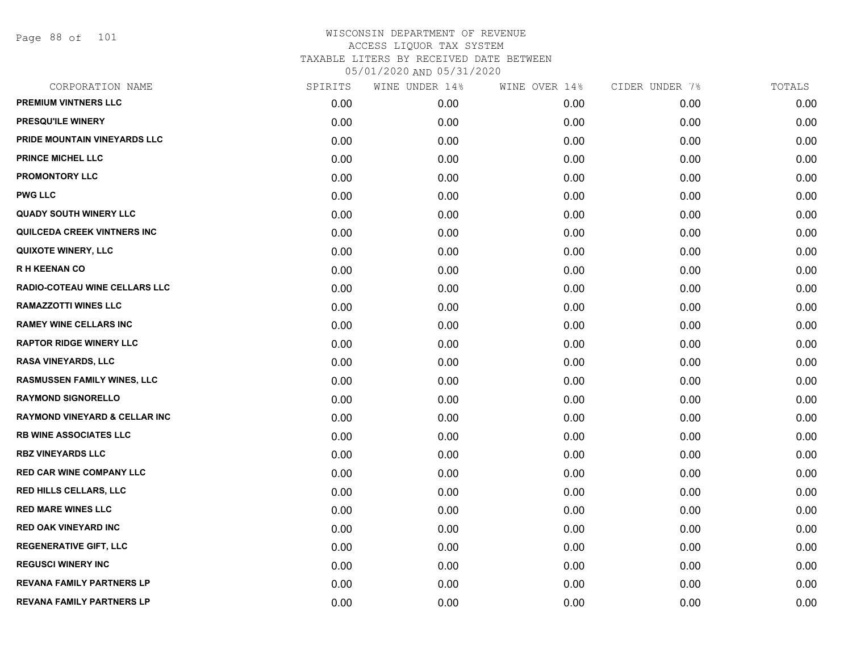Page 88 of 101

| CORPORATION NAME                         | SPIRITS | WINE UNDER 14% | WINE OVER 14% | CIDER UNDER 7% | TOTALS |
|------------------------------------------|---------|----------------|---------------|----------------|--------|
| PREMIUM VINTNERS LLC                     | 0.00    | 0.00           | 0.00          | 0.00           | 0.00   |
| PRESQU'ILE WINERY                        | 0.00    | 0.00           | 0.00          | 0.00           | 0.00   |
| PRIDE MOUNTAIN VINEYARDS LLC             | 0.00    | 0.00           | 0.00          | 0.00           | 0.00   |
| <b>PRINCE MICHEL LLC</b>                 | 0.00    | 0.00           | 0.00          | 0.00           | 0.00   |
| <b>PROMONTORY LLC</b>                    | 0.00    | 0.00           | 0.00          | 0.00           | 0.00   |
| <b>PWG LLC</b>                           | 0.00    | 0.00           | 0.00          | 0.00           | 0.00   |
| <b>QUADY SOUTH WINERY LLC</b>            | 0.00    | 0.00           | 0.00          | 0.00           | 0.00   |
| QUILCEDA CREEK VINTNERS INC              | 0.00    | 0.00           | 0.00          | 0.00           | 0.00   |
| QUIXOTE WINERY, LLC                      | 0.00    | 0.00           | 0.00          | 0.00           | 0.00   |
| <b>RH KEENAN CO</b>                      | 0.00    | 0.00           | 0.00          | 0.00           | 0.00   |
| RADIO-COTEAU WINE CELLARS LLC            | 0.00    | 0.00           | 0.00          | 0.00           | 0.00   |
| <b>RAMAZZOTTI WINES LLC</b>              | 0.00    | 0.00           | 0.00          | 0.00           | 0.00   |
| <b>RAMEY WINE CELLARS INC</b>            | 0.00    | 0.00           | 0.00          | 0.00           | 0.00   |
| <b>RAPTOR RIDGE WINERY LLC</b>           | 0.00    | 0.00           | 0.00          | 0.00           | 0.00   |
| <b>RASA VINEYARDS, LLC</b>               | 0.00    | 0.00           | 0.00          | 0.00           | 0.00   |
| <b>RASMUSSEN FAMILY WINES, LLC</b>       | 0.00    | 0.00           | 0.00          | 0.00           | 0.00   |
| <b>RAYMOND SIGNORELLO</b>                | 0.00    | 0.00           | 0.00          | 0.00           | 0.00   |
| <b>RAYMOND VINEYARD &amp; CELLAR INC</b> | 0.00    | 0.00           | 0.00          | 0.00           | 0.00   |
| <b>RB WINE ASSOCIATES LLC</b>            | 0.00    | 0.00           | 0.00          | 0.00           | 0.00   |
| <b>RBZ VINEYARDS LLC</b>                 | 0.00    | 0.00           | 0.00          | 0.00           | 0.00   |
| <b>RED CAR WINE COMPANY LLC</b>          | 0.00    | 0.00           | 0.00          | 0.00           | 0.00   |
| RED HILLS CELLARS, LLC                   | 0.00    | 0.00           | 0.00          | 0.00           | 0.00   |
| <b>RED MARE WINES LLC</b>                | 0.00    | 0.00           | 0.00          | 0.00           | 0.00   |
| <b>RED OAK VINEYARD INC</b>              | 0.00    | 0.00           | 0.00          | 0.00           | 0.00   |
| <b>REGENERATIVE GIFT, LLC</b>            | 0.00    | 0.00           | 0.00          | 0.00           | 0.00   |
| <b>REGUSCI WINERY INC</b>                | 0.00    | 0.00           | 0.00          | 0.00           | 0.00   |
| <b>REVANA FAMILY PARTNERS LP</b>         | 0.00    | 0.00           | 0.00          | 0.00           | 0.00   |
| <b>REVANA FAMILY PARTNERS LP</b>         | 0.00    | 0.00           | 0.00          | 0.00           | 0.00   |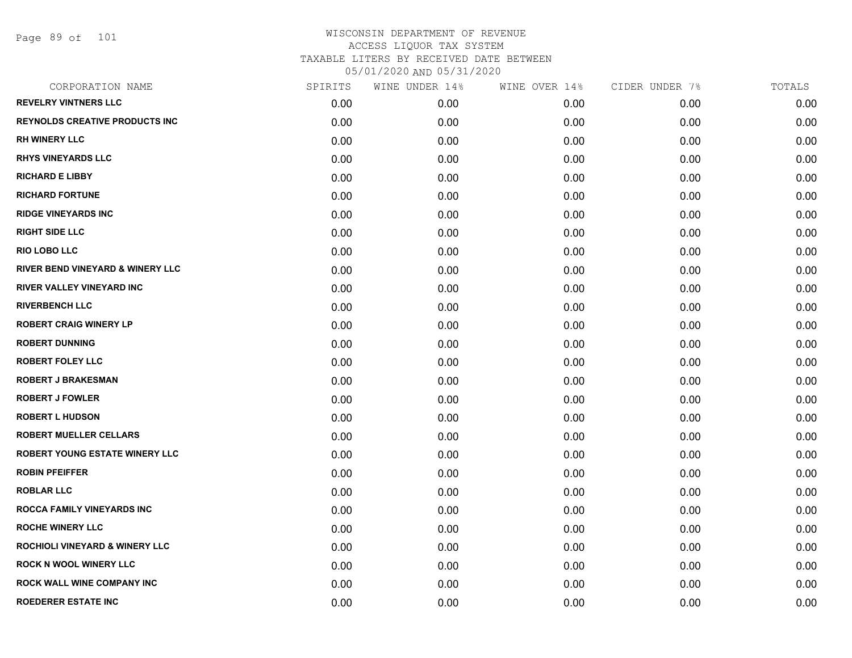Page 89 of 101

| CORPORATION NAME                          | SPIRITS | WINE UNDER 14% | WINE OVER 14% | CIDER UNDER 7% | TOTALS |
|-------------------------------------------|---------|----------------|---------------|----------------|--------|
| <b>REVELRY VINTNERS LLC</b>               | 0.00    | 0.00           | 0.00          | 0.00           | 0.00   |
| <b>REYNOLDS CREATIVE PRODUCTS INC</b>     | 0.00    | 0.00           | 0.00          | 0.00           | 0.00   |
| <b>RH WINERY LLC</b>                      | 0.00    | 0.00           | 0.00          | 0.00           | 0.00   |
| <b>RHYS VINEYARDS LLC</b>                 | 0.00    | 0.00           | 0.00          | 0.00           | 0.00   |
| <b>RICHARD E LIBBY</b>                    | 0.00    | 0.00           | 0.00          | 0.00           | 0.00   |
| <b>RICHARD FORTUNE</b>                    | 0.00    | 0.00           | 0.00          | 0.00           | 0.00   |
| <b>RIDGE VINEYARDS INC</b>                | 0.00    | 0.00           | 0.00          | 0.00           | 0.00   |
| <b>RIGHT SIDE LLC</b>                     | 0.00    | 0.00           | 0.00          | 0.00           | 0.00   |
| <b>RIO LOBO LLC</b>                       | 0.00    | 0.00           | 0.00          | 0.00           | 0.00   |
| RIVER BEND VINEYARD & WINERY LLC          | 0.00    | 0.00           | 0.00          | 0.00           | 0.00   |
| <b>RIVER VALLEY VINEYARD INC</b>          | 0.00    | 0.00           | 0.00          | 0.00           | 0.00   |
| <b>RIVERBENCH LLC</b>                     | 0.00    | 0.00           | 0.00          | 0.00           | 0.00   |
| <b>ROBERT CRAIG WINERY LP</b>             | 0.00    | 0.00           | 0.00          | 0.00           | 0.00   |
| <b>ROBERT DUNNING</b>                     | 0.00    | 0.00           | 0.00          | 0.00           | 0.00   |
| <b>ROBERT FOLEY LLC</b>                   | 0.00    | 0.00           | 0.00          | 0.00           | 0.00   |
| <b>ROBERT J BRAKESMAN</b>                 | 0.00    | 0.00           | 0.00          | 0.00           | 0.00   |
| <b>ROBERT J FOWLER</b>                    | 0.00    | 0.00           | 0.00          | 0.00           | 0.00   |
| <b>ROBERT L HUDSON</b>                    | 0.00    | 0.00           | 0.00          | 0.00           | 0.00   |
| <b>ROBERT MUELLER CELLARS</b>             | 0.00    | 0.00           | 0.00          | 0.00           | 0.00   |
| <b>ROBERT YOUNG ESTATE WINERY LLC</b>     | 0.00    | 0.00           | 0.00          | 0.00           | 0.00   |
| <b>ROBIN PFEIFFER</b>                     | 0.00    | 0.00           | 0.00          | 0.00           | 0.00   |
| <b>ROBLAR LLC</b>                         | 0.00    | 0.00           | 0.00          | 0.00           | 0.00   |
| <b>ROCCA FAMILY VINEYARDS INC</b>         | 0.00    | 0.00           | 0.00          | 0.00           | 0.00   |
| <b>ROCHE WINERY LLC</b>                   | 0.00    | 0.00           | 0.00          | 0.00           | 0.00   |
| <b>ROCHIOLI VINEYARD &amp; WINERY LLC</b> | 0.00    | 0.00           | 0.00          | 0.00           | 0.00   |
| <b>ROCK N WOOL WINERY LLC</b>             | 0.00    | 0.00           | 0.00          | 0.00           | 0.00   |
| <b>ROCK WALL WINE COMPANY INC</b>         | 0.00    | 0.00           | 0.00          | 0.00           | 0.00   |
| <b>ROEDERER ESTATE INC</b>                | 0.00    | 0.00           | 0.00          | 0.00           | 0.00   |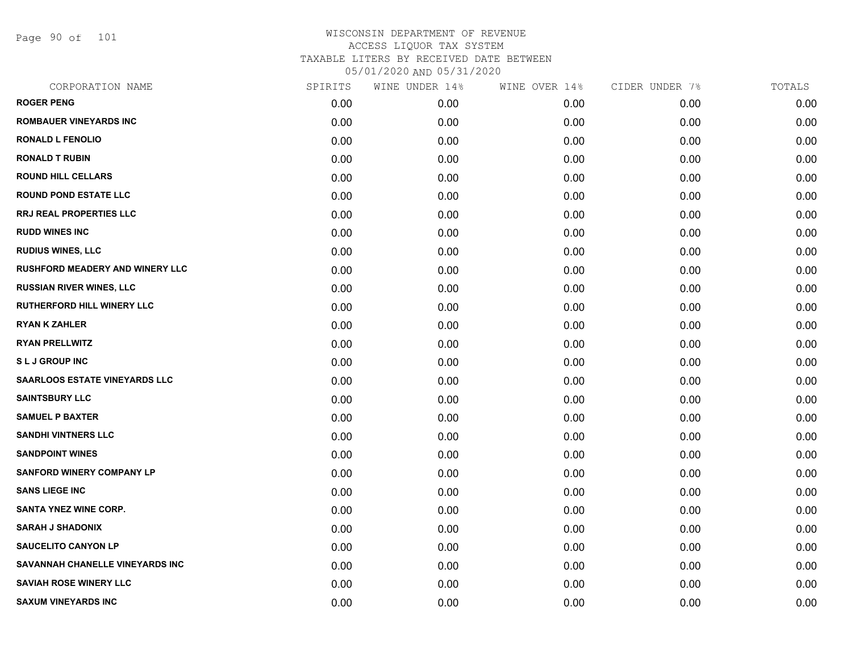Page 90 of 101

| CORPORATION NAME                     | SPIRITS | WINE UNDER 14% | WINE OVER 14% | CIDER UNDER 7% | TOTALS |
|--------------------------------------|---------|----------------|---------------|----------------|--------|
| <b>ROGER PENG</b>                    | 0.00    | 0.00           | 0.00          | 0.00           | 0.00   |
| <b>ROMBAUER VINEYARDS INC</b>        | 0.00    | 0.00           | 0.00          | 0.00           | 0.00   |
| <b>RONALD L FENOLIO</b>              | 0.00    | 0.00           | 0.00          | 0.00           | 0.00   |
| <b>RONALD T RUBIN</b>                | 0.00    | 0.00           | 0.00          | 0.00           | 0.00   |
| <b>ROUND HILL CELLARS</b>            | 0.00    | 0.00           | 0.00          | 0.00           | 0.00   |
| <b>ROUND POND ESTATE LLC</b>         | 0.00    | 0.00           | 0.00          | 0.00           | 0.00   |
| RRJ REAL PROPERTIES LLC              | 0.00    | 0.00           | 0.00          | 0.00           | 0.00   |
| <b>RUDD WINES INC</b>                | 0.00    | 0.00           | 0.00          | 0.00           | 0.00   |
| <b>RUDIUS WINES, LLC</b>             | 0.00    | 0.00           | 0.00          | 0.00           | 0.00   |
| RUSHFORD MEADERY AND WINERY LLC      | 0.00    | 0.00           | 0.00          | 0.00           | 0.00   |
| <b>RUSSIAN RIVER WINES, LLC</b>      | 0.00    | 0.00           | 0.00          | 0.00           | 0.00   |
| RUTHERFORD HILL WINERY LLC           | 0.00    | 0.00           | 0.00          | 0.00           | 0.00   |
| <b>RYAN K ZAHLER</b>                 | 0.00    | 0.00           | 0.00          | 0.00           | 0.00   |
| <b>RYAN PRELLWITZ</b>                | 0.00    | 0.00           | 0.00          | 0.00           | 0.00   |
| <b>SLJ GROUP INC</b>                 | 0.00    | 0.00           | 0.00          | 0.00           | 0.00   |
| <b>SAARLOOS ESTATE VINEYARDS LLC</b> | 0.00    | 0.00           | 0.00          | 0.00           | 0.00   |
| <b>SAINTSBURY LLC</b>                | 0.00    | 0.00           | 0.00          | 0.00           | 0.00   |
| <b>SAMUEL P BAXTER</b>               | 0.00    | 0.00           | 0.00          | 0.00           | 0.00   |
| <b>SANDHI VINTNERS LLC</b>           | 0.00    | 0.00           | 0.00          | 0.00           | 0.00   |
| <b>SANDPOINT WINES</b>               | 0.00    | 0.00           | 0.00          | 0.00           | 0.00   |
| <b>SANFORD WINERY COMPANY LP</b>     | 0.00    | 0.00           | 0.00          | 0.00           | 0.00   |
| <b>SANS LIEGE INC</b>                | 0.00    | 0.00           | 0.00          | 0.00           | 0.00   |
| <b>SANTA YNEZ WINE CORP.</b>         | 0.00    | 0.00           | 0.00          | 0.00           | 0.00   |
| <b>SARAH J SHADONIX</b>              | 0.00    | 0.00           | 0.00          | 0.00           | 0.00   |
| <b>SAUCELITO CANYON LP</b>           | 0.00    | 0.00           | 0.00          | 0.00           | 0.00   |
| SAVANNAH CHANELLE VINEYARDS INC      | 0.00    | 0.00           | 0.00          | 0.00           | 0.00   |
| <b>SAVIAH ROSE WINERY LLC</b>        | 0.00    | 0.00           | 0.00          | 0.00           | 0.00   |
| <b>SAXUM VINEYARDS INC</b>           | 0.00    | 0.00           | 0.00          | 0.00           | 0.00   |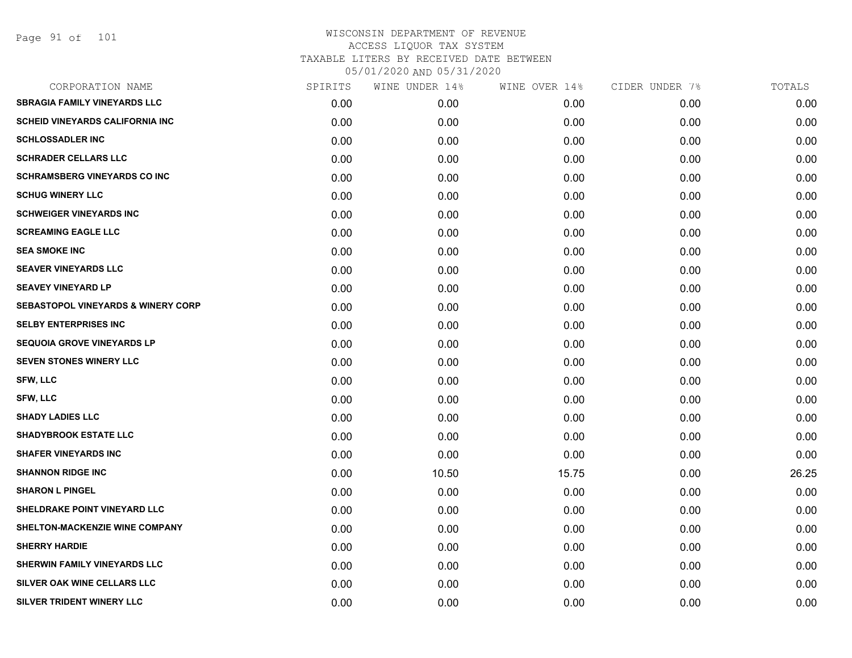| CORPORATION NAME                              | SPIRITS | WINE UNDER 14% | WINE OVER 14% | CIDER UNDER 7% | TOTALS |
|-----------------------------------------------|---------|----------------|---------------|----------------|--------|
| <b>SBRAGIA FAMILY VINEYARDS LLC</b>           | 0.00    | 0.00           | 0.00          | 0.00           | 0.00   |
| <b>SCHEID VINEYARDS CALIFORNIA INC</b>        | 0.00    | 0.00           | 0.00          | 0.00           | 0.00   |
| <b>SCHLOSSADLER INC</b>                       | 0.00    | 0.00           | 0.00          | 0.00           | 0.00   |
| <b>SCHRADER CELLARS LLC</b>                   | 0.00    | 0.00           | 0.00          | 0.00           | 0.00   |
| <b>SCHRAMSBERG VINEYARDS CO INC</b>           | 0.00    | 0.00           | 0.00          | 0.00           | 0.00   |
| <b>SCHUG WINERY LLC</b>                       | 0.00    | 0.00           | 0.00          | 0.00           | 0.00   |
| <b>SCHWEIGER VINEYARDS INC</b>                | 0.00    | 0.00           | 0.00          | 0.00           | 0.00   |
| <b>SCREAMING EAGLE LLC</b>                    | 0.00    | 0.00           | 0.00          | 0.00           | 0.00   |
| <b>SEA SMOKE INC</b>                          | 0.00    | 0.00           | 0.00          | 0.00           | 0.00   |
| <b>SEAVER VINEYARDS LLC</b>                   | 0.00    | 0.00           | 0.00          | 0.00           | 0.00   |
| <b>SEAVEY VINEYARD LP</b>                     | 0.00    | 0.00           | 0.00          | 0.00           | 0.00   |
| <b>SEBASTOPOL VINEYARDS &amp; WINERY CORP</b> | 0.00    | 0.00           | 0.00          | 0.00           | 0.00   |
| <b>SELBY ENTERPRISES INC</b>                  | 0.00    | 0.00           | 0.00          | 0.00           | 0.00   |
| <b>SEQUOIA GROVE VINEYARDS LP</b>             | 0.00    | 0.00           | 0.00          | 0.00           | 0.00   |
| <b>SEVEN STONES WINERY LLC</b>                | 0.00    | 0.00           | 0.00          | 0.00           | 0.00   |
| <b>SFW, LLC</b>                               | 0.00    | 0.00           | 0.00          | 0.00           | 0.00   |
| <b>SFW, LLC</b>                               | 0.00    | 0.00           | 0.00          | 0.00           | 0.00   |
| <b>SHADY LADIES LLC</b>                       | 0.00    | 0.00           | 0.00          | 0.00           | 0.00   |
| <b>SHADYBROOK ESTATE LLC</b>                  | 0.00    | 0.00           | 0.00          | 0.00           | 0.00   |
| <b>SHAFER VINEYARDS INC</b>                   | 0.00    | 0.00           | 0.00          | 0.00           | 0.00   |
| <b>SHANNON RIDGE INC</b>                      | 0.00    | 10.50          | 15.75         | 0.00           | 26.25  |
| <b>SHARON L PINGEL</b>                        | 0.00    | 0.00           | 0.00          | 0.00           | 0.00   |
| SHELDRAKE POINT VINEYARD LLC                  | 0.00    | 0.00           | 0.00          | 0.00           | 0.00   |
| SHELTON-MACKENZIE WINE COMPANY                | 0.00    | 0.00           | 0.00          | 0.00           | 0.00   |
| <b>SHERRY HARDIE</b>                          | 0.00    | 0.00           | 0.00          | 0.00           | 0.00   |
| <b>SHERWIN FAMILY VINEYARDS LLC</b>           | 0.00    | 0.00           | 0.00          | 0.00           | 0.00   |
| <b>SILVER OAK WINE CELLARS LLC</b>            | 0.00    | 0.00           | 0.00          | 0.00           | 0.00   |
| SILVER TRIDENT WINERY LLC                     | 0.00    | 0.00           | 0.00          | 0.00           | 0.00   |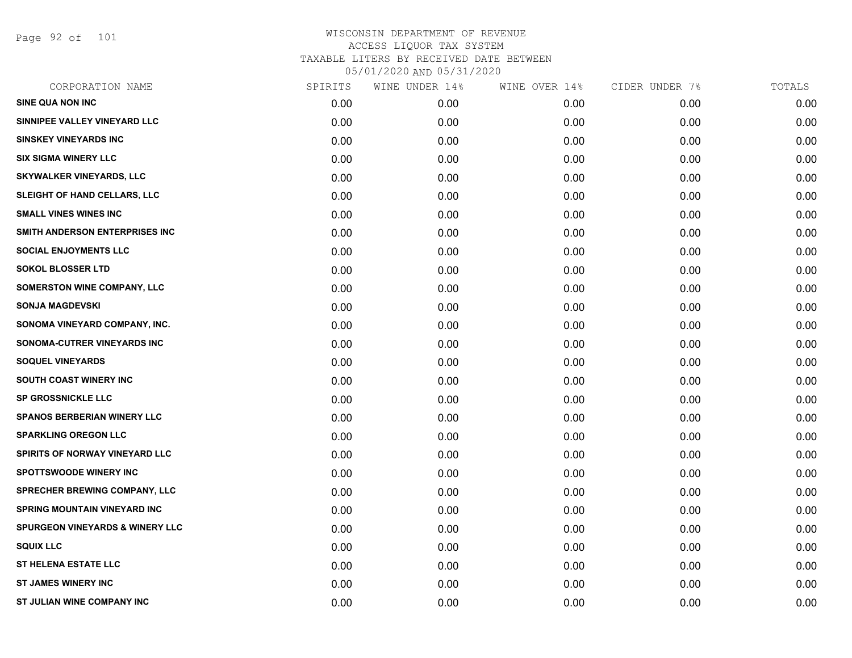Page 92 of 101

| CORPORATION NAME                           | SPIRITS | WINE UNDER 14% | WINE OVER 14% | CIDER UNDER 7% | TOTALS |
|--------------------------------------------|---------|----------------|---------------|----------------|--------|
| <b>SINE QUA NON INC</b>                    | 0.00    | 0.00           | 0.00          | 0.00           | 0.00   |
| SINNIPEE VALLEY VINEYARD LLC               | 0.00    | 0.00           | 0.00          | 0.00           | 0.00   |
| <b>SINSKEY VINEYARDS INC</b>               | 0.00    | 0.00           | 0.00          | 0.00           | 0.00   |
| <b>SIX SIGMA WINERY LLC</b>                | 0.00    | 0.00           | 0.00          | 0.00           | 0.00   |
| <b>SKYWALKER VINEYARDS, LLC</b>            | 0.00    | 0.00           | 0.00          | 0.00           | 0.00   |
| SLEIGHT OF HAND CELLARS, LLC               | 0.00    | 0.00           | 0.00          | 0.00           | 0.00   |
| <b>SMALL VINES WINES INC</b>               | 0.00    | 0.00           | 0.00          | 0.00           | 0.00   |
| SMITH ANDERSON ENTERPRISES INC             | 0.00    | 0.00           | 0.00          | 0.00           | 0.00   |
| <b>SOCIAL ENJOYMENTS LLC</b>               | 0.00    | 0.00           | 0.00          | 0.00           | 0.00   |
| <b>SOKOL BLOSSER LTD</b>                   | 0.00    | 0.00           | 0.00          | 0.00           | 0.00   |
| <b>SOMERSTON WINE COMPANY, LLC</b>         | 0.00    | 0.00           | 0.00          | 0.00           | 0.00   |
| <b>SONJA MAGDEVSKI</b>                     | 0.00    | 0.00           | 0.00          | 0.00           | 0.00   |
| SONOMA VINEYARD COMPANY, INC.              | 0.00    | 0.00           | 0.00          | 0.00           | 0.00   |
| SONOMA-CUTRER VINEYARDS INC                | 0.00    | 0.00           | 0.00          | 0.00           | 0.00   |
| <b>SOQUEL VINEYARDS</b>                    | 0.00    | 0.00           | 0.00          | 0.00           | 0.00   |
| <b>SOUTH COAST WINERY INC</b>              | 0.00    | 0.00           | 0.00          | 0.00           | 0.00   |
| <b>SP GROSSNICKLE LLC</b>                  | 0.00    | 0.00           | 0.00          | 0.00           | 0.00   |
| <b>SPANOS BERBERIAN WINERY LLC</b>         | 0.00    | 0.00           | 0.00          | 0.00           | 0.00   |
| <b>SPARKLING OREGON LLC</b>                | 0.00    | 0.00           | 0.00          | 0.00           | 0.00   |
| SPIRITS OF NORWAY VINEYARD LLC             | 0.00    | 0.00           | 0.00          | 0.00           | 0.00   |
| <b>SPOTTSWOODE WINERY INC</b>              | 0.00    | 0.00           | 0.00          | 0.00           | 0.00   |
| SPRECHER BREWING COMPANY, LLC              | 0.00    | 0.00           | 0.00          | 0.00           | 0.00   |
| <b>SPRING MOUNTAIN VINEYARD INC</b>        | 0.00    | 0.00           | 0.00          | 0.00           | 0.00   |
| <b>SPURGEON VINEYARDS &amp; WINERY LLC</b> | 0.00    | 0.00           | 0.00          | 0.00           | 0.00   |
| <b>SQUIX LLC</b>                           | 0.00    | 0.00           | 0.00          | 0.00           | 0.00   |
| <b>ST HELENA ESTATE LLC</b>                | 0.00    | 0.00           | 0.00          | 0.00           | 0.00   |
| <b>ST JAMES WINERY INC</b>                 | 0.00    | 0.00           | 0.00          | 0.00           | 0.00   |
| ST JULIAN WINE COMPANY INC                 | 0.00    | 0.00           | 0.00          | 0.00           | 0.00   |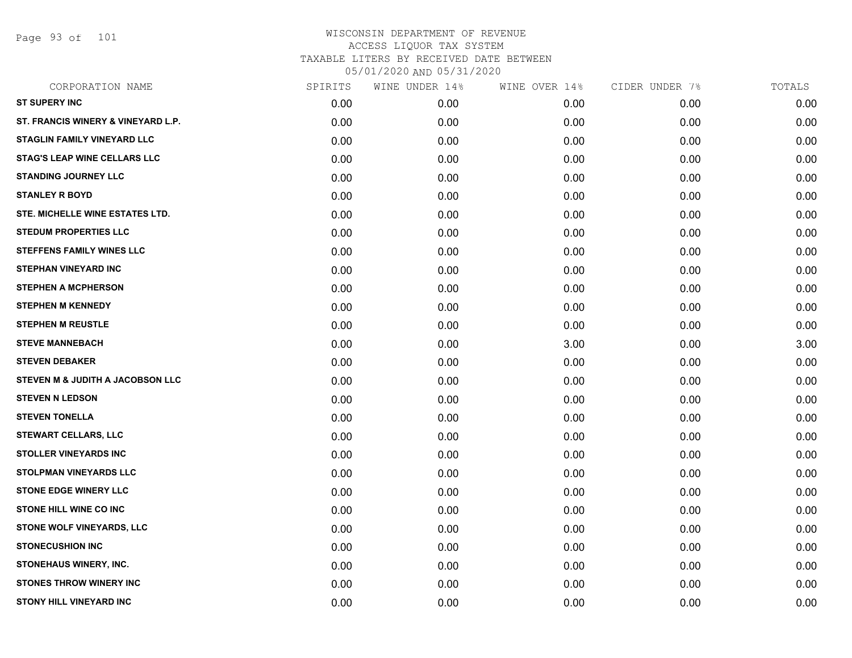Page 93 of 101

| CORPORATION NAME                    | SPIRITS | WINE UNDER 14% | WINE OVER 14% | CIDER UNDER 7% | TOTALS |
|-------------------------------------|---------|----------------|---------------|----------------|--------|
| <b>ST SUPERY INC</b>                | 0.00    | 0.00           | 0.00          | 0.00           | 0.00   |
| ST. FRANCIS WINERY & VINEYARD L.P.  | 0.00    | 0.00           | 0.00          | 0.00           | 0.00   |
| STAGLIN FAMILY VINEYARD LLC         | 0.00    | 0.00           | 0.00          | 0.00           | 0.00   |
| <b>STAG'S LEAP WINE CELLARS LLC</b> | 0.00    | 0.00           | 0.00          | 0.00           | 0.00   |
| <b>STANDING JOURNEY LLC</b>         | 0.00    | 0.00           | 0.00          | 0.00           | 0.00   |
| <b>STANLEY R BOYD</b>               | 0.00    | 0.00           | 0.00          | 0.00           | 0.00   |
| STE. MICHELLE WINE ESTATES LTD.     | 0.00    | 0.00           | 0.00          | 0.00           | 0.00   |
| <b>STEDUM PROPERTIES LLC</b>        | 0.00    | 0.00           | 0.00          | 0.00           | 0.00   |
| <b>STEFFENS FAMILY WINES LLC</b>    | 0.00    | 0.00           | 0.00          | 0.00           | 0.00   |
| <b>STEPHAN VINEYARD INC</b>         | 0.00    | 0.00           | 0.00          | 0.00           | 0.00   |
| <b>STEPHEN A MCPHERSON</b>          | 0.00    | 0.00           | 0.00          | 0.00           | 0.00   |
| <b>STEPHEN M KENNEDY</b>            | 0.00    | 0.00           | 0.00          | 0.00           | 0.00   |
| <b>STEPHEN M REUSTLE</b>            | 0.00    | 0.00           | 0.00          | 0.00           | 0.00   |
| <b>STEVE MANNEBACH</b>              | 0.00    | 0.00           | 3.00          | 0.00           | 3.00   |
| <b>STEVEN DEBAKER</b>               | 0.00    | 0.00           | 0.00          | 0.00           | 0.00   |
| STEVEN M & JUDITH A JACOBSON LLC    | 0.00    | 0.00           | 0.00          | 0.00           | 0.00   |
| <b>STEVEN N LEDSON</b>              | 0.00    | 0.00           | 0.00          | 0.00           | 0.00   |
| <b>STEVEN TONELLA</b>               | 0.00    | 0.00           | 0.00          | 0.00           | 0.00   |
| <b>STEWART CELLARS, LLC</b>         | 0.00    | 0.00           | 0.00          | 0.00           | 0.00   |
| <b>STOLLER VINEYARDS INC</b>        | 0.00    | 0.00           | 0.00          | 0.00           | 0.00   |
| <b>STOLPMAN VINEYARDS LLC</b>       | 0.00    | 0.00           | 0.00          | 0.00           | 0.00   |
| <b>STONE EDGE WINERY LLC</b>        | 0.00    | 0.00           | 0.00          | 0.00           | 0.00   |
| <b>STONE HILL WINE CO INC</b>       | 0.00    | 0.00           | 0.00          | 0.00           | 0.00   |
| STONE WOLF VINEYARDS, LLC           | 0.00    | 0.00           | 0.00          | 0.00           | 0.00   |
| <b>STONECUSHION INC</b>             | 0.00    | 0.00           | 0.00          | 0.00           | 0.00   |
| STONEHAUS WINERY, INC.              | 0.00    | 0.00           | 0.00          | 0.00           | 0.00   |
| <b>STONES THROW WINERY INC</b>      | 0.00    | 0.00           | 0.00          | 0.00           | 0.00   |
| <b>STONY HILL VINEYARD INC</b>      | 0.00    | 0.00           | 0.00          | 0.00           | 0.00   |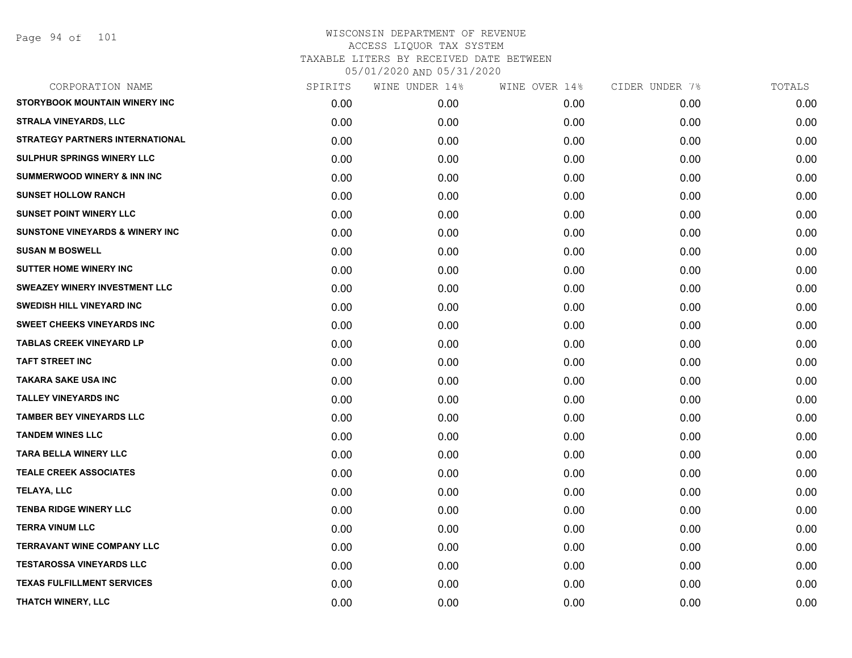Page 94 of 101

| CORPORATION NAME                           | SPIRITS | WINE UNDER 14% | WINE OVER 14% | CIDER UNDER 7% | TOTALS |
|--------------------------------------------|---------|----------------|---------------|----------------|--------|
| STORYBOOK MOUNTAIN WINERY INC              | 0.00    | 0.00           | 0.00          | 0.00           | 0.00   |
| <b>STRALA VINEYARDS, LLC</b>               | 0.00    | 0.00           | 0.00          | 0.00           | 0.00   |
| <b>STRATEGY PARTNERS INTERNATIONAL</b>     | 0.00    | 0.00           | 0.00          | 0.00           | 0.00   |
| SULPHUR SPRINGS WINERY LLC                 | 0.00    | 0.00           | 0.00          | 0.00           | 0.00   |
| <b>SUMMERWOOD WINERY &amp; INN INC</b>     | 0.00    | 0.00           | 0.00          | 0.00           | 0.00   |
| <b>SUNSET HOLLOW RANCH</b>                 | 0.00    | 0.00           | 0.00          | 0.00           | 0.00   |
| <b>SUNSET POINT WINERY LLC</b>             | 0.00    | 0.00           | 0.00          | 0.00           | 0.00   |
| <b>SUNSTONE VINEYARDS &amp; WINERY INC</b> | 0.00    | 0.00           | 0.00          | 0.00           | 0.00   |
| <b>SUSAN M BOSWELL</b>                     | 0.00    | 0.00           | 0.00          | 0.00           | 0.00   |
| <b>SUTTER HOME WINERY INC</b>              | 0.00    | 0.00           | 0.00          | 0.00           | 0.00   |
| <b>SWEAZEY WINERY INVESTMENT LLC</b>       | 0.00    | 0.00           | 0.00          | 0.00           | 0.00   |
| <b>SWEDISH HILL VINEYARD INC</b>           | 0.00    | 0.00           | 0.00          | 0.00           | 0.00   |
| <b>SWEET CHEEKS VINEYARDS INC</b>          | 0.00    | 0.00           | 0.00          | 0.00           | 0.00   |
| <b>TABLAS CREEK VINEYARD LP</b>            | 0.00    | 0.00           | 0.00          | 0.00           | 0.00   |
| <b>TAFT STREET INC</b>                     | 0.00    | 0.00           | 0.00          | 0.00           | 0.00   |
| <b>TAKARA SAKE USA INC</b>                 | 0.00    | 0.00           | 0.00          | 0.00           | 0.00   |
| <b>TALLEY VINEYARDS INC</b>                | 0.00    | 0.00           | 0.00          | 0.00           | 0.00   |
| <b>TAMBER BEY VINEYARDS LLC</b>            | 0.00    | 0.00           | 0.00          | 0.00           | 0.00   |
| <b>TANDEM WINES LLC</b>                    | 0.00    | 0.00           | 0.00          | 0.00           | 0.00   |
| <b>TARA BELLA WINERY LLC</b>               | 0.00    | 0.00           | 0.00          | 0.00           | 0.00   |
| <b>TEALE CREEK ASSOCIATES</b>              | 0.00    | 0.00           | 0.00          | 0.00           | 0.00   |
| <b>TELAYA, LLC</b>                         | 0.00    | 0.00           | 0.00          | 0.00           | 0.00   |
| <b>TENBA RIDGE WINERY LLC</b>              | 0.00    | 0.00           | 0.00          | 0.00           | 0.00   |
| <b>TERRA VINUM LLC</b>                     | 0.00    | 0.00           | 0.00          | 0.00           | 0.00   |
| <b>TERRAVANT WINE COMPANY LLC</b>          | 0.00    | 0.00           | 0.00          | 0.00           | 0.00   |
| <b>TESTAROSSA VINEYARDS LLC</b>            | 0.00    | 0.00           | 0.00          | 0.00           | 0.00   |
| <b>TEXAS FULFILLMENT SERVICES</b>          | 0.00    | 0.00           | 0.00          | 0.00           | 0.00   |
| THATCH WINERY, LLC                         | 0.00    | 0.00           | 0.00          | 0.00           | 0.00   |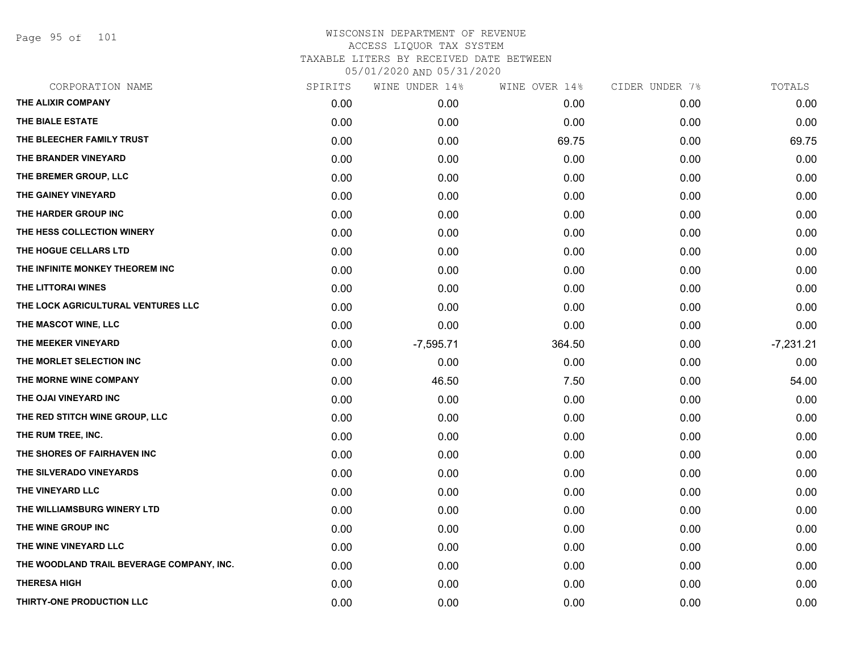Page 95 of 101

| CORPORATION NAME                          | SPIRITS | WINE UNDER 14% | WINE OVER 14% | CIDER UNDER 7% | TOTALS      |
|-------------------------------------------|---------|----------------|---------------|----------------|-------------|
| THE ALIXIR COMPANY                        | 0.00    | 0.00           | 0.00          | 0.00           | 0.00        |
| THE BIALE ESTATE                          | 0.00    | 0.00           | 0.00          | 0.00           | 0.00        |
| THE BLEECHER FAMILY TRUST                 | 0.00    | 0.00           | 69.75         | 0.00           | 69.75       |
| THE BRANDER VINEYARD                      | 0.00    | 0.00           | 0.00          | 0.00           | 0.00        |
| THE BREMER GROUP, LLC                     | 0.00    | 0.00           | 0.00          | 0.00           | 0.00        |
| THE GAINEY VINEYARD                       | 0.00    | 0.00           | 0.00          | 0.00           | 0.00        |
| THE HARDER GROUP INC                      | 0.00    | 0.00           | 0.00          | 0.00           | 0.00        |
| THE HESS COLLECTION WINERY                | 0.00    | 0.00           | 0.00          | 0.00           | 0.00        |
| THE HOGUE CELLARS LTD                     | 0.00    | 0.00           | 0.00          | 0.00           | 0.00        |
| THE INFINITE MONKEY THEOREM INC           | 0.00    | 0.00           | 0.00          | 0.00           | 0.00        |
| THE LITTORAI WINES                        | 0.00    | 0.00           | 0.00          | 0.00           | 0.00        |
| THE LOCK AGRICULTURAL VENTURES LLC        | 0.00    | 0.00           | 0.00          | 0.00           | 0.00        |
| THE MASCOT WINE, LLC                      | 0.00    | 0.00           | 0.00          | 0.00           | 0.00        |
| THE MEEKER VINEYARD                       | 0.00    | $-7,595.71$    | 364.50        | 0.00           | $-7,231.21$ |
| THE MORLET SELECTION INC                  | 0.00    | 0.00           | 0.00          | 0.00           | 0.00        |
| THE MORNE WINE COMPANY                    | 0.00    | 46.50          | 7.50          | 0.00           | 54.00       |
| THE OJAI VINEYARD INC                     | 0.00    | 0.00           | 0.00          | 0.00           | 0.00        |
| THE RED STITCH WINE GROUP, LLC            | 0.00    | 0.00           | 0.00          | 0.00           | 0.00        |
| THE RUM TREE, INC.                        | 0.00    | 0.00           | 0.00          | 0.00           | 0.00        |
| THE SHORES OF FAIRHAVEN INC               | 0.00    | 0.00           | 0.00          | 0.00           | 0.00        |
| THE SILVERADO VINEYARDS                   | 0.00    | 0.00           | 0.00          | 0.00           | 0.00        |
| THE VINEYARD LLC                          | 0.00    | 0.00           | 0.00          | 0.00           | 0.00        |
| THE WILLIAMSBURG WINERY LTD               | 0.00    | 0.00           | 0.00          | 0.00           | 0.00        |
| THE WINE GROUP INC                        | 0.00    | 0.00           | 0.00          | 0.00           | 0.00        |
| THE WINE VINEYARD LLC                     | 0.00    | 0.00           | 0.00          | 0.00           | 0.00        |
| THE WOODLAND TRAIL BEVERAGE COMPANY, INC. | 0.00    | 0.00           | 0.00          | 0.00           | 0.00        |
| <b>THERESA HIGH</b>                       | 0.00    | 0.00           | 0.00          | 0.00           | 0.00        |
| THIRTY-ONE PRODUCTION LLC                 | 0.00    | 0.00           | 0.00          | 0.00           | 0.00        |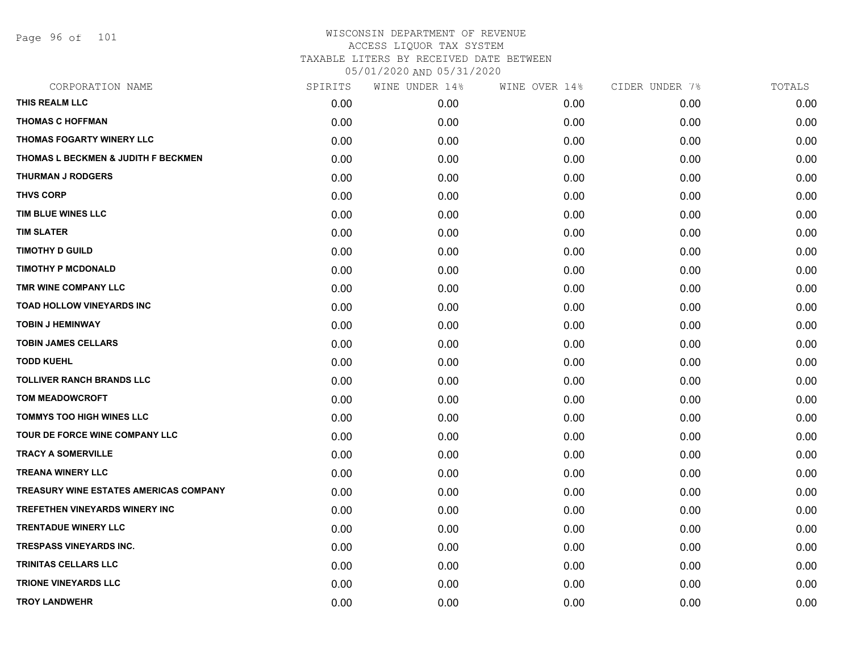Page 96 of 101

| CORPORATION NAME                       | SPIRITS | WINE UNDER 14% | WINE OVER 14% | CIDER UNDER 7% | TOTALS |
|----------------------------------------|---------|----------------|---------------|----------------|--------|
| THIS REALM LLC                         | 0.00    | 0.00           | 0.00          | 0.00           | 0.00   |
| <b>THOMAS C HOFFMAN</b>                | 0.00    | 0.00           | 0.00          | 0.00           | 0.00   |
| THOMAS FOGARTY WINERY LLC              | 0.00    | 0.00           | 0.00          | 0.00           | 0.00   |
| THOMAS L BECKMEN & JUDITH F BECKMEN    | 0.00    | 0.00           | 0.00          | 0.00           | 0.00   |
| <b>THURMAN J RODGERS</b>               | 0.00    | 0.00           | 0.00          | 0.00           | 0.00   |
| <b>THVS CORP</b>                       | 0.00    | 0.00           | 0.00          | 0.00           | 0.00   |
| TIM BLUE WINES LLC                     | 0.00    | 0.00           | 0.00          | 0.00           | 0.00   |
| <b>TIM SLATER</b>                      | 0.00    | 0.00           | 0.00          | 0.00           | 0.00   |
| <b>TIMOTHY D GUILD</b>                 | 0.00    | 0.00           | 0.00          | 0.00           | 0.00   |
| <b>TIMOTHY P MCDONALD</b>              | 0.00    | 0.00           | 0.00          | 0.00           | 0.00   |
| TMR WINE COMPANY LLC                   | 0.00    | 0.00           | 0.00          | 0.00           | 0.00   |
| TOAD HOLLOW VINEYARDS INC              | 0.00    | 0.00           | 0.00          | 0.00           | 0.00   |
| <b>TOBIN J HEMINWAY</b>                | 0.00    | 0.00           | 0.00          | 0.00           | 0.00   |
| <b>TOBIN JAMES CELLARS</b>             | 0.00    | 0.00           | 0.00          | 0.00           | 0.00   |
| <b>TODD KUEHL</b>                      | 0.00    | 0.00           | 0.00          | 0.00           | 0.00   |
| <b>TOLLIVER RANCH BRANDS LLC</b>       | 0.00    | 0.00           | 0.00          | 0.00           | 0.00   |
| <b>TOM MEADOWCROFT</b>                 | 0.00    | 0.00           | 0.00          | 0.00           | 0.00   |
| TOMMYS TOO HIGH WINES LLC              | 0.00    | 0.00           | 0.00          | 0.00           | 0.00   |
| TOUR DE FORCE WINE COMPANY LLC         | 0.00    | 0.00           | 0.00          | 0.00           | 0.00   |
| <b>TRACY A SOMERVILLE</b>              | 0.00    | 0.00           | 0.00          | 0.00           | 0.00   |
| <b>TREANA WINERY LLC</b>               | 0.00    | 0.00           | 0.00          | 0.00           | 0.00   |
| TREASURY WINE ESTATES AMERICAS COMPANY | 0.00    | 0.00           | 0.00          | 0.00           | 0.00   |
| TREFETHEN VINEYARDS WINERY INC         | 0.00    | 0.00           | 0.00          | 0.00           | 0.00   |
| <b>TRENTADUE WINERY LLC</b>            | 0.00    | 0.00           | 0.00          | 0.00           | 0.00   |
| <b>TRESPASS VINEYARDS INC.</b>         | 0.00    | 0.00           | 0.00          | 0.00           | 0.00   |
| <b>TRINITAS CELLARS LLC</b>            | 0.00    | 0.00           | 0.00          | 0.00           | 0.00   |
| <b>TRIONE VINEYARDS LLC</b>            | 0.00    | 0.00           | 0.00          | 0.00           | 0.00   |
| <b>TROY LANDWEHR</b>                   | 0.00    | 0.00           | 0.00          | 0.00           | 0.00   |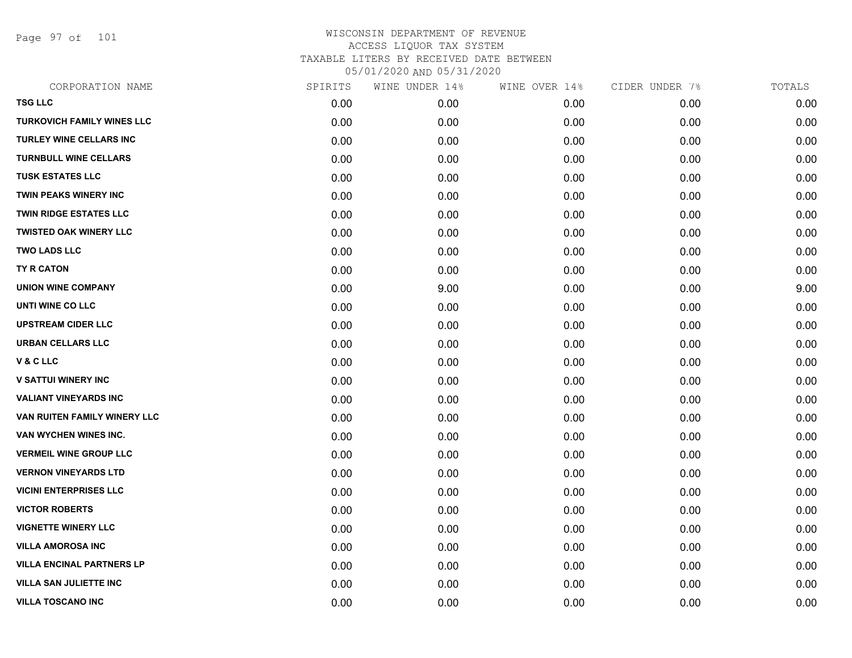Page 97 of 101

| CORPORATION NAME                  | SPIRITS | WINE UNDER 14% | WINE OVER 14% | CIDER UNDER 7% | TOTALS |
|-----------------------------------|---------|----------------|---------------|----------------|--------|
| <b>TSG LLC</b>                    | 0.00    | 0.00           | 0.00          | 0.00           | 0.00   |
| <b>TURKOVICH FAMILY WINES LLC</b> | 0.00    | 0.00           | 0.00          | 0.00           | 0.00   |
| TURLEY WINE CELLARS INC           | 0.00    | 0.00           | 0.00          | 0.00           | 0.00   |
| <b>TURNBULL WINE CELLARS</b>      | 0.00    | 0.00           | 0.00          | 0.00           | 0.00   |
| <b>TUSK ESTATES LLC</b>           | 0.00    | 0.00           | 0.00          | 0.00           | 0.00   |
| <b>TWIN PEAKS WINERY INC</b>      | 0.00    | 0.00           | 0.00          | 0.00           | 0.00   |
| <b>TWIN RIDGE ESTATES LLC</b>     | 0.00    | 0.00           | 0.00          | 0.00           | 0.00   |
| <b>TWISTED OAK WINERY LLC</b>     | 0.00    | 0.00           | 0.00          | 0.00           | 0.00   |
| <b>TWO LADS LLC</b>               | 0.00    | 0.00           | 0.00          | 0.00           | 0.00   |
| TY R CATON                        | 0.00    | 0.00           | 0.00          | 0.00           | 0.00   |
| <b>UNION WINE COMPANY</b>         | 0.00    | 9.00           | 0.00          | 0.00           | 9.00   |
| UNTI WINE CO LLC                  | 0.00    | 0.00           | 0.00          | 0.00           | 0.00   |
| <b>UPSTREAM CIDER LLC</b>         | 0.00    | 0.00           | 0.00          | 0.00           | 0.00   |
| URBAN CELLARS LLC                 | 0.00    | 0.00           | 0.00          | 0.00           | 0.00   |
| V & C LLC                         | 0.00    | 0.00           | 0.00          | 0.00           | 0.00   |
| <b>V SATTUI WINERY INC</b>        | 0.00    | 0.00           | 0.00          | 0.00           | 0.00   |
| <b>VALIANT VINEYARDS INC</b>      | 0.00    | 0.00           | 0.00          | 0.00           | 0.00   |
| VAN RUITEN FAMILY WINERY LLC      | 0.00    | 0.00           | 0.00          | 0.00           | 0.00   |
| VAN WYCHEN WINES INC.             | 0.00    | 0.00           | 0.00          | 0.00           | 0.00   |
| <b>VERMEIL WINE GROUP LLC</b>     | 0.00    | 0.00           | 0.00          | 0.00           | 0.00   |
| <b>VERNON VINEYARDS LTD</b>       | 0.00    | 0.00           | 0.00          | 0.00           | 0.00   |
| <b>VICINI ENTERPRISES LLC</b>     | 0.00    | 0.00           | 0.00          | 0.00           | 0.00   |
| <b>VICTOR ROBERTS</b>             | 0.00    | 0.00           | 0.00          | 0.00           | 0.00   |
| <b>VIGNETTE WINERY LLC</b>        | 0.00    | 0.00           | 0.00          | 0.00           | 0.00   |
| <b>VILLA AMOROSA INC</b>          | 0.00    | 0.00           | 0.00          | 0.00           | 0.00   |
| <b>VILLA ENCINAL PARTNERS LP</b>  | 0.00    | 0.00           | 0.00          | 0.00           | 0.00   |
| <b>VILLA SAN JULIETTE INC</b>     | 0.00    | 0.00           | 0.00          | 0.00           | 0.00   |
| <b>VILLA TOSCANO INC</b>          | 0.00    | 0.00           | 0.00          | 0.00           | 0.00   |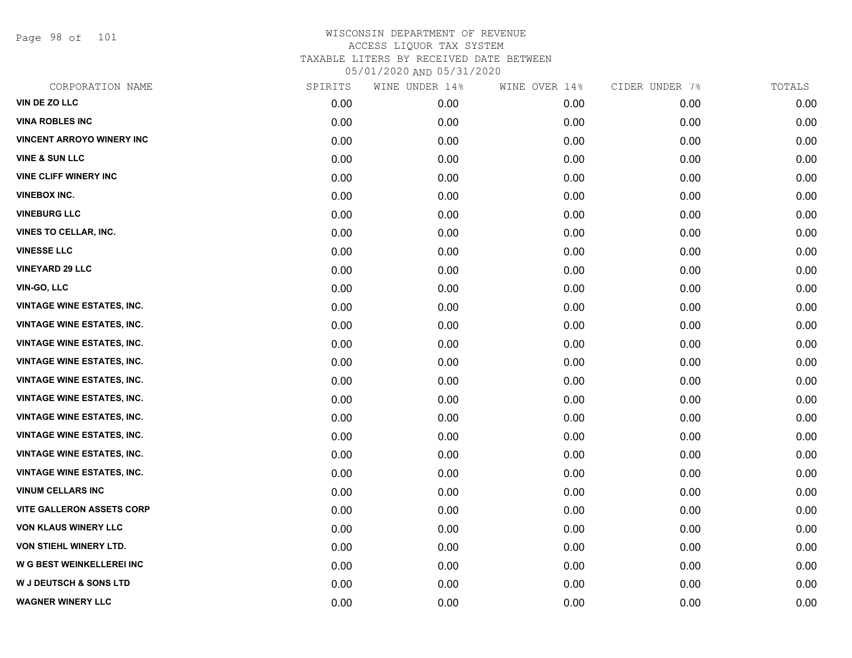Page 98 of 101

| CORPORATION NAME                  | SPIRITS | WINE UNDER 14% | WINE OVER 14% | CIDER UNDER 7% | TOTALS |
|-----------------------------------|---------|----------------|---------------|----------------|--------|
| VIN DE ZO LLC                     | 0.00    | 0.00           | 0.00          | 0.00           | 0.00   |
| <b>VINA ROBLES INC</b>            | 0.00    | 0.00           | 0.00          | 0.00           | 0.00   |
| <b>VINCENT ARROYO WINERY INC</b>  | 0.00    | 0.00           | 0.00          | 0.00           | 0.00   |
| <b>VINE &amp; SUN LLC</b>         | 0.00    | 0.00           | 0.00          | 0.00           | 0.00   |
| <b>VINE CLIFF WINERY INC</b>      | 0.00    | 0.00           | 0.00          | 0.00           | 0.00   |
| <b>VINEBOX INC.</b>               | 0.00    | 0.00           | 0.00          | 0.00           | 0.00   |
| <b>VINEBURG LLC</b>               | 0.00    | 0.00           | 0.00          | 0.00           | 0.00   |
| <b>VINES TO CELLAR, INC.</b>      | 0.00    | 0.00           | 0.00          | 0.00           | 0.00   |
| <b>VINESSE LLC</b>                | 0.00    | 0.00           | 0.00          | 0.00           | 0.00   |
| <b>VINEYARD 29 LLC</b>            | 0.00    | 0.00           | 0.00          | 0.00           | 0.00   |
| <b>VIN-GO, LLC</b>                | 0.00    | 0.00           | 0.00          | 0.00           | 0.00   |
| <b>VINTAGE WINE ESTATES, INC.</b> | 0.00    | 0.00           | 0.00          | 0.00           | 0.00   |
| <b>VINTAGE WINE ESTATES, INC.</b> | 0.00    | 0.00           | 0.00          | 0.00           | 0.00   |
| <b>VINTAGE WINE ESTATES, INC.</b> | 0.00    | 0.00           | 0.00          | 0.00           | 0.00   |
| <b>VINTAGE WINE ESTATES, INC.</b> | 0.00    | 0.00           | 0.00          | 0.00           | 0.00   |
| <b>VINTAGE WINE ESTATES, INC.</b> | 0.00    | 0.00           | 0.00          | 0.00           | 0.00   |
| <b>VINTAGE WINE ESTATES, INC.</b> | 0.00    | 0.00           | 0.00          | 0.00           | 0.00   |
| <b>VINTAGE WINE ESTATES, INC.</b> | 0.00    | 0.00           | 0.00          | 0.00           | 0.00   |
| <b>VINTAGE WINE ESTATES, INC.</b> | 0.00    | 0.00           | 0.00          | 0.00           | 0.00   |
| <b>VINTAGE WINE ESTATES, INC.</b> | 0.00    | 0.00           | 0.00          | 0.00           | 0.00   |
| <b>VINTAGE WINE ESTATES, INC.</b> | 0.00    | 0.00           | 0.00          | 0.00           | 0.00   |
| <b>VINUM CELLARS INC</b>          | 0.00    | 0.00           | 0.00          | 0.00           | 0.00   |
| <b>VITE GALLERON ASSETS CORP</b>  | 0.00    | 0.00           | 0.00          | 0.00           | 0.00   |
| <b>VON KLAUS WINERY LLC</b>       | 0.00    | 0.00           | 0.00          | 0.00           | 0.00   |
| VON STIEHL WINERY LTD.            | 0.00    | 0.00           | 0.00          | 0.00           | 0.00   |
| W G BEST WEINKELLEREI INC         | 0.00    | 0.00           | 0.00          | 0.00           | 0.00   |
| <b>W J DEUTSCH &amp; SONS LTD</b> | 0.00    | 0.00           | 0.00          | 0.00           | 0.00   |
| <b>WAGNER WINERY LLC</b>          | 0.00    | 0.00           | 0.00          | 0.00           | 0.00   |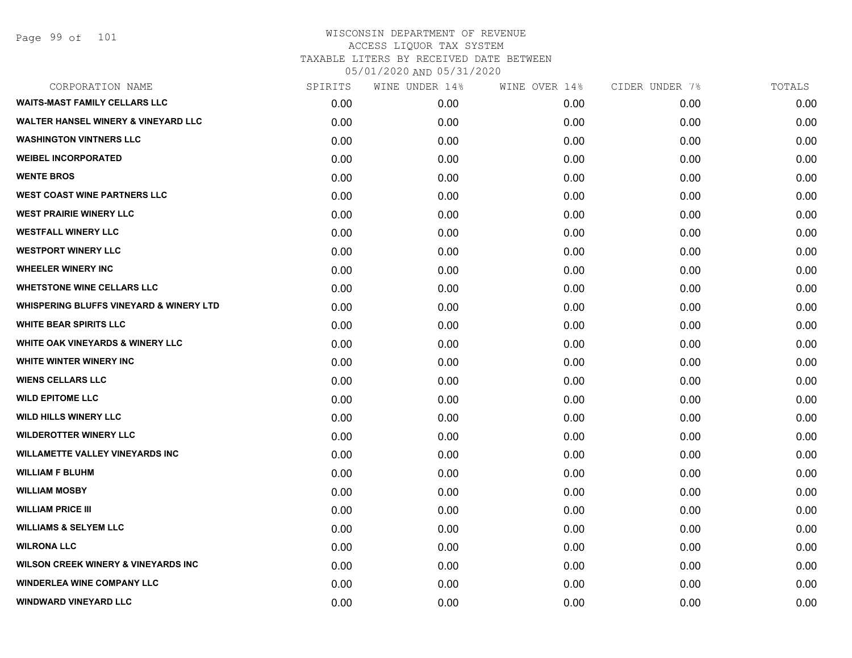| CORPORATION NAME                                   | SPIRITS | WINE UNDER 14% | WINE OVER 14% | CIDER UNDER 7% | TOTALS |
|----------------------------------------------------|---------|----------------|---------------|----------------|--------|
| <b>WAITS-MAST FAMILY CELLARS LLC</b>               | 0.00    | 0.00           | 0.00          | 0.00           | 0.00   |
| <b>WALTER HANSEL WINERY &amp; VINEYARD LLC</b>     | 0.00    | 0.00           | 0.00          | 0.00           | 0.00   |
| <b>WASHINGTON VINTNERS LLC</b>                     | 0.00    | 0.00           | 0.00          | 0.00           | 0.00   |
| <b>WEIBEL INCORPORATED</b>                         | 0.00    | 0.00           | 0.00          | 0.00           | 0.00   |
| <b>WENTE BROS</b>                                  | 0.00    | 0.00           | 0.00          | 0.00           | 0.00   |
| <b>WEST COAST WINE PARTNERS LLC</b>                | 0.00    | 0.00           | 0.00          | 0.00           | 0.00   |
| <b>WEST PRAIRIE WINERY LLC</b>                     | 0.00    | 0.00           | 0.00          | 0.00           | 0.00   |
| <b>WESTFALL WINERY LLC</b>                         | 0.00    | 0.00           | 0.00          | 0.00           | 0.00   |
| <b>WESTPORT WINERY LLC</b>                         | 0.00    | 0.00           | 0.00          | 0.00           | 0.00   |
| <b>WHEELER WINERY INC</b>                          | 0.00    | 0.00           | 0.00          | 0.00           | 0.00   |
| <b>WHETSTONE WINE CELLARS LLC</b>                  | 0.00    | 0.00           | 0.00          | 0.00           | 0.00   |
| <b>WHISPERING BLUFFS VINEYARD &amp; WINERY LTD</b> | 0.00    | 0.00           | 0.00          | 0.00           | 0.00   |
| <b>WHITE BEAR SPIRITS LLC</b>                      | 0.00    | 0.00           | 0.00          | 0.00           | 0.00   |
| <b>WHITE OAK VINEYARDS &amp; WINERY LLC</b>        | 0.00    | 0.00           | 0.00          | 0.00           | 0.00   |
| <b>WHITE WINTER WINERY INC.</b>                    | 0.00    | 0.00           | 0.00          | 0.00           | 0.00   |
| <b>WIENS CELLARS LLC</b>                           | 0.00    | 0.00           | 0.00          | 0.00           | 0.00   |
| <b>WILD EPITOME LLC</b>                            | 0.00    | 0.00           | 0.00          | 0.00           | 0.00   |
| <b>WILD HILLS WINERY LLC</b>                       | 0.00    | 0.00           | 0.00          | 0.00           | 0.00   |
| <b>WILDEROTTER WINERY LLC</b>                      | 0.00    | 0.00           | 0.00          | 0.00           | 0.00   |
| <b>WILLAMETTE VALLEY VINEYARDS INC.</b>            | 0.00    | 0.00           | 0.00          | 0.00           | 0.00   |
| <b>WILLIAM F BLUHM</b>                             | 0.00    | 0.00           | 0.00          | 0.00           | 0.00   |
| <b>WILLIAM MOSBY</b>                               | 0.00    | 0.00           | 0.00          | 0.00           | 0.00   |
| <b>WILLIAM PRICE III</b>                           | 0.00    | 0.00           | 0.00          | 0.00           | 0.00   |
| <b>WILLIAMS &amp; SELYEM LLC</b>                   | 0.00    | 0.00           | 0.00          | 0.00           | 0.00   |
| <b>WILRONA LLC</b>                                 | 0.00    | 0.00           | 0.00          | 0.00           | 0.00   |
| <b>WILSON CREEK WINERY &amp; VINEYARDS INC</b>     | 0.00    | 0.00           | 0.00          | 0.00           | 0.00   |
| <b>WINDERLEA WINE COMPANY LLC</b>                  | 0.00    | 0.00           | 0.00          | 0.00           | 0.00   |
| <b>WINDWARD VINEYARD LLC</b>                       | 0.00    | 0.00           | 0.00          | 0.00           | 0.00   |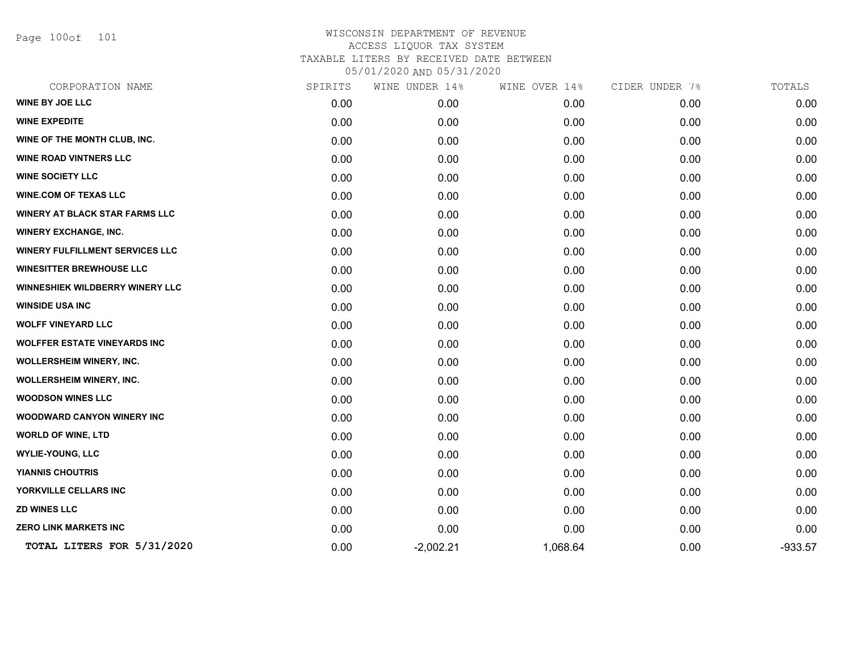Page 100of 101

| CORPORATION NAME                      | SPIRITS | WINE UNDER 14% | WINE OVER 14% | CIDER UNDER 7% | TOTALS    |
|---------------------------------------|---------|----------------|---------------|----------------|-----------|
| <b>WINE BY JOE LLC</b>                | 0.00    | 0.00           | 0.00          | 0.00           | 0.00      |
| <b>WINE EXPEDITE</b>                  | 0.00    | 0.00           | 0.00          | 0.00           | 0.00      |
| WINE OF THE MONTH CLUB, INC.          | 0.00    | 0.00           | 0.00          | 0.00           | 0.00      |
| <b>WINE ROAD VINTNERS LLC</b>         | 0.00    | 0.00           | 0.00          | 0.00           | 0.00      |
| <b>WINE SOCIETY LLC</b>               | 0.00    | 0.00           | 0.00          | 0.00           | 0.00      |
| <b>WINE.COM OF TEXAS LLC</b>          | 0.00    | 0.00           | 0.00          | 0.00           | 0.00      |
| <b>WINERY AT BLACK STAR FARMS LLC</b> | 0.00    | 0.00           | 0.00          | 0.00           | 0.00      |
| <b>WINERY EXCHANGE, INC.</b>          | 0.00    | 0.00           | 0.00          | 0.00           | 0.00      |
| WINERY FULFILLMENT SERVICES LLC       | 0.00    | 0.00           | 0.00          | 0.00           | 0.00      |
| <b>WINESITTER BREWHOUSE LLC</b>       | 0.00    | 0.00           | 0.00          | 0.00           | 0.00      |
| WINNESHIEK WILDBERRY WINERY LLC       | 0.00    | 0.00           | 0.00          | 0.00           | 0.00      |
| <b>WINSIDE USA INC</b>                | 0.00    | 0.00           | 0.00          | 0.00           | 0.00      |
| <b>WOLFF VINEYARD LLC</b>             | 0.00    | 0.00           | 0.00          | 0.00           | 0.00      |
| <b>WOLFFER ESTATE VINEYARDS INC</b>   | 0.00    | 0.00           | 0.00          | 0.00           | 0.00      |
| <b>WOLLERSHEIM WINERY, INC.</b>       | 0.00    | 0.00           | 0.00          | 0.00           | 0.00      |
| <b>WOLLERSHEIM WINERY, INC.</b>       | 0.00    | 0.00           | 0.00          | 0.00           | 0.00      |
| <b>WOODSON WINES LLC</b>              | 0.00    | 0.00           | 0.00          | 0.00           | 0.00      |
| <b>WOODWARD CANYON WINERY INC</b>     | 0.00    | 0.00           | 0.00          | 0.00           | 0.00      |
| <b>WORLD OF WINE, LTD</b>             | 0.00    | 0.00           | 0.00          | 0.00           | 0.00      |
| <b>WYLIE-YOUNG, LLC</b>               | 0.00    | 0.00           | 0.00          | 0.00           | 0.00      |
| <b>YIANNIS CHOUTRIS</b>               | 0.00    | 0.00           | 0.00          | 0.00           | 0.00      |
| YORKVILLE CELLARS INC                 | 0.00    | 0.00           | 0.00          | 0.00           | 0.00      |
| <b>ZD WINES LLC</b>                   | 0.00    | 0.00           | 0.00          | 0.00           | 0.00      |
| <b>ZERO LINK MARKETS INC</b>          | 0.00    | 0.00           | 0.00          | 0.00           | 0.00      |
| TOTAL LITERS FOR 5/31/2020            | 0.00    | $-2,002.21$    | 1,068.64      | 0.00           | $-933.57$ |
|                                       |         |                |               |                |           |